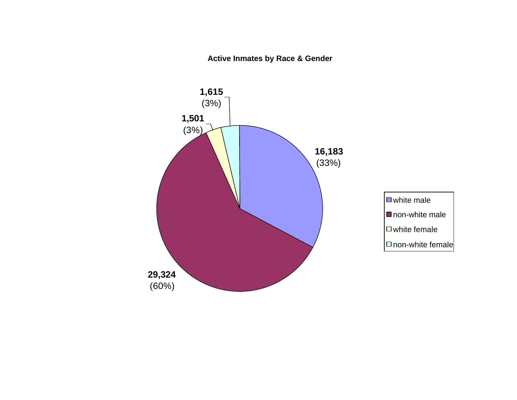**Active Inmates by Race & Gender**

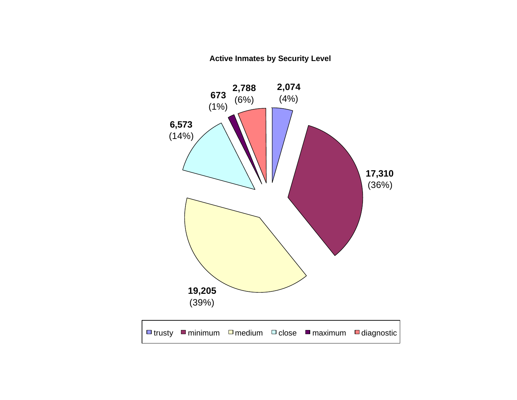**Active Inmates by Security Level**

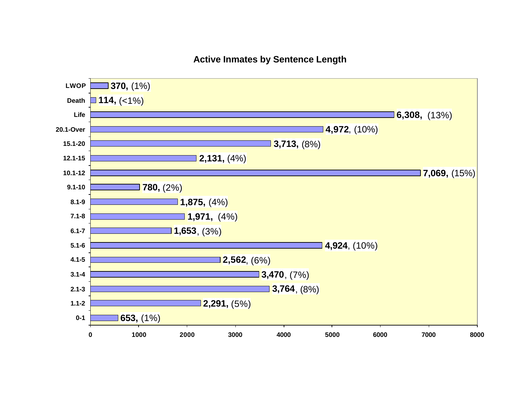### **Active Inmates by Sentence Length**

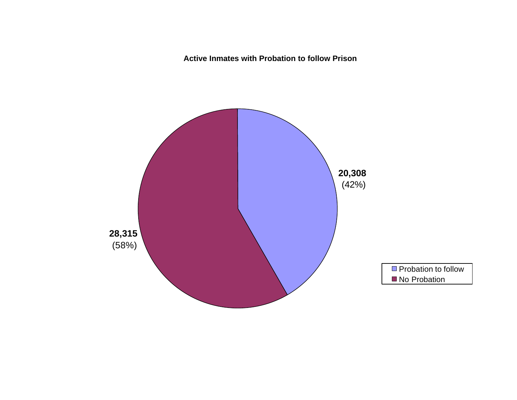**Active Inmates with Probation to follow Prison**

![](_page_3_Figure_1.jpeg)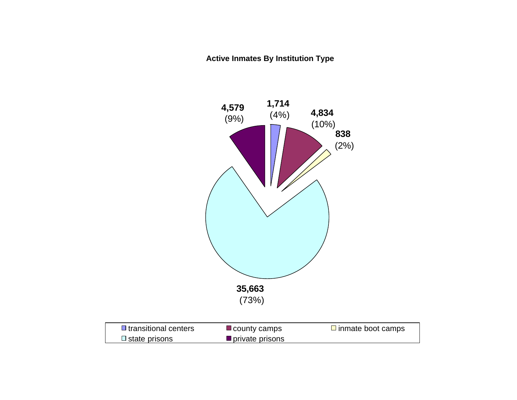**Active Inmates By Institution Type** 

![](_page_4_Figure_1.jpeg)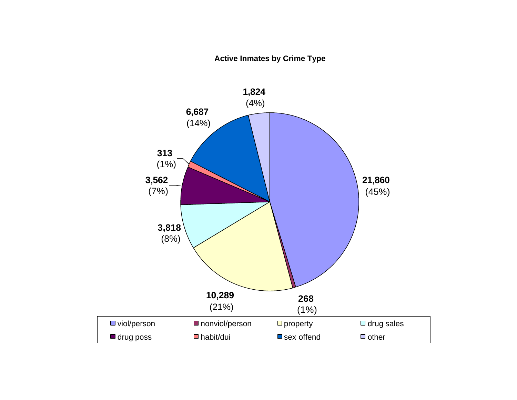### **Active Inmates by Crime Type**

![](_page_5_Figure_1.jpeg)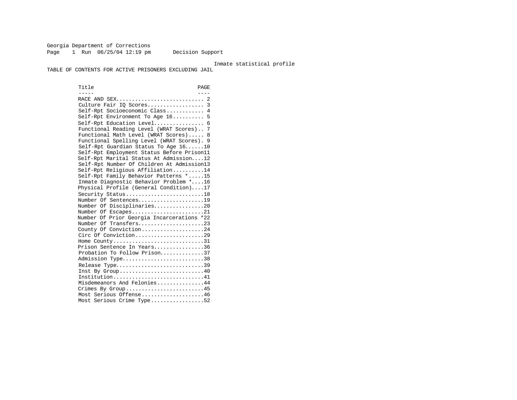Georgia Department of Corrections Page 1 Run  $06/25/04$  12:19 pm Decision Support

#### Inmate statistical profile

TABLE OF CONTENTS FOR ACTIVE PRISONERS EXCLUDING JAIL

Title PAGE ----- ---- RACE AND SEX............................ 2 Culture Fair IQ Scores.................. 3 Self-Rpt Socioeconomic Class............ 4 Self-Rpt Environment To Age 16.......... 5 Self-Rpt Education Level................ 6 Functional Reading Level (WRAT Scores).. 7 Functional Math Level (WRAT Scores)..... 8 Functional Spelling Level (WRAT Scores). 9 Self-Rpt Guardian Status To Age 16......10 Self-Rpt Employment Status Before Prison11 Self-Rpt Marital Status At Admission....12 Self-Rpt Number Of Children At Admission13 Self-Rpt Religious Affiliation..........14 Self-Rpt Family Behavior Patterns \*.....15 Inmate Diagnostic Behavior Problem \*....16 Physical Profile (General Condition)....17 Security Status............................18 Number Of Sentences.....................19 Number Of Disciplinaries................20 Number Of Escapes.........................21 Number Of Prior Georgia Incarcerations \*22 Number Of Transfers.....................23 County Of Conviction....................24 Circ Of Conviction........................29 Home County.................................31 Prison Sentence In Years................36 Probation To Follow Prison..............37 Admission Type..............................38 Release Type................................39 Inst By Group.............................40 Institution.............................41 Misdemeanors And Felonies...............44 Crimes By Group...........................45 Most Serious Offense....................46 Most Serious Crime Type.................52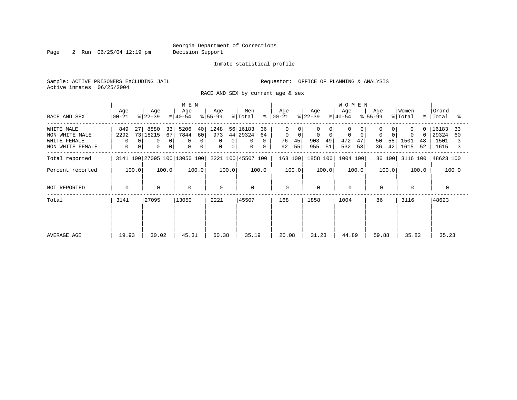Page 2 Run 06/25/04 12:19 pm Decision Support

#### Inmate statistical profile

Sample: ACTIVE PRISONERS EXCLUDING JAIL **Requestor:** OFFICE OF PLANNING & ANALYSIS Active inmates 06/25/2004

RACE AND SEX by current age & sex

|                                                                  |                             |                                                                                                    | M E N                                                                      |                                                      |                                                      |                                                                   |                                                                | <b>WOMEN</b>                          |                                  |                                           |                                            |
|------------------------------------------------------------------|-----------------------------|----------------------------------------------------------------------------------------------------|----------------------------------------------------------------------------|------------------------------------------------------|------------------------------------------------------|-------------------------------------------------------------------|----------------------------------------------------------------|---------------------------------------|----------------------------------|-------------------------------------------|--------------------------------------------|
| RACE AND SEX                                                     | Age<br>  00-21              | Age<br>$ 22-39 $                                                                                   | Age<br>$ 40-54 $                                                           | Age<br>$8 55-99$                                     | Men<br>% Total                                       | Age<br>$8   00 - 21$                                              | Age<br>$ 22-39 $                                               | Age<br>$8 40-54$                      | Age<br>$8 55-99$                 | Women<br>% Total                          | Grand<br>%   Total<br>ះ                    |
| WHITE MALE<br>NON WHITE MALE<br>WHITE FEMALE<br>NON WHITE FEMALE | 849<br>27<br>2292<br>0<br>0 | 8880<br>33<br>73 18215<br>67<br>$\Omega$<br>$\mathbf 0$<br>0<br>$\overline{0}$<br>$\mathbf 0$<br>0 | 5206<br>40<br>60<br>7844<br>0<br>$\Omega$<br>$\mathbf 0$<br>$\overline{0}$ | 1248<br>973<br>0<br>$\mathbf 0$<br>$\mathsf{O}$<br>0 | 56 16183<br>36<br>44 29324<br>64<br>0<br>0<br>0<br>0 | $\Omega$<br>$\mathbf 0$<br>$\overline{0}$<br>76<br>45<br>55<br>92 | 0<br>$\Omega$<br>0<br>$\overline{0}$<br>903<br>49<br>955<br>51 | $\mathbf 0$<br>472<br>47<br>532<br>53 | $\Omega$<br>50<br>58<br>42<br>36 | $\Omega$<br>0<br>1501<br>48<br>1615<br>52 | 16183<br>33<br>29324<br>60<br>1501<br>1615 |
| Total reported                                                   |                             | 3141 100 27095 100 13050 100                                                                       |                                                                            |                                                      | 2221 100 45507 100                                   | 168 100                                                           | 1858 100                                                       | 1004 100                              | 86 100                           | 3116 100                                  | 48623 100                                  |
| Percent reported                                                 | 100.0                       | 100.0                                                                                              | 100.0                                                                      | 100.0                                                | 100.0                                                | 100.0                                                             | 100.0                                                          | 100.0                                 | 100.0                            | 100.0                                     | 100.0                                      |
| NOT REPORTED                                                     | 0                           | $\mathbf 0$                                                                                        | $\mathbf 0$                                                                | $\Omega$                                             | $\mathbf 0$                                          | $\mathbf 0$                                                       | $\Omega$                                                       | $\mathbf 0$                           | $\mathbf 0$                      | $\Omega$                                  |                                            |
| Total                                                            | 3141                        | 27095                                                                                              | 13050                                                                      | 2221                                                 | 45507                                                | 168                                                               | 1858                                                           | 1004                                  | 86                               | 3116                                      | 48623                                      |
| AVERAGE AGE                                                      | 19.93                       | 30.02                                                                                              | 45.31                                                                      | 60.38                                                | 35.19                                                | 20.08                                                             | 31.23                                                          | 44.89                                 | 59.88                            | 35.82                                     | 35.23                                      |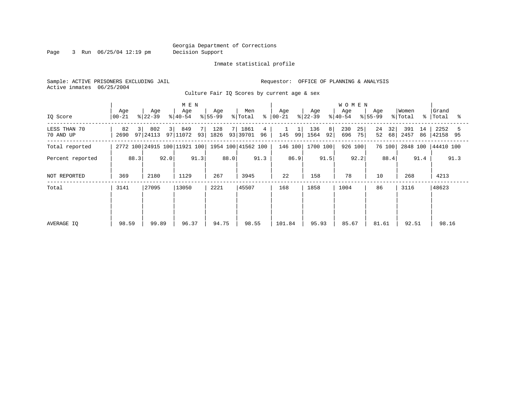Page 3 Run 06/25/04 12:19 pm Decision Support

#### Inmate statistical profile

Sample: ACTIVE PRISONERS EXCLUDING JAIL **Requestor:** OFFICE OF PLANNING & ANALYSIS Active inmates 06/25/2004

Culture Fair IQ Scores by current age & sex

|                           |                  |                      | M E N                        |                  |                               |                    |                            | <b>WOMEN</b>           |                      |                         |                             |
|---------------------------|------------------|----------------------|------------------------------|------------------|-------------------------------|--------------------|----------------------------|------------------------|----------------------|-------------------------|-----------------------------|
| IQ Score                  | Age<br>$00 - 21$ | Age<br>$ 22-39 $     | Age<br>$ 40-54 $             | Age<br>$ 55-99 $ | Men<br>နွ<br>% Total          | Age<br>$ 00 - 21 $ | Age<br>$ 22-39 $           | Age<br>$8 40-54$       | Age<br>$ 55-99 $     | Women<br>% Total        | Grand<br>%   Total<br>ႜႜ    |
| LESS THAN 70<br>70 AND UP | 82<br>31<br>2690 | 802<br>3<br>97 24113 | 849<br>7<br>97 11072<br>93   | 128<br>1826      | 7 1861<br>4<br>93 39701<br>96 | 145<br>99          | 136<br>- 8  <br>92<br>1564 | 230<br>25<br>696<br>75 | 24<br>32<br>52<br>68 | 391<br>14<br>2457<br>86 | 2252<br>5<br> 42158<br>- 95 |
| Total reported            |                  |                      | 2772 100 24915 100 11921 100 |                  | 1954 100 41562 100            | 146 100            | 1700 100                   | 926 100                | 76 100               | 2848 100                | 44410 100                   |
| Percent reported          | 88.3             | 92.0                 | 91.3                         | 88.0             | 91.3                          | 86.9               | 91.5                       | 92.2                   | 88.4                 | 91.4                    | 91.3                        |
| NOT REPORTED              | 369              | 2180                 | 1129                         | 267              | 3945                          | 22                 | 158                        | 78                     | 10                   | 268                     | 4213                        |
| Total                     | 3141             | 27095                | 13050                        | 2221             | 45507                         | 168                | 1858                       | 1004                   | 86                   | 3116                    | 48623                       |
|                           |                  |                      |                              |                  |                               |                    |                            |                        |                      |                         |                             |
|                           |                  |                      |                              |                  |                               |                    |                            |                        |                      |                         |                             |
| AVERAGE IO                | 98.59            | 99.89                | 96.37                        | 94.75            | 98.55                         | 101.84             | 95.93                      | 85.67                  | 81.61                | 92.51                   | 98.16                       |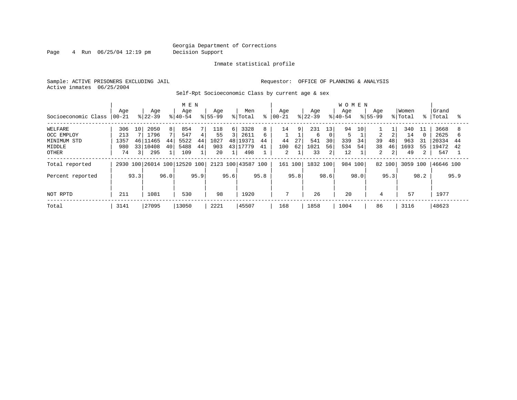Page 4 Run 06/25/04 12:19 pm Decision Support

Inmate statistical profile

Sample: ACTIVE PRISONERS EXCLUDING JAIL **Requestor:** OFFICE OF PLANNING & ANALYSIS Active inmates 06/25/2004

Self-Rpt Socioeconomic Class by current age & sex

|                     |                  |                 |                  |                | M E N                        |      |                    |      |                    |      |                 |       |                  |                 | <b>WOMEN</b>     |      |                    |      |                  |      |                    |      |
|---------------------|------------------|-----------------|------------------|----------------|------------------------------|------|--------------------|------|--------------------|------|-----------------|-------|------------------|-----------------|------------------|------|--------------------|------|------------------|------|--------------------|------|
| Socioeconomic Class | Age<br>$ 00-21 $ |                 | Age<br>$8 22-39$ |                | Age<br>$ 40-54 $             |      | Age<br>$8155 - 99$ |      | Men<br>% Total     | ႜ    | Aqe<br>$ 00-21$ |       | Age<br>$ 22-39 $ |                 | Age<br>$8 40-54$ |      | Age<br>$8155 - 99$ |      | Women<br>% Total |      | Grand<br>%   Total | °≈   |
| WELFARE             | 306              | 10              | 2050             | 8 <sup>1</sup> | 854                          |      | 118                | 6    | 3328               | 8    | 14              | 9     | 231              | 13 <sub>1</sub> | 94               | 10   |                    |      | 340              | 11   | 3668               |      |
| OCC EMPLOY          | 213              |                 | 1796             |                | 547                          | 4    | 55                 | 3    | 2611               | 6    |                 |       | 6                | $\Omega$        |                  |      | $\overline{a}$     |      | 14               |      | 2625               | h    |
| MINIMUM STD         | 1357             |                 | 46 11465         | 44             | 5522                         | 44   | 1027               | 481  | 19371              | 44   | 44              | 27    | 541              | 30              | 339              | 34   | 39                 | 48   | 963              | 31   | 20334              | 44   |
| MIDDLE              | 980              | 33 <sup>1</sup> | 10408            | 40             | 5488                         | 44   | 903                | 43   | 17779              | 41   | 100             | 62    | 1021             | 56              | 534              | 54   | 38                 | 46   | 1693             | 55   | 19472              | 42   |
| OTHER               | 74               | 3               | 295              |                | 109                          |      | 20                 |      | 498                |      | 2               |       | 33               | 2               | 12               |      | 2                  |      | 49               | 2    | 547                |      |
| Total reported      |                  |                 |                  |                | 2930 100 26014 100 12520 100 |      |                    |      | 2123 100 43587 100 |      | 161             | . 100 | 1832 100         |                 | 984 100          |      | 82 100             |      | 3059 100         |      | 46646 100          |      |
| Percent reported    |                  | 93.3            |                  | 96.0           |                              | 95.9 |                    | 95.6 |                    | 95.8 |                 | 95.8  |                  | 98.6            |                  | 98.0 |                    | 95.3 |                  | 98.2 |                    | 95.9 |
| NOT RPTD            | 211              |                 | 1081             |                | 530                          |      | 98                 |      | 1920               |      | 7               |       | 26               |                 | 20               |      | 4                  |      | 57               |      | 1977               |      |
| Total               | 3141             |                 | 27095            |                | 13050                        |      | 2221               |      | 45507              |      | 168             |       | 1858             |                 | 1004             |      | 86                 |      | 3116             |      | 48623              |      |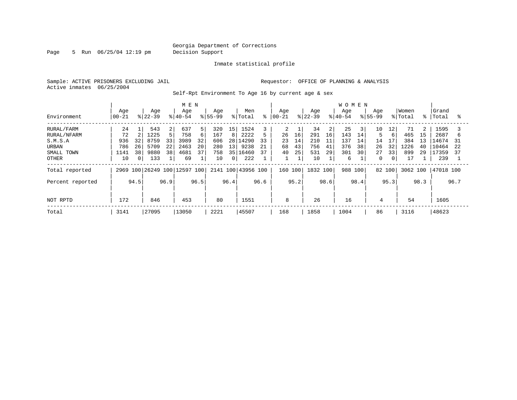Page 5 Run 06/25/04 12:19 pm Decision Support

Inmate statistical profile

Active inmates 06/25/2004

Sample: ACTIVE PRISONERS EXCLUDING JAIL **Requestor:** OFFICE OF PLANNING & ANALYSIS

Self-Rpt Environment To Age 16 by current age & sex

|                  |              |          |           |    | M E N                        |              |             |                 |           |    |           |    |           |    | <b>WOMEN</b> |                |              |                |          |                |           |    |
|------------------|--------------|----------|-----------|----|------------------------------|--------------|-------------|-----------------|-----------|----|-----------|----|-----------|----|--------------|----------------|--------------|----------------|----------|----------------|-----------|----|
|                  | Age          |          | Age       |    | Age                          |              | Age         |                 | Men       |    | Age       |    | Age       |    | Age          |                | Age          |                | Women    |                | Grand     |    |
| Environment      | $ 00 - 21$   |          | $ 22-39 $ |    | $ 40-54 $                    |              | $8155 - 99$ |                 | % Total   | နွ | $00 - 21$ |    | $8 22-39$ |    | $8 40-54$    |                | $8155 - 99$  |                | % Total  |                | %   Total | °  |
| RURAL/FARM       | 24           |          | 543       | 2  | 637                          | 5            | 320         | 15              | 1524      |    | 2         |    | 34        |    | 25           | $\overline{3}$ | 10           | 12             | 71       | $\overline{2}$ | 1595      |    |
| RURAL/NFARM      | 72           |          | 1225      |    | 758                          | 6            | 167         | 8               | 2222      |    | 26        | 16 | 291       | 16 | 143          | 14             | 5            | 6              | 465      | 15             | 2687      | b  |
| S.M.S.A          | 936          | 32       | 8759      | 33 | 3989                         | 32           | 606         |                 | 28 14290  | 33 | 23        | 14 | 210       | 11 | 137          | 14             | 14           | 17             | 384      | 13             | 14674     | 31 |
| URBAN            | 786          | 26       | 5709      | 22 | 2463                         | 20           | 280         | 13 <sup>1</sup> | 9238      | 21 | 68        | 43 | 756       | 41 | 376          | 38             | 26           | 32             | 1226     | 40             | 10464     | 22 |
| SMALL TOWN       | 1141         | 38       | 9880      | 38 | 4681                         | 37           | 758         | 35              | 16460     | 37 | 40        | 25 | 531       | 29 | 301          | 30             | 27           | 33             | 899      | 29             | 17359     | 37 |
| <b>OTHER</b>     | 10           | $\Omega$ | 133       |    | 69                           | $\mathbf{1}$ | 10          | $\overline{0}$  | 222       |    |           |    | 10        |    | 6            |                | $\mathbf{0}$ | $\overline{0}$ | 17       |                | 239       |    |
| Total reported   |              |          |           |    | 2969 100 26249 100 12597 100 |              | 2141 100    |                 | 43956 100 |    | 160 100   |    | 1832 100  |    | 988          | 100            |              | 82 100         | 3062 100 |                | 47018 100 |    |
| Percent reported | 96.9<br>94.5 |          |           |    | 96.5                         |              | 96.4        |                 | 96.6      |    | 95.2      |    | 98.6      |    | 98.4         |                | 95.3         |                | 98.3     |                | 96.7      |    |
|                  |              |          |           |    |                              |              |             |                 |           |    |           |    |           |    |              |                |              |                |          |                |           |    |
| NOT RPTD         | 172          |          | 846       |    | 453                          |              | 80          |                 | 1551      |    | 8         |    | 26        |    | 16           |                | 4            |                | 54       |                | 1605      |    |
| Total            | 3141         |          | 27095     |    | 13050                        |              | 2221        |                 | 45507     |    | 168       |    | 1858      |    | 1004         |                | 86           |                | 3116     |                | 48623     |    |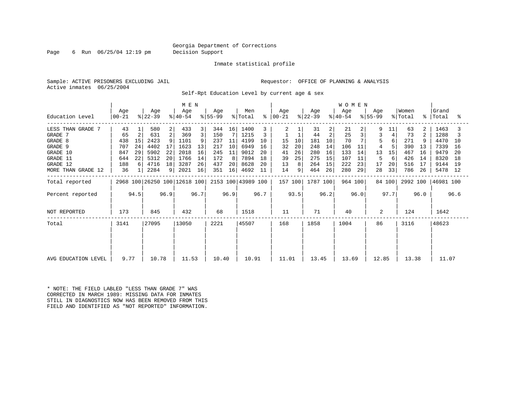Page 6 Run 06/25/04 12:19 pm Decision Support

Inmate statistical profile

Sample: ACTIVE PRISONERS EXCLUDING JAIL **Requestor:** OFFICE OF PLANNING & ANALYSIS Active inmates 06/25/2004

Self-Rpt Education Level by current age & sex

|                     |                        |      |                              |                |                  |      |                  | <b>WOMEN</b> |                    |           |                  |      |                  |                |                  |      |                  |        |                  |      |                    |      |
|---------------------|------------------------|------|------------------------------|----------------|------------------|------|------------------|--------------|--------------------|-----------|------------------|------|------------------|----------------|------------------|------|------------------|--------|------------------|------|--------------------|------|
| Education Level     | Age<br>$ 00-21 $       |      | Age<br>$ 22-39 $             |                | Age<br>$ 40-54 $ |      | Aqe<br>$ 55-99 $ |              | Men<br>% Total     | $\approx$ | Aqe<br>$ 00-21 $ |      | Aqe<br>$ 22-39 $ |                | Aqe<br>$ 40-54 $ |      | Aqe<br>$ 55-99 $ |        | Women<br>% Total |      | Grand<br>%   Total | ႜ    |
| LESS THAN GRADE 7   | 43                     |      | 580                          | 2              | 433              | 3    | 344              | 16           | 1400               |           |                  |      | 31               | $\overline{a}$ | 21               |      | 9                | 11     | 63               | 2    | 1463               |      |
| GRADE 7             | 65                     | 2    | 631                          | $\overline{a}$ | 369              | 3    | 150              |              | 1215               |           |                  |      | 44               | 2              | 25               |      | 3                |        | 73               | 2    | 1288               |      |
| GRADE 8             | 438                    | 15   | 2423                         | 9              | 1101             | 9    | 237              | 11           | 4199               | 10        | 15               | 10   | 181              | 10             | 70               |      | 5                | 6      | 271              |      | 4470               | 10   |
| GRADE 9             | 707                    | 24   | 4402                         | 17             | 1623             | 13   | 217              | 10           | 6949               | 16        | 32               | 20   | 248              | 14             | 106              | 11   |                  |        | 390              | 13   | 7339               | -16  |
| GRADE 10            | 847                    | 29   | 5902                         | 22             | 2018             | 16   | 245              | 11           | 9012               | 20        | 41               | 26   | 280              | 16             | 133              | 14   | 13               | 15     | 467              | 16   | 9479               | -20  |
| GRADE 11            | 644                    | 22   | 5312                         | 20             | 1766             | 14   | 172              | 8            | 7894               | 18        | 39               | 25   | 275              | 15             | 107              | 11   | 5                | 6      | 426              | 14   | 8320               | 18   |
| GRADE 12            | 188                    | 6    | 4716                         | 18             | 3287             | 26   | 437              | 20           | 8628               | 20        | 13               |      | 264              | 15             | 222              | 23   | 17               | 20     | 516              | 17   | 9144               | 19   |
| MORE THAN GRADE 12  | 36                     |      | 2284                         | 9              | 2021             | 16   | 351              | 16           | 4692               | 11        | 14               | 9    | 464              | 26             | 280              | 29   | 28               | 33     | 786              | 26   | 5478 12            |      |
| Total reported      |                        |      | 2968 100 26250 100 12618 100 |                |                  |      |                  |              | 2153 100 43989 100 |           | 157 100          |      | 1787 100         |                | 964 100          |      |                  | 84 100 | 2992 100         |      | 46981 100          |      |
| Percent reported    |                        | 94.5 |                              | 96.9           |                  | 96.7 |                  | 96.9         |                    | 96.7      |                  | 93.5 |                  | 96.2           |                  | 96.0 |                  | 97.7   |                  | 96.0 |                    | 96.6 |
| NOT REPORTED        | 173                    |      | 845                          |                | 432              |      | 68               |              | 1518               |           | 11               |      | 71               |                | 40               |      | 2                |        | 124              |      | 1642               |      |
| Total               | 3141                   |      | 27095                        |                | 13050            |      | 2221             |              | 45507              |           | 168              |      | 1858             |                | 1004             |      | 86               |        | 3116             |      | 48623              |      |
|                     |                        |      |                              |                |                  |      |                  |              |                    |           |                  |      |                  |                |                  |      |                  |        |                  |      |                    |      |
| AVG EDUCATION LEVEL | 9.77<br>10.78<br>11.53 |      |                              |                |                  |      |                  |              | 10.91              |           | 11.01            |      | 13.45            |                |                  |      |                  |        | 13.38            |      | 11.07              |      |
|                     |                        |      |                              |                |                  |      | 10.40            |              |                    |           |                  |      |                  |                | 13.69            |      | 12.85            |        |                  |      |                    |      |

\* NOTE: THE FIELD LABLED "LESS THAN GRADE 7" WAS CORRECTED IN MARCH 1989: MISSING DATA FOR INMATES STILL IN DIAGNOSTICS NOW HAS BEEN REMOVED FROM THIS FIELD AND IDENTIFIED AS "NOT REPORTED" INFORMATION.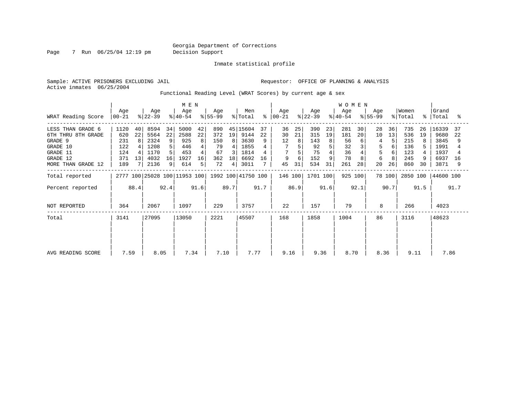Page 7 Run 06/25/04 12:19 pm Decision Support

Inmate statistical profile

Active inmates 06/25/2004

Sample: ACTIVE PRISONERS EXCLUDING JAIL **Requestor:** OFFICE OF PLANNING & ANALYSIS

Functional Reading Level (WRAT Scores) by current age & sex

|                                                                                                              |                                                |                     | M E N                                                |                                    |                                                  |                               |                                            |                              |                                                          |                | <b>WOMEN</b>              |                     |                                             |                           |                                           |                     |                               |                     |                                               |                          |                                                       |                |
|--------------------------------------------------------------------------------------------------------------|------------------------------------------------|---------------------|------------------------------------------------------|------------------------------------|--------------------------------------------------|-------------------------------|--------------------------------------------|------------------------------|----------------------------------------------------------|----------------|---------------------------|---------------------|---------------------------------------------|---------------------------|-------------------------------------------|---------------------|-------------------------------|---------------------|-----------------------------------------------|--------------------------|-------------------------------------------------------|----------------|
| WRAT Reading Score                                                                                           | Age<br>$ 00-21 $                               |                     | Age<br>$ 22-39 $                                     |                                    | Age<br>$ 40-54 $                                 |                               | Age<br>$ 55-99 $                           |                              | Men<br>% Total                                           | ႜ              | Age<br>  00-21            |                     | Age<br>$ 22-39 $                            |                           | Age<br>$ 40-54 $                          |                     | Age<br>$ 55-99 $              |                     | Women<br>% Total                              |                          | Grand<br>%   Total                                    | °≈             |
| LESS THAN GRADE 6<br>6TH THRU 8TH GRADE<br>GRADE 9<br>GRADE 10<br>GRADE 11<br>GRADE 12<br>MORE THAN GRADE 12 | 1120<br>620<br>231<br>122<br>124<br>371<br>189 | 40<br>22<br>8<br>13 | 8594<br>5564<br>2324<br>1208<br>1170<br>4032<br>2136 | 34<br>22<br>9<br>5<br>5<br>16<br>9 | 5000<br>2588<br>925<br>446<br>453<br>1927<br>614 | 42<br>22<br>8<br>4<br>16<br>5 | 890<br>372<br>150<br>79<br>67<br>362<br>72 | 19<br>8<br>4<br>3<br>18<br>4 | 45 15604<br>9144<br>3630<br>1855<br>1814<br>6692<br>3011 | 37<br>22<br>16 | 36<br>30<br>12<br>9<br>45 | 25<br>21<br>6<br>31 | 390<br>315<br>143<br>92<br>75<br>152<br>534 | 23<br>19<br>8<br>5 <br>31 | 281<br>181<br>56<br>32<br>36<br>78<br>261 | 30<br>20<br>6<br>28 | 28<br>10<br>5<br>5<br>6<br>20 | 36<br>13<br>6<br>26 | 735<br>536<br>215<br>136<br>123<br>245<br>860 | 26<br>19<br>8<br>9<br>30 | 16339<br>9680<br>3845<br>1991<br>1937<br>6937<br>3871 | 37<br>22<br>16 |
| Total reported                                                                                               |                                                |                     |                                                      |                                    | 2777 100 25028 100 11953 100                     |                               |                                            |                              | 1992 100 41750 100                                       |                | 146 100                   |                     | 1701 100                                    |                           | 925 100                                   |                     |                               | 78 100              | 2850 100                                      |                          | 44600 100                                             |                |
| Percent reported                                                                                             |                                                | 88.4                |                                                      | 92.4                               |                                                  | 91.6                          |                                            | 89.7                         |                                                          | 91.7           |                           | 86.9                |                                             | 91.6                      |                                           | 92.1                |                               | 90.7                |                                               | 91.5                     |                                                       | 91.7           |
| NOT REPORTED                                                                                                 | 364                                            |                     | 2067                                                 |                                    | 1097                                             |                               | 229                                        |                              | 3757                                                     |                | 22                        |                     | 157                                         |                           | 79                                        |                     | 8                             |                     | 266                                           |                          | 4023                                                  |                |
| Total                                                                                                        | 3141                                           |                     | 27095                                                |                                    | 13050                                            |                               | 2221                                       |                              | 45507                                                    |                | 168                       |                     | 1858                                        |                           | 1004                                      |                     | 86                            |                     | 3116                                          |                          | 48623                                                 |                |
| AVG READING SCORE                                                                                            | 7.59                                           |                     | 8.05                                                 |                                    | 7.34                                             |                               | 7.10                                       |                              | 7.77                                                     |                | 9.16                      |                     | 9.36                                        |                           | 8.70                                      |                     | 8.36                          |                     | 9.11                                          |                          | 7.86                                                  |                |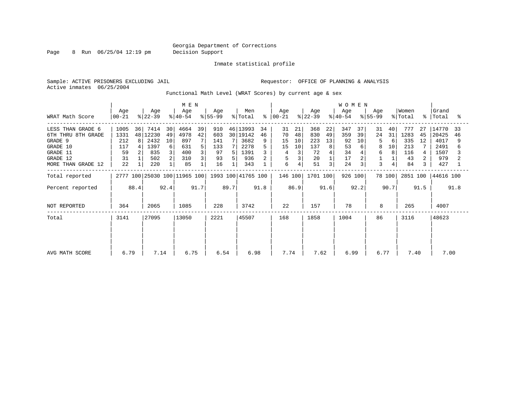#### Georgia Department of Corrections Page 8 Run 06/25/04 12:19 pm Decision Support

Inmate statistical profile

Active inmates 06/25/2004

Sample: ACTIVE PRISONERS EXCLUDING JAIL **Requestor:** OFFICE OF PLANNING & ANALYSIS

Functional Math Level (WRAT Scores) by current age & sex

|                                                                                                              |                                              |                | M E N                                              |                     |                                                |               |                                            |                |                                                            |               | <b>WOMEN</b>                        |                                             |                                            |                                       |                                          |                          |                         |                     |                                              |                            |                                                      |          |
|--------------------------------------------------------------------------------------------------------------|----------------------------------------------|----------------|----------------------------------------------------|---------------------|------------------------------------------------|---------------|--------------------------------------------|----------------|------------------------------------------------------------|---------------|-------------------------------------|---------------------------------------------|--------------------------------------------|---------------------------------------|------------------------------------------|--------------------------|-------------------------|---------------------|----------------------------------------------|----------------------------|------------------------------------------------------|----------|
| WRAT Math Score                                                                                              | Age<br>$00 - 21$                             |                | Age<br>$ 22-39 $                                   |                     | Age<br>$ 40-54 $                               |               | Age<br>$8 55-99$                           |                | Men<br>% Total                                             | ိ $\epsilon$  | Age<br>$ 00-21 $                    |                                             | Age<br>$ 22-39 $                           |                                       | Age<br>$ 40-54 $                         |                          | Age<br>$ 55-99 $        |                     | Women<br>% Total                             |                            | Grand<br>%   Total                                   | °≈       |
| LESS THAN GRADE 6<br>6TH THRU 8TH GRADE<br>GRADE 9<br>GRADE 10<br>GRADE 11<br>GRADE 12<br>MORE THAN GRADE 12 | 1005<br>1331<br>212<br>117<br>59<br>31<br>22 | 36<br>48<br>8  | 7414<br>12230<br>2432<br>1397<br>835<br>502<br>220 | 30<br>49<br>10<br>6 | 4664<br>4978<br>897<br>631<br>400<br>310<br>85 | 39<br>42<br>5 | 910<br>603<br>141<br>133<br>97<br>93<br>16 | 7 I<br>71<br>5 | 46 13993<br>30 19142<br>3682<br>2278<br>1391<br>936<br>343 | 34<br>46<br>9 | 31<br>70<br>15<br>15<br>4<br>5<br>6 | 21<br>48<br>10<br>10<br>3<br>4 <sub>1</sub> | 368<br>830<br>223<br>137<br>72<br>20<br>51 | 22<br>49<br>13<br>8 <sup>1</sup><br>3 | 347<br>359<br>92<br>53<br>34<br>17<br>24 | 37<br>39<br>10<br>6<br>3 | 31<br>24<br>8<br>6<br>3 | 40<br>31<br>6<br>10 | 777<br>1283<br>335<br>213<br>116<br>43<br>84 | 27<br>45<br>12<br>2.<br>3. | 14770<br>20425<br>4017<br>2491<br>1507<br>979<br>427 | 33<br>46 |
| Total reported                                                                                               |                                              |                |                                                    |                     | 2777 100 25030 100 11965 100                   |               |                                            |                | 1993 100 41765 100                                         |               | 146 100                             |                                             | 1701 100                                   |                                       | 926 100                                  |                          |                         | 78 100              | 2851 100                                     |                            | 44616 100                                            |          |
| Percent reported                                                                                             |                                              | 88.4           |                                                    | 92.4                |                                                | 91.7          |                                            | 89.7           |                                                            | 91.8          |                                     | 86.9                                        |                                            | 91.6                                  |                                          | 92.2                     |                         | 90.7                |                                              | 91.5                       |                                                      | 91.8     |
| NOT REPORTED                                                                                                 | 364                                          |                | 2065                                               |                     | 1085                                           |               | 228                                        |                | 3742                                                       |               | 22                                  |                                             | 157                                        |                                       | 78                                       |                          | 8                       |                     | 265                                          |                            | 4007                                                 |          |
| Total                                                                                                        | 3141                                         | 27095<br>13050 |                                                    |                     | 2221                                           |               | 45507                                      |                | 168                                                        |               | 1858                                |                                             | 1004                                       |                                       | 86                                       |                          | 3116                    |                     | 48623                                        |                            |                                                      |          |
| AVG MATH SCORE                                                                                               | 6.79                                         |                | 7.14                                               |                     | 6.75                                           |               | 6.54                                       |                | 6.98                                                       |               | 7.74                                |                                             | 7.62                                       |                                       | 6.99                                     |                          | 6.77                    |                     | 7.40                                         |                            | 7.00                                                 |          |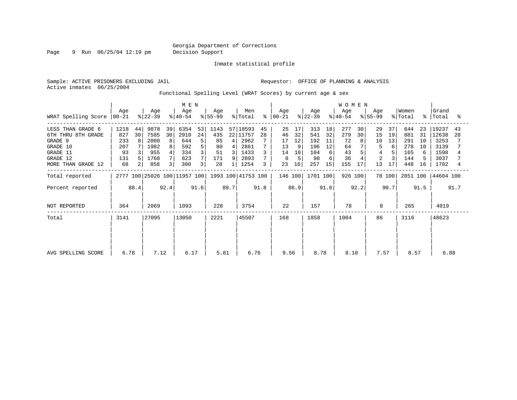Page 9 Run 06/25/04 12:19 pm Decision Support

Inmate statistical profile

Active inmates 06/25/2004

Sample: ACTIVE PRISONERS EXCLUDING JAIL **Requestor:** OFFICE OF PLANNING & ANALYSIS

Functional Spelling Level (WRAT Scores) by current age & sex

|                                                                                                              | M E N                                        |          |                                                    |                         |                                                 |                         |                                            |                                            |                                                              |               |                                       |                                 |                                              |                                 | <b>WOMEN</b>                              |                |                                        |                      |                                               |                                 |                                                        |          |
|--------------------------------------------------------------------------------------------------------------|----------------------------------------------|----------|----------------------------------------------------|-------------------------|-------------------------------------------------|-------------------------|--------------------------------------------|--------------------------------------------|--------------------------------------------------------------|---------------|---------------------------------------|---------------------------------|----------------------------------------------|---------------------------------|-------------------------------------------|----------------|----------------------------------------|----------------------|-----------------------------------------------|---------------------------------|--------------------------------------------------------|----------|
| WRAT Spelling Score                                                                                          | Age<br>  00-21                               |          | Age<br>$ 22-39 $                                   |                         | Age<br>$ 40-54 $                                |                         | Age<br>$ 55-99 $                           |                                            | Men<br>% Total                                               | ి             | Age<br>$ 00-21 $                      |                                 | Age<br>$ 22-39 $                             |                                 | Age<br>$8 40-54$                          |                | Age<br>$ 55-99 $                       |                      | Women<br>% Total                              | °≈                              | Grand<br>Total                                         | °        |
| LESS THAN GRADE 6<br>6TH THRU 8TH GRADE<br>GRADE 9<br>GRADE 10<br>GRADE 11<br>GRADE 12<br>MORE THAN GRADE 12 | 1218<br>827<br>233<br>207<br>93<br>131<br>68 | 44<br>30 | 9878<br>7585<br>2000<br>1982<br>955<br>1768<br>858 | 39<br>30<br>8<br>8<br>3 | 6354<br>2910<br>644<br>592<br>334<br>823<br>300 | 53<br>24<br>5<br>5<br>3 | 1143<br>435<br>85<br>80<br>51<br>171<br>28 | 4<br>$\overline{4}$<br>$\overline{3}$<br>9 | 57 18593<br>22 11757<br>2962<br>2861<br>1433<br>2893<br>1254 | 45<br>28<br>3 | 25<br>46<br>17<br>13<br>14<br>8<br>23 | 17<br>32<br>12<br>10<br>5<br>16 | 313<br>541<br>192<br>196<br>104<br>98<br>257 | 18<br>32<br>11<br>12<br>6<br>15 | 277<br>279<br>72<br>64<br>43<br>36<br>155 | 30<br>30<br>17 | 29<br>15<br>10<br>$\overline{2}$<br>13 | 37<br>19<br>13<br>17 | 644<br>881<br>291<br>278<br>165<br>144<br>448 | 23<br>31<br>10<br>10<br>6<br>16 | 19237<br>12638<br>3253<br>3139<br>1598<br>3037<br>1702 | 43<br>28 |
| Total reported                                                                                               |                                              |          |                                                    |                         | 2777 100 25026 100 11957 100                    |                         |                                            |                                            | 1993 100 41753 100                                           |               | 146 100                               |                                 | 1701 100                                     |                                 | 926 100                                   |                |                                        | 78 100               | 2851 100                                      |                                 | 44604 100                                              |          |
| Percent reported                                                                                             |                                              | 88.4     |                                                    | 92.4                    |                                                 | 91.6                    |                                            | 89.7                                       |                                                              | 91.8          |                                       | 86.9                            |                                              | 91.6                            |                                           | 92.2           |                                        | 90.7                 |                                               | 91.5                            |                                                        | 91.7     |
| NOT REPORTED                                                                                                 | 364                                          |          | 2069                                               |                         | 1093                                            |                         | 228                                        |                                            | 3754                                                         |               | 22                                    |                                 | 157                                          |                                 | 78                                        |                | 8                                      |                      | 265                                           |                                 | 4019                                                   |          |
| Total                                                                                                        | 3141                                         |          | 27095                                              |                         | 13050                                           |                         | 2221                                       |                                            | 45507                                                        |               | 168                                   |                                 | 1858                                         |                                 | 1004                                      |                | 86                                     |                      | 3116                                          |                                 | 48623                                                  |          |
| AVG SPELLING SCORE                                                                                           | 6.78                                         |          | 7.12                                               |                         | 6.17                                            |                         | 5.81                                       |                                            | 6.76                                                         |               | 9.56                                  |                                 | 8.78                                         |                                 | 8.10                                      |                | 7.57                                   |                      | 8.57                                          |                                 | 6.88                                                   |          |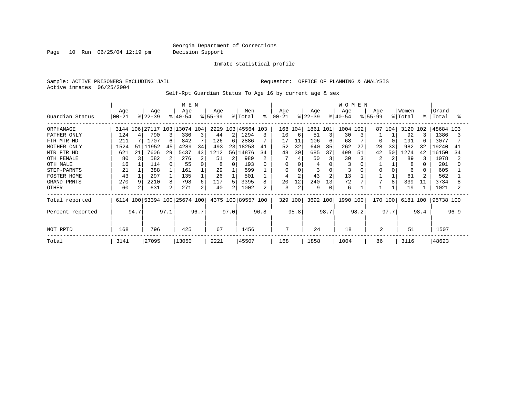Page 10 Run 06/25/04 12:19 pm Decision Support

Inmate statistical profile

Sample: ACTIVE PRISONERS EXCLUDING JAIL **Requestor:** OFFICE OF PLANNING & ANALYSIS Active inmates 06/25/2004

Self-Rpt Guardian Status To Age 16 by current age & sex

|                  |                |      |                              |      | M E N            |      |                  |      |                    |      |                  |                |                  |                | <b>WOMEN</b>     |      |                    |        |                  |      |                |      |
|------------------|----------------|------|------------------------------|------|------------------|------|------------------|------|--------------------|------|------------------|----------------|------------------|----------------|------------------|------|--------------------|--------|------------------|------|----------------|------|
| Guardian Status  | Age<br>  00-21 |      | Age<br>$ 22-39 $             |      | Age<br>$ 40-54 $ |      | Age<br>$ 55-99 $ |      | Men<br>% Total     | ⊱    | Age<br>$ 00-21 $ |                | Age<br>$ 22-39 $ |                | Age<br>$8 40-54$ |      | Age<br>$8155 - 99$ |        | Women<br>% Total | °    | Grand<br>Total | °≈   |
| ORPHANAGE        |                |      | 3144 106 27117 103 13074 104 |      |                  |      |                  |      | 2229 103 45564 103 |      |                  | 168 104        | 1861 101         |                | 1004             | 102  |                    | 87 104 | 3120             | 102  | 48684 103      |      |
| FATHER ONLY      | 124            |      | 790                          |      | 336              | 3    | 44               | 2    | 1294               |      | 10               | 6              | 51               | 3              | 30               |      |                    |        | 92               |      | 1386           |      |
| FTR MTR HD       | 211            |      | 1707                         | 6    | 842              |      | 126              | 6    | 2886               |      | 17               | 11             | 106              | 6              | 68               |      | O                  |        | 191              | 6    | 3077           |      |
| MOTHER ONLY      | 1524           | 51   | 111952                       | 45   | 4289             | 34   | 493              | 23   | 18258              | 41   | 52               | 32             | 640              | 35             | 262              | 27   | 28                 | 33     | 982              | 32   | 19240          | 41   |
| MTR FTR HD       | 621            | 21   | 7606                         | 29   | 5437             | 43   | 1212             | 56   | 14876              | 34   | 48               | 30             | 685              | 37             | 499              | 51   | 42                 | 50     | 1274             | 42   | 16150          | 34   |
| OTH FEMALE       | 80             |      | 582                          | 2    | 276              | 2    | 51               | 2    | 989                |      |                  |                | 50               | 3              | 30               |      |                    |        | 89               |      | 1078           |      |
| OTH MALE         | 16             |      | 114                          |      | 55               | 0    | 8                | 0    | 193                | 0    | $\Omega$         |                | 4                |                | 3                |      |                    |        | 8                |      | 201            |      |
| STEP-PARNTS      | 21             |      | 388                          |      | 161              |      | 29               |      | 599                |      | 0                |                |                  | 0              |                  |      | O                  |        | 6                |      | 605            |      |
| FOSTER HOME      | 43             |      | 297                          |      | 135              |      | 26               |      | 501                |      |                  | $\overline{2}$ | 43               | $\overline{2}$ | 13               |      |                    |        | 61               |      | 562            |      |
| GRAND PRNTS      | 270            |      | 2210                         | 8    | 798              | 6    | 117              | 5.   | 3395               | 8    | 20               | 12             | 240              | 13             | 72               |      |                    | 8      | 339              | 11   | 3734           |      |
| OTHER            | 60             |      | 631                          | 2    | 271              | 2    | 40               |      | 1002               |      | 3                | 2              | 9                | 0              | 6                |      |                    |        | 19               |      | 1021           |      |
| Total reported   |                |      | 6114 100 53394 100 25674 100 |      |                  |      |                  |      | 4375 100 89557 100 |      |                  | 329 100        | 3692 100         |                | 1990 100         |      | 170 100            |        | 6181 100         |      | 95738 100      |      |
| Percent reported |                | 94.7 |                              | 97.1 |                  | 96.7 |                  | 97.0 |                    | 96.8 |                  | 95.8           |                  | 98.7           |                  | 98.2 |                    | 97.7   |                  | 98.4 |                | 96.9 |
| NOT RPTD         | 168            |      | 796                          |      | 425              |      | 67               |      | 1456               |      | 7                |                | 24               |                | 18               |      | 2                  |        | 51               |      | 1507           |      |
| Total            | 3141           |      | 27095                        |      | 13050            |      | 2221             |      | 45507              |      | 168              |                | 1858             |                | 1004             |      | 86                 |        | 3116             |      | 48623          |      |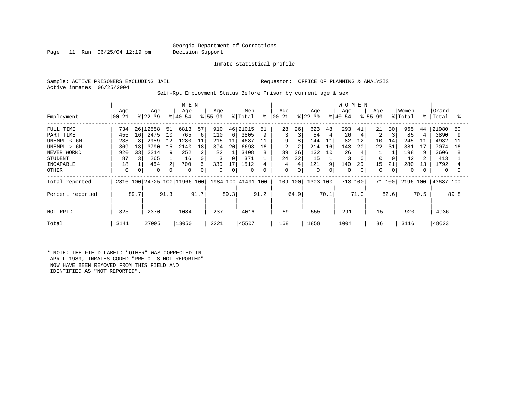Page 11 Run 06/25/04 12:19 pm Decision Support

Inmate statistical profile

Active inmates 06/25/2004

Sample: ACTIVE PRISONERS EXCLUDING JAIL **Requestor:** OFFICE OF PLANNING & ANALYSIS

Self-Rpt Employment Status Before Prison by current age & sex

|                                                                                                    |                                             |                           |                                                     |                           | M E N                                           |                                    |                                            |                                   |                                                         |                               |                                    |                                    |                                             |                                | <b>WOMEN</b>                        |                      |                                             |                      |                                             |                                |                                                      |                          |
|----------------------------------------------------------------------------------------------------|---------------------------------------------|---------------------------|-----------------------------------------------------|---------------------------|-------------------------------------------------|------------------------------------|--------------------------------------------|-----------------------------------|---------------------------------------------------------|-------------------------------|------------------------------------|------------------------------------|---------------------------------------------|--------------------------------|-------------------------------------|----------------------|---------------------------------------------|----------------------|---------------------------------------------|--------------------------------|------------------------------------------------------|--------------------------|
| Employment                                                                                         | Age<br>$ 00-21 $                            |                           | Age<br>$ 22-39$                                     |                           | Age<br>$ 40-54 $                                |                                    | Age<br>$ 55-99$                            |                                   | Men<br>% Total                                          | ⊱                             | Age<br>$ 00 - 21$                  |                                    | Age<br>$ 22-39 $                            |                                | Age<br>$ 40-54$                     |                      | Age<br>$8 55-99$                            |                      | Women<br>% Total                            | ိုး                            | Grand<br>Total                                       | °                        |
| FULL TIME<br>PART TIME<br>UNEMPL < 6M<br>UNEMPL > 6M<br>NEVER WORKD<br><b>STUDENT</b><br>INCAPABLE | 734<br>455<br>233<br>369<br>920<br>87<br>18 | 26<br>16<br>8<br>13<br>33 | 12558<br>2475<br>2959<br>3790<br>2214<br>265<br>464 | 51<br>10<br>12<br>15<br>9 | 6813<br>765<br>1280<br>2140<br>252<br>16<br>700 | 57<br>6<br>11<br>18<br>2<br>0<br>6 | 910<br>110<br>215<br>394<br>22<br>3<br>330 | 6 I<br>11<br>20<br>$\Omega$<br>17 | 46 21015<br>3805<br>4687<br>6693<br>3408<br>371<br>1512 | 51<br>9<br>11<br>16<br>8<br>4 | 28<br>3<br>9<br>2<br>39<br>24<br>4 | 26<br>3<br>8<br>2<br>36<br>22<br>4 | 623<br>54<br>144<br>214<br>132<br>15<br>121 | 48<br>4<br>11<br>16<br>10<br>9 | 293<br>26<br>82<br>143<br>26<br>140 | 41<br>12<br>20<br>20 | 21<br>$\overline{2}$<br>10<br>22<br>0<br>15 | 30<br>14<br>31<br>21 | 965<br>85<br>245<br>381<br>198<br>42<br>280 | 44<br>4<br>11<br>17<br>9<br>13 | 21980<br>3890<br>4932<br>7074<br>3606<br>413<br>1792 | 50<br>9<br>11<br>16<br>8 |
| OTHER                                                                                              | 0                                           | 0                         | 0                                                   |                           | 0                                               | 0                                  | $\mathbf 0$                                | 0                                 | 0                                                       | 0                             | 0                                  | 0                                  | 0                                           | 0                              | 0                                   |                      | 0                                           | $\mathbf 0$          | 0                                           |                                | 0                                                    |                          |
| Total reported                                                                                     |                                             |                           |                                                     |                           | 2816 100 24725 100 11966 100                    |                                    |                                            |                                   | 1984 100 41491 100                                      |                               | 109                                | 100                                | 1303 100                                    |                                | 713                                 | 100                  |                                             | 71 100               | 2196 100                                    |                                | 43687 100                                            |                          |
| Percent reported                                                                                   | 91.3<br>89.7                                |                           |                                                     |                           | 91.7                                            |                                    | 89.3                                       |                                   | 91.2                                                    |                               | 64.9                               |                                    | 70.1                                        |                                | 71.0                                |                      | 82.6                                        |                      | 70.5                                        |                                | 89.8                                                 |                          |
| NOT RPTD                                                                                           | 325                                         |                           | 2370                                                |                           | 1084                                            |                                    | 237                                        |                                   | 4016                                                    |                               | 59                                 |                                    | 555                                         |                                | 291                                 |                      | 15                                          |                      | 920                                         |                                | 4936                                                 |                          |
| Total                                                                                              | 3141                                        |                           | 27095                                               |                           | 13050                                           |                                    | 2221                                       |                                   | 45507                                                   |                               | 168                                |                                    | 1858                                        |                                | 1004                                |                      | 86                                          |                      | 3116                                        |                                | 48623                                                |                          |

\* NOTE: THE FIELD LABELD "OTHER" WAS CORRECTED IN APRIL 1989; INMATES CODED "PRE-OTIS NOT REPORTED" NOW HAVE BEEN REMOVED FROM THIS FIELD AND IDENTIFIED AS "NOT REPORTED".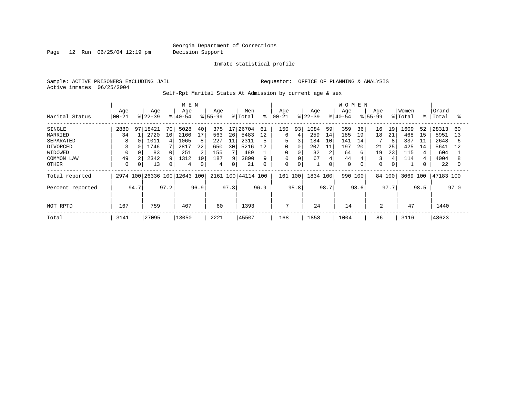Page 12 Run 06/25/04 12:19 pm Decision Support

Inmate statistical profile

Active inmates 06/25/2004

Sample: ACTIVE PRISONERS EXCLUDING JAIL **Requestor:** OFFICE OF PLANNING & ANALYSIS

Self-Rpt Marital Status At Admission by current age & sex

|                  |              |    |           |    | M E N                        |    |           |                 |                    |           |            |             |           |    | <b>WOMEN</b> |     |             |    |         |       |           |    |
|------------------|--------------|----|-----------|----|------------------------------|----|-----------|-----------------|--------------------|-----------|------------|-------------|-----------|----|--------------|-----|-------------|----|---------|-------|-----------|----|
|                  | Age          |    | Age       |    | Age                          |    | Age       |                 | Men                |           | Age        |             | Age       |    | Age          |     | Age         |    | Women   |       | Grand     |    |
| Marital Status   | $00 - 21$    |    | $8 22-39$ |    | $\frac{1}{6}$  40-54         |    | $8 55-99$ |                 | % Total            | $\approx$ | $ 00 - 21$ |             | $8 22-39$ |    | $8 40-54$    |     | $8155 - 99$ |    | % Total | - 응 · | Total     | °  |
| SINGLE           | 2880         | 97 | 18421     | 70 | 5028                         | 40 | 375       | 17 <sup>1</sup> | 26704              | 61        | 150        | 93          | 1084      | 59 | 359          | 36  | 16          | 19 | 1609    | 52    | 28313     | 60 |
| MARRIED          | 34           |    | 2720      | 10 | 2166                         | 17 | 563       | 26              | 5483               | 12        | 6          |             | 259       | 14 | 185          | 19  | 18          | 21 | 468     | 15    | 5951      | 13 |
| SEPARATED        | 8            |    | 1011      |    | 1065                         | 8  | 227       | 11              | 2311               |           | 5          |             | 184       | 10 | 141          | 14  |             | 8  | 337     | 11    | 2648      | 6  |
| <b>DIVORCED</b>  | 3            |    | 1746      |    | 2817                         | 22 | 650       | 30              | 5216               | 12        | 0          |             | 207       | 11 | 197          | 20  | 21          | 25 | 425     | 14    | 5641      | 12 |
| WIDOWED          |              |    | 83        |    | 251                          | 2  | 155       |                 | 489                |           | 0          |             | 32        | 2  | 64           | 6   | 19          | 23 | 115     |       | 604       |    |
| COMMON LAW       | 49           |    | 2342      |    | 1312                         | 10 | 187       | 9               | 3890               | 9         | $\Omega$   |             | 67        | 4  | 44           |     | 3           | 4  | 114     |       | 4004      |    |
| OTHER            | $\Omega$     |    | 13        |    | 4                            | 0  | 4         | 0               | 21                 | $\Omega$  | 0          | $\mathbf 0$ |           | 0  | 0            |     | 0           | 0  |         |       | 22        |    |
| Total reported   |              |    |           |    | 2974 100 26336 100 12643 100 |    |           |                 | 2161 100 44114 100 |           | 161        | 100         | 1834 100  |    | 990          | 100 | 84 100      |    | 3069    | 100   | 47183 100 |    |
| Percent reported | 97.2<br>94.7 |    |           |    | 96.9                         |    | 97.3      |                 | 96.9               |           | 95.8       |             | 98.7      |    | 98.6         |     | 97.7        |    | 98.5    |       | 97.0      |    |
|                  |              |    |           |    |                              |    |           |                 |                    |           |            |             |           |    |              |     |             |    |         |       |           |    |
| NOT RPTD         | 167<br>759   |    |           |    | 407                          |    | 60        |                 | 1393               |           | 7          |             | 24        |    | 14           |     | 2           |    | 47      |       | 1440      |    |
| Total            | 3141         |    | 27095     |    | 13050                        |    | 2221      |                 | 45507              |           | 168        |             | 1858      |    | 1004         |     | 86          |    | 3116    |       | 48623     |    |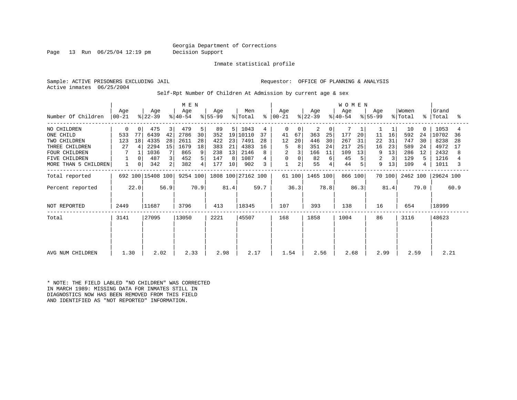#### Georgia Department of Corrections Page 13 Run 06/25/04 12:19 pm Decision Support

Inmate statistical profile

Active inmates 06/25/2004

Sample: ACTIVE PRISONERS EXCLUDING JAIL **Requestor:** OFFICE OF PLANNING & ANALYSIS

Self-Rpt Number Of Children At Admission by current age & sex

|                      |                  |      | M E N             |      |                  |      |                  |      |                    |      | WOMEN            |          |                  |      |                  |      |                  |        |                  |             |                |      |
|----------------------|------------------|------|-------------------|------|------------------|------|------------------|------|--------------------|------|------------------|----------|------------------|------|------------------|------|------------------|--------|------------------|-------------|----------------|------|
| Number Of Children   | Age<br>$00 - 21$ |      | Age<br>$ 22-39 $  |      | Age<br>$ 40-54 $ |      | Age<br>$ 55-99 $ |      | Men<br>% Total     | °    | Age<br>$ 00-21 $ |          | Age<br>$ 22-39 $ |      | Age<br>$ 40-54 $ |      | Age<br>$ 55-99 $ |        | Women<br>% Total | $\approx$ 1 | Grand<br>Total | °    |
| NO CHILDREN          | 0                | 0    | 475               | 3    | 479              | 5    | 89               | 51   | 1043               | 4    | 0                | $\Omega$ | 2                | 0    |                  |      |                  |        | 10               | $\Omega$    | 1053           |      |
| ONE CHILD            | 533              | 77   | 6439              | 42   | 2786             | 30   | 352              | 19   | 10110              | 37   | 41               | 67       | 363              | 25   | 177              | 20   | 11               | 16     | 592              | 24          | 10702          | 36   |
| TWO CHILDREN         | 123              | 18   | 4335              | 28   | 2611             | 28   | 422              | 23   | 7491               | 28   | 12               | 20       | 446              | 30   | 267              | 31   | 22               | 31     | 747              | 30          | 8238           | 28   |
| THREE CHILDREN       | 27               | 4    | 2294              | 15   | 1679             | 18   | 383              | 21   | 4383               | 16   | 5                | 8        | 351              | 24   | 217              | 25   | 16               | 23     | 589              | 24          | 4972           | 17   |
| <b>FOUR CHILDREN</b> | 7                |      | 1036              |      | 865              | 9    | 238              | 13   | 2146               |      | $\overline{2}$   |          | 166              | 11   | 109              | 13   | 9                | 13     | 286              | 12          | 2432           | 8    |
| FIVE CHILDREN        |                  |      | 487               | 3    | 452              | 5    | 147              | 8    | 1087               |      | 0                |          | 82               | 6    | 45               |      | 2                |        | 129              | 5           | 1216           |      |
| MORE THAN 5 CHILDREN | $\mathbf{1}$     | 0    | 342               | 2    | 382              | 4    | 177              | 10   | 902                | 3    | $\mathbf{1}$     | 2        | 55               |      | 44               | 5    | 9                | 13     | 109              | 4           | 1011           |      |
| Total reported       |                  |      | 692 100 15408 100 |      | 9254 100         |      |                  |      | 1808 100 27162 100 |      |                  | 61 100   | 1465 100         |      | 866 100          |      |                  | 70 100 | 2462 100         |             | 29624 100      |      |
| Percent reported     |                  | 22.0 |                   | 56.9 |                  | 70.9 |                  | 81.4 |                    | 59.7 |                  | 36.3     |                  | 78.8 |                  | 86.3 |                  | 81.4   |                  | 79.0        |                | 60.9 |
| NOT REPORTED         | 2449             |      | 11687             |      | 3796             |      | 413              |      | 18345              |      | 107              |          | 393              |      | 138              |      | 16               |        | 654              |             | 18999          |      |
| Total                | 3141             |      | 27095             |      | 13050            |      | 2221             |      | 45507              |      | 168              |          | 1858             |      | 1004             |      | 86               |        | 3116             |             | 48623          |      |
|                      |                  |      |                   |      |                  |      |                  |      |                    |      |                  |          |                  |      |                  |      |                  |        |                  |             |                |      |
| AVG NUM CHILDREN     | 1.30             |      | 2.02              |      | 2.33             |      | 2.98             |      | 2.17               |      | 1.54             |          | 2.56             |      | 2.68             |      | 2.99             |        | 2.59             |             | 2.21           |      |
|                      |                  |      |                   |      |                  |      |                  |      |                    |      |                  |          |                  |      |                  |      |                  |        |                  |             |                |      |

\* NOTE: THE FIELD LABLED "NO CHILDREN" WAS CORRECTED IN MARCH 1989: MISSING DATA FOR INMATES STILL IN DIAGNOSTICS NOW HAS BEEN REMOVED FROM THIS FIELD AND IDENTIFIED AS "NOT REPORTED" INFORMATION.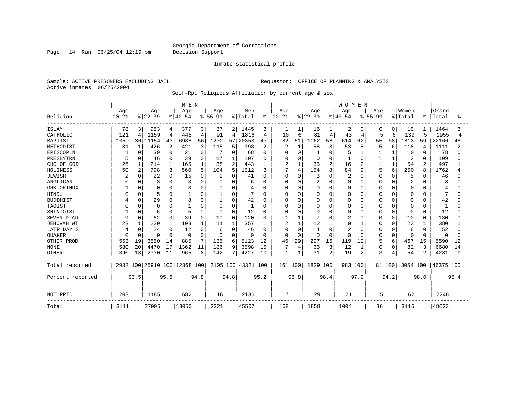#### Georgia Department of Corrections Page 14 Run 06/25/04 12:19 pm Decision Support

#### Inmate statistical profile

Sample: ACTIVE PRISONERS EXCLUDING JAIL **Requestor:** OFFICE OF PLANNING & ANALYSIS Active inmates 06/25/2004

Self-Rpt Religious Affiliation by current age & sex

|                  |            |              |          |          | M E N                        |      |           |          |                    |                |                |              |          |                | <b>WOMEN</b> |              |             |                |              |              |           |      |
|------------------|------------|--------------|----------|----------|------------------------------|------|-----------|----------|--------------------|----------------|----------------|--------------|----------|----------------|--------------|--------------|-------------|----------------|--------------|--------------|-----------|------|
|                  | Age        |              | Age      |          | Age                          |      | Age       |          | Men                |                | Age            |              | Age      |                | Age          |              | Age         |                | Women        |              | Grand     |      |
| Religion         | $ 00 - 21$ |              | $ 22-39$ |          | $8 40-54$                    |      | $8 55-99$ |          | % Total            | ႜ              | $00 - 21$      |              | $ 22-39$ |                | $ 40-54$     |              | $8155 - 99$ |                | % Total      | ႜ            | Total     | °    |
| ISLAM            | 78         | 3            | 953      | 4        | 377                          | 3    | 37        | 2        | 1445               | 3              | 1              |              | 16       | 1              | 2            | 0            | 0           | 0              | 19           |              | 1464      |      |
| CATHOLIC         | 121        | 4            | 1159     | 4        | 445                          | 4    | 91        | 4        | 1816               | 4              | 10             | 6            | 81       | 4              | 43           | 4            | 5           | 6              | 139          | 5            | 1955      | 4    |
| <b>BAPTIST</b>   | 1059       | 361          | 11154    | 43       | 6938                         | 56   | 1202      | 57       | 20353              | 47             | 82             | 51           | 1062     | 58             | 614          | 62           | 55          | 68             | 1813         | 59           | 22166     | 48   |
| METHODIST        | 31         | 1            | 426      | 2        | 421                          | 3    | 115       | 5        | 993                | $\overline{2}$ | $\overline{c}$ | 1            | 58       | 3              | 53           | 5            | 5           | 6              | 118          | 4            | 1111      |      |
| EPISCOPLN        |            | $\Omega$     | 39       | 0        | 21                           | 0    |           | 0        | 68                 | 0              | Ω              | $\Omega$     | 4        | $\Omega$       | 5            |              |             |                | 10           | 0            | 78        |      |
| PRESBYTRN        | 5          | 0            | 46       | 0        | 39                           | 0    | 17        |          | 107                | 0              |                | $\Omega$     | $\Omega$ | $\Omega$       |              | $\Omega$     |             | $\mathbf{1}$   | 2            | $\Omega$     | 109       |      |
| CHC OF GOD       | 26         |              | 214      | 1        | 165                          |      | 38        | 2        | 443                | 1              | 2              | $\mathbf{1}$ | 35       | $\mathbf{2}$   | 16           | 2            |             | $\mathbf{1}$   | 54           | 2            | 497       |      |
| HOLINESS         | 50         | 2            | 798      | 3        | 560                          | 5    | 104       | 5        | 1512               | κ              |                | 4            | 154      | 8              | 84           | 9            | 5           | 6              | 250          | 8            | 1762      |      |
| <b>JEWISH</b>    |            | <sup>0</sup> | 22       | 0        | 15                           | 0    |           | 0        | 41                 | 0              | $\Omega$       | $\Omega$     |          | $\Omega$       | 2            | 0            | 0           | $\Omega$       | 5            | O            | 46        |      |
| ANGLICAN         |            |              | 3        | $\Omega$ |                              | 0    | 0         | 0        | 6                  | 0              |                | $\Omega$     | 2        | O              |              | 0            |             | 0              | 2            | O            | 8         |      |
| GRK ORTHDX       |            | $\Omega$     | $\Omega$ | 0        |                              | 0    | $\Omega$  | 0        | 4                  | 0              | $\Omega$       | $\Omega$     | 0        | 0              | U            | 0            | O           | $\Omega$       | $\Omega$     | $\Omega$     | 4         |      |
| HINDU            |            | O            | 5        | 0        |                              | 0    |           | 0        |                    | O              |                | $\Omega$     |          | $\cap$         |              | 0            |             | $\Omega$       | 0            | O            | 7         |      |
| <b>BUDDHIST</b>  |            | <sup>0</sup> | 29       | $\Omega$ | 8                            | 0    | 1         | 0        | 42                 | O              |                | $\Omega$     | $\Omega$ | $\cap$         |              | 0            | Ω           | $\Omega$       | 0            | $\Omega$     | 42        |      |
| TAOIST           |            |              | $\Omega$ | $\Omega$ |                              | O    | $\Omega$  | $\Omega$ | $\mathbf{1}$       | O              |                | $\Omega$     | U        | ∩              | O            | $\Omega$     | N           | $\Omega$       | 0            | $\Omega$     |           |      |
| SHINTOIST        |            | $\Omega$     | 6        | $\Omega$ | 5                            | 0    | $\Omega$  | $\Omega$ | 12                 | O              |                | $\Omega$     | O        | ∩              | Ω            | $\Omega$     | U           | $\Omega$       | <sup>0</sup> | <sup>0</sup> | 12        |      |
| SEVEN D AD       | 9          | $\Omega$     | 62       | $\Omega$ | 39                           | 0    | 10        | $\Omega$ | 120                | O              |                |              |          | $\cap$         |              | 0            | 0           | $\Omega$       | 10           | 0            | 130       |      |
| JEHOVAH WT       | 23         |              | 220      |          | 103                          |      | 11        |          | 357                |                | 2              |              | 12       |                | 9            |              |             | 0              | 23           |              | 380       |      |
| LATR DAY S       | 4          | O            | 24       | 0        | 12                           | 0    | 6         | 0        | 46                 | 0              | 0              | 0            | 4        | $\cap$         |              | $\Omega$     | 0           | $\Omega$       | 6            | $\Omega$     | 52        |      |
| QUAKER           | C          | $\Omega$     | $\Omega$ | $\Omega$ | $\Omega$                     | 0    | $\Omega$  | $\Omega$ | $\Omega$           | $\Omega$       | $\Omega$       | $\Omega$     | $\Omega$ | $\Omega$       | U            | $\Omega$     | 0           | $\Omega$       | $\Omega$     | $\Omega$     | $\Omega$  |      |
| OTHER PROD       | 553        | 19           | 3550     | 14       | 885                          | 7    | 135       | 6        | 5123               | 12             | 46             | 29           | 297      | 16             | 119          | 12           | 5           | 6              | 467          | 15           | 5590      | 12   |
| <b>NONE</b>      | 580        | 20           | 4470     | 17       | 1362                         | 11   | 186       | 9        | 6598               | 15             |                | 4            | 63       | 3              | 12           | $\mathbf{1}$ | 0           | 0              | 82           | 3            | 6680      | 14   |
| OTHER            | 390        | 13           | 2730     | 11       | 965                          | 8    | 142       | 71       | 4227               | 10             | 1              |              | 31       | $\overline{2}$ | 19           | 2            | 3           | $\overline{4}$ | 54           | 2            | 4281      | 9    |
| Total reported   |            |              |          |          | 2938 100 25910 100 12368 100 |      |           |          | 2105 100 43321 100 |                | 161 100        |              | 1829 100 |                | 983 100      |              |             | 81 100         | 3054 100     |              | 46375 100 |      |
| Percent reported |            | 93.5         |          | 95.6     |                              | 94.8 |           | 94.8     |                    | 95.2           |                | 95.8         |          | 98.4           |              | 97.9         |             | 94.2           |              | 98.0         |           | 95.4 |
| NOT RPTD         | 203        |              | 1185     |          | 682                          |      | 116       |          | 2186               |                | 7              |              | 29       |                | 21           |              | 5           |                | 62           |              | 2248      |      |
| Total            | 3141       |              | 27095    |          | 13050                        |      | 2221      |          | 45507              |                | 168            |              | 1858     |                | 1004         |              | 86          |                | 3116         |              | 48623     |      |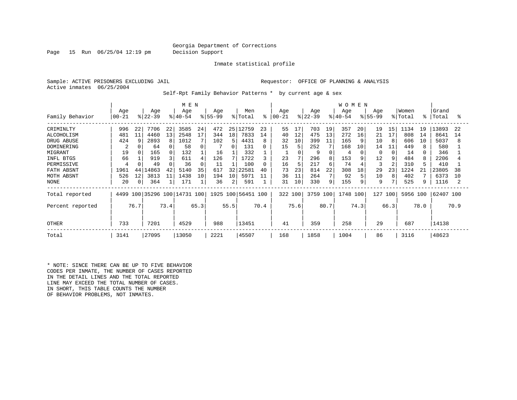Page 15 Run 06/25/04 12:19 pm Decision Support

Inmate statistical profile

Sample: ACTIVE PRISONERS EXCLUDING JAIL **Requestor:** OFFICE OF PLANNING & ANALYSIS Active inmates 06/25/2004

Self-Rpt Family Behavior Patterns \* by current age & sex

|                  | M E N            |                |                  |      |                         |          |                    |                |                    |          |                |      |                  |                | <b>WOMEN</b>     |      |                    |      |                  |      |                |      |
|------------------|------------------|----------------|------------------|------|-------------------------|----------|--------------------|----------------|--------------------|----------|----------------|------|------------------|----------------|------------------|------|--------------------|------|------------------|------|----------------|------|
| Family Behavior  | Age<br>$00 - 21$ |                | Age<br>$ 22-39 $ |      | Age<br>$ 40-54 $        |          | Age<br>$8155 - 99$ |                | Men<br>% Total     | ⊱        | Age<br>  00-21 |      | Age<br>$8 22-39$ |                | Age<br>$ 40-54 $ |      | Age<br>$8155 - 99$ |      | Women<br>% Total | °    | Grand<br>Total | °    |
|                  |                  |                |                  |      |                         |          |                    |                |                    |          |                |      |                  |                |                  |      |                    |      |                  |      |                |      |
| CRIMINLTY        | 996              | 22             | 7706             | 22   | 3585                    | 24       | 472                |                | 25 12759           | 23       | 55             | 17   | 703              | 19             | 357              | 20   | 19                 | 15   | 1134             | 19   | 13893          | 22   |
| ALCOHOLISM       | 481              | 11             | 4460             | 13   | 2548                    | 17       | 344                | 18             | 7833               | 14       | 40             | 12   | 475              | 13             | 272              | 16   | 21                 | 17   | 808              | 14   | 8641           | 14   |
| DRUG ABUSE       | 424              | 9              | 2893             | 8    | 1012                    |          | 102                | 5 <sup>1</sup> | 4431               | 8        | 32             | 10   | 399              | 11             | 165              | 9    | 10                 |      | 606              | 10   | 5037           | 8    |
| DOMINERING       | 2                |                | 64               |      | 58                      | $\Omega$ |                    |                | 131                | 0        | 15             | 5    | 252              | 7              | 168              | 10   | 14                 | 11   | 449              |      | 580            |      |
| MIGRANT          | 19               |                | 165              |      | 132                     |          | 16                 |                | 332                |          |                |      | 9                |                | 4                |      | $\Omega$           |      | 14               |      | 346            |      |
| INFL BTGS        | 66               |                | 919              |      | 611                     | 4        | 126                |                | 1722               | 3        | 23             | 7    | 296              | 8              | 153              | 9    | 12                 | 9    | 484              |      | 2206           |      |
| PERMISSIVE       |                  |                | 49               |      | 36                      | $\Omega$ | 11                 |                | 100                | $\Omega$ | 16             | 5    | 217              | 6              | 74               |      | 3                  |      | 310              |      | 410            |      |
| FATH ABSNT       | 1961             | 44             | 4863             | 42   | 5140                    | 35       | 617                | 32             | 22581              | 40       | 73             | 23   | 814              | 22             | 308              | 18   | 29                 | 23   | 1224             | 21   | 23805          | 38   |
| MOTH ABSNT       | 526              | 12             | 3813             | 11   | 1438                    | 10       | 194                | 10             | 5971               | 11       | 36             | 11   | 264              | $7\phantom{.}$ | 92               |      | 10                 | 8    | 402              |      | 6373           | 10   |
| NONE             | 20               | $\overline{0}$ | 364              |      | 171                     |          | 36                 | 2              | 591                |          | 31             | 10   | 330              | 9              | 155              | 9    | 9                  |      | 525              |      | 1116           |      |
| Total reported   | 4499             |                |                  |      | 100 35296 100 14731 100 |          |                    |                | 1925 100 56451 100 |          | 322 100        |      | 3759 100         |                | 1748             | 100  | 127                | 100  | 5956 100         |      | 62407 100      |      |
| Percent reported |                  | 76.7           |                  | 73.4 |                         | 65.3     |                    | 55.5           |                    | 70.4     |                | 75.6 |                  | 80.7           |                  | 74.3 |                    | 66.3 |                  | 78.0 |                | 70.9 |
| <b>OTHER</b>     | 733              |                | 7201             |      | 4529                    |          | 988                |                | 13451              |          | 41             |      | 359              |                | 258              |      | 29                 |      | 687              |      | 14138          |      |
| Total            | 3141             |                | 27095            |      | 13050                   |          | 2221               |                | 45507              |          | 168            |      | 1858             |                | 1004             |      | 86                 |      | 3116             |      | 48623          |      |

\* NOTE: SINCE THERE CAN BE UP TO FIVE BEHAVIOR CODES PER INMATE, THE NUMBER OF CASES REPORTED IN THE DETAIL LINES AND THE TOTAL REPORTED LINE MAY EXCEED THE TOTAL NUMBER OF CASES. IN SHORT, THIS TABLE COUNTS THE NUMBER OF BEHAVIOR PROBLEMS, NOT INMATES.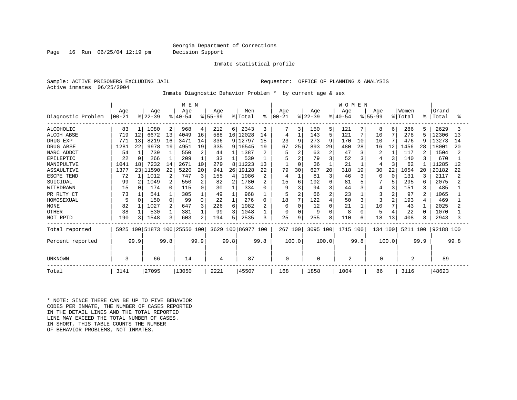#### Georgia Department of Corrections Page 16 Run 06/25/04 12:19 pm Decision Support

#### Inmate statistical profile

Sample: ACTIVE PRISONERS EXCLUDING JAIL **Requestor:** OFFICE OF PLANNING & ANALYSIS Active inmates 06/25/2004

Inmate Diagnostic Behavior Problem \* by current age & sex

|                    |           |              |           |      | M E N                   |          |           |                 |                    |                |           |             |           |                | <b>WOMEN</b> |          |           |          |          |      |           |      |
|--------------------|-----------|--------------|-----------|------|-------------------------|----------|-----------|-----------------|--------------------|----------------|-----------|-------------|-----------|----------------|--------------|----------|-----------|----------|----------|------|-----------|------|
|                    | Age       |              | Age       |      | Age                     |          | Age       |                 | Men                |                | Aqe       |             | Age       |                | Aqe          |          | Age       |          | Women    |      | Grand     |      |
| Diagnostic Problem | $00 - 21$ |              | $ 22-39 $ |      | $ 40-54$                |          | $ 55-99 $ |                 | % Total            | ႜ              | $00 - 21$ |             | $ 22-39 $ |                | $8 40-54$    |          | $ 55-99 $ |          | % Total  | °    | Total     | ွ    |
| <b>ALCOHOLIC</b>   | 83        |              | 1080      | 2    | 968                     | 4        | 212       | 61              | 2343               | 3              |           | 3           | 150       | 5              | 121          |          | 8         | 6        | 286      | 5    | 2629      |      |
| <b>ALCOH ABSE</b>  | 719       | 12           | 6672      | 13   | 4049                    | 16       | 588       | 16 <sup>1</sup> | 12028              | 14             | 4         | 1           | 143       | 5              | 121          | 7        | 10        | 7        | 278      | 5    | 12306     | 13   |
| DRUG EXP           | 771       | 13           | 8219      | 16   | 3471                    | 14       | 336       |                 | 9 12797            | 15             | 23        | 9           | 273       | 9              | 170          | 10       | 10        | 7        | 476      | q    | 13273     | 14   |
| DRUG ABSE          | 1281      | 22           | 9978      | 19   | 4951                    | 19       | 335       | 9               | 16545              | 19             | 67        | 25          | 893       | 29             | 480          | 28       | 16        | 12       | 1456     | 28   | 18001     | 20   |
| NARC ADDCT         | 54        |              | 739       |      | 550                     | 2        | 44        |                 | 1387               | 2              |           |             | 63        | $\overline{c}$ | 47           | 3        | 2         |          | 117      |      | 1504      |      |
| EPILEPTIC          | 22        | $\Omega$     | 266       |      | 209                     |          | 33        |                 | 530                |                |           |             | 79        | 3              | 52           |          |           | 3        | 140      |      | 670       |      |
| MANIPULTVE         | 1041      | 18           | 7232      | 14   | 2671                    | 10       | 279       | 8               | 11223              | 13             |           | $\mathbf 0$ | 36        |                | 21           |          | 4         | 3        | 62       |      | 11285     | 12   |
| <b>ASSAULTIVE</b>  | 1377      | 23           | 11590     | 22   | 5220                    | 20       | 941       | 26              | 19128              | 22.2           | 79        | 30          | 627       | 20             | 318          | 19       | 30        | 22       | 1054     | 20   | 20182     | 22   |
| <b>ESCPE TEND</b>  | 72        |              | 1012      | 2    | 747                     | 3        | 155       | $\overline{4}$  | 1986               | 2              |           |             | 81        | 3              | 46           | 3        | 0         | $\Omega$ | 131      | 3    | 2117      |      |
| SUICIDAL           | 99        |              | 1049      | 2    | 550                     | 2        | 82        | 2               | 1780               | 2              | 15        | 6           | 192       | 6              | 81           |          |           | 5        | 295      | 6    | 2075      |      |
| WITHDRAWN          | 15        | <sup>n</sup> | 174       |      | 115                     | 0        | 30        |                 | 334                | U              |           | 3           | 94        | 3              | 44           | 3        | 4         | 3        | 151      | 3    | 485       |      |
| PR RLTY CT         | 73        |              | 541       |      | 305                     | 1        | 49        |                 | 968                |                | 5         |             | 66        | $\overline{a}$ | 23           |          | 3         | 2        | 97       | 2    | 1065      |      |
| HOMOSEXUAL         | 5         | $\Omega$     | 150       |      | 99                      | $\Omega$ | 22        |                 | 276                | 0              | 18        | 7           | 122       | $\overline{4}$ | 50           | 3        | 3         | 2        | 193      | 4    | 469       |      |
| <b>NONE</b>        | 82        |              | 1027      |      | 647                     | 3        | 226       | 6               | 1982               | $\overline{2}$ | $\Omega$  | $\Omega$    | 12        | $\Omega$       | 21           |          | 10        | 7        | 43       |      | 2025      |      |
| <b>OTHER</b>       | 38        |              | 530       |      | 381                     |          | 99        | ς               | 1048               |                | $\Omega$  | $\Omega$    | q         | $\Omega$       | 8            | $\Omega$ |           |          | 22       | ∩    | 1070      |      |
| NOT RPTD           | 190       | 3            | 1548      |      | 603                     | 2        | 194       | 5               | 2535               | 3              | 25        | 9           | 255       | 8              | 110          | 6        | 18        | 13       | 408      | 8    | 2943      |      |
| Total reported     | 5925      |              |           |      | 100 51873 100 25550 100 |          |           |                 | 3629 100 86977 100 |                | 267 100   |             | 3095 100  |                | 1715 100     |          | 134 100   |          | 5211 100 |      | 92188 100 |      |
| Percent reported   |           | 99.9         |           | 99.8 |                         | 99.9     |           | 99.8            |                    | 99.8           |           | 100.0       |           | 100.0          |              | 99.8     |           | 100.0    |          | 99.9 |           | 99.8 |
| UNKNOWN            | 3         |              | 66        |      | 14                      |          | 4         |                 | 87                 |                | 0         |             | 0         |                | 2            |          | $\Omega$  |          | 2        |      | 89        |      |
| Total              | 3141      |              | 27095     |      | 13050                   |          | 2221      |                 | 45507              |                | 168       |             | 1858      |                | 1004         |          | 86        |          | 3116     |      | 48623     |      |

\* NOTE: SINCE THERE CAN BE UP TO FIVE BEHAVIOR CODES PER INMATE, THE NUMBER OF CASES REPORTED IN THE DETAIL LINES AND THE TOTAL REPORTED LINE MAY EXCEED THE TOTAL NUMBER OF CASES. IN SHORT, THIS TABLE COUNTS THE NUMBER OF BEHAVIOR PROBLEMS, NOT INMATES.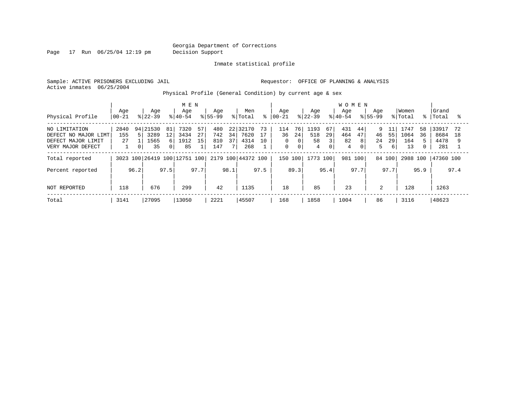Page 17 Run 06/25/04 12:19 pm Decision Support

Inmate statistical profile

Sample: ACTIVE PRISONERS EXCLUDING JAIL **Requestor:** OFFICE OF PLANNING & ANALYSIS Active inmates 06/25/2004

Physical Profile (General Condition) by current age & sex

|                                                                                  | Age                                      | Age                                                                         | M E N<br>Age                                 | Age                                  | Men                                         | Age                                                                     | Age                                                                 | <b>WOMEN</b><br>Aqe<br>Aqe                              | Women                                                | Grand                                                                |
|----------------------------------------------------------------------------------|------------------------------------------|-----------------------------------------------------------------------------|----------------------------------------------|--------------------------------------|---------------------------------------------|-------------------------------------------------------------------------|---------------------------------------------------------------------|---------------------------------------------------------|------------------------------------------------------|----------------------------------------------------------------------|
| Physical Profile                                                                 | $00 - 21$                                | $ 22-39 $                                                                   | $8 40-54$                                    | $8155 - 99$                          | % Total<br>$\approx$                        | $ 00-21 $                                                               | $ 22-39 $                                                           | $8 40-54$<br>$8155 - 99$                                | % Total                                              | $\approx$<br> Total                                                  |
| NO LIMITATION<br>DEFECT NO MAJOR LIMT<br>DEFECT MAJOR LIMIT<br>VERY MAJOR DEFECT | 2840<br>5<br>155<br>27<br>$\overline{0}$ | 94 21530<br>81<br>3289<br>$12 \overline{ }$<br>1565<br>61<br>35<br>$\Omega$ | 7320<br>57<br>27<br>3434<br>15<br>1912<br>85 | 480<br>742<br>34<br>810<br>37<br>147 | 22 32170<br>73<br>7620<br>4314<br>10<br>268 | 76<br>114<br>24<br>36<br>$\Omega$<br>0<br>$\mathbf 0$<br>0 <sup>1</sup> | 1193<br>67<br>518<br>29<br>58<br>$\overline{3}$<br>$\mathbf 0$<br>4 | 431<br>44<br>464<br>47<br>46<br>82<br>8<br>24<br>4<br>0 | 1747<br>9<br>1064<br>55<br>29<br>164<br>5<br>13<br>6 | 33917<br>58<br>72<br>36<br>8684<br>18<br>4478<br>281<br>$\mathbf{0}$ |
| Total reported                                                                   | 3023                                     |                                                                             | 100 26419 100 12751 100                      |                                      | 2179 100 44372 100                          | 150 100                                                                 | 1773 100                                                            | 981<br>100                                              | 84 100<br>2988                                       | 100<br>47360 100                                                     |
| Percent reported                                                                 | 96.2                                     | 97.5                                                                        | 97.7                                         | 98.1                                 | 97.5                                        | 89.3                                                                    | 95.4                                                                | 97.7                                                    | 97.7                                                 | 95.9<br>97.4                                                         |
| NOT REPORTED                                                                     | 118                                      | 676                                                                         | 299                                          | 42                                   | 1135                                        | 18                                                                      | 85                                                                  | 23                                                      | 2<br>128                                             | 1263                                                                 |
| Total                                                                            | 3141                                     | 27095                                                                       | 13050                                        | 2221                                 | 45507                                       | 168                                                                     | 1858                                                                | 86<br>1004                                              | 3116                                                 | 48623                                                                |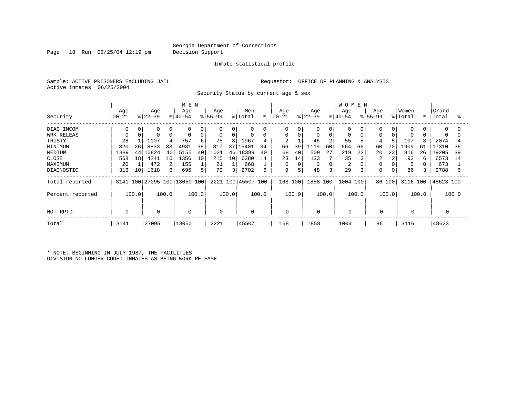Page 18 Run 06/25/04 12:19 pm Decision Support

#### Inmate statistical profile

Sample: ACTIVE PRISONERS EXCLUDING JAIL **Requestor:** OFFICE OF PLANNING & ANALYSIS Active inmates 06/25/2004

Security Status by current age & sex

|                  |                |       |                  |       | M E N                        |       |                 |       |                    |       |                   |       |                  |             | WOMEN            |       |                    |       |                  |       |                |       |
|------------------|----------------|-------|------------------|-------|------------------------------|-------|-----------------|-------|--------------------|-------|-------------------|-------|------------------|-------------|------------------|-------|--------------------|-------|------------------|-------|----------------|-------|
| Security         | Age<br>  00-21 |       | Age<br>$ 22-39 $ |       | Age<br>$ 40-54$              |       | Age<br>$ 55-99$ |       | Men<br>% Total     | ႜ     | Age<br>$ 00 - 21$ |       | Age<br>$ 22-39 $ |             | Age<br>$ 40-54 $ |       | Age<br>$8155 - 99$ |       | Women<br>% Total | °≈    | Grand<br>Total | °     |
| DIAG INCOM       | 0              | 0     |                  |       | 0                            |       | 0               | 0     | 0                  |       | 0                 |       | 0                | 0           | 0                |       |                    |       | 0                |       | $\Omega$       | 0     |
| WRK RELEAS       |                |       |                  |       | $\mathbf 0$                  | 0     |                 | 0     | $\mathbf 0$        |       | 0                 | 0     |                  | $\mathbf 0$ | 0                |       | $\Omega$           |       | $\Omega$         |       | $\Omega$       |       |
| TRUSTY           | 28             |       | 1107             |       | 757                          | 6     | 75              |       | 1967               | 4     | $\overline{2}$    |       | 46               |             | 55               |       | 4                  |       | 107              |       | 2074           |       |
| MINIMUM          | 820            | 26    | 8833             | 33    | 4931                         | 38    | 817             | 37    | 15401              | 34    | 66                | 39    | .119             | 60          | 664              | 66    | 60                 | 70    | 1909             | 61    | 7310           | 36    |
| MEDIUM           | 1389           | 44    | 10824            | 40    | 5155                         | 40    | 1021            | 46    | 18389              | 40    | 68                | 40    | 509              | 27          | 219              | 22    | 20                 | 23    | 816              | 26    | 19205          | 39    |
| CLOSE            | 568            | 18    | 4241             | 16    | 1356                         | 10    | 215             | 10    | 6380               | 14    | 23                | 14    | 133              |             | 35               |       | 2                  |       | 193              |       | 6573           | 14    |
| MAXIMUM          | 20             |       | 472              |       | 155                          |       | 21              |       | 668                |       | 0                 |       |                  | $\Omega$    | 2                |       |                    |       | 5                |       | 673            |       |
| DIAGNOSTIC       | 316            | 10    | 1618             | 61    | 696                          | 5     | 72              | 3     | 2702               | 6     | 9                 | 5     | 48               | 3           | 29               | 3     | $\Omega$           |       | 86               |       | 2788           | 6     |
| Total reported   |                |       |                  |       | 3141 100 27095 100 13050 100 |       |                 |       | 2221 100 45507 100 |       | 168 100           |       | 1858 100         |             | 1004 100         |       | 86 100             |       | 3116 100         |       | 48623 100      |       |
| Percent reported |                | 100.0 |                  | 100.0 |                              | 100.0 |                 | 100.0 |                    | 100.0 |                   | 100.0 |                  | 100.0       |                  | 100.0 |                    | 100.0 |                  | 100.0 |                | 100.0 |
| NOT RPTD         | $\Omega$       |       | 0                |       | 0                            |       | 0               |       | $\mathbf{0}$       |       | 0                 |       | 0                |             |                  |       | $\mathbf 0$        |       |                  |       |                |       |
| Total            | 3141           |       | 27095            |       | 13050                        |       | 2221            |       | 45507              |       | 168               |       | 1858             |             | 1004             |       | 86                 |       | 3116             |       | 48623          |       |

\* NOTE: BEGINNING IN JULY 1987, THE FACILITIES DIVISION NO LONGER CODED INMATES AS BEING WORK RELEASE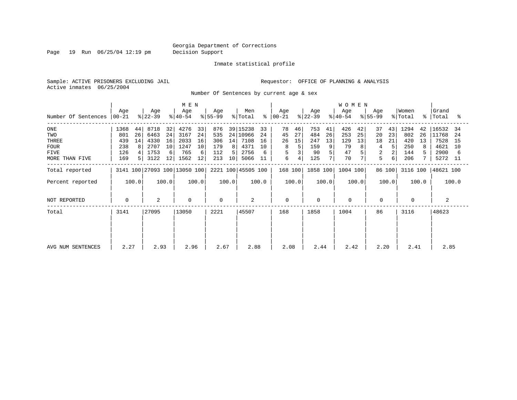Page 19 Run 06/25/04 12:19 pm Decision Support

#### Inmate statistical profile

Sample: ACTIVE PRISONERS EXCLUDING JAIL **Requestor:** OFFICE OF PLANNING & ANALYSIS Active inmates 06/25/2004

Number Of Sentences by current age & sex

|                             |      |       |                  |       | M E N                        |       |                  |       |                    |       |                      |       |                  |                | <b>WOMEN</b>       |       |                    |        |                  |       |                    |       |
|-----------------------------|------|-------|------------------|-------|------------------------------|-------|------------------|-------|--------------------|-------|----------------------|-------|------------------|----------------|--------------------|-------|--------------------|--------|------------------|-------|--------------------|-------|
| Number Of Sentences   00-21 | Age  |       | Age<br>$ 22-39 $ |       | Age<br>୫∣40-54               |       | Age<br>$8 55-99$ |       | Men<br>% Total     |       | Age<br>$8   00 - 21$ |       | Age<br>$ 22-39 $ |                | Age<br>$8140 - 54$ |       | Age<br>$8155 - 99$ |        | Women<br>% Total |       | Grand<br>%   Total | ႜ     |
| ONE                         | 1368 | 44    | 8718             | 32    | 4276                         | 33    | 876              |       | 39 15238           | 33    | 78                   | 46    | 753              | 41             | 426                | 42    | 37                 | 43     | 1294             | 42    | 16532              | - 34  |
| TWO                         | 801  | 26    | 6463             | 24    | 3167                         | 24    | 535              |       | 24 10966           | 24    | 45                   | 27    | 484              | 26             | 253                | 25    | 20                 | 23     | 802              | 26    | 11768              | -24   |
| THREE                       | 439  | 14    | 4330             | 16    | 2033                         | 16    | 306              | 14    | 7108               | 16    | 26                   | 15    | 247              | 13             | 129                | 13    | 18                 | 21     | 420              | 13    | 7528               | 15    |
| <b>FOUR</b>                 | 238  | 8     | 2707             | 10    | 1247                         | 10    | 179              | 8     | 4371               | 10    | 8                    |       | 159              | 9 <sup>1</sup> | 79                 | 8     | 4                  | 5      | 250              | 8     | 4621               | 10    |
| <b>FIVE</b>                 | 126  |       | 1753             | 6     | 765                          | 6     | 112              | 5     | 2756               | 6     | 5                    |       | 90               |                | 47                 |       | 2                  |        | 144              |       | 2900               | 6     |
| MORE THAN FIVE              | 169  |       | 3122             | 12    | 1562                         | 12    | 213              | 10    | 5066               | 11    | 6                    |       | 125              |                | 70                 |       | 5                  | 6      | 206              |       | 5272 11            |       |
| Total reported              |      |       |                  |       | 3141 100 27093 100 13050 100 |       |                  |       | 2221 100 45505 100 |       | 168 100              |       | 1858 100         |                | 1004 100           |       |                    | 86 100 | 3116 100         |       | 48621 100          |       |
| Percent reported            |      | 100.0 |                  | 100.0 |                              | 100.0 |                  | 100.0 |                    | 100.0 |                      | 100.0 |                  | 100.0          |                    | 100.0 |                    | 100.0  |                  | 100.0 |                    | 100.0 |
| NOT REPORTED                | 0    |       | 2                |       | $\mathbf 0$                  |       | $\Omega$         |       | 2                  |       | $\mathbf 0$          |       | 0                |                | $\Omega$           |       | 0                  |        |                  |       | 2                  |       |
| Total                       | 3141 |       | 27095            |       | 13050                        |       | 2221             |       | 45507              |       | 168                  |       | 1858             |                | 1004               |       | 86                 |        | 3116             |       | 48623              |       |
|                             |      |       |                  |       |                              |       |                  |       |                    |       |                      |       |                  |                |                    |       |                    |        |                  |       |                    |       |
| AVG NUM SENTENCES           | 2.27 |       | 2.93             |       | 2.96                         |       | 2.67             |       | 2.88               |       | 2.08                 |       | 2.44             |                | 2.42               |       | 2.20               |        | 2.41             |       | 2.85               |       |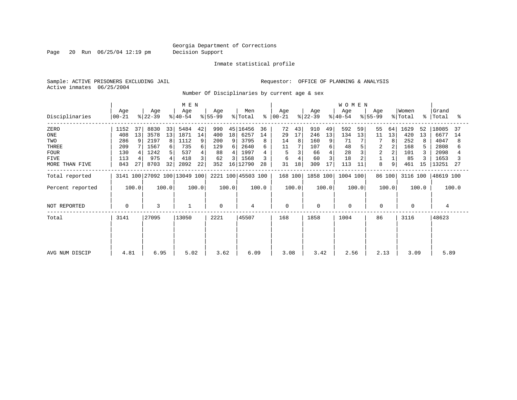Page 20 Run 06/25/04 12:19 pm Decision Support

Inmate statistical profile

Sample: ACTIVE PRISONERS EXCLUDING JAIL **Requestor:** OFFICE OF PLANNING & ANALYSIS Active inmates 06/25/2004

Number Of Disciplinaries by current age & sex

|                  |                  |       |                  |       |                              | M E N |                  |       |                    |       |                    |       |                  |       | WOMEN            |       |                  |        |                  |       |                      |       |
|------------------|------------------|-------|------------------|-------|------------------------------|-------|------------------|-------|--------------------|-------|--------------------|-------|------------------|-------|------------------|-------|------------------|--------|------------------|-------|----------------------|-------|
| Disciplinaries   | Age<br>$ 00-21 $ |       | Age<br>$ 22-39 $ |       | Age<br>$ 40-54 $             |       | Age<br>$ 55-99 $ |       | Men<br>% Total     | ႜ     | Age<br>$ 00 - 21 $ |       | Age<br>$ 22-39 $ |       | Age<br>$ 40-54 $ |       | Age<br>$ 55-99 $ |        | Women<br>% Total |       | Grand<br>%   Total   | ႜ     |
| ZERO             | 1152             | 37    | 8830             | 33    | 5484                         | 42    | 990              |       | 45 16456           | 36    | 72                 | 43    | 910              | 49    | 592              | 59    | 55               | 64     | 1629             | 52    | 18085                | 37    |
| ONE              | 408              | 13    | 3578             | 13    | 1871                         | 14    | 400              | 18    | 6257               | 14    | 29                 | 17    | 246              | 13    | 134              | 13    | 11               | 13     | 420              | 13    | 6677                 | 14    |
| TWO              | 286              | 9     | 2197             | 8     | 1112                         | 9     | 200              |       | 3795               | 8     | 14                 | 8     | 160              | 9     | 71               |       |                  | 8      | 252              | 8     | 4047                 | 8     |
| THREE            | 209              |       | 1567             | 6     | 735                          | 6     | 129              | 6     | 2640               |       | 11                 |       | 107              | 6     | 48               |       | 2                |        | 168              |       | 2808                 |       |
| <b>FOUR</b>      | 130              |       | 1242             |       | 537                          | 4     | 88               | 4     | 1997               |       | 5                  |       | 66               |       | 28               |       | $\overline{2}$   |        | 101              |       | 2098                 |       |
| <b>FIVE</b>      | 113              |       | 975              |       | 418                          | 3     | 62               |       | 1568               |       | 6                  |       | 60               |       | 18               |       |                  |        | 85               |       | 1653                 |       |
| MORE THAN FIVE   | 843              | 27    | 8703             | 32    | 2892                         | 22    | 352              | 16    | 12790              | 28    | 31                 | 18    | 309              | 17    | 113              | 11    | 8                | 9      | 461              | 15    | 13251                | 27    |
| Total reported   |                  |       |                  |       | 3141 100 27092 100 13049 100 |       |                  |       | 2221 100 45503 100 |       | 168 100            |       | 1858 100         |       | 1004 100         |       |                  | 86 100 |                  |       | 3116 100   48619 100 |       |
| Percent reported |                  | 100.0 |                  | 100.0 |                              | 100.0 |                  | 100.0 |                    | 100.0 |                    | 100.0 |                  | 100.0 |                  | 100.0 |                  | 100.0  |                  | 100.0 |                      | 100.0 |
| NOT REPORTED     | $\mathbf 0$      |       | 3                |       | $\mathbf{1}$                 |       | $\Omega$         |       | 4                  |       | $\mathbf 0$        |       | 0                |       | $\mathbf 0$      |       | $\mathbf 0$      |        | $\mathbf 0$      |       | $\overline{4}$       |       |
| Total            | 3141             |       | 27095            |       | 13050                        |       | 2221             |       | 45507              |       | 168                |       | 1858             |       | 1004             |       | 86               |        | 3116             |       | 48623                |       |
|                  |                  |       |                  |       |                              |       |                  |       |                    |       |                    |       |                  |       |                  |       |                  |        |                  |       |                      |       |
| AVG NUM DISCIP   | 4.81             |       | 6.95             |       | 5.02                         |       | 3.62             |       | 6.09               |       | 3.08               |       | 3.42             |       | 2.56             |       | 2.13             |        | 3.09             |       | 5.89                 |       |
|                  |                  |       |                  |       |                              |       |                  |       |                    |       |                    |       |                  |       |                  |       |                  |        |                  |       |                      |       |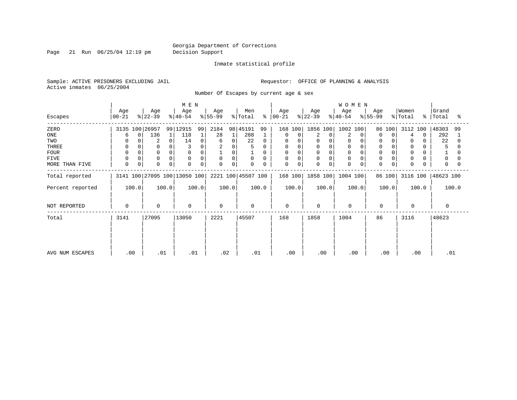Page 21 Run 06/25/04 12:19 pm Decision Support

Inmate statistical profile

Active inmates 06/25/2004

Sample: ACTIVE PRISONERS EXCLUDING JAIL **Requestor:** OFFICE OF PLANNING & ANALYSIS

Number Of Escapes by current age & sex

|                  |                  |                 | M E N                        |                  |                    |                         |                  | <b>WOMEN</b>     |                  |                  |                         |
|------------------|------------------|-----------------|------------------------------|------------------|--------------------|-------------------------|------------------|------------------|------------------|------------------|-------------------------|
| Escapes          | Age<br>$00 - 21$ | Age<br>$ 22-39$ | Age<br>$ 40-54 $             | Age<br>$ 55-99 $ | Men<br>% Total     | Age<br>$8   00 - 21$    | Age<br>$ 22-39 $ | Age<br>$8 40-54$ | Age<br>$ 55-99 $ | Women<br>% Total | Grand<br>%   Total<br>° |
| ZERO             | 3135 100 26957   |                 | 99 12915<br>99               | 2184             | 98 45191<br>99     | 168 100                 | 1856 100         | 1002<br>100      | 86 100           | 3112 100         | 48303<br>99             |
| ONE              | 6                | 136<br>0        | 118                          | 28               | 288                | 0<br>0                  | 2<br>0           | 2                | $\Omega$<br>0    | $\Omega$<br>4    | 292                     |
| TWO              |                  | 2               | 14<br>0                      | 0<br>6           | 22<br>0            | 0                       | 0<br>$\Omega$    | 0                |                  | 0                | 22                      |
| THREE            | 0                |                 |                              | 0                | 5                  | 0                       |                  |                  |                  | 0                |                         |
| <b>FOUR</b>      | $\Omega$         | $\Omega$        | $\Omega$                     | 0                |                    | 0                       | $\Omega$         |                  |                  | 0                |                         |
| FIVE             | $\Omega$         | $\Omega$        | $\Omega$                     | 0<br>$\mathbf 0$ | $\mathbf 0$<br>0   | 0<br>0                  | 0                | $\Omega$         |                  | 0                | 0                       |
| MORE THAN FIVE   | 0                | $\mathbf 0$     | $\Omega$<br>$\mathbf 0$      | 0<br>$\Omega$    | 0<br>0             | $\mathbf 0$<br>$\Omega$ | U<br>$\Omega$    | $\Omega$         |                  | $\mathbf 0$      | $\Omega$                |
| Total reported   |                  |                 | 3141 100 27095 100 13050 100 |                  | 2221 100 45507 100 | 168 100                 | 1858 100         | $1004$ 100       | 86 100           |                  | 3116 100   48623 100    |
| Percent reported | 100.0            | 100.0           | 100.0                        | 100.0            | 100.0              | 100.0                   | 100.0            | 100.0            | 100.0            | 100.0            | 100.0                   |
| NOT REPORTED     | $\Omega$         | 0               | $\Omega$                     | $\Omega$         | $\Omega$           | $\Omega$                | $\Omega$         | $\mathbf 0$      | $\Omega$         | $\Omega$         | $\Omega$                |
| Total            | 3141             | 27095           | 13050                        | 2221             | 45507              | 168                     | 1858             | 1004             | 86               | 3116             | 48623                   |
|                  |                  |                 |                              |                  |                    |                         |                  |                  |                  |                  |                         |
| AVG NUM ESCAPES  | .00              | .01             | .01                          | .02              | .01                | .00                     | .00              | .00              | .00              | .00              | .01                     |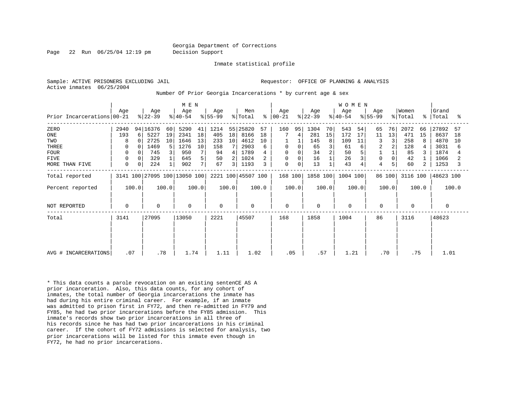Page 22 Run 06/25/04 12:19 pm Decision Support

Inmate statistical profile

Active inmates 06/25/2004

Sample: ACTIVE PRISONERS EXCLUDING JAIL **Requestor:** OFFICE OF PLANNING & ANALYSIS

Number Of Prior Georgia Incarcerations \* by current age & sex

| M E N                        |             |       |                  |       |                              |       |                  |                |                            |       |                      |       |                  | W O M E N |                  |       |                  |        |                  |       |                    |       |
|------------------------------|-------------|-------|------------------|-------|------------------------------|-------|------------------|----------------|----------------------------|-------|----------------------|-------|------------------|-----------|------------------|-------|------------------|--------|------------------|-------|--------------------|-------|
| Prior Incarcerations   00-21 | Age         |       | Age<br>$ 22-39 $ |       | Age<br>$ 40-54 $             |       | Age<br>$ 55-99 $ |                | Men<br>$\frac{1}{2}$ Total |       | Age<br>$8   00 - 21$ |       | Age<br>$ 22-39 $ |           | Age<br>$ 40-54 $ |       | Age<br>$ 55-99 $ |        | Women<br>% Total |       | Grand<br>%   Total | ႜ     |
| ZERO                         | 2940        |       | 94 16376         | 60    | 5290                         | 41    | 1214             |                | 55 25820                   | 57    | 160                  | 95    | 1304             | 70        | 543              | 54    | 65               | 76     | 2072             | 66    | 27892              | 57    |
| ONE                          | 193         | 6     | 5227             | 19    | 2341                         | 18    | 405              | 18             | 8166                       | 18    |                      | 4     | 281              | 15        | 172              | 17    | 11               | 13     | 471              | 15    | 8637               | 18    |
| TWO                          | 8           |       | 2725             | 10    | 1646                         | 13    | 233              | 10             | 4612                       | 10    |                      |       | 145              | 8         | 109              | 11    | 3                | 3      | 258              | 8     | 4870               | 10    |
| THREE                        | 0           |       | 1469             | 5     | 1276                         | 10    | 158              |                | 2903                       | 6     | 0                    |       | 65               |           | 61               | 6     | $\overline{2}$   | 2      | 128              |       | 3031               | 6     |
| <b>FOUR</b>                  | 0           |       | 745              | 3     | 950                          |       | 94               | 4              | 1789                       |       | 0                    |       | 34               |           | 50               |       |                  |        | 85               |       | 1874               |       |
| <b>FIVE</b>                  | 0           |       | 329              |       | 645                          | 5     | 50               | 2 <sub>1</sub> | 1024                       |       | 0                    |       | 16               |           | 26               |       | 0                | 0      | 42               |       | 1066               |       |
| MORE THAN FIVE               | 0           | 0     | 224              |       | 902                          | 7     | 67               | 3              | 1193                       | 3     | 0                    | 0     | 13               |           | 43               | 4     | 4                |        | 60               | 2     | 1253               | 3     |
| Total reported               |             |       |                  |       | 3141 100 27095 100 13050 100 |       |                  |                | 2221 100 45507 100         |       | 168 100              |       | 1858 100         |           | 1004 100         |       |                  | 86 100 | 3116 100         |       | 48623 100          |       |
| Percent reported             |             | 100.0 |                  | 100.0 |                              | 100.0 |                  | 100.0          |                            | 100.0 |                      | 100.0 |                  | 100.0     |                  | 100.0 |                  | 100.0  |                  | 100.0 |                    | 100.0 |
| NOT REPORTED                 | $\mathbf 0$ |       | 0                |       | $\mathbf 0$                  |       | $\Omega$         |                | 0                          |       | $\mathbf 0$          |       | $\mathbf 0$      |           | $\mathbf 0$      |       | $\mathbf 0$      |        | $\Omega$         |       | 0                  |       |
| Total                        | 3141        |       | 27095            |       | 13050                        |       | 2221             |                | 45507                      |       | 168                  |       | 1858             |           | 1004             |       | 86               |        | 3116             |       | 48623              |       |
|                              |             |       |                  |       |                              |       |                  |                |                            |       |                      |       |                  |           |                  |       |                  |        |                  |       |                    |       |
|                              |             |       |                  |       |                              |       |                  |                |                            |       |                      |       |                  |           |                  |       |                  |        |                  |       |                    |       |
| AVG # INCARCERATIONS         | .07         |       | .78              |       | 1.74                         |       | 1.11             |                | 1.02                       |       | .05                  |       | .57              |           | 1.21             |       | .70              |        |                  | .75   | 1.01               |       |

\* This data counts a parole revocation on an existing sentenCE AS A prior incarceration. Also, this data counts, for any cohort of inmates, the total number of Georgia incarcerations the inmate has had during his entire criminal career. For example, if an inmate was admitted to prison first in FY72, and then re-admitted in FY79 and FY85, he had two prior incarcerations before the FY85 admission. This inmate's records show two prior incarcerations in all three of his records since he has had two prior incarcerations in his criminal career. If the cohort of FY72 admissions is selected for analysis, two prior incarcerations will be listed for this inmate even though in FY72, he had no prior incarcerations.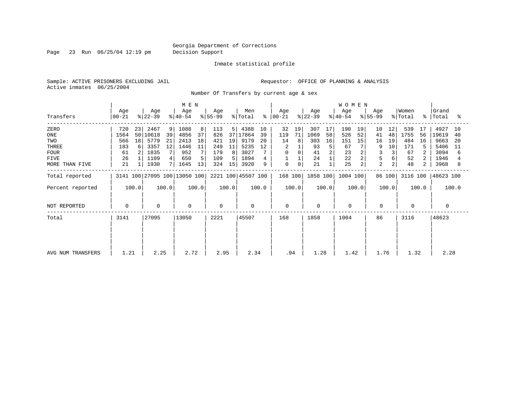Page 23 Run 06/25/04 12:19 pm Decision Support

Inmate statistical profile

Sample: ACTIVE PRISONERS EXCLUDING JAIL **Requestor:** OFFICE OF PLANNING & ANALYSIS Active inmates 06/25/2004

Number Of Transfers by current age & sex

|                   | M E N          |       |                  |       |                              |       |                  |       |                    |       |                      |             |                  | <b>WOMEN</b> |                  |                |                  |                |                  |       |                    |       |
|-------------------|----------------|-------|------------------|-------|------------------------------|-------|------------------|-------|--------------------|-------|----------------------|-------------|------------------|--------------|------------------|----------------|------------------|----------------|------------------|-------|--------------------|-------|
| Transfers         | Age<br>  00-21 |       | Age<br>$ 22-39 $ |       | Age<br>$ 40-54 $             |       | Age<br>$ 55-99 $ |       | Men<br>% Total     |       | Age<br>$8   00 - 21$ |             | Age<br>$ 22-39 $ |              | Age<br>$ 40-54 $ |                | Age<br>$ 55-99 $ |                | Women<br>% Total |       | Grand<br>%   Total | ႜ     |
| ZERO              | 720            | 23    | 2467             | 9     | 1088                         | 8     | 113              | 51    | 4388               | 10    | 32                   | 19          | 307              | 17           | 190              | 19             | 10               | 12             | 539              | 17    | 4927               | 10    |
| ONE               | 1564           | 501   | 10618            | 39    | 4856                         | 37    | 826              | 37    | 17864              | 39    | 119                  | 71          | 1069             | 58           | 526              | 52             | 41               | 48             | 1755             | 56    | 19619              | 40    |
| TWO               | 566            | 18    | 5779             | 21    | 2413                         | 18    | 421              | 19    | 9179               | 20    | 14                   | 8           | 303              | 16           | 151              | 15             | 16               | 19             | 484              | 16    | 9663               | 20    |
| THREE             | 183            | 6     | 3357             | 12    | 1446                         | 11    | 249              | 11    | 5235               | 12    |                      |             | 93               | 5            | 67               |                | 9                | 10             | 171              |       | 5406               | 11    |
| <b>FOUR</b>       | 61             |       | 1835             |       | 952                          |       | 179              | 8     | 3027               |       | $\Omega$             | $\Omega$    | 41               |              | 23               |                |                  |                | 67               |       | 3094               | 6     |
| FIVE              | 26             |       | 1109             | 4     | 650                          | 5     | 109              | 5     | 1894               |       |                      |             | 24               |              | 22               | 2              | 5                |                | 52               |       | 1946               |       |
| MORE THAN FIVE    | 21             |       | 1930             |       | 1645                         | 13    | 324              | 15    | 3920               | 9     | $\mathbf 0$          | $\mathbf 0$ | 21               |              | 25               | $\overline{a}$ | $\overline{2}$   | $\overline{2}$ | 48               | 2     | 3968               | 8     |
| Total reported    |                |       |                  |       | 3141 100 27095 100 13050 100 |       |                  |       | 2221 100 45507 100 |       | 168 100              |             | 1858 100         |              | 1004 100         |                |                  | 86 100         | 3116 100         |       | 48623 100          |       |
| Percent reported  |                | 100.0 |                  | 100.0 |                              | 100.0 |                  | 100.0 |                    | 100.0 |                      | 100.0       |                  | 100.0        |                  | 100.0          |                  | 100.0          |                  | 100.0 |                    | 100.0 |
| NOT REPORTED      | 0              |       | $\mathbf 0$      |       | 0                            |       | $\mathbf 0$      |       | 0                  |       | $\mathbf 0$          |             | 0                |              | 0                |                | $\mathbf 0$      |                | 0                |       | 0                  |       |
| Total             | 3141           |       | 27095            |       | 13050                        |       | 2221             |       | 45507              |       | 168                  |             | 1858             |              | 1004             |                | 86               |                | 3116             |       | 48623              |       |
|                   |                |       |                  |       |                              |       |                  |       |                    |       |                      |             |                  |              |                  |                |                  |                |                  |       |                    |       |
|                   |                |       |                  |       |                              |       |                  |       |                    |       |                      |             |                  |              |                  |                |                  |                |                  |       |                    |       |
| AVG NUM TRANSFERS | 1.21           |       | 2.25             |       | 2.72                         |       | 2.95             |       | 2.34               |       | .94                  |             | 1.28             |              | 1.42             |                | 1.76             |                | 1.32             |       | 2.28               |       |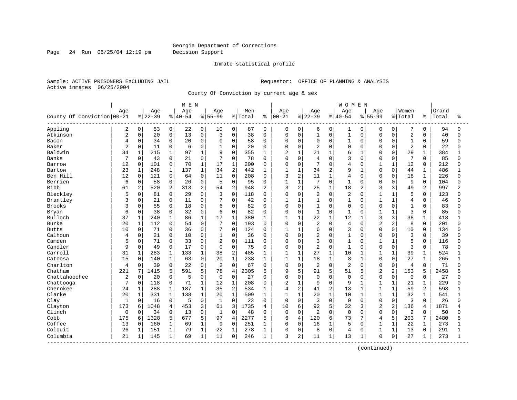Page 24 Run 06/25/04 12:19 pm Decision Support

#### Inmate statistical profile

Sample: ACTIVE PRISONERS EXCLUDING JAIL **Requestor:** OFFICE OF PLANNING & ANALYSIS Active inmates 06/25/2004

County Of Conviction by current age & sex

|                            |                |                |           |                | M E N     |              |                |                |         |                |                |                |                |              | <b>WOMEN</b>   |                |                |                |                |                |       |          |
|----------------------------|----------------|----------------|-----------|----------------|-----------|--------------|----------------|----------------|---------|----------------|----------------|----------------|----------------|--------------|----------------|----------------|----------------|----------------|----------------|----------------|-------|----------|
|                            | Age            |                | Age       |                | Age       |              | Age            |                | Men     |                | Age            |                | Age            |              | Age            |                | Aqe            |                | Women          |                | Grand |          |
| County Of Conviction 00-21 |                |                | $8 22-39$ |                | $8 40-54$ |              | $8 55-99$      |                | % Total | ႜ              | $00 - 21$      |                | $ 22-39$       |              | $8 40-54$      |                | $8 55-99$      |                | % Total        | နွ             | Total | ႜ        |
| Appling                    | 2              | 0              | 53        | $\overline{0}$ | 22        | 0            | 10             | 0              | 87      | 0              | 0              | 0              | 6              | 0            | 1              | 0              | 0              | 0              | 7              | 0              | 94    | $\Omega$ |
| Atkinson                   | $\overline{2}$ | 0              | 20        | 0              | 13        | $\mathbf 0$  | 3              | 0              | 38      | $\Omega$       | 0              | $\mathbf 0$    | $\mathbf{1}$   | $\mathbf 0$  | $1\,$          | 0              | $\Omega$       | $\mathbf 0$    | $\overline{2}$ | $\Omega$       | 40    | $\Omega$ |
| Bacon                      | 4              | 0              | 34        | 0              | 20        | $\mathbf 0$  | $\mathbf 0$    | $\Omega$       | 58      | $\Omega$       | $\Omega$       | $\mathbf 0$    | 0              | $\Omega$     | $\mathbf{1}$   | $\Omega$       | $\Omega$       | $\Omega$       | $\mathbf{1}$   | $\Omega$       | 59    | $\Omega$ |
| Baker                      | $\overline{2}$ | 0              | 11        | 0              | 6         | $\mathbf 0$  |                | $\Omega$       | 20      | $\Omega$       | $\Omega$       | $\mathbf 0$    | $\overline{2}$ | $\Omega$     | $\mathbf 0$    | $\Omega$       | $\Omega$       | $\cap$         | $\overline{2}$ | $\Omega$       | 22    |          |
| Baldwin                    | 34             | $\mathbf{1}$   | 215       | $\mathbf{1}$   | 97        | $\mathbf{1}$ | 9              | $\Omega$       | 355     | $\mathbf{1}$   | $\overline{c}$ | $\mathbf{1}$   | 21             | $\mathbf{1}$ | 6              | -1             | $\Omega$       | $\Omega$       | 29             | $\mathbf{1}$   | 384   |          |
| Banks                      | 7              | 0              | 43        | 0              | 21        | $\mathbf 0$  | 7              | $\Omega$       | 78      | $\Omega$       | 0              | $\Omega$       | 4              | $\Omega$     | 3              | $\Omega$       | $\Omega$       | $\Omega$       | 7              | $\Omega$       | 85    | $\Omega$ |
| Barrow                     | 12             | 0              | 101       | 0              | 70        | $\mathbf{1}$ | 17             | $\mathbf 1$    | 200     | $\Omega$       | 0              | $\mathbf 0$    | 7              | $\Omega$     | $\overline{4}$ | $\Omega$       | $\mathbf{1}$   | $\mathbf{1}$   | 12             | $\Omega$       | 212   |          |
| Bartow                     | 23             | $\mathbf{1}$   | 248       | $\mathbf{1}$   | 137       | $1\,$        | 34             | $\overline{c}$ | 442     | 1              | $\mathbf{1}$   | $\mathbf{1}$   | 34             | $\mathbf{2}$ | 9              | $\mathbf{1}$   | $\Omega$       | $\Omega$       | 44             | $\mathbf{1}$   | 486   |          |
| Ben Hill                   | 12             | $\mathbf 0$    | 121       | 0              | 64        | $\mathbf 0$  | 11             | 0              | 208     | $\Omega$       | 3              | $\overline{2}$ | 11             | $\mathbf{1}$ | 4              | $\Omega$       | $\Omega$       | $\Omega$       | 18             | 1              | 226   | U        |
| Berrien                    | 6              | 0              | 58        | 0              | 26        | $\mathbf 0$  | 5              | $\mathbf 0$    | 95      | 0              | $\mathbf{1}$   | $\mathbf{1}$   | 7              | $\Omega$     | $\mathbf{1}$   | O              | $\Omega$       | O              | 9              | 0              | 104   |          |
| Bibb                       | 61             | $\overline{a}$ | 520       | 2              | 313       | 2            | 54             | $\overline{2}$ | 948     | $\overline{2}$ | 3              | 2              | 25             | 1            | 18             | $\overline{a}$ | 3              | 3              | 49             | $\overline{a}$ | 997   |          |
| Bleckley                   | 5              | 0              | 81        | $\Omega$       | 29        | $\Omega$     | 3              | $\Omega$       | 118     | $\Omega$       | $\Omega$       | $\Omega$       | 2              | $\Omega$     | $\overline{2}$ | $\Omega$       | 1              | $\mathbf{1}$   | 5              | $\Omega$       | 123   |          |
| Brantley                   | 3              | 0              | 21        | $\overline{0}$ | 11        | $\Omega$     | 7              | 0              | 42      | $\Omega$       | 1              | $\mathbf{1}$   | $\mathbf{1}$   | $\Omega$     | $\mathbf{1}$   | $\Omega$       | $\mathbf{1}$   | $\mathbf{1}$   | $\overline{4}$ | $\Omega$       | 46    |          |
| Brooks                     | 3              | 0              | 55        | 0              | 18        | $\Omega$     | 6              | $\Omega$       | 82      | $\Omega$       | 0              | $\mathbf 0$    | $\overline{1}$ | $\Omega$     | $\mathbf 0$    | $\Omega$       | $\Omega$       | $\Omega$       | $\mathbf{1}$   | $\Omega$       | 83    |          |
| Bryan                      | 6              | 0              | 38        | 0              | 32        | $\mathbf 0$  | 6              | $\Omega$       | 82      | $\Omega$       | 0              | $\mathbf 0$    | $\mathbf{1}$   | $\Omega$     | $\mathbf{1}$   | 0              | 1              | $\mathbf{1}$   | 3              | $\Omega$       | 85    |          |
| Bulloch                    | 37             | 1              | 240       | $\mathbf{1}$   | 86        | $1\,$        | 17             | $\mathbf{1}$   | 380     |                | 1              | $\mathbf{1}$   | 22             | $\mathbf{1}$ | 12             |                | 3              | 3              | 38             | $\mathbf{1}$   | 418   |          |
| Burke                      | 20             | $\mathbf 1$    | 112       | 0              | 54        | $\Omega$     | 7              | $\Omega$       | 193     | $\Omega$       | $\Omega$       | $\Omega$       | 2              | $\Omega$     | $\overline{4}$ | $\Omega$       | $\overline{2}$ | 2              | 8              | $\Omega$       | 201   |          |
| <b>Butts</b>               | 10             | $\mathbf 0$    | 71        | $\mathbf{0}$   | 36        | $\mathbf 0$  | 7              | $\Omega$       | 124     | 0              | 1              | $\mathbf{1}$   | 6              | $\Omega$     | 3              | U              | $\Omega$       | $\Omega$       | 10             | $\Omega$       | 134   |          |
| Calhoun                    | 4              | 0              | 21        | 0              | 10        | $\mathbf 0$  | $\mathbf{1}$   | 0              | 36      | $\mathbf 0$    | 0              | $\mathbf 0$    | 2              | $\Omega$     | $\mathbf{1}$   | $\Omega$       | $\Omega$       | $\mathbf 0$    | 3              | $\mathbf 0$    | 39    |          |
| Camden                     | 5              | 0              | 71        | 0              | 33        | 0            | $\overline{a}$ | $\mathbf 0$    | 111     | $\Omega$       | 0              | $\mathbf 0$    | 3              | $\Omega$     | $\mathbf{1}$   | $\Omega$       | 1              | $\mathbf{1}$   | 5              | $\Omega$       | 116   | U        |
| Candler                    | 9              | 0              | 49        | 0              | 17        | $\mathbf 0$  | 0              | 0              | 75      | 0              | 0              | $\mathbf 0$    | $\overline{2}$ | $\Omega$     | $\mathbf{1}$   | $\Omega$       | $\Omega$       | $\mathbf 0$    | 3              | 0              | 78    |          |
| Carroll                    | 31             | $\mathbf 1$    | 283       | $\mathbf 1$    | 133       | $\mathbf{1}$ | 38             | $\overline{2}$ | 485     | 1              | $\mathbf{1}$   | $\mathbf{1}$   | 27             | $\mathbf{1}$ | 10             | $\mathbf{1}$   | $\mathbf{1}$   | $\mathbf{1}$   | 39             | $\mathbf 1$    | 524   |          |
| Catoosa                    | 15             | $\Omega$       | 140       | $\mathbf{1}$   | 63        | $\Omega$     | 20             | $\mathbf{1}$   | 238     | $\mathbf{1}$   | $\mathbf{1}$   | $\mathbf{1}$   | 18             | $\mathbf{1}$ | 8              | $\mathbf{1}$   | $\Omega$       | $\Omega$       | 27             | $\mathbf{1}$   | 265   |          |
| Charlton                   | 4              | 0              | 39        | 0              | 22        | $\mathbf 0$  | 2              | $\Omega$       | 67      | $\Omega$       | 0              | $\mathbf 0$    | 2              | $\Omega$     | $\overline{2}$ | $\Omega$       | $\Omega$       | 0              | 4              | $\Omega$       | 71    |          |
| Chatham                    | 221            | 7              | 1415      | 5              | 591       | 5            | 78             | $\overline{4}$ | 2305    | 5              | 9              | 5              | 91             | 5            | 51             | 5              | $\overline{c}$ | $\overline{a}$ | 153            | 5              | 2458  |          |
| Chattahoochee              | 2              | 0              | 20        | 0              | 5         | $\mathbf 0$  | $\mathbf 0$    | $\mathbf 0$    | 27      | $\Omega$       | $\Omega$       | $\mathbf 0$    | 0              | $\Omega$     | $\Omega$       | $\Omega$       | $\Omega$       | $\mathbf 0$    | $\mathbf 0$    | $\Omega$       | 27    |          |
| Chattooga                  | 7              | 0              | 118       | 0              | 71        | $\mathbf{1}$ | 12             | $\mathbf{1}$   | 208     | $\Omega$       | 2              | $\mathbf{1}$   | 9              | $\Omega$     | 9              | 1              | 1              | $\mathbf{1}$   | 21             | 1              | 229   |          |
| Cherokee                   | 24             | 1              | 288       | $\mathbf 1$    | 187       | $\mathbf 1$  | 35             | $\overline{c}$ | 534     | 1              | 4              | $\overline{2}$ | 41             | 2            | 13             | $\mathbf{1}$   | 1              | $\mathbf{1}$   | 59             | 2              | 593   |          |
| Clarke                     | 20             | $\mathbf 1$    | 331       | $\mathbf 1$    | 138       | $\mathbf{1}$ | 20             | $\mathbf{1}$   | 509     | 1              | $\mathbf{1}$   | $\mathbf{1}$   | 20             | $\mathbf{1}$ | 10             | $\mathbf{1}$   | $\mathbf{1}$   | $\mathbf{1}$   | 32             | $\mathbf 1$    | 541   |          |
| Clay                       | 1              | 0              | 16        | 0              | 5         | $\mathbf 0$  | $\mathbf{1}$   | $\mathbf 0$    | 23      | 0              | 0              | $\mathbf 0$    | 3              | $\mathbf 0$  | $\mathbf 0$    | $\Omega$       | $\mathbf 0$    | 0              | 3              | $\Omega$       | 26    |          |
| Clayton                    | 173            | 6              | 1048      | 4              | 453       | 3            | 61             | 3              | 1735    | 4              | 10             | 6              | 92             | 5            | 32             | 3              | $\overline{2}$ | $\overline{a}$ | 136            | 4              | 1871  |          |
| Clinch                     | $\Omega$       | $\Omega$       | 34        | $\Omega$       | 13        | $\Omega$     | $\mathbf{1}$   | $\Omega$       | 48      | $\Omega$       | $\mathbf 0$    | $\Omega$       | 2              | $\Omega$     | $\Omega$       | $\Omega$       | $\Omega$       | $\Omega$       | 2              | $\Omega$       | 50    |          |
| Cobb                       | 175            | 6              | 1328      | 5              | 677       | 5            | 97             | $\overline{4}$ | 2277    | 5              | 6              | $\overline{4}$ | 120            | 6            | 73             | 7              | 4              | 5              | 203            |                | 2480  |          |
| Coffee                     | 13             | $\Omega$       | 160       | $\mathbf{1}$   | 69        | $\mathbf{1}$ | 9              | $\Omega$       | 251     | $\mathbf{1}$   | $\Omega$       | $\Omega$       | 16             | $\mathbf{1}$ | 5              | $\Omega$       | $\mathbf{1}$   | $\mathbf{1}$   | 22             | $\mathbf 1$    | 273   |          |
| Colquit                    | 26             | $\mathbf 1$    | 151       | $\mathbf{1}$   | 79        | $\mathbf{1}$ | 22             | $\mathbf{1}$   | 278     | 1              | 0              | $\mathbf 0$    | 8              | $\Omega$     | $\overline{4}$ | $\Omega$       | $\mathbf{1}$   | $\mathbf{1}$   | 13             | $\Omega$       | 291   |          |
| Columbia                   | 21             | 1              | 145       | 1              | 69        | $\mathbf{1}$ | 11             | $\mathbf 0$    | 246     | 1              | 3              | 2              | 11             | $\mathbf 1$  | 13             | 1              | $\Omega$       | $\mathbf 0$    | 27             | 1              | 273   |          |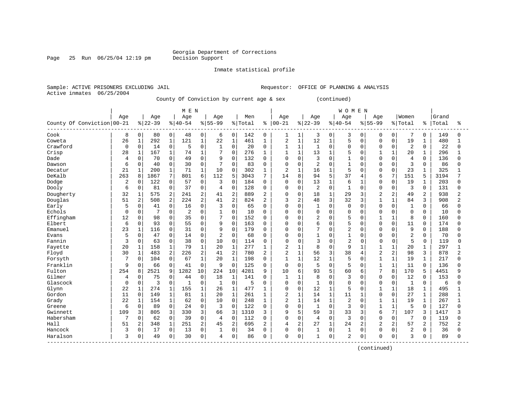### Georgia Department of Corrections<br>Decision Support

Page 25 Run  $06/25/04$  12:19 pm

#### Inmate statistical profile

Sample: ACTIVE PRISONERS EXCLUDING JAIL Requestor: OFFICE OF PLANNING & ANALYSIS Active inmates 06/25/2004

County Of Conviction by current age & sex (continued)

|                            |             |                |          |                | M E N          |                |                |                |         |                |                |                |              |              | <b>WOMEN</b>   |              |                |                |                |              |       |                |
|----------------------------|-------------|----------------|----------|----------------|----------------|----------------|----------------|----------------|---------|----------------|----------------|----------------|--------------|--------------|----------------|--------------|----------------|----------------|----------------|--------------|-------|----------------|
|                            | Age         |                | Age      |                | Age            |                | Age            |                | Men     |                | Age            |                | Age          |              | Age            |              | Age            |                | Women          |              | Grand |                |
| County Of Conviction 00-21 |             |                | $ 22-39$ |                | $8140 - 54$    |                | $8155 - 99$    |                | % Total | ៖              | $ 00 - 21$     |                | $8 22-39$    |              | $8 40-54$      |              | $8155 - 99$    |                | % Total        | % ေ          | Total | ႜ              |
| Cook                       | 8           | 0              | 80       | 0              | 48             | 0              | 6              | 0              | 142     | $\mathbf{0}$   | 1              | 1              | 3            | $\mathbf 0$  | 3              | 0            | $\Omega$       | 0              | 7              | 0            | 149   | 0              |
| Coweta                     | 26          | $\mathbf 1$    | 292      | $\mathbf 1$    | 121            | $1\,$          | 22             | $\mathbf 1$    | 461     | 1              | 2              | $\mathbf{1}$   | 12           | $\mathbf{1}$ | 5              | $\Omega$     | $\Omega$       | $\Omega$       | 19             | 1            | 480   |                |
| Crawford                   | 0           | 0              | 14       | 0              | 5              | 0              | $\mathbf{1}$   | $\mathbf 0$    | 20      | $\Omega$       | 1              | $\mathbf{1}$   | 1            | $\Omega$     | 0              | $\Omega$     | $\Omega$       | $\Omega$       | $\overline{2}$ | $\Omega$     | 22    | 0              |
| Crisp                      | 28          | $\mathbf 1$    | 167      | $\mathbf 1$    | 74             | $\mathbf{1}$   | 7              | $\Omega$       | 276     | $\mathbf{1}$   | 1              | $\mathbf{1}$   | 13           | 1            | 5              | $\Omega$     |                | $\mathbf{1}$   | 20             |              | 296   |                |
| Dade                       | 4           | 0              | 70       | 0              | 49             | $\mathbf 0$    | 9              | $\Omega$       | 132     | $\Omega$       | 0              | $\mathbf 0$    | 3            | $\Omega$     | $\mathbf{1}$   | 0            | $\Omega$       | $\mathbf 0$    | $\overline{4}$ | $\Omega$     | 136   | U              |
| Dawson                     | 6           | 0              | 40       | 0              | 30             | $\mathbf 0$    | 7              | $\Omega$       | 83      | $\Omega$       | $\Omega$       | $\mathbf 0$    | 2            | $\Omega$     | $\mathbf{1}$   | O            | $\Omega$       | $\Omega$       | 3              | $\Omega$     | 86    | 0              |
| Decatur                    | 21          | 1              | 200      | $\mathbf{1}$   | 71             | $\mathbf{1}$   | 10             | $\Omega$       | 302     | 1              | $\overline{c}$ | $\mathbf{1}$   | 16           | 1            | 5              | 0            | $\Omega$       | $\Omega$       | 23             |              | 325   |                |
| DeKalb                     | 263         | 8              | 1867     | 7              | 801            | 6              | 112            | 5              | 3043    | 7              | 14             | 8              | 94           | 5            | 37             | 4            | 6              | 7              | 151            | 5            | 3194  |                |
| Dodge                      | 2           | $\Omega$       | 122      | 0              | 57             | $\mathbf 0$    | 3              | $\Omega$       | 184     | $\Omega$       | 0              | $\Omega$       | 13           | $\mathbf{1}$ | 6              | 1            | $\Omega$       | $\Omega$       | 19             | $\mathbf{1}$ | 203   | U              |
| Dooly                      | 6           | 0              | 81       | 0              | 37             | $\mathbf 0$    | 4              | $\mathbf 0$    | 128     | 0              | 0              | $\Omega$       | 2            | $\Omega$     | $\mathbf{1}$   | $\Omega$     | $\Omega$       | $\Omega$       | 3              | $\mathbf 0$  | 131   | 0              |
| Dougherty                  | 32          | $\mathbf 1$    | 575      | 2              | 241            | $\overline{2}$ | 41             | $\overline{2}$ | 889     | $\overline{c}$ | 0              | $\mathbf 0$    | 18           | $\mathbf{1}$ | 29             | 3            | $\overline{c}$ | $\overline{2}$ | 49             | 2            | 938   | 2              |
| Douglas                    | 51          | 2              | 508      | $\overline{2}$ | 224            | 2              | 41             | $\overline{2}$ | 824     | $\overline{c}$ | 3              | 2              | 48           | 3            | 32             | 3            | 1              | $\mathbf{1}$   | 84             | 3            | 908   | 2              |
| Early                      | 5           | $\Omega$       | 41       | $\Omega$       | 16             | $\mathbf 0$    | 3              | $\Omega$       | 65      | $\Omega$       | $\Omega$       | $\Omega$       | $\mathbf{1}$ | $\Omega$     | $\mathbf 0$    | $\Omega$     | $\Omega$       | $\Omega$       | $\mathbf{1}$   | $\Omega$     | 66    | U              |
| Echols                     | $\Omega$    | 0              | 7        | 0              | $\overline{2}$ | $\mathbf 0$    | 1              | $\mathbf 0$    | 10      | $\Omega$       | $\Omega$       | $\mathbf 0$    | $\mathbf 0$  | $\Omega$     | 0              | 0            | $\Omega$       | $\Omega$       | $\mathbf 0$    | $\Omega$     | 10    | $\Omega$       |
| Effingham                  | 12          | 0              | 98       | 0              | 35             | $\mathbf 0$    | 7              | 0              | 152     | $\Omega$       | $\Omega$       | $\mathbf 0$    | 2            | $\Omega$     | 5              | 0            |                | 1              | 8              | $\Omega$     | 160   | <sup>0</sup>   |
| Elbert                     | 6           | $\Omega$       | 93       | 0              | 55             | $\mathbf 0$    | 9              | $\mathbf 0$    | 163     | $\Omega$       | $\Omega$       | $\Omega$       | 6            | $\Omega$     | 5              | U            | $\Omega$       | $\Omega$       | 11             | $\Omega$     | 174   | U              |
| Emanuel                    | 23          | $\mathbf{1}$   | 116      | 0              | 31             | $\Omega$       | 9              | $\Omega$       | 179     | $\Omega$       | $\Omega$       | $\Omega$       | 7            | $\Omega$     | $\overline{2}$ | U            | $\Omega$       | $\cap$         | 9              | $\mathbf 0$  | 188   | ∩              |
| Evans                      | 5           | $\mathbf 0$    | 47       | 0              | 14             | $\mathbf 0$    | $\overline{2}$ | $\mathbf 0$    | 68      | $\Omega$       | 0              | $\Omega$       | $\mathbf{1}$ | $\Omega$     | $\mathbf{1}$   | $\Omega$     | $\Omega$       | $\Omega$       | $\overline{2}$ | $\Omega$     | 70    | U              |
| Fannin                     | 3           | 0              | 63       | $\mathsf{O}$   | 38             | $\mathbf 0$    | 10             | $\mathbf 0$    | 114     | $\mathbf 0$    | 0              | 0              | 3            | $\Omega$     | $\overline{c}$ | $\Omega$     | $\mathbf 0$    | $\Omega$       | 5              | 0            | 119   | U              |
| Fayette                    | 20          | 1              | 158      | $\mathbf{1}$   | 79             | $\mathbf{1}$   | 20             | $\mathbf{1}$   | 277     | 1              | 2              | $\mathbf{1}$   | 8            | $\Omega$     | 9              | $\mathbf{1}$ | $\mathbf{1}$   | $\mathbf{1}$   | 20             | $\mathbf 1$  | 297   |                |
| Floyd                      | 30          | $\mathbf 1$    | 483      | $\overline{a}$ | 226            | $\overline{a}$ | 41             | $\overline{2}$ | 780     | 2              | $\overline{2}$ | $\mathbf{1}$   | 56           | 3            | 38             | 4            | $\overline{2}$ | $\overline{2}$ | 98             | 3            | 878   | $\overline{a}$ |
| Forsyth                    |             | 0              | 104      | 0              | 67             | 1              | 20             | $\mathbf{1}$   | 198     | $\mathbf 0$    | $\mathbf{1}$   | $\mathbf{1}$   | 12           | 1            | 5              | O            | $\mathbf{1}$   | $\mathbf{1}$   | 19             | $\mathbf{1}$ | 217   | $\Omega$       |
| Franklin                   | 9           | 0              | 66       | 0              | 41             | 0              | 9              | $\mathbf 0$    | 125     | 0              | 0              | $\mathbf 0$    | 5            | $\Omega$     | 5              | $\Omega$     | $\mathbf{1}$   | $\mathbf{1}$   | 11             | 0            | 136   | U              |
| Fulton                     | 254         | 8              | 2521     | 9              | 1282           | 10             | 224            | 10             | 4281    | 9              | 10             | 6              | 93           | 5            | 60             | 6            | 7              | 8              | 170            | 5            | 4451  | q              |
| Gilmer                     | 4           | 0              | 75       | $\Omega$       | 44             | $\mathbf 0$    | 18             | 1              | 141     | $\Omega$       | $\mathbf{1}$   | $\mathbf{1}$   | 8            | $\cap$       | 3              | <sup>0</sup> | $\Omega$       | $\Omega$       | 12             | $\Omega$     | 153   | ∩              |
| Glascock                   | $\mathbf 0$ | 0              | 3        | 0              | 1              | $\mathbf 0$    | 1              | $\mathbf 0$    | 5       | $\Omega$       | 0              | $\mathbf 0$    | $\mathbf{1}$ | $\Omega$     | $\mathbf 0$    | $\Omega$     | $\Omega$       | $\Omega$       | 1              | 0            | 6     | U              |
| Glynn                      | 22          | $\mathbf{1}$   | 274      | $\mathbf{1}$   | 155            | $1\,$          | 26             | $\mathbf 1$    | 477     | 1              | 0              | $\mathsf 0$    | 12           | $\mathbf{1}$ | 5              | $\Omega$     | $\mathbf{1}$   | $\mathbf{1}$   | 18             | $\mathbf{1}$ | 495   |                |
| Gordon                     | 11          | $\mathbf 0$    | 149      | $\mathbf{1}$   | 81             | $1\,$          | 20             | $\mathbf{1}$   | 261     | $\mathbf{1}$   | $\overline{c}$ | $1\,$          | 14           | $\mathbf{1}$ | 11             | 1            | $\Omega$       | $\mathbf 0$    | 27             | 1            | 288   |                |
| Grady                      | 22          | 1              | 154      | $\mathbf{1}$   | 62             | $\mathbf 0$    | 10             | $\Omega$       | 248     | 1              | $\overline{2}$ | $\mathbf{1}$   | 14           | $\mathbf{1}$ | $\overline{2}$ | O            | $\mathbf{1}$   | $\mathbf{1}$   | 19             | 1            | 267   | $\mathbf{1}$   |
| Greene                     | 6           | $\mathbf 0$    | 89       | 0              | 24             | 0              | 3              | $\mathbf 0$    | 122     | 0              | 0              | $\mathbf 0$    | $\mathbf{1}$ | $\Omega$     | 3              | $\Omega$     |                | $\overline{1}$ | 5              | $\Omega$     | 127   | 0              |
| Gwinnett                   | 109         | 3              | 805      | 3              | 330            | 3              | 66             | 3              | 1310    | 3              | 9              | 5              | 59           | 3            | 33             | 3            | 6              | 7              | 107            | 3            | 1417  |                |
| Habersham                  | 7           | $\Omega$       | 62       | $\Omega$       | 39             | $\Omega$       | 4              | $\Omega$       | 112     | $\Omega$       | $\Omega$       | $\Omega$       | 4            | $\Omega$     | 3              | $\Omega$     | $\Omega$       | $\Omega$       | 7              | $\Omega$     | 119   | U              |
| Hall                       | 51          | $\overline{2}$ | 348      | $\mathbf{1}$   | 251            | $\overline{2}$ | 45             | $\overline{2}$ | 695     | $\overline{2}$ | 4              | $\overline{2}$ | 27           | $\mathbf{1}$ | 24             | 2            | $\overline{c}$ | $\overline{2}$ | 57             | 2            | 752   | $\overline{2}$ |
| Hancock                    | 3           | 0              | 17       | 0              | 13             | $\mathbf 0$    |                | 0              | 34      | $\Omega$       | 0              | $\mathbf 0$    | 1            | $\Omega$     | $\mathbf 1$    | 0            | $\Omega$       | $\Omega$       | $\overline{2}$ | 0            | 36    | <sup>0</sup>   |
| Haralson                   | 3           | 0              | 49       | 0              | 30             | $\mathbf 0$    | 4              | $\mathbf 0$    | 86      | $\Omega$       | 0              | $\mathbf 0$    | $\mathbf{1}$ | 0            | $\overline{2}$ | 0            | 0              | 0              | 3              | 0            | 89    | <sup>0</sup>   |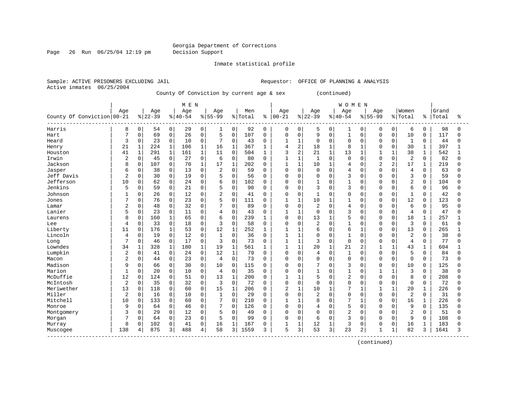Page 26 Run 06/25/04 12:19 pm Decision Support

Inmate statistical profile

Active inmates 06/25/2004

Sample: ACTIVE PRISONERS EXCLUDING JAIL **Requestor:** OFFICE OF PLANNING & ANALYSIS

County Of Conviction by current age & sex (continued)

|                                          |                |              |           |                | M E N    |              |                |              |         |              |                |                |                |              | <b>WOMEN</b>   |              |                |                |                         |             |       |          |
|------------------------------------------|----------------|--------------|-----------|----------------|----------|--------------|----------------|--------------|---------|--------------|----------------|----------------|----------------|--------------|----------------|--------------|----------------|----------------|-------------------------|-------------|-------|----------|
|                                          | Age            |              | Age       |                | Age      |              | Age            |              | Men     |              | Age            |                | Age            |              | Age            |              | Age            |                | Women                   |             | Grand |          |
| County Of Conviction 00-21               |                |              | $8 22-39$ |                | $ 40-54$ |              | $8155 - 99$    |              | % Total | ႜ            | $ 00 - 21$     |                | $8 22-39$      |              | $8140 - 54$    |              | $8155 - 99$    |                | % Total                 | နွ          | Total | ႜ        |
| Harris                                   | 8              | 0            | 54        | $\overline{0}$ | 29       | 0            | 1              | 0            | 92      | 0            | 0              | 0              | 5              | 0            | 1              | 0            | 0              | 0              | 6                       | 0           | 98    | $\Omega$ |
| Hart                                     | 7              | 0            | 69        | 0              | 26       | $\mathbf 0$  | 5              | $\mathbf 0$  | 107     | $\mathbf{0}$ | 0              | $\mathbf 0$    | 9              | $\mathbf 0$  | $\mathbf{1}$   | $\Omega$     | $\Omega$       | 0              | 10                      | $\Omega$    | 117   | U        |
| Heard                                    | 3              | 0            | 23        | 0              | 10       | $\mathbf 0$  | 7              | 0            | 43      | $\Omega$     |                | $\mathbf{1}$   | 0              | $\mathbf 0$  | $\mathbf 0$    | 0            | $\Omega$       | 0              | 1                       | 0           | 44    |          |
| Henry                                    | 21             | $\mathbf 1$  | 224       | $\mathbf{1}$   | 106      | $\mathbf{1}$ | 16             | $\mathbf{1}$ | 367     | 1            | 4              | $\overline{2}$ | 18             | $\mathbf{1}$ | 8              | $\mathbf{1}$ | $\Omega$       | $\Omega$       | 30                      | $\mathbf 1$ | 397   |          |
| Houston                                  | 41             | $\mathbf{1}$ | 291       | $\mathbf{1}$   | 161      | $\mathbf{1}$ | 11             | 0            | 504     | 1            | 3              | $\overline{a}$ | 21             | $\mathbf{1}$ | 13             | 1            | $\mathbf{1}$   | $\mathbf{1}$   | 38                      | $\mathbf 1$ | 542   | 1        |
| Irwin                                    | 2              | 0            | 45        | 0              | 27       | 0            | 6              | 0            | 80      | 0            |                | $\mathbf{1}$   | 1              | $\mathbf 0$  | $\mathsf 0$    | $\Omega$     | $\Omega$       | $\Omega$       | 2                       | $\mathbf 0$ | 82    | U        |
| Jackson                                  | 8              | $\mathbf 0$  | 107       | 0              | 70       | $\mathbf{1}$ | 17             | $\mathbf{1}$ | 202     | $\Omega$     | $\mathbf{1}$   | $\mathbf{1}$   | 10             | $\mathbf{1}$ | $\overline{4}$ | $\Omega$     | $\overline{c}$ | $\overline{2}$ | 17                      | 1           | 219   |          |
| Jasper                                   | 6              | 0            | 38        | 0              | 13       | $\Omega$     | $\overline{c}$ | $\Omega$     | 59      | $\Omega$     | $\Omega$       | $\Omega$       | $\Omega$       | $\Omega$     | 4              | $\Omega$     | $\Omega$       | O              | 4                       | $\Omega$    | 63    |          |
| Jeff Davis                               | $\overline{2}$ | 0            | 30        | 0              | 19       | $\mathbf 0$  | 5              | 0            | 56      | $\Omega$     | $\Omega$       | $\mathbf 0$    | 0              | $\Omega$     | 3              | $\Omega$     | $\Omega$       | $\Omega$       | 3                       | $\Omega$    | 59    |          |
| Jefferson                                | 10             | 0            | 62        | 0              | 24       | $\mathbf 0$  | 6              | 0            | 102     | $\Omega$     | $\Omega$       | $\mathbf 0$    |                | 0            | $\mathbf{1}$   | $\Omega$     | $\Omega$       | $\Omega$       | $\overline{2}$          | 0           | 104   |          |
| Jenkins                                  | 5              | 0            | 59        | 0              | 21       | $\mathbf 0$  | 5              | 0            | 90      | $\Omega$     | 0              | $\mathbf 0$    | 3              | $\Omega$     | 3              | 0            | $\Omega$       | 0              | 6                       | $\Omega$    | 96    |          |
| Johnson                                  |                | 0            | 26        | 0              | 12       | $\mathbf 0$  | $\overline{2}$ | 0            | 41      | $\Omega$     | $\Omega$       | $\mathbf 0$    | $\mathbf{1}$   | $\Omega$     | $\Omega$       | 0            | $\Omega$       | 0              | $\mathbf{1}$            | $\mathbf 0$ | 42    |          |
| Jones                                    | 7              | 0            | 76        | 0              | 23       | $\Omega$     | 5              | $\mathbf 0$  | 111     | $\Omega$     | $\mathbf{1}$   | $\mathbf{1}$   | 10             | $\mathbf{1}$ | $\mathbf{1}$   | $\Omega$     | $\Omega$       | $\Omega$       | 12                      | $\Omega$    | 123   |          |
| Lamar                                    | 2              | 0            | 48        | 0              | 32       | $\mathbf 0$  | 7              | $\Omega$     | 89      | $\Omega$     | 0              | $\mathbf 0$    | 2              | $\Omega$     | 4              | $\Omega$     | <sup>0</sup>   | O              | 6                       | $\Omega$    | 95    |          |
| Lanier                                   | 5              | 0            | 23        | 0              | 11       | $\Omega$     | 4              | $\Omega$     | 43      | $\Omega$     | 1              | $\mathbf{1}$   | $\Omega$       | $\Omega$     | 3              | 0            | $\Omega$       | 0              | $\overline{4}$          | $\Omega$    | 47    |          |
| Laurens                                  | 8              | 0            | 160       | 1              | 65       | $\mathbf 0$  | 6              | 0            | 239     |              | 0              | $\mathbf 0$    | 13             | $\mathbf{1}$ | 5              | $\Omega$     | $\Omega$       | 0              | 18                      | 1           | 257   |          |
| Lee                                      | 4              | 0            | 33        | 0              | 18       | $\mathbf 0$  | 3              | $\Omega$     | 58      | $\Omega$     | 0              | $\Omega$       | $\overline{2}$ | $\Omega$     | $\mathbf{1}$   | $\Omega$     | $\Omega$       | $\Omega$       | 3                       | $\Omega$    | 61    |          |
| Liberty                                  | 11             | 0            | 176       | $\mathbf{1}$   | 53       | $\mathbf 0$  | 12             | 1            | 252     | 1            | $\mathbf{1}$   | $\mathbf{1}$   | 6              | $\Omega$     | 6              | 1            | $\Omega$       | $\Omega$       | 13                      | $\Omega$    | 265   |          |
| Lincoln                                  | 4              | 0            | 19        | 0              | 12       | $\mathbf 0$  | $\mathbf{1}$   | 0            | 36      | $\Omega$     | 1              | $\mathbf{1}$   | 0              | $\Omega$     | $\mathbf{1}$   | $\Omega$     | <sup>0</sup>   | O              | $\overline{\mathbf{c}}$ | $\Omega$    | 38    |          |
| Long                                     | 7              | $\Omega$     | 46        | $\Omega$       | 17       | $\Omega$     | 3              | $\Omega$     | 73      | $\Omega$     | $\mathbf{1}$   | $\mathbf{1}$   | 3              | $\Omega$     | $\Omega$       | $\Omega$     | $\Omega$       | $\Omega$       | 4                       | $\Omega$    | 77    |          |
| Lowndes                                  | 34             | $\mathbf{1}$ | 328       | $\mathbf 1$    | 180      | $\mathbf{1}$ | 19             | $\mathbf{1}$ | 561     |              | 1              | $\mathbf{1}$   | 20             | $\mathbf{1}$ | 21             | 2            | 1              | $\mathbf{1}$   | 43                      | 1           | 604   |          |
| Lumpkin                                  | $\overline{2}$ | 0            | 41        | 0              | 24       | $\mathbf 0$  | 12             | $\mathbf{1}$ | 79      | 0            | 0              | $\mathbf 0$    | 4              | $\Omega$     | $\mathbf{1}$   | 0            | $\Omega$       | $\Omega$       | 5                       | $\Omega$    | 84    |          |
| Macon                                    |                | 0            | 44        | 0              | 23       | $\mathbf 0$  | 4              | 0            | 73      | $\Omega$     | $\Omega$       | $\mathbf 0$    | 0              | $\Omega$     | $\mathbf 0$    | $\Omega$     | $\Omega$       | $\Omega$       | $\Omega$                | $\Omega$    | 73    |          |
| Madison                                  | 9              | O            | 66        | 0              | 30       | $\mathbf 0$  | 10             | $\Omega$     | 115     | $\Omega$     | $\Omega$       | 0              | 7              | $\Omega$     | 3              | O            | $\Omega$       | $\Omega$       | 10                      | $\Omega$    | 125   |          |
| Marion                                   | $\mathbf{1}$   | 0            | 20        | 0              | 10       | $\Omega$     | $\overline{4}$ | $\Omega$     | 35      | $\Omega$     | $\Omega$       | $\Omega$       | $\mathbf{1}$   | $\Omega$     | $\mathbf{1}$   | $\Omega$     | $\mathbf{1}$   | $\mathbf{1}$   | 3                       | $\Omega$    | 38    |          |
| McDuffie                                 | 12             | $\mathbf 0$  | 124       | 0              | 51       | $\mathbf 0$  | 13             | $\mathbf{1}$ | 200     | $\Omega$     | 1              | $\mathbf{1}$   | 5              | O            | $\overline{2}$ | $\Omega$     | $\Omega$       | $\Omega$       | 8                       | $\Omega$    | 208   |          |
| McIntosh                                 | $\overline{2}$ | 0            | 35        | 0              | 32       | $\mathbf 0$  | 3              | $\Omega$     | 72      | $\Omega$     | 0              | $\mathbf 0$    | 0              | $\Omega$     | $\Omega$       | $\Omega$     | $\Omega$       | $\Omega$       | $\Omega$                | $\Omega$    | 72    |          |
| Meriwether                               | 13             | $\mathbf 0$  | 118       | 0              | 60       | $\mathbf 0$  | 15             | $\mathbf{1}$ | 206     | $\Omega$     | $\overline{2}$ | $\mathbf{1}$   | 10             | $\mathbf{1}$ | 7              | $\mathbf{1}$ | $\mathbf{1}$   | $\mathbf{1}$   | 20                      | $\mathbf 1$ | 226   |          |
| Miller                                   | 2              | 0            | 16        | 0              | 10       | $\mathbf 0$  | $\mathbf{1}$   | 0            | 29      | $\Omega$     | 0              | $\mathbf 0$    | 2              | $\Omega$     | $\mathbf 0$    | $\Omega$     | $\Omega$       | $\Omega$       | 2                       | $\Omega$    | 31    |          |
| Mitchell                                 | 10             | 0            | 133       | 0              | 60       | $\mathbf 0$  | 7              | 0            | 210     | $\Omega$     | 1              | $\mathbf{1}$   | 8              | $\Omega$     | 7              |              | $\Omega$       | $\Omega$       | 16                      | 1           | 226   |          |
| Monroe                                   | 9              | 0            | 64        | 0              | 46       | $\mathbf 0$  | 7              | $\Omega$     | 126     | $\Omega$     | $\Omega$       | $\mathbf 0$    | 4              | $\Omega$     | 5              | $\Omega$     | 0              | U              | 9                       | $\Omega$    | 135   |          |
| Montgomery                               | 3              | 0            | 29        | 0              | 12       | $\Omega$     | 5              | 0            | 49      | $\Omega$     | $\Omega$       | $\mathbf 0$    | 0              | $\Omega$     | $\overline{2}$ | $\Omega$     | $\Omega$       | O              | $\overline{2}$          | $\Omega$    | 51    |          |
| Morgan                                   |                | 0            | 64        | 0              | 23       | $\mathbf 0$  | 5              | $\mathbf 0$  | 99      | $\Omega$     | $\Omega$       | $\mathbf 0$    | 6              | $\Omega$     | 3              | $\Omega$     | $\Omega$       | $\Omega$       | 9                       | $\Omega$    | 108   |          |
| Murray                                   | 8              | 0            | 102       | 0              | 41       | $\mathbf 0$  | 16             | $\mathbf{1}$ | 167     | $\Omega$     |                | $\mathbf{1}$   | 12             |              | 3              | 0            | 0              | 0              | 16                      |             | 183   |          |
| Muscogee<br>---------------------------- | 138            | 4            | 875       | 3              | 488      | 4            | 58             | 3            | 1559    | 3            | 5              | 3              | 53             | 3            | 23             | 2            | 1              | $\mathbf 1$    | 82                      | 3           | 1641  | 3        |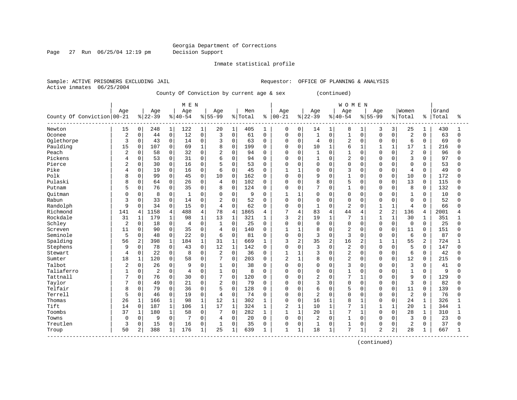Page 27 Run 06/25/04 12:19 pm Decision Support

Inmate statistical profile

Active inmates 06/25/2004

Sample: ACTIVE PRISONERS EXCLUDING JAIL **Requestor:** OFFICE OF PLANNING & ANALYSIS

County Of Conviction by current age & sex (continued)

|                            |                |              |                |                | M E N          |              |                |                |         |              |                |              |                |              | <b>WOMEN</b>   |                |                |                |                |          |       |              |
|----------------------------|----------------|--------------|----------------|----------------|----------------|--------------|----------------|----------------|---------|--------------|----------------|--------------|----------------|--------------|----------------|----------------|----------------|----------------|----------------|----------|-------|--------------|
|                            | Age            |              | Age            |                | Age            |              | Age            |                | Men     |              | Age            |              | Age            |              | Age            |                | Age            |                | Women          |          | Grand |              |
| County Of Conviction 00-21 |                |              | $8 22-39$      |                | $8 40-54$      |              | $8155 - 99$    |                | % Total | ႜ            | $ 00 - 21$     |              | $ 22-39$       |              | $8140 - 54$    |                | $8155 - 99$    |                | % Total        | ႜၟ       | Total | ÷            |
| Newton                     | 15             | 0            | 248            | $\mathbf{1}$   | 122            | 1            | 20             | 1              | 405     | 1            | $\mathbf 0$    | 0            | 14             | $\mathbf{1}$ | 8              | 1              | 3              | 3              | 25             | 1        | 430   |              |
| Oconee                     | $\overline{2}$ | 0            | 44             | $\mathbf 0$    | 12             | $\mathbf 0$  | 3              | $\Omega$       | 61      | $\Omega$     | $\mathbf 0$    | $\Omega$     | $\mathbf{1}$   | 0            | $\mathbf{1}$   | $\Omega$       | $\Omega$       | $\Omega$       | 2              | $\Omega$ | 63    | $\Omega$     |
| Oglethorpe                 | 3              | 0            | 43             | 0              | 14             | $\mathbf 0$  | 3              | $\mathbf 0$    | 63      | $\mathbf 0$  | 0              | 0            | $\overline{4}$ | $\Omega$     | $\overline{2}$ | $\Omega$       | $\Omega$       | $\Omega$       | 6              | $\Omega$ | 69    | 0            |
| Paulding                   | 15             | 0            | 107            | $\mathbf 0$    | 69             | $\mathbf{1}$ | 8              | $\mathbf 0$    | 199     | $\Omega$     | 0              | $\mathbf 0$  | 10             | $\mathbf{1}$ | 6              | $\mathbf{1}$   | 1              | 1              | 17             | 1        | 216   | $\Omega$     |
| Peach                      | $\overline{2}$ | 0            | 58             | $\mathbf 0$    | 32             | 0            | $\overline{2}$ | $\Omega$       | 94      | $\mathbf 0$  | 0              | 0            | 1              | $\Omega$     | $\mathbf{1}$   | $\Omega$       | $\cap$         | $\Omega$       | $\overline{2}$ | $\Omega$ | 96    | <sup>0</sup> |
| Pickens                    | 4              | 0            | 53             | 0              | 31             | 0            | 6              | $\Omega$       | 94      | $\mathbf 0$  | $\mathbf 0$    | $\Omega$     | 1              | $\Omega$     | $\overline{c}$ | $\Omega$       | $\cap$         | $\Omega$       | 3              | $\Omega$ | 97    | <sup>0</sup> |
| Pierce                     | 2              | 0            | 30             | $\mathbf 0$    | 16             | $\Omega$     |                | $\Omega$       | 53      | 0            | $\Omega$       | $\Omega$     | $\Omega$       | $\Omega$     | $\Omega$       | $\Omega$       | $\cap$         | $\Omega$       | $\mathbf 0$    | $\Omega$ | 53    | <sup>0</sup> |
| Pike                       | 4              | $\Omega$     | 19             | $\mathbf 0$    | 16             | $\Omega$     | 6              | $\Omega$       | 45      | $\Omega$     | $\mathbf{1}$   | $\mathbf{1}$ | $\Omega$       | $\Omega$     | 3              | $\cap$         | $\cap$         | $\Omega$       | $\overline{4}$ | $\Omega$ | 49    | U            |
| Polk                       | 8              | $\Omega$     | 99             | $\mathbf 0$    | 45             | $\Omega$     | 10             | $\Omega$       | 162     | $\Omega$     | $\Omega$       | $\Omega$     | 9              | $\Omega$     | $\mathbf{1}$   | $\Omega$       | $\Omega$       | $\Omega$       | 10             | $\Omega$ | 172   | $\Omega$     |
| Pulaski                    | 8              | 0            | 64             | $\mathsf 0$    | 26             | $\mathbf 0$  | $\overline{4}$ | $\mathbf 0$    | 102     | $\mathbf 0$  | 0              | $\Omega$     | 8              | $\Omega$     | 5              | $\Omega$       | $\Omega$       | $\Omega$       | 13             | $\Omega$ | 115   | $\Omega$     |
| Putnam                     | 5              | 0            | 76             | 0              | 35             | 0            | 8              | $\mathbf 0$    | 124     | 0            | 0              | $\Omega$     | 7              | 0            | $\mathbf{1}$   | $\Omega$       | $\Omega$       | 0              | 8              | $\Omega$ | 132   | $\Omega$     |
| Ouitman                    |                | 0            | 8              | 0              |                | 0            | $\Omega$       | $\mathbf 0$    | 9       | $\Omega$     |                | $\mathbf 1$  | $\Omega$       | 0            | $\Omega$       | $\Omega$       |                | $\Omega$       | $\mathbf 1$    | $\Omega$ | 10    | $\Omega$     |
| Rabun                      | 3              | 0            | 33             | $\mathbf 0$    | 14             | $\Omega$     | $\overline{2}$ | $\Omega$       | 52      | $\Omega$     | $\Omega$       | $\Omega$     | $\Omega$       | $\Omega$     | $\Omega$       | $\Omega$       | $\Omega$       | $\Omega$       | $\Omega$       | $\Omega$ | 52    | <sup>0</sup> |
| Randolph                   | 9              | $\Omega$     | 34             | 0              | 15             | $\Omega$     | 4              | $\Omega$       | 62      | $\Omega$     | $\Omega$       | $\Omega$     | $\mathbf{1}$   | $\Omega$     | $\overline{c}$ | $\Omega$       | $\mathbf{1}$   | $\mathbf{1}$   | $\overline{4}$ | $\Omega$ | 66    | <sup>0</sup> |
| Richmond                   | 141            | 4            | 1158           | $\overline{4}$ | 488            | 4            | 78             | $\overline{4}$ | 1865    | 4            | 7              | 4            | 83             | 4            | 44             | 4              | $\overline{c}$ | $\overline{2}$ | 136            | 4        | 2001  |              |
| Rockdale                   | 31             | $\mathbf{1}$ | 179            | $\mathbf{1}$   | 98             | $\mathbf{1}$ | 13             | $\mathbf{1}$   | 321     | 1            | 3              | 2            | 19             | $\mathbf{1}$ | 7              | $\mathbf{1}$   | $\mathbf{1}$   |                | 30             | 1        | 351   |              |
| Schley                     | $\sqrt{2}$     | $\Omega$     | 18             | $\mathbf 0$    | $\overline{4}$ | $\Omega$     | 1              | $\Omega$       | 25      | $\Omega$     | $\Omega$       | $\Omega$     | $\Omega$       | $\Omega$     | $\Omega$       | $\Omega$       | $\Omega$       | $\Omega$       | $\mathbf 0$    | $\Omega$ | 25    | 0            |
| Screven                    | 11             | $\Omega$     | 90             | $\mathbf 0$    | 35             | $\Omega$     | 4              | $\Omega$       | 140     | $\Omega$     | $\mathbf{1}$   | -1           | 8              | $\Omega$     | $\overline{c}$ | $\Omega$       | $\Omega$       | $\Omega$       | 11             | $\Omega$ | 151   | U            |
| Seminole                   | 5              | 0            | 48             | $\mathbf 0$    | 22             | 0            | 6              | $\mathbf 0$    | 81      | $\mathbf 0$  | 0              | 0            | 3              | $\mathbf 0$  | 3              | $\mathbf 0$    | $\Omega$       | $\mathbf 0$    | 6              | 0        | 87    | 0            |
| Spalding                   | 56             | 2            | 398            | $\mathbf{1}$   | 184            | 1            | 31             | $\mathbf 1$    | 669     | $\mathbf{1}$ | 3              | 2            | 35             | 2            | 16             | $\overline{2}$ |                | $\mathbf{1}$   | 55             | 2        | 724   | $\mathbf{1}$ |
| Stephens                   | 9              | 0            | 78             | 0              | 43             | $\Omega$     | 12             | $\mathbf{1}$   | 142     | $\Omega$     | $\Omega$       | $\Omega$     | 3              | $\Omega$     | $\overline{2}$ | $\Omega$       | $\Omega$       | $\Omega$       | 5              | $\Omega$ | 147   | 0            |
| Stewart                    | 4              | 0            | 22             | 0              | 8              | $\mathbf 0$  | $\overline{2}$ | $\mathbf 0$    | 36      | 0            | 1              |              | 3              | $\Omega$     | $\overline{c}$ | 0              | O              | $\Omega$       | 6              | 0        | 42    | 0            |
| Sumter                     | 18             | $\mathbf{1}$ | 120            | $\mathbf 0$    | 58             | 0            | 7              | $\mathbf 0$    | 203     | 0            | $\overline{2}$ | $\mathbf{1}$ | 8              | $\mathbf 0$  | $\overline{c}$ | $\Omega$       | $\cap$         | $\Omega$       | 12             | $\Omega$ | 215   | $\cap$       |
| Talbot                     | 2              | $\Omega$     | 26             | $\mathbf 0$    | 9              | $\Omega$     | 1              | $\Omega$       | 38      | $\Omega$     | $\Omega$       | $\Omega$     | $\Omega$       | $\Omega$     | 3              | $\Omega$       | $\cap$         | $\cap$         | 3              | $\Omega$ | 41    | O            |
| Taliaferro                 | $\mathbf{1}$   | $\Omega$     | $\overline{2}$ | $\mathbf 0$    | $\overline{4}$ | $\Omega$     | $\mathbf{1}$   | $\Omega$       | 8       | $\Omega$     | O              | $\Omega$     | $\Omega$       | $\Omega$     | $\mathbf{1}$   | $\cap$         | $\Omega$       | $\Omega$       | $\mathbf{1}$   | $\Omega$ | 9     | $\cap$       |
| Tattnall                   |                | 0            | 76             | $\mathbf 0$    | 30             | $\Omega$     | 7              | $\mathbf 0$    | 120     | 0            | 0              | $\Omega$     | $\overline{2}$ | $\Omega$     | 7              | 1              | $\cap$         | $\Omega$       | 9              | $\Omega$ | 129   | $\Omega$     |
| Taylor                     |                | 0            | 49             | 0              | 21             | $\Omega$     | $\overline{2}$ | $\Omega$       | 79      | $\Omega$     | 0              | $\Omega$     | 3              | $\Omega$     | $\Omega$       | $\Omega$       | $\Omega$       | $\Omega$       | $\overline{3}$ | $\Omega$ | 82    | <sup>0</sup> |
| Telfair                    | 8              | 0            | 79             | $\mathbf 0$    | 36             | $\Omega$     | 5              | $\Omega$       | 128     | 0            | 0              | $\Omega$     | 6              | 0            | 5              | $\Omega$       | $\Omega$       | $\Omega$       | 11             | $\Omega$ | 139   | $\Omega$     |
| Terrell                    | 5              | 0            | 46             | $\mathbf 0$    | 19             | 0            | 4              | $\Omega$       | 74      | 0            | $\mathbf 0$    | $\mathbf 0$  | $\overline{2}$ | $\Omega$     | $\Omega$       | $\Omega$       | $\Omega$       | $\Omega$       | 2              | $\Omega$ | 76    | U            |
| Thomas                     | 26             | $\mathbf{1}$ | 166            | $\mathbf{1}$   | 98             | $\mathbf{1}$ | 12             | $\mathbf{1}$   | 302     | 1            | $\mathbf 0$    | 0            | 16             | $\mathbf{1}$ | 8              |                | $\Omega$       | $\Omega$       | 24             | 1        | 326   |              |
| Tift                       | 14             | $\mathbf 0$  | 187            | $\mathbf{1}$   | 106            | 1            | 17             | $\mathbf 1$    | 324     | 1            | 2              | $\mathbf{1}$ | 10             | $\mathbf{1}$ | 7              | 1              | $\mathbf{1}$   |                | 20             | 1        | 344   |              |
| Toombs                     | 37             | $\mathbf{1}$ | 180            | $\mathbf{1}$   | 58             | $\Omega$     | 7              | $\Omega$       | 282     | $\mathbf{1}$ | $\mathbf{1}$   | $\mathbf{1}$ | 20             | $\mathbf{1}$ | 7              | $\mathbf{1}$   | $\Omega$       | $\Omega$       | 28             | 1        | 310   | 1            |
| Towns                      | $\Omega$       | 0            | 9              | $\mathbf 0$    |                | $\mathbf 0$  | 4              | $\mathbf 0$    | 20      | $\Omega$     | $\mathbf 0$    | $\Omega$     | $\overline{2}$ | $\Omega$     | $\mathbf{1}$   | $\Omega$       | $\Omega$       | $\Omega$       | 3              | $\Omega$ | 23    | $\Omega$     |
| Treutlen                   | 3              | 0            | 15             | 0              | 16             | 0            | 1              | $\mathbf{0}$   | 35      | 0            | 0              | 0            | 1              | 0            | $\mathbf{1}$   | 0              | 0              | $\Omega$       | $\overline{2}$ | $\Omega$ | 37    | <sup>0</sup> |
| Troup                      | 50             | 2            | 388            | $\mathbf{1}$   | 176            | 1            | 25             | 1              | 639     | 1            | $\mathbf{1}$   | $\mathbf{1}$ | 18             | $\mathbf{1}$ | 7              | 1              | $\overline{2}$ | 2              | 28             |          | 667   | $\mathbf{1}$ |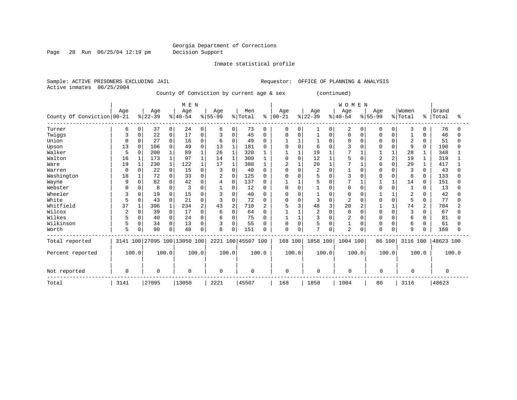Inmate statistical profile

Page 28 Run 06/25/04 12:19 pm Decision Support

Sample: ACTIVE PRISONERS EXCLUDING JAIL **Requestor:** OFFICE OF PLANNING & ANALYSIS Active inmates 06/25/2004

County Of Conviction by current age & sex (continued)

|                            |                |          |           |                | M E N                        |                |                |                |                    |              |                |          |                |          | WOMEN          |          |          |                |                |                |           |       |
|----------------------------|----------------|----------|-----------|----------------|------------------------------|----------------|----------------|----------------|--------------------|--------------|----------------|----------|----------------|----------|----------------|----------|----------|----------------|----------------|----------------|-----------|-------|
|                            | Age            |          | Age       |                | Age                          |                | Age            |                | Men                |              | Age            |          | Age            |          | Age            |          | Age      |                | Women          |                | Grand     |       |
| County Of Conviction 00-21 |                |          | $ 22-39 $ |                | $ 40-54 $                    |                | $8 55-99$      |                | % Total            | နွ           | $ 00 - 21$     |          | $ 22-39 $      |          | $ 40-54$       |          | $ 55-99$ |                | %   Total      | $\approx$      | Total     | ႜ     |
| Turner                     | 6              | 0        | 37        | $\overline{0}$ | 24                           | 0              | 6              | 0              | 73                 | $\Omega$     | 0              | $\Omega$ |                | 0        | 2              | $\Omega$ | $\Omega$ | $\Omega$       | 3              | 0              | 76        | O     |
| Twiggs                     | 3              | 0        | 22        | 0              | 17                           | 0              | 3              | $\mathbf 0$    | 45                 | $\Omega$     | $\Omega$       | O        |                | $\Omega$ | $\Omega$       | $\Omega$ | O        |                |                | U              | 46        | O     |
| Union                      | 0              | 0        | 27        | 0              | 16                           | $\mathbf 0$    | 6              | $\Omega$       | 49                 | $\Omega$     |                |          |                | $\Omega$ | $\Omega$       | $\Omega$ |          |                | $\overline{c}$ | 0              | 51        | O     |
| Upson                      | 13             | 0        | 106       | $\Omega$       | 49                           | $\Omega$       | 13             |                | 181                | <sup>0</sup> | O              |          | 6              |          |                | O        |          |                | 9              | 0              | 190       |       |
| Walker                     | 5              | $\Omega$ | 200       | 1              | 89                           |                | 26             |                | 320                |              |                |          | 19             |          |                |          |          |                | 28             |                | 348       |       |
| Walton                     | 16             |          | 173       | $\mathbf{1}$   | 97                           |                | 14             |                | 300                |              |                | $\Omega$ | 12             |          |                |          | 2        | $\overline{2}$ | 19             |                | 319       |       |
| Ware                       | 19             |          | 230       | $\mathbf{1}$   | 122                          |                | 17             | $\mathbf{1}$   | 388                |              | $\overline{2}$ |          | 20             |          |                |          |          | $\Omega$       | 29             |                | 417       |       |
| Warren                     | $\Omega$       | 0        | 22        | $\Omega$       | 15                           | $\Omega$       | 3              | 0              | 40                 | O            | O              | $\Omega$ | $\overline{2}$ | 0        |                | $\Omega$ |          |                | 3              | 0              | 43        |       |
| Washington                 | 18             |          | 72        | 0              | 33                           | $\Omega$       | $\overline{c}$ | 0              | 125                | n            |                | U        |                |          | 3              | O        |          |                | 8              | 0              | 133       | U     |
| Wayne                      | 9              | 0        | 82        | 0              | 42                           | 0              |                | 0              | 137                |              |                |          |                |          |                |          |          |                | 14             | 0              | 151       |       |
| Webster                    |                | O        | 8         | 0              |                              | $\Omega$       |                | 0              | 12                 |              | U              | O        |                | U        | $\Omega$       | O        |          |                |                | U              | 13        |       |
| Wheeler                    |                | U        | 19        | 0              | 15                           | $\Omega$       |                | 0              | 40                 |              | U              |          |                |          | $\Omega$       |          |          |                | 2              |                | 42        |       |
| White                      | 5              | 0        | 43        | $\Omega$       | 21                           | $\Omega$       | 3              | $\mathbf 0$    | 72                 | O            | 0              | $\Omega$ | 3              | $\Omega$ | $\overline{c}$ |          |          | $\Omega$       | 5              | $\Omega$       | 77        | O     |
| Whitfield                  | 37             |          | 396       | 1              | 234                          | $\overline{a}$ | 43             | $\overline{2}$ | 710                | 2            | 5              | 3        | 48             | 3        | 20             |          |          |                | 74             | $\overline{a}$ | 784       | 2     |
| Wilcox                     | $\overline{2}$ | 0        | 39        | 0              | 17                           | $\Omega$       | 6              | $\Omega$       | 64                 |              |                |          | 2              | 0        | $\Omega$       | O        |          |                | 3              | U              | 67        |       |
| Wilkes                     |                | 0        | 40        | 0              | 24                           | $\mathbf 0$    | 6              | 0              | 75                 |              |                |          | 3              | 0        | $\overline{c}$ |          |          |                | 6              |                | 81        |       |
| Wilkinson                  | 5              | 0        | 34        | 0              | 13                           | $\Omega$       | 3              | $\mathbf 0$    | 55                 |              | 0              | $\Omega$ | 5              | 0        |                | 0        |          |                | 6              | U              | 61        |       |
| Worth                      | 5              | 0        | 90        | 0              | 48                           | 0              | 8              | 0              | 151                |              | 0              | 0        | 7              | 0        | $\overline{2}$ | $\Omega$ | $\Omega$ | $\mathbf 0$    | 9              |                | 160       |       |
| Total reported             |                |          |           |                | 3141 100 27095 100 13050 100 |                |                |                | 2221 100 45507 100 |              | 168 100        |          | 1858 100       |          | 1004 100       |          | 86 100   |                | 3116 100       |                | 48623 100 |       |
| Percent reported           |                | 100.0    |           | 100.0          |                              | 100.0          | 100.0          |                |                    | 100.0        |                | 100.0    | 100.0          |          | 100.0          |          |          | 100.0          |                | 100.0          |           | 100.0 |
| Not reported               | 0              |          | $\Omega$  |                | $\Omega$                     |                | $\Omega$       |                | 0                  |              | 0              |          | $\Omega$       |          | 0              |          | $\Omega$ |                | $\Omega$       |                | $\Omega$  |       |
| Total                      | 3141           |          | 27095     |                | 13050                        |                | 2221           |                | 45507              |              | 168            |          | 1858           |          | 1004           |          | 86       |                | 3116           |                | 48623     |       |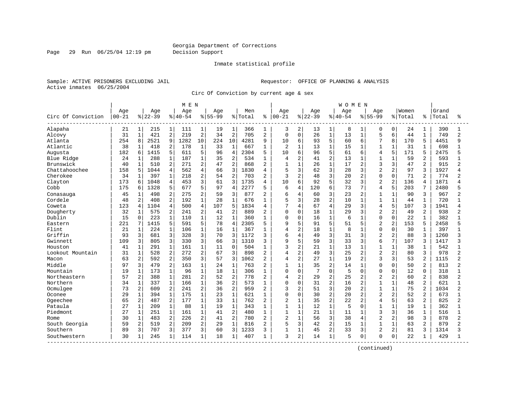Page 29 Run 06/25/04 12:19 pm Decision Support

#### Inmate statistical profile

Sample: ACTIVE PRISONERS EXCLUDING JAIL **Requestor:** OFFICE OF PLANNING & ANALYSIS Active inmates 06/25/2004

Circ Of Conviction by current age & sex

|                    |           |                |           |                | M E N     |                |             |                |         |                |                |                |          |                | <b>WOMEN</b> |                |                |                |         |                |       |                |
|--------------------|-----------|----------------|-----------|----------------|-----------|----------------|-------------|----------------|---------|----------------|----------------|----------------|----------|----------------|--------------|----------------|----------------|----------------|---------|----------------|-------|----------------|
|                    | Age       |                | Age       |                | Age       |                | Age         |                | Men     |                | Age            |                | Age      |                | Age          |                | Aqe            |                | Women   |                | Grand |                |
| Circ Of Conviction | $00 - 21$ |                | $8 22-39$ |                | $8 40-54$ |                | $8155 - 99$ |                | % Total | ి              | $ 00 - 21$     |                | $ 22-39$ |                | $8 40-54$    |                | $8 55-99$      |                | % Total | °              | Total | ႜ              |
| Alapaha            | 21        | 1              | 215       | $\mathbf{1}$   | 111       | 1              | 19          | 1              | 366     | 1              | 3              | 2              | 13       | 1              | 8            | 1              | 0              | 0              | 24      | 1              | 390   |                |
| Alcovy             | 31        | $\mathbf{1}$   | 421       | 2              | 219       | $\overline{c}$ | 34          | $\overline{2}$ | 705     | $\overline{a}$ | $\Omega$       | $\mathbf 0$    | 26       | $\mathbf{1}$   | 13           | $\mathbf{1}$   | 5              | 6              | 44      | $\mathbf{1}$   | 749   | $\overline{a}$ |
| Atlanta            | 254       | 8              | 2521      | 9              | 1282      | 10             | 224         | 10             | 4281    | 9              | 10             | 6              | 93       | 5              | 60           | 6              | 7              | 8              | 170     | 5              | 4451  | q              |
| Atlantic           | 38        | 1              | 418       | 2              | 178       | $\mathbf{1}$   | 33          | $\mathbf 1$    | 667     |                | 2              | $\mathbf{1}$   | 13       | $\mathbf{1}$   | 15           | 1              | $\mathbf{1}$   | $\mathbf{1}$   | 31      |                | 698   |                |
| Augusta            | 182       | 6              | 1415      | 5              | 611       | 5              | 96          | $\overline{4}$ | 2304    | 5              | 10             | 6              | 96       | 5              | 61           | 6              | 4              | 5              | 171     | 5              | 2475  |                |
| Blue Ridge         | 24        | 1              | 288       | $\mathbf 1$    | 187       | $\mathbf 1$    | 35          | $\overline{a}$ | 534     | 1              | 4              | 2              | 41       | $\overline{a}$ | 13           | $\mathbf{1}$   | $\mathbf{1}$   | $\mathbf{1}$   | 59      | 2              | 593   |                |
| Brunswick          | 40        | $\mathbf{1}$   | 510       | $\overline{2}$ | 271       | 2              | 47          | $\overline{2}$ | 868     | $\overline{2}$ | $\mathbf{1}$   | $\mathbf{1}$   | 26       | $\mathbf{1}$   | 17           | 2              | 3              | 3              | 47      | $\overline{a}$ | 915   | 2              |
| Chattahoochee      | 158       | 5              | 1044      | 4              | 562       | $\overline{4}$ | 66          | $\overline{3}$ | 1830    | $\overline{4}$ | 5              | $\overline{3}$ | 62       | 3              | 28           | 3              | $\overline{2}$ | 2              | 97      | ζ              | 1927  |                |
| Cherokee           | 34        | 1              | 397       | $\mathbf 1$    | 218       | 2              | 54          | $\overline{2}$ | 703     | $\overline{2}$ | 3              | $\overline{c}$ | 48       | 3              | 20           | 2              | $\Omega$       | O              | 71      | 2              | 774   |                |
| Clayton            | 173       | 6              | 1048      | 4              | 453       | 3              | 61          | 3              | 1735    | 4              | 10             | 6              | 92       | 5              | 32           | 3              | $\overline{2}$ | $\overline{a}$ | 136     | 4              | 1871  |                |
| Cobb               | 175       | 6              | 1328      | 5              | 677       | 5              | 97          | $\overline{4}$ | 2277    | 5              | 6              | 4              | 120      | 6              | 73           | 7              | 4              | 5              | 203     | 7              | 2480  |                |
| Conasauga          | 45        | 1              | 498       | $\overline{a}$ | 275       | 2              | 59          | 3              | 877     | $\overline{a}$ | 6              | $\overline{4}$ | 60       | 3              | 23           | $\overline{2}$ | 1              | $\mathbf{1}$   | 90      | 3              | 967   |                |
| Cordele            | 48        | 2              | 408       | $\overline{2}$ | 192       | $\mathbf{1}$   | 28          | $\mathbf{1}$   | 676     |                | 5              | 3              | 28       | $\overline{2}$ | 10           | $\mathbf{1}$   | $\mathbf{1}$   | $\mathbf{1}$   | 44      | $\mathbf{1}$   | 720   |                |
| Coweta             | 123       | 4              | 1104      | $\overline{4}$ | 500       | $\overline{4}$ | 107         | 5              | 1834    | $\overline{4}$ | 7              | $\overline{4}$ | 67       | $\overline{4}$ | 29           | 3              | 4              | 5              | 107     | 3              | 1941  |                |
| Dougherty          | 32        | $\mathbf 1$    | 575       | 2              | 241       | $\overline{2}$ | 41          | $\overline{a}$ | 889     | $\overline{2}$ | 0              | $\mathbf 0$    | 18       | $\mathbf{1}$   | 29           | 3              | $\overline{a}$ | $\overline{2}$ | 49      | $\overline{a}$ | 938   |                |
| Dublin             | 15        | $\Omega$       | 223       | $\mathbf{1}$   | 110       | $\mathbf{1}$   | 12          | $\mathbf{1}$   | 360     |                | 0              | $\overline{0}$ | 16       | $\mathbf{1}$   | 6            | 1              | $\Omega$       | $\Omega$       | 22      | $\mathbf{1}$   | 382   |                |
| Eastern            | 221       |                | 1415      | 5              | 591       | 5              | 78          | $\overline{4}$ | 2305    | 5              | 9              | 5              | 91       | 5              | 51           | 5              | $\overline{2}$ | $\overline{a}$ | 153     | 5              | 2458  |                |
| Flint              | 21        | $\mathbf{1}$   | 224       | $\mathbf{1}$   | 106       | $\mathbf{1}$   | 16          | $\mathbf{1}$   | 367     | 1              | 4              | 2              | 18       | $\mathbf{1}$   | 8            | -1             | $\mathbf 0$    | $\Omega$       | 30      | 1              | 397   |                |
| Griffin            | 93        | 3              | 681       | 3              | 328       | 3              | 70          | 3              | 1172    | 3              | 6              | $\overline{4}$ | 49       | 3              | 31           | 3              | $\overline{c}$ | 2              | 88      | 3              | 1260  |                |
| Gwinnett           | 109       | 3              | 805       | 3              | 330       | 3              | 66          | 3              | 1310    | 3              | 9              | 5              | 59       | 3              | 33           | 3              | 6              | 7              | 107     | 3              | 1417  | ς              |
| Houston            | 41        | 1              | 291       | $\mathbf 1$    | 161       | $\mathbf{1}$   | 11          | $\mathbf 0$    | 504     |                | 3              | $\overline{c}$ | 21       | $\mathbf{1}$   | 13           |                | 1              | $\mathbf{1}$   | 38      | 1              | 542   |                |
| Lookout Mountain   | 31        | $\mathbf 1$    | 528       | 2              | 272       | $\overline{2}$ | 67          | 3              | 898     | $\overline{2}$ | 4              | $\overline{2}$ | 49       | 3              | 25           | 2              | $\overline{2}$ | $\overline{2}$ | 80      | 3              | 978   |                |
| Macon              | 63        | 2              | 592       | $\overline{2}$ | 350       | 3              | 57          | 3              | 1062    | $\overline{a}$ | 4              | $\overline{a}$ | 27       | $\mathbf{1}$   | 19           | $\mathbf{2}$   | 3              | $\overline{3}$ | 53      | 2              | 1115  | 2              |
| Middle             | 97        | 3              | 479       | $\overline{2}$ | 163       | $\mathbf{1}$   | 24          | $\mathbf{1}$   | 763     | $\overline{2}$ | 1              | $\mathbf{1}$   | 35       | $\overline{2}$ | 14           | $\mathbf{1}$   | $\Omega$       | $\Omega$       | 50      | $\overline{2}$ | 813   |                |
| Mountain           | 19        | 1              | 173       | $\mathbf 1$    | 96        | $1\,$          | 18          | $\mathbf 1$    | 306     | 1              | 0              | $\mathbf 0$    | 7        | $\mathbf 0$    | 5            | $\Omega$       | $\Omega$       | $\Omega$       | 12      | $\Omega$       | 318   |                |
| Northeastern       | 57        | 2              | 388       | $\mathbf{1}$   | 281       | 2              | 52          | $\overline{2}$ | 778     | $\overline{2}$ | 4              | $\overline{2}$ | 29       | $\overline{a}$ | 25           | 2              | $\overline{2}$ | 2              | 60      | $\overline{2}$ | 838   | $\overline{a}$ |
| Northern           | 34        | 1              | 337       | $\mathbf 1$    | 166       | $\mathbf{1}$   | 36          | $\overline{2}$ | 573     |                | 0              | $\mathbf 0$    | 31       | $\overline{2}$ | 16           | 2              | $\mathbf{1}$   | $\mathbf{1}$   | 48      | 2              | 621   |                |
| Ocmulgee           | 73        | 2              | 609       | 2              | 241       | 2              | 36          | $\overline{2}$ | 959     | 2              | 3              | $\overline{2}$ | 51       | 3              | 20           | 2              | 1              | $\mathbf{1}$   | 75      |                | 1034  |                |
| Oconee             | 29        | $\mathbf 1$    | 394       | $\mathbf 1$    | 175       | $\mathbf 1$    | 23          | $\mathbf{1}$   | 621     | 1              | 0              | $\mathbf 0$    | 30       | $\overline{a}$ | 20           | $\overline{2}$ | $\overline{a}$ | $\overline{a}$ | 52      | 2              | 673   |                |
| Ogeechee           | 65        | $\overline{a}$ | 487       | 2              | 177       | $\mathbf 1$    | 33          | $\mathbf{1}$   | 762     | $\overline{2}$ | 2              | $\mathbf{1}$   | 35       | $\overline{a}$ | 22           | 2              | $\overline{4}$ | 5              | 63      | $\overline{2}$ | 825   | 2              |
| Pataula            | 27        | $\mathbf{1}$   | 209       | $\mathbf{1}$   | 88        | $\mathbf{1}$   | 19          | $\mathbf{1}$   | 343     | $\mathbf{1}$   | $\mathbf{1}$   | $\mathbf{1}$   | 12       | $\mathbf{1}$   | 5            | $\Omega$       | $\mathbf{1}$   | $\mathbf{1}$   | 19      | $\mathbf{1}$   | 362   | $\mathbf{1}$   |
| Piedmont           | 27        | $\mathbf{1}$   | 251       | $\mathbf 1$    | 161       | $\mathbf 1$    | 41          | $\overline{2}$ | 480     | $\mathbf{1}$   | $\mathbf{1}$   | $\mathbf{1}$   | 21       | 1              | 11           | $\mathbf{1}$   | 3              | 3              | 36      | $\mathbf{1}$   | 516   |                |
| Rome               | 30        | $\mathbf 1$    | 483       | 2              | 226       | $\overline{2}$ | 41          | $\overline{2}$ | 780     | $\overline{2}$ | $\overline{a}$ | $\mathbf{1}$   | 56       | 3              | 38           | 4              | $\overline{a}$ | 2              | 98      | 3              | 878   | 2              |
| South Georgia      | 59        | 2              | 519       | 2              | 209       | 2              | 29          | $\mathbf{1}$   | 816     | $\overline{2}$ | 5              | 3              | 42       | $\overline{a}$ | 15           | $\mathbf{1}$   | $\mathbf{1}$   | $\mathbf{1}$   | 63      | $\overline{2}$ | 879   | 2              |
| Southern           | 89        | 3              | 707       | 3              | 377       | 3              | 60          | 3              | 1233    | 3              | $\mathbf{1}$   | $\mathbf{1}$   | 45       | $\overline{a}$ | 33           | 3              | $\overline{2}$ | $\overline{a}$ | 81      | 3              | 1314  |                |
| Southwestern       | 30        | 1              | 245       | $\mathbf{1}$   | 114       | $\mathbf{1}$   | 18          | $\mathbf{1}$   | 407     | 1              | 3              | 2              | 14       | $\mathbf{1}$   | 5            | 0              | $\Omega$       | 0              | 22      | 1              | 429   |                |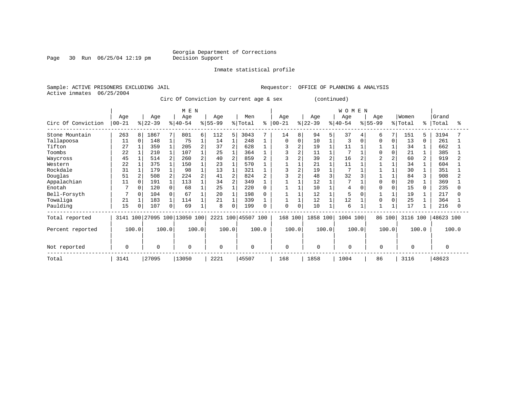### Georgia Department of Corrections<br>Decision Support

Page 30 Run  $06/25/04$  12:19 pm

#### Inmate statistical profile

Sample: ACTIVE PRISONERS EXCLUDING JAIL Requestor: OFFICE OF PLANNING & ANALYSIS Active inmates 06/25/2004

Circ Of Conviction by current age & sex (continued)

|                    |           |                |           |                | M E N                   |   |           |                |                    |       |             |          |           |                | WOMEN       |          |                     |          |          |                |           |       |
|--------------------|-----------|----------------|-----------|----------------|-------------------------|---|-----------|----------------|--------------------|-------|-------------|----------|-----------|----------------|-------------|----------|---------------------|----------|----------|----------------|-----------|-------|
|                    | Age       |                | Age       |                | Age                     |   | Age       |                | Men                |       | Age         |          | Age       |                | Age         |          | Age                 |          | Women    |                | Grand     |       |
| Circ Of Conviction | $00 - 21$ |                | $ 22-39 $ |                | $8 40-54$               |   | $8 55-99$ |                | % Total            | ి     | $00 - 21$   |          | $ 22-39 $ |                | $8 40-54$   |          | $\frac{1}{6}$ 55-99 |          | % Total  | $\approx$      | Total     |       |
| Stone Mountain     | 263       | 8              | 1867      | 7              | 801                     | 6 | 112       | 5              | 3043               |       | 14          | 8        | 94        | 5 <sup>1</sup> | 37          | 4        | 6                   | 7        | 151      | 5              | 3194      |       |
| Tallapoosa         | 11        | $\Omega$       | 148       |                | 75                      |   | 14        | $\mathbf{1}$   | 248                |       | $\Omega$    | $\Omega$ | 10        |                | 3           | $\Omega$ |                     | $\Omega$ | 13       | $\Omega$       | 261       |       |
| Tifton             | 27        |                | 359       |                | 205                     | 2 | 37        | $\overline{2}$ | 628                |       |             |          | 19        |                | 11          |          |                     |          | 34       |                | 662       |       |
| Toombs             | 22        |                | 210       |                | 107                     |   | 25        |                | 364                |       |             |          | 11        |                |             |          |                     |          | 21       |                | 385       |       |
| Waycross           | 45        |                | 514       | 2.             | 260                     |   | 40        | $\overline{2}$ | 859                |       |             |          | 39        | $\overline{a}$ | 16          |          |                     |          | 60       | $\overline{2}$ | 919       |       |
| Western            | 22        |                | 375       |                | 150                     |   | 23        |                | 570                |       |             |          | 21        |                | 11          |          |                     |          | 34       |                | 604       |       |
| Rockdale           | 31        |                | 179       |                | 98                      |   | 13        |                | 321                |       |             |          | 19        |                |             |          |                     |          | 30       |                | 351       |       |
| Douglas            | 51        | $\overline{2}$ | 508       | $\overline{2}$ | 224                     |   | 41        | $\overline{2}$ | 824                |       |             |          | 48        |                | 32          |          |                     |          | 84       |                | 908       |       |
| Appalachian        | 11        | $\Omega$       | 191       |                | 113                     |   | 34        | $\overline{a}$ | 349                |       |             |          | 12        |                |             |          |                     | $\Omega$ | 20       |                | 369       |       |
| Enotah             | 7         | $\Omega$       | 120       |                | 68                      |   | 25        |                | 220                |       |             |          | 10        |                | 4           |          |                     |          | 15       | 0              | 235       |       |
| Bell-Forsyth       | 7         | $\Omega$       | 104       |                | 67                      |   | 20        |                | 198                |       |             |          | 12        |                | 5           |          |                     |          | 19       |                | 217       |       |
| Towaliga           | 21        |                | 183       |                | 114                     |   | 21        | $\mathbf{1}$   | 339                |       |             |          | 12        |                | 12          |          |                     |          | 25       |                | 364       |       |
| Paulding           | 15        |                | 107       | 0              | 69                      |   | 8         | 0              | 199                |       | $\mathbf 0$ | $\Omega$ | 10        |                | 6           |          |                     |          | 17       |                | 216       |       |
| Total reported     | 3141      |                |           |                | 100 27095 100 13050 100 |   |           |                | 2221 100 45507 100 |       | 168 100     |          | 1858 100  |                | 1004 100    |          | 86 100              |          | 3116 100 |                | 48623 100 |       |
| Percent reported   | 100.0     |                | 100.0     |                | 100.0                   |   |           | 100.0          |                    | 100.0 |             | 100.0    | 100.0     |                | 100.0       |          | 100.0               |          |          | 100.0          |           | 100.0 |
|                    |           |                |           |                |                         |   |           |                |                    |       |             |          |           |                |             |          |                     |          |          |                |           |       |
| Not reported       | 0         |                | $\Omega$  |                | 0                       |   | $\Omega$  |                | $\mathbf 0$        |       | $\mathbf 0$ |          | $\Omega$  |                | $\mathbf 0$ |          | $\mathbf 0$         |          | $\Omega$ |                | $\Omega$  |       |
| Total              | 3141      |                | 27095     |                | 13050                   |   | 2221      |                | 45507              |       | 168         |          | 1858      |                | 1004        |          | 86                  |          | 3116     |                | 48623     |       |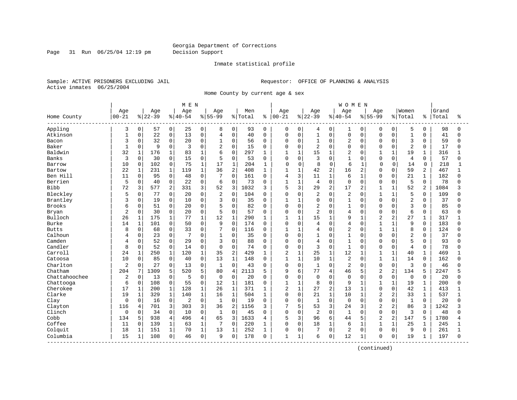Page 31 Run 06/25/04 12:19 pm Decision Support

#### Inmate statistical profile

Sample: ACTIVE PRISONERS EXCLUDING JAIL **Requestor:** OFFICE OF PLANNING & ANALYSIS Active inmates 06/25/2004

Home County by current age & sex

|               |                  |              |                 |                | MEN             |              |                  |                |                |              |                   |              |                 |                | <b>WOMEN</b>    |                |                  |                |                    |                |                |              |
|---------------|------------------|--------------|-----------------|----------------|-----------------|--------------|------------------|----------------|----------------|--------------|-------------------|--------------|-----------------|----------------|-----------------|----------------|------------------|----------------|--------------------|----------------|----------------|--------------|
| Home County   | Age<br>$00 - 21$ |              | Age<br>$ 22-39$ |                | Age<br>$ 40-54$ |              | Age<br>$8 55-99$ |                | Men<br>% Total | ႜ            | Age<br>$ 00 - 21$ |              | Age<br>$ 22-39$ |                | Age<br>$ 40-54$ |                | Age<br>$8 55-99$ |                | Women<br>%   Total | ៖              | Grand<br>Total | °≈           |
| Appling       | 3                | 0            | 57              | 0              | 25              | 0            | 8                | 0              | 93             | 0            | 0                 | 0            | 4               | $\mathbf 0$    | 1               | $\mathbf 0$    | 0                | $\overline{0}$ | 5                  | $\mathbf 0$    | 98             | $\Omega$     |
| Atkinson      | $\mathbf{1}$     | $\mathbf 0$  | 22              | 0              | 13              | $\mathsf{O}$ | $\overline{4}$   | 0              | 40             | $\Omega$     | $\Omega$          | $\mathsf 0$  | $\mathbf{1}$    | $\mathbf 0$    | 0               | $\mathbf 0$    | $\mathbf 0$      | $\Omega$       | $\mathbf{1}$       | $\mathbf 0$    | 41             | $\Omega$     |
| Bacon         | 3                | 0            | 32              | 0              | 20              | 0            | 1                | 0              | 56             | 0            | $\Omega$          | $\mathbf 0$  | $\mathbf{1}$    | $\Omega$       | $\overline{2}$  | $\Omega$       | $\mathbf 0$      | $\Omega$       | 3                  | $\Omega$       | 59             | $\Omega$     |
| Baker         | $\mathbf{1}$     | 0            | 9               | 0              | 3               | $\Omega$     | $\overline{2}$   | $\Omega$       | 15             | $\Omega$     | $\Omega$          | $\mathbf 0$  | $\overline{2}$  | $\Omega$       | $\Omega$        | $\Omega$       | $\Omega$         | $\Omega$       | $\overline{c}$     | $\Omega$       | 17             |              |
| Baldwin       | 32               | $\mathbf{1}$ | 176             | 1              | 83              | $\mathbf{1}$ | 6                | $\Omega$       | 297            | 1            | $\mathbf{1}$      | $\mathbf{1}$ | 15              | $\mathbf{1}$   | $\overline{2}$  | $\Omega$       | $\mathbf{1}$     | $\mathbf{1}$   | 19                 | $\mathbf 1$    | 316            |              |
| Banks         | 3                | $\Omega$     | 30              | 0              | 15              | $\mathsf{O}$ | 5                | 0              | 53             | $\Omega$     | 0                 | $\mathbf 0$  | 3               | $\Omega$       | $\mathbf{1}$    | $\Omega$       | $\mathbf 0$      | $\Omega$       | $\overline{4}$     | $\Omega$       | 57             | n            |
| Barrow        | 10               | 0            | 102             | 0              | 75              | $\mathbf{1}$ | 17               | 1              | 204            | 1            | 0                 | 0            | 8               | $\mathbf 0$    | 6               |                | $\mathbf 0$      | 0              | 14                 | $\Omega$       | 218            | 1            |
| Bartow        | 22               | $\mathbf{1}$ | 231             | $\mathbf 1$    | 119             | $\mathbf{1}$ | 36               | $\overline{2}$ | 408            | $\mathbf 1$  | $\mathbf{1}$      | $\mathbf{1}$ | 42              | 2              | 16              | 2              | $\Omega$         | 0              | 59                 | $\overline{2}$ | 467            | $\mathbf{1}$ |
| Ben Hill      | 11               | 0            | 95              | 0              | 48              | 0            | 7                | 0              | 161            | 0            | 4                 | 3            | 11              | $\mathbf{1}$   | 6               |                | $\Omega$         | 0              | 21                 | 1              | 182            |              |
| Berrien       | 5                | 0            | 40              | 0              | 22              | 0            | 6                | 0              | 73             | 0            | 1                 | $\mathbf{1}$ | $\overline{4}$  | $\mathbf 0$    | 0               | $\Omega$       | $\mathbf 0$      | 0              | 5                  | $\mathbf 0$    | 78             |              |
| <b>Bibb</b>   | 72               | 3            | 577             | $\overline{a}$ | 331             | 3            | 52               | 3              | 1032           | 3            | 5                 | 3            | 29              | 2              | 17              | $\overline{a}$ | $\mathbf{1}$     | $\mathbf{1}$   | 52                 | 2              | 1084           |              |
| Bleckley      | 5                | $\mathbf 0$  | 77              | 0              | 20              | 0            | $\overline{2}$   | 0              | 104            | $\Omega$     | $\Omega$          | $\mathbf 0$  | $\overline{2}$  | $\overline{0}$ | 2               | $\Omega$       | $\mathbf{1}$     | $\mathbf{1}$   | 5                  | $\Omega$       | 109            |              |
| Brantley      | 3                | $\mathbf 0$  | 19              | 0              | 10              | $\mathsf{O}$ | 3                | 0              | 35             | 0            | 1                 | $\mathbf{1}$ | 0               | $\Omega$       | $\mathbf{1}$    | $\mathbf 0$    | $\Omega$         | $\Omega$       | $\overline{2}$     | $\mathbf 0$    | 37             |              |
| <b>Brooks</b> | 6                | 0            | 51              | 0              | 20              | 0            | 5                | 0              | 82             | $\Omega$     | 0                 | $\mathbf 0$  | 2               | $\Omega$       | 1               | $\Omega$       | $\Omega$         | 0              | 3                  | $\Omega$       | 85             |              |
| Bryan         | 2                | 0            | 30              | 0              | 20              | 0            | 5                | $\mathbf 0$    | 57             | 0            | 0                 | $\mathbf 0$  | $\overline{2}$  | $\Omega$       | 4               | $\Omega$       | $\Omega$         | O              | 6                  | 0              | 63             |              |
| Bulloch       | 26               | 1            | 175             | 1              | 77              | $\mathbf 1$  | 12               | 1              | 290            | 1            |                   | $\mathbf{1}$ | 15              | $\mathbf{1}$   | 9               | $\mathbf{1}$   | $\overline{2}$   | 2              | 27                 | $\mathbf{1}$   | 317            |              |
| Burke         | 14               | $\mathbf{1}$ | 101             | $\Omega$       | 50              | $\Omega$     | 9                | $\Omega$       | 174            | $\Omega$     | $\Omega$          | $\Omega$     | 4               | $\Omega$       | 4               | $\Omega$       | $\mathbf{1}$     | $\mathbf{1}$   | 9                  | $\Omega$       | 183            |              |
| <b>Butts</b>  | 8                | $\Omega$     | 68              | 0              | 33              | $\Omega$     | 7                | 0              | 116            | $\Omega$     | 1                 | $\mathbf{1}$ | 4               | $\Omega$       | 2               | $\Omega$       | $\mathbf{1}$     | $\mathbf{1}$   | 8                  | $\Omega$       | 124            |              |
| Calhoun       | 4                | $\mathbf 0$  | 23              | 0              |                 | $\Omega$     | $\mathbf 1$      | 0              | 35             | $\Omega$     | $\Omega$          | $\mathbf 0$  | $\mathbf{1}$    | $\Omega$       | $\overline{1}$  | $\Omega$       | $\Omega$         | $\Omega$       | $\overline{c}$     | $\Omega$       | 37             |              |
| Camden        | 4                | $\mathbf 0$  | 52              | $\mathbf 0$    | 29              | $\Omega$     | 3                | 0              | 88             | $\Omega$     | $\Omega$          | $\mathbf 0$  | 4               | $\Omega$       | $\mathbf{1}$    | $\Omega$       | $\Omega$         | $\Omega$       | 5                  | $\Omega$       | 93             | Λ            |
| Candler       | 8                | $\mathbf 0$  | 52              | 0              | 14              | 0            | $\Omega$         | $\overline{0}$ | 74             | 0            | $\Omega$          | $\mathbf 0$  | 3               | $\Omega$       | $\mathbf{1}$    | $\Omega$       | $\Omega$         | $\Omega$       | $\overline{4}$     | $\Omega$       | 78             |              |
| Carroll       | 24               | $\mathbf{1}$ | 250             | 1              | 120             | $\mathbf{1}$ | 35               | $\overline{c}$ | 429            | 1            | $\overline{2}$    | $\mathbf{1}$ | 25              | $\mathbf{1}$   | 12              | $\mathbf{1}$   | 1                | $\mathbf{1}$   | 40                 | $\mathbf 1$    | 469            |              |
| Catoosa       | 10               | $\mathbf 0$  | 85              | 0              | 40              | 0            | 13               | $\mathbf{1}$   | 148            | 0            | $\mathbf{1}$      | $\mathbf{1}$ | 10              | $\mathbf{1}$   | 2               | $\Omega$       | $\mathbf{1}$     | $\mathbf{1}$   | 14                 | 0              | 162            |              |
| Charlton      | 2                | 0            | 27              | $\Omega$       | 13              | 0            | $\mathbf{1}$     | $\Omega$       | 43             | $\Omega$     | $\Omega$          | $\mathbf 0$  | $\mathbf{1}$    | $\Omega$       | 2               | $\Omega$       | $\mathbf 0$      | $\Omega$       | 3                  | $\Omega$       | 46             |              |
| Chatham       | 204              | 7            | 1309            | 5              | 520             | 5            | 80               | $\overline{4}$ | 2113           | 5            | 9                 | 6            | 77              | $\overline{4}$ | 46              | 5              | $\overline{2}$   | $\overline{a}$ | 134                | 5              | 2247           |              |
| Chattahoochee | $\overline{2}$   | $\mathbf 0$  | 13              | 0              | 5               | 0            | $\mathbf 0$      | $\Omega$       | 20             | $\Omega$     | $\Omega$          | $\mathbf 0$  | $\mathbf 0$     | $\Omega$       | $\Omega$        | $\Omega$       | $\Omega$         | $\Omega$       | $\mathbf 0$        | $\Omega$       | 20             |              |
| Chattooga     | 6                | 0            | 108             | 0              | 55              | 0            | 12               | 1              | 181            | 0            | 1                 | $\mathbf{1}$ | 8               | $\mathbf 0$    | 9               |                | $\mathbf{1}$     | $\mathbf{1}$   | 19                 | 1              | 200            |              |
| Cherokee      | 17               | $\mathbf 1$  | 200             | 1              | 128             | $\mathbf{1}$ | 26               | $\mathbf{1}$   | 371            | 1            | $\overline{a}$    | $\mathbf{1}$ | 27              | $\overline{c}$ | 13              | $\mathbf{1}$   | $\Omega$         | $\Omega$       | 42                 | $\mathbf{1}$   | 413            |              |
| Clarke        | 19               | $\mathbf{1}$ | 329             | 1              | 140             | $\mathbf{1}$ | 16               | $1\,$          | 504            | 1            | 0                 | $\mathbf 0$  | 21              | $\mathbf{1}$   | 10              | -1             | $\overline{2}$   | $\overline{2}$ | 33                 | $\mathbf{1}$   | 537            |              |
| Clay          | 0                | $\mathbf 0$  | 16              | 0              | 2               | 0            | $\mathbf{1}$     | 0              | 19             | 0            | $\Omega$          | $\mathsf 0$  | $\mathbf{1}$    | $\mathbf 0$    | $\mathbf 0$     | $\mathbf 0$    | $\mathbf 0$      | $\Omega$       | $\mathbf{1}$       | $\mathbf 0$    | 20             |              |
| Clayton       | 116              | 4            | 701             | 3              | 303             | 3            | 36               | 2              | 1156           | 3            | 7                 | 5            | 53              | 3              | 24              | 3              | $\overline{2}$   | 2              | 86                 | 3              | 1242           |              |
| Clinch        | 0                | 0            | 34              | 0              | 10              | 0            | $\mathbf{1}$     | 0              | 45             | 0            | 0                 | $\mathbf 0$  | $\overline{2}$  | $\Omega$       | $\mathbf{1}$    | $\Omega$       | $\mathbf 0$      | $\Omega$       | 3                  | $\Omega$       | 48             | Λ            |
| Cobb          | 134              | 5            | 938             | 4              | 496             | 4            | 65               | 3              | 1633           | 4            | 5                 | 3            | 96              | 6              | 44              | 5              | $\overline{2}$   | $\overline{a}$ | 147                | 5              | 1780           |              |
| Coffee        | 11               | $\Omega$     | 139             | $\mathbf{1}$   | 63              | $\mathbf{1}$ | 7                | $\Omega$       | 220            | 1            | 0                 | $\mathbf 0$  | 18              | $\mathbf{1}$   | 6               | $\mathbf{1}$   | $\mathbf{1}$     | $\mathbf{1}$   | 25                 | $\mathbf{1}$   | 245            |              |
| Colquit       | 18               | $\mathbf{1}$ | 151             | 1              | 70              | $\mathbf{1}$ | 13               | 1              | 252            | $\mathbf{1}$ | 0                 | $\mathbf 0$  | 7               | $\Omega$       | 2               | $\Omega$       | $\Omega$         | $\Omega$       | 9                  | $\Omega$       | 261            |              |
| Columbia      | 15               | $\mathbf 1$  | 108             | 0              | 46              | 0            | 9                | 0              | 178            | $\Omega$     | 1                 | 1            | 6               | $\mathbf 0$    | 12              | 1              | $\Omega$         | 0              | 19                 | 1              | 197            | $\Omega$     |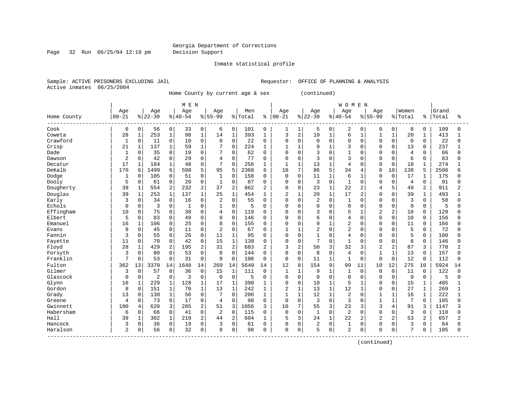#### Georgia Department of Corrections Page 32 Run 06/25/04 12:19 pm Decision Support

#### Inmate statistical profile

Sample: ACTIVE PRISONERS EXCLUDING JAIL **Requestor:** OFFICE OF PLANNING & ANALYSIS Active inmates 06/25/2004

Home County by current age & sex (continued)

|             |                |              |                |              | MEN       |                |                |                |         |              |              |                |                |              | <b>WOMEN</b>   |                |                |                |                |              |       |          |
|-------------|----------------|--------------|----------------|--------------|-----------|----------------|----------------|----------------|---------|--------------|--------------|----------------|----------------|--------------|----------------|----------------|----------------|----------------|----------------|--------------|-------|----------|
|             | Age            |              | Age            |              | Age       |                | Age            |                | Men     |              | Age          |                | Age            |              | Age            |                | Age            |                | Women          |              | Grand |          |
| Home County | $00 - 21$      |              | $ 22-39$       |              | $8 40-54$ |                | $8 55-99$      |                | % Total | ి            | $00 - 21$    |                | $ 22-39$       |              | $8140 - 54$    |                | $8155 - 99$    |                | % Total        | နွ           | Total | ႜ        |
| Cook        | 6              | $\mathbf 0$  | 56             | 0            | 33        | 0              | 6              | 0              | 101     | $\mathbf 0$  | 1            | 1              | 5              | 0            | 2              | $\mathbf 0$    | 0              | 0              | 8              | 0            | 109   | $\Omega$ |
| Coweta      | 28             | 1            | 253            | $\mathbf 1$  | 98        | $\mathbf{1}$   | 14             | $\mathbf 1$    | 393     | $\mathbf{1}$ | 3            | $\sqrt{2}$     | 10             | $\mathbf{1}$ | 6              | $\mathbf{1}$   | 1              | $\mathbf 1$    | 20             | $\mathbf 1$  | 413   |          |
| Crawford    | $\mathbf{1}$   | $\mathbf 0$  | 11             | 0            | 10        | 0              | $\Omega$       | $\mathbf 0$    | 22      | $\Omega$     | 0            | $\mathbf 0$    | 0              | $\mathbf 0$  | $\mathbf 0$    | $\Omega$       | $\mathbf 0$    | 0              | $\mathbf 0$    | $\Omega$     | 22    |          |
| Crisp       | 21             | $\mathbf{1}$ | 137            | $\mathbf{1}$ | 59        | $\mathbf{1}$   | 7              | $\Omega$       | 224     | 1            | 1            | $\mathbf{1}$   | 9              | $\mathbf{1}$ | 3              | $\Omega$       | $\Omega$       | $\Omega$       | 13             | $\Omega$     | 237   |          |
| Dade        | -1             | 0            | 35             | $\mathbf 0$  | 19        | 0              | 7              | $\mathbf 0$    | 62      | 0            | 0            | $\mathbf 0$    | 3              | $\Omega$     | $\mathbf{1}$   | O              | 0              | O              | $\overline{4}$ | $\Omega$     | 66    | ∩        |
| Dawson      | $\overline{2}$ | $\Omega$     | 42             | $\mathsf 0$  | 29        | 0              | 4              | $\mathbf 0$    | 77      | 0            | 0            | $\mathbf 0$    | 3              | $\Omega$     | 3              | C              | $\Omega$       | $\Omega$       | 6              | $\mathbf 0$  | 83    |          |
| Decatur     | 17             | $\mathbf{1}$ | 184            | $\mathbf 1$  | 48        | 0              | 7              | $\mathbf{0}$   | 256     | 1            | $\mathbf{1}$ | $\mathbf{1}$   | 13             | $\mathbf{1}$ | 4              | $\Omega$       | $\Omega$       | $\Omega$       | 18             | $\mathbf{1}$ | 274   |          |
| DeKalb      | 176            | 6            | 1499           | 6            | 598       | 5              | 95             | 5              | 2368    | 6            | 10           | 7              | 86             | 5            | 34             | 4              | $\mathsf{R}$   | 10             | 138            | 5            | 2506  |          |
| Dodge       | -1             | $\Omega$     | 105            | 0            | 51        | $\Omega$       | 1              | $\mathbf 0$    | 158     | $\Omega$     | 0            | $\mathbf 0$    | 11             | $\mathbf{1}$ | 6              | -1             | $\Omega$       | $\Omega$       | 17             | 1            | 175   |          |
| Dooly       | 5              | $\mathbf 0$  | 61             | 0            | 20        | 0              | $\mathbf{1}$   | $\mathbf 0$    | 87      | 0            | 0            | $\mathbf 0$    | 3              | $\mathbf 0$  | $\mathbf{1}$   | $\Omega$       | $\Omega$       | 0              | $\overline{4}$ | $\mathbf 0$  | 91    |          |
| Dougherty   | 39             | $\mathbf{1}$ | 554            | 2            | 232       | 2              | 37             | $\overline{2}$ | 862     | 2            | 0            | $\mathbf 0$    | 23             | $\mathbf{1}$ | 22             | 2              | 4              | 5              | 49             | 2            | 911   |          |
| Douglas     | 39             | $\mathbf 1$  | 253            | $\mathbf 1$  | 137       | $\mathbf{1}$   | 25             | $\mathbf{1}$   | 454     | 1            | 2            | $\mathbf{1}$   | 20             | $\mathbf{1}$ | 17             | 2              | $\Omega$       | $\Omega$       | 39             | $\mathbf{1}$ | 493   |          |
| Early       | 3              | 0            | 34             | $\mathbf 0$  | 16        | 0              | 2              | $\mathbf 0$    | 55      | 0            | 0            | $\mathbf 0$    | 2              | $\mathbf 0$  | $\mathbf{1}$   | $\Omega$       | $\mathbf 0$    | $\Omega$       | 3              | $\Omega$     | 58    | ∩        |
| Echols      | $\Omega$       | 0            | 3              | 0            | 1         | 0              | 1              | $\mathbf 0$    | 5       | 0            | 0            | $\mathbf 0$    | 0              | $\Omega$     | $\mathbf 0$    | $\Omega$       | $\Omega$       | 0              | $\mathbf 0$    | $\Omega$     | 5     | U        |
| Effingham   | 10             | 0            | 75             | 0            | 30        | $\Omega$       | $\overline{4}$ | $\mathbf 0$    | 119     | $\Omega$     | 0            | $\mathbf 0$    | 3              | $\Omega$     | 5              |                | $\overline{2}$ | 2              | 10             | $\Omega$     | 129   |          |
| Elbert      | 5              | $\Omega$     | 83             | 0            | 49        | $\Omega$       | 9              | $\Omega$       | 146     | $\Omega$     | O            | $\mathbf 0$    | 6              | $\Omega$     | 4              | $\sqrt{ }$     | $\Omega$       | $\Omega$       | 10             | $\Omega$     | 156   |          |
| Emanuel     | 16             | 1            | 106            | $\Omega$     | 25        | $\Omega$       | 8              | $\Omega$       | 155     | 0            | 0            | $\Omega$       | 9              | $\mathbf{1}$ | $\overline{a}$ | $\Omega$       | $\Omega$       | $\Omega$       | 11             | $\Omega$     | 166   |          |
| Evans       | 9              | $\mathbf 0$  | 45             | 0            | 11        | 0              | $\overline{2}$ | $\mathbf 0$    | 67      | 0            |              | $\mathbf{1}$   | $\overline{2}$ | $\mathbf 0$  | $\overline{2}$ | $\Omega$       | $\Omega$       | $\Omega$       | 5              | $\mathbf 0$  | 72    |          |
| Fannin      | 3              | $\mathbf 0$  | 55             | $\mathbf 0$  | 26        | 0              | 11             | $1\,$          | 95      | $\Omega$     | 0            | $\mathbf 0$    | $\mathbf{1}$   | $\Omega$     | 4              | $\Omega$       | $\Omega$       | $\Omega$       | 5              | 0            | 100   |          |
| Fayette     | 11             | 0            | 70             | $\mathbf 0$  | 42        | 0              | 15             | $1\,$          | 138     | $\Omega$     | $\Omega$     | $\mathbf 0$    | 7              | $\Omega$     | $\mathbf{1}$   | $\Omega$       | $\Omega$       | $\Omega$       | 8              | $\Omega$     | 146   |          |
| Floyd       | 28             | 1            | 429            | 2            | 195       | $\overline{2}$ | 31             | $\overline{2}$ | 683     | 2            | 3            | $\overline{c}$ | 50             | 3            | 32             | 3              | $\overline{c}$ | $\overline{2}$ | 87             | 3            | 770   |          |
| Forsyth     | 3              | $\mathbf 0$  | 80             | $\mathbf 0$  | 53        | 0              | 8              | $\mathbf 0$    | 144     | $\Omega$     | 0            | $\mathbf 0$    | 8              | 0            | 4              | C              | $\mathbf{1}$   | $\mathbf{1}$   | 13             | $\Omega$     | 157   |          |
| Franklin    | $\overline{7}$ | 0            | 53             | $\mathbf 0$  | 31        | 0              | 9              | $\mathbf 0$    | 100     | 0            | $\mathbf 0$  | $\mathbf 0$    | 11             | $\mathbf{1}$ | $\mathbf{1}$   | $\Omega$       | $\Omega$       | 0              | 12             | $\Omega$     | 112   |          |
| Fulton      | 362            | 13           | 3370           | 14           | 1648      | 14             | 269            | 14             | 5649    | 14           | 12           | 8              | 154            | 9            | 99             | 11             | 10             | 12             | 275            | 10           | 5924  | 14       |
| Gilmer      | 3              | $\Omega$     | 57             | 0            | 36        | $\Omega$       | 1.5            | $\mathbf{1}$   | 111     | $\Omega$     | 1            | $\mathbf{1}$   | 9              | $\mathbf{1}$ | $\mathbf{1}$   | $\Omega$       | $\Omega$       | $\Omega$       | 11             | $\Omega$     | 122   | $\cap$   |
| Glascock    | $\Omega$       | $\mathbf 0$  | $\overline{2}$ | 0            | 3         | 0              | $\mathbf 0$    | $\mathbf 0$    | 5       | 0            | 0            | $\mathbf 0$    | 0              | $\mathbf 0$  | $\mathbf 0$    | 0              | $\Omega$       | $\Omega$       | $\overline{0}$ | 0            | 5     | O        |
| Glynn       | 16             | 1            | 229            | $\mathbf 1$  | 128       | $\mathbf{1}$   | 17             | $\mathbf 1$    | 390     | 1            | 0            | $\mathbf 0$    | 10             | $\mathbf{1}$ | 5              | $\mathbf{1}$   | $\Omega$       | 0              | 15             | $\mathbf 1$  | 405   |          |
| Gordon      | 8              | $\mathbf 0$  | 151            | $\mathbf{1}$ | 70        | $\mathbf{1}$   | 13             | $\mathbf{1}$   | 242     | $\mathbf{1}$ | 2            | $\mathbf{1}$   | 13             | $\mathbf 1$  | 12             | $\mathbf{1}$   | $\mathbf 0$    | 0              | 27             | $\mathbf 1$  | 269   |          |
| Grady       | 13             | $\mathbf 0$  | 130            | $\mathbf{1}$ | 56        | 0              | 7              | $\mathbf 0$    | 206     | 1            | 1            | $\mathbf{1}$   | 12             | 1            | 2              | $\Omega$       | 1              | 1              | 16             | 1            | 222   |          |
| Greene      | 4              | $\Omega$     | 73             | $\mathbf 0$  | 17        | 0              | 4              | $\mathbf 0$    | 98      | 0            | $\mathbf 0$  | $\mathbf 0$    | 3              | $\Omega$     | 3              | $\Omega$       | 1              | 1              | 7              | $\Omega$     | 105   |          |
| Gwinnett    | 100            | 4            | 620            | 3            | 285       | 2              | 51             | 3              | 1056    | 3            | 10           | 7              | 55             | 3            | 23             | 3              | 3              | 4              | 91             | 3            | 1147  |          |
| Habersham   | 6              | $\Omega$     | 66             | $\mathbf 0$  | 41        | 0              | $\overline{2}$ | $\mathbf 0$    | 115     | $\Omega$     | $\mathbf 0$  | $\mathbf 0$    | $\mathbf{1}$   | $\Omega$     | $\overline{2}$ | $\cap$         | $\Omega$       | $\Omega$       | 3              | $\Omega$     | 118   |          |
| Hall        | 39             | $\mathbf 1$  | 302            | $\mathbf 1$  | 219       | $\overline{2}$ | 44             | $\overline{2}$ | 604     | 1            | 5            | 3              | 24             | $\mathbf{1}$ | 22             | $\overline{a}$ | $\overline{2}$ | 2              | 53             | 2            | 657   |          |
| Hancock     | 3              | 0            | 36             | $\mathsf 0$  | 19        | 0              | 3              | $\mathbf 0$    | 61      | $\Omega$     | 0            | $\mathbf 0$    | 2              | $\mathbf 0$  | $\mathbf{1}$   | 0              | $\Omega$       | 0              | 3              | $\Omega$     | 64    |          |
| Haralson    | $\overline{a}$ | 0            | 56             | 0            | 32        | 0              | 8              | $\mathbf 0$    | 98      | $\Omega$     | 0            | $\mathbf 0$    | 5              | 0            | $\overline{2}$ | 0              | $\Omega$       | 0              | 7              | <sup>0</sup> | 105   | $\Omega$ |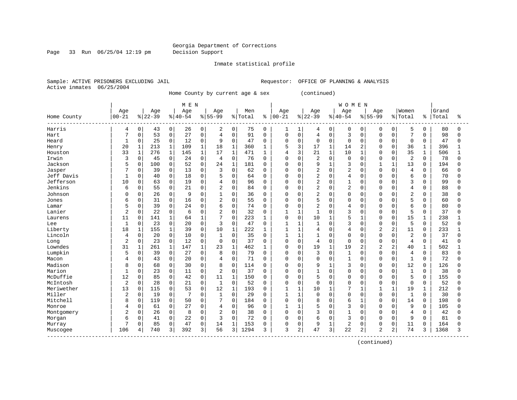#### Georgia Department of Corrections Page 33 Run 06/25/04 12:19 pm Decision Support

#### Inmate statistical profile

Sample: ACTIVE PRISONERS EXCLUDING JAIL **Requestor:** OFFICE OF PLANNING & ANALYSIS Active inmates 06/25/2004

Home County by current age & sex (continued)

| Age<br>Age<br>Women<br>Age<br>Age<br>Men<br>Age<br>Age<br>Age<br>Grand<br>Age<br>$00 - 21$<br>$ 22-39$<br>$8 40-54$<br>$ 00 - 21$<br>$ 22-39$<br>$8 40-54$<br>$8155 - 99$<br>$8 55-99$<br>% Total<br>% Total<br>Total<br>Home County<br>ႜ<br>နွ<br>80<br>Harris<br>0<br>0<br>0<br>0<br>75<br>$\mathbf 0$<br>0<br>5<br>43<br>26<br>2<br>0<br>1<br>0<br>$\mathbf 0$<br>0<br>0<br>4<br>1<br>4<br>0<br>$\mathbf 0$<br>53<br>0<br>$\mathsf 0$<br>$\mathbf 0$<br>3<br>7<br>98<br>7<br>27<br>0<br>$\overline{4}$<br>91<br>$\mathbf 0$<br>0<br>$\overline{4}$<br>$\mathbf 0$<br>$\mathbf 0$<br>$\Omega$<br>$\Omega$<br>Hart<br>0<br>$\mathsf 0$<br>0<br>25<br>0<br>12<br>0<br>9<br>$\Omega$<br>$\Omega$<br>$\mathbf 0$<br>0<br>0<br>$\mathbf 0$<br>47<br>Heard<br>1<br>47<br>0<br>0<br>0<br>0<br>3<br>20<br>$\mathbf{1}$<br>213<br>$\mathbf 1$<br>$\mathbf{1}$<br>18<br>$\mathbf{1}$<br>5<br>17<br>$\mathbf{1}$<br>109<br>360<br>2<br>$\Omega$<br>$\Omega$<br>36<br>$\mathbf{1}$<br>396<br>1<br>14<br>Henry<br>33<br>276<br>17<br>$\mathbf{1}$<br>3<br>21<br>$\mathbf{1}$<br>10<br>35<br>$\mathbf{1}$<br>1<br>145<br>$\mathbf{1}$<br>471<br>506<br>1<br>4<br>$\mathbf{1}$<br>$\Omega$<br>$\Omega$<br>1<br>Houston<br>Irwin<br>3<br>$\mathbf 0$<br>0<br>0<br>$\mathbf 0$<br>$\overline{2}$<br>$\mathbf 0$<br>$\overline{2}$<br>78<br>45<br>24<br>0<br>$\overline{4}$<br>76<br>$\Omega$<br>0<br>$\Omega$<br>$\Omega$<br>0<br>$\Omega$<br>O<br>5<br>0<br>100<br>24<br>1<br>9<br>$\mathbf{1}$<br>13<br>Jackson<br>0<br>52<br>0<br>181<br>$\Omega$<br>$\mathbf 0$<br>3<br>$\mathbf{1}$<br>$\mathbf{1}$<br>$\mathbf 0$<br>194<br>$\Omega$<br>$\Omega$<br>$\Omega$<br>2<br>$\overline{2}$<br>Jasper<br>$\Omega$<br>3<br>$\mathbf 0$<br>$\Omega$<br>$\Omega$<br>$\overline{4}$<br>$\Omega$<br>39<br>13<br>$\Omega$<br>62<br>0<br>$\Omega$<br>0<br>$\Omega$<br>66<br>$\Omega$<br>$\overline{2}$<br>0<br>0<br>6<br>Jeff Davis<br>$\Omega$<br>40<br>18<br>$\Omega$<br>5<br>$\mathbf 0$<br>$\Omega$<br>4<br>$\Omega$<br>$\Omega$<br>70<br>1<br>$\Omega$<br>0<br>$\Omega$<br>$\Omega$<br>64<br>Jefferson<br>0<br>$\mathbf 0$<br>0<br>2<br>3<br>10<br>0<br>63<br>19<br>$\overline{4}$<br>96<br>$\mathbf 0$<br>$\mathbf 0$<br>1<br>$\mathbf 0$<br>0<br>99<br>0<br>0<br>$\Omega$<br>0<br>Jenkins<br>2<br>$\overline{2}$<br>$\mathbf 0$<br>0<br>$\overline{2}$<br>0<br>$\mathbf 0$<br>6<br>55<br>21<br>0<br>84<br>$\Omega$<br>$\Omega$<br>$\mathbf 0$<br>$\Omega$<br>0<br>$\overline{4}$<br>$\mathbf 0$<br>88<br>$\Omega$<br>$\overline{c}$<br>$\mathbf 0$<br>26<br>0<br>9<br>$\Omega$<br>$\mathbf{1}$<br>0<br>$\mathbf 0$<br>$\overline{2}$<br>0<br>38<br>Johnson<br>36<br>$\Omega$<br>0<br>$\Omega$<br>$\Omega$<br>0<br>O<br>$\Omega$<br>C<br>31<br>0<br>$\overline{2}$<br>0<br>5<br>5<br>0<br>16<br>0<br>55<br>0<br>$\mathbf 0$<br>$\Omega$<br>0<br>$\mathbf 0$<br>$\mathbf 0$<br>$\mathbf 0$<br>60<br>Jones<br>6<br>0<br>0<br>39<br>0<br>0<br>$\overline{c}$<br>6<br>5<br>0<br>24<br>0<br>6<br>74<br>$\Omega$<br>$\mathbf 0$<br>$\Omega$<br>4<br>$\Omega$<br>80<br>0<br>$\Omega$<br>O<br>0<br>Lamar<br>0<br>Lanier<br>$\overline{c}$<br>0<br>22<br>0<br>0<br>$\overline{2}$<br>32<br>3<br>5<br>37<br>$\Omega$<br>$\mathbf{1}$<br>$\mathbf{1}$<br>1<br>$\Omega$<br>$\Omega$<br>$\Omega$<br>$\Omega$<br>$\Omega$<br>6<br>$\overline{7}$<br>5<br>15<br>141<br>1<br>$\mathbf{1}$<br>$\Omega$<br>223<br>$\Omega$<br>$\mathbf 0$<br>10<br>238<br>11<br>$\Omega$<br>64<br>$\mathbf{1}$<br>-1<br><sup>0</sup><br>0<br>1<br>Laurens<br>1<br>$\Omega$<br>3<br>5<br>0<br>23<br>20<br>$\Omega$<br>3<br>0<br>47<br>$\mathbf{1}$<br>$\Omega$<br>$\Omega$<br>$\Omega$<br>52<br>Lee<br>1<br>$\Omega$<br>$\mathbf{1}$<br>1<br>$\Omega$<br>$\Omega$<br>155<br>$\mathbf 1$<br>$\mathsf{O}$<br>10<br>$\mathbf 1$<br>$\mathbf{1}$<br>$\overline{2}$<br>$\overline{a}$<br>233<br>Liberty<br>18<br>$\mathbf 1$<br>39<br>222<br>$\overline{4}$<br>$\Omega$<br>4<br>$\Omega$<br>11<br>$\mathbf 0$<br>1<br>1<br>$\mathsf{O}$<br>20<br>0<br>$\mathbf{1}$<br>0<br>$\Omega$<br>$\overline{2}$<br>37<br>Lincoln<br>10<br>0<br>35<br>$\Omega$<br>1<br>$\mathbf{1}$<br>$\mathbf{1}$<br>$\Omega$<br>$\Omega$<br>$\Omega$<br>0<br>$\mathbf 0$<br>4<br>$\overline{2}$<br>0<br>23<br>0<br>12<br>$\mathbf 0$<br>0<br>37<br>0<br>$\mathbf 0$<br>$\mathbf 0$<br>$\Omega$<br>$\Omega$<br>$\overline{4}$<br>41<br>0<br>$\Omega$<br>$\overline{4}$<br>0<br>$\Omega$<br>Long<br>$\Omega$<br>19<br>Lowndes<br>31<br>261<br>1<br>147<br>23<br>1<br>462<br>$\mathbf 0$<br>$\mathbf{1}$<br>19<br>$\overline{c}$<br>2<br>502<br>1<br>1<br>0<br>2<br>40<br>1<br>$\mathbf{1}$<br>Lumpkin<br>0<br>5<br>0<br>0<br>27<br>8<br>79<br>$\mathbf 0$<br>3<br>$\mathbf 0$<br>$\mathbf{1}$<br>$\Omega$<br>83<br>39<br>0<br>0<br>0<br>0<br>0<br>4<br>$\Omega$<br>0<br>$\mathbf 0$<br>0<br>20<br>71<br>$\Omega$<br>$\mathbf 0$<br>$\Omega$<br>$\mathbf 0$<br>$\mathbf{1}$<br>$\Omega$<br>$\Omega$<br>$\mathbf{1}$<br>$\Omega$<br>72<br>Macon<br>43<br>0<br>4<br>$\Omega$<br>$\Omega$<br>4<br>Madison<br>0<br>8<br>$\Omega$<br>3<br>12<br>126<br>8<br>$\Omega$<br>68<br>30<br>$\Omega$<br>114<br>0<br>0<br>9<br>$\mathbf{1}$<br><sup>0</sup><br>0<br>$\Omega$<br>$\Omega$<br>$\Omega$<br>Marion<br>23<br>$\Omega$<br>$\overline{2}$<br>$\Omega$<br>$\mathbf{1}$<br>$\mathbf{1}$<br>$\Omega$<br>11<br>$\Omega$<br>37<br>$\Omega$<br>$\Omega$<br>$\mathbf{1}$<br>$\Omega$<br>$\Omega$<br>$\Omega$<br>38<br>$\Omega$<br>$\Omega$<br>$\Omega$<br>$\Omega$<br>5<br>McDuffie<br>12<br>85<br>0<br>$\mathbf{1}$<br>5<br>$\mathbf 0$<br>42<br>0<br>11<br>150<br>$\mathbf 0$<br>$\Omega$<br>0<br>$\Omega$<br>$\Omega$<br>0<br>155<br>0<br>$\Omega$<br>0<br>$\overline{a}$<br>$\mathbf{1}$<br>0<br>$\mathbf 0$<br>28<br>0<br>$\mathsf{O}$<br>52<br>$\mathsf 0$<br>$\Omega$<br>$\Omega$<br>0<br>$\mathbf 0$<br>52<br>McIntosh<br>21<br>$\Omega$<br>0<br>$\mathbf 0$<br>$\Omega$<br>$\Omega$<br>$\mathbf 0$<br>13<br>115<br>0<br>12<br>$\mathbf{1}$<br>1<br>7<br>19<br>212<br>Meriwether<br>0<br>53<br>0<br>193<br>$\Omega$<br>$\mathbf{1}$<br>10<br>$\mathbf{1}$<br>$\mathbf{1}$<br>1<br>1<br>1<br>Miller<br>$\overline{2}$<br>0<br>19<br>0<br>$\Omega$<br>1<br>0<br>29<br>$\mathbf{1}$<br>$\mathbf{1}$<br>$\Omega$<br>$\Omega$<br>$\mathbf{1}$<br>30<br>7<br>$\Omega$<br>0<br>$\Omega$<br>$\Omega$<br>$\Omega$<br>$\Omega$<br>Mitchell<br>8<br>0<br>119<br>0<br>50<br>7<br>0<br>$\Omega$<br>$\mathbf 0$<br>8<br>6<br>14<br>198<br>0<br>184<br>$\Omega$<br>$\Omega$<br>0<br>0<br>$\Omega$<br>5<br>0<br>61<br>0<br>27<br>0<br>$\mathbf{1}$<br>$\mathbf 0$<br>3<br>9<br>105<br>0<br>96<br>0<br>$\Omega$<br>0<br>U<br>0<br>Monroe<br>4<br>4<br>3<br>$\Omega$<br>26<br>0<br>$\overline{2}$<br>0<br>$\mathbf 0$<br>$\mathbf{1}$<br>$\overline{4}$<br>42<br>8<br>0<br>38<br>$\Omega$<br>$\Omega$<br>$\Omega$<br>$\Omega$<br>$\Omega$<br>Montgomery<br>$\Omega$<br>$\Omega$<br>0<br>22<br>0<br>3<br>0<br>72<br>6<br>3<br>9<br>6<br>0<br>41<br>$\Omega$<br>$\mathbf 0$<br>$\Omega$<br>$\Omega$<br>$\mathbf 0$<br>$\Omega$<br>81<br>$\Omega$<br>$\Omega$<br>Morgan |   |          |    |   | MEN |   |    |   |     |  |             |   |              | <b>WOMEN</b> |             |   |   |    |             |     |   |
|-----------------------------------------------------------------------------------------------------------------------------------------------------------------------------------------------------------------------------------------------------------------------------------------------------------------------------------------------------------------------------------------------------------------------------------------------------------------------------------------------------------------------------------------------------------------------------------------------------------------------------------------------------------------------------------------------------------------------------------------------------------------------------------------------------------------------------------------------------------------------------------------------------------------------------------------------------------------------------------------------------------------------------------------------------------------------------------------------------------------------------------------------------------------------------------------------------------------------------------------------------------------------------------------------------------------------------------------------------------------------------------------------------------------------------------------------------------------------------------------------------------------------------------------------------------------------------------------------------------------------------------------------------------------------------------------------------------------------------------------------------------------------------------------------------------------------------------------------------------------------------------------------------------------------------------------------------------------------------------------------------------------------------------------------------------------------------------------------------------------------------------------------------------------------------------------------------------------------------------------------------------------------------------------------------------------------------------------------------------------------------------------------------------------------------------------------------------------------------------------------------------------------------------------------------------------------------------------------------------------------------------------------------------------------------------------------------------------------------------------------------------------------------------------------------------------------------------------------------------------------------------------------------------------------------------------------------------------------------------------------------------------------------------------------------------------------------------------------------------------------------------------------------------------------------------------------------------------------------------------------------------------------------------------------------------------------------------------------------------------------------------------------------------------------------------------------------------------------------------------------------------------------------------------------------------------------------------------------------------------------------------------------------------------------------------------------------------------------------------------------------------------------------------------------------------------------------------------------------------------------------------------------------------------------------------------------------------------------------------------------------------------------------------------------------------------------------------------------------------------------------------------------------------------------------------------------------------------------------------------------------------------------------------------------------------------------------------------------------------------------------------------------------------------------------------------------------------------------------------------------------------------------------------------------------------------------------------------------------------------------------------------------------------------------------------------------------------------------------------------------------------------------------------------------------------------------------------------------------------------------------------------------------------------------------------------------------------------------------------------------------------------------------------------------------------------------------------------------------------------------------------------------------------------------------------------------------------------------------------------------------------------------------------------------------------------------------------------------------------------------------------------------------------------------------------------------------------------------------------------------------------------------------------------------------------------------------------------------------------------------------------------------------------------------------------------------------------------------------------------------------------------------------------------------------------------------------------------------------------------------------------------------------------------------------------------------------------------------------------------------------------------------------------------------------------------------------------------------------------------------------------------------------------------------------------------------------------------------------------------------------------------------------------------------------------------------------------------------------------------------------------------------------------------------------------------------------------------------------------------------------------------------------------------------------------------------------------------------------------------------------------------------------------------------------------------------------------------------------------------------------------------------------------------------------------------------------------------------------------------------------------------------------------------------------------------------------------------------------------------------------------------------------------------------------------|---|----------|----|---|-----|---|----|---|-----|--|-------------|---|--------------|--------------|-------------|---|---|----|-------------|-----|---|
|                                                                                                                                                                                                                                                                                                                                                                                                                                                                                                                                                                                                                                                                                                                                                                                                                                                                                                                                                                                                                                                                                                                                                                                                                                                                                                                                                                                                                                                                                                                                                                                                                                                                                                                                                                                                                                                                                                                                                                                                                                                                                                                                                                                                                                                                                                                                                                                                                                                                                                                                                                                                                                                                                                                                                                                                                                                                                                                                                                                                                                                                                                                                                                                                                                                                                                                                                                                                                                                                                                                                                                                                                                                                                                                                                                                                                                                                                                                                                                                                                                                                                                                                                                                                                                                                                                                                                                                                                                                                                                                                                                                                                                                                                                                                                                                                                                                                                                                                                                                                                                                                                                                                                                                                                                                                                                                                                                                                                                                                                                                                                                                                                                                                                                                                                                                                                                                                                                                                                                                                                                                                                                                                                                                                                                                                                                                                                                                                                                                                                                                                                                                                                                                                                                                                                                                                                                                                                                                                                                                                                                                           |   |          |    |   |     |   |    |   |     |  |             |   |              |              |             |   |   |    |             |     |   |
|                                                                                                                                                                                                                                                                                                                                                                                                                                                                                                                                                                                                                                                                                                                                                                                                                                                                                                                                                                                                                                                                                                                                                                                                                                                                                                                                                                                                                                                                                                                                                                                                                                                                                                                                                                                                                                                                                                                                                                                                                                                                                                                                                                                                                                                                                                                                                                                                                                                                                                                                                                                                                                                                                                                                                                                                                                                                                                                                                                                                                                                                                                                                                                                                                                                                                                                                                                                                                                                                                                                                                                                                                                                                                                                                                                                                                                                                                                                                                                                                                                                                                                                                                                                                                                                                                                                                                                                                                                                                                                                                                                                                                                                                                                                                                                                                                                                                                                                                                                                                                                                                                                                                                                                                                                                                                                                                                                                                                                                                                                                                                                                                                                                                                                                                                                                                                                                                                                                                                                                                                                                                                                                                                                                                                                                                                                                                                                                                                                                                                                                                                                                                                                                                                                                                                                                                                                                                                                                                                                                                                                                           |   |          |    |   |     |   |    |   |     |  |             |   |              |              |             |   |   |    |             |     | ႜ |
|                                                                                                                                                                                                                                                                                                                                                                                                                                                                                                                                                                                                                                                                                                                                                                                                                                                                                                                                                                                                                                                                                                                                                                                                                                                                                                                                                                                                                                                                                                                                                                                                                                                                                                                                                                                                                                                                                                                                                                                                                                                                                                                                                                                                                                                                                                                                                                                                                                                                                                                                                                                                                                                                                                                                                                                                                                                                                                                                                                                                                                                                                                                                                                                                                                                                                                                                                                                                                                                                                                                                                                                                                                                                                                                                                                                                                                                                                                                                                                                                                                                                                                                                                                                                                                                                                                                                                                                                                                                                                                                                                                                                                                                                                                                                                                                                                                                                                                                                                                                                                                                                                                                                                                                                                                                                                                                                                                                                                                                                                                                                                                                                                                                                                                                                                                                                                                                                                                                                                                                                                                                                                                                                                                                                                                                                                                                                                                                                                                                                                                                                                                                                                                                                                                                                                                                                                                                                                                                                                                                                                                                           |   |          |    |   |     |   |    |   |     |  |             |   |              |              |             |   |   |    |             |     | n |
|                                                                                                                                                                                                                                                                                                                                                                                                                                                                                                                                                                                                                                                                                                                                                                                                                                                                                                                                                                                                                                                                                                                                                                                                                                                                                                                                                                                                                                                                                                                                                                                                                                                                                                                                                                                                                                                                                                                                                                                                                                                                                                                                                                                                                                                                                                                                                                                                                                                                                                                                                                                                                                                                                                                                                                                                                                                                                                                                                                                                                                                                                                                                                                                                                                                                                                                                                                                                                                                                                                                                                                                                                                                                                                                                                                                                                                                                                                                                                                                                                                                                                                                                                                                                                                                                                                                                                                                                                                                                                                                                                                                                                                                                                                                                                                                                                                                                                                                                                                                                                                                                                                                                                                                                                                                                                                                                                                                                                                                                                                                                                                                                                                                                                                                                                                                                                                                                                                                                                                                                                                                                                                                                                                                                                                                                                                                                                                                                                                                                                                                                                                                                                                                                                                                                                                                                                                                                                                                                                                                                                                                           |   |          |    |   |     |   |    |   |     |  |             |   |              |              |             |   |   |    |             |     |   |
|                                                                                                                                                                                                                                                                                                                                                                                                                                                                                                                                                                                                                                                                                                                                                                                                                                                                                                                                                                                                                                                                                                                                                                                                                                                                                                                                                                                                                                                                                                                                                                                                                                                                                                                                                                                                                                                                                                                                                                                                                                                                                                                                                                                                                                                                                                                                                                                                                                                                                                                                                                                                                                                                                                                                                                                                                                                                                                                                                                                                                                                                                                                                                                                                                                                                                                                                                                                                                                                                                                                                                                                                                                                                                                                                                                                                                                                                                                                                                                                                                                                                                                                                                                                                                                                                                                                                                                                                                                                                                                                                                                                                                                                                                                                                                                                                                                                                                                                                                                                                                                                                                                                                                                                                                                                                                                                                                                                                                                                                                                                                                                                                                                                                                                                                                                                                                                                                                                                                                                                                                                                                                                                                                                                                                                                                                                                                                                                                                                                                                                                                                                                                                                                                                                                                                                                                                                                                                                                                                                                                                                                           |   |          |    |   |     |   |    |   |     |  |             |   |              |              |             |   |   |    |             |     |   |
|                                                                                                                                                                                                                                                                                                                                                                                                                                                                                                                                                                                                                                                                                                                                                                                                                                                                                                                                                                                                                                                                                                                                                                                                                                                                                                                                                                                                                                                                                                                                                                                                                                                                                                                                                                                                                                                                                                                                                                                                                                                                                                                                                                                                                                                                                                                                                                                                                                                                                                                                                                                                                                                                                                                                                                                                                                                                                                                                                                                                                                                                                                                                                                                                                                                                                                                                                                                                                                                                                                                                                                                                                                                                                                                                                                                                                                                                                                                                                                                                                                                                                                                                                                                                                                                                                                                                                                                                                                                                                                                                                                                                                                                                                                                                                                                                                                                                                                                                                                                                                                                                                                                                                                                                                                                                                                                                                                                                                                                                                                                                                                                                                                                                                                                                                                                                                                                                                                                                                                                                                                                                                                                                                                                                                                                                                                                                                                                                                                                                                                                                                                                                                                                                                                                                                                                                                                                                                                                                                                                                                                                           |   |          |    |   |     |   |    |   |     |  |             |   |              |              |             |   |   |    |             |     |   |
|                                                                                                                                                                                                                                                                                                                                                                                                                                                                                                                                                                                                                                                                                                                                                                                                                                                                                                                                                                                                                                                                                                                                                                                                                                                                                                                                                                                                                                                                                                                                                                                                                                                                                                                                                                                                                                                                                                                                                                                                                                                                                                                                                                                                                                                                                                                                                                                                                                                                                                                                                                                                                                                                                                                                                                                                                                                                                                                                                                                                                                                                                                                                                                                                                                                                                                                                                                                                                                                                                                                                                                                                                                                                                                                                                                                                                                                                                                                                                                                                                                                                                                                                                                                                                                                                                                                                                                                                                                                                                                                                                                                                                                                                                                                                                                                                                                                                                                                                                                                                                                                                                                                                                                                                                                                                                                                                                                                                                                                                                                                                                                                                                                                                                                                                                                                                                                                                                                                                                                                                                                                                                                                                                                                                                                                                                                                                                                                                                                                                                                                                                                                                                                                                                                                                                                                                                                                                                                                                                                                                                                                           |   |          |    |   |     |   |    |   |     |  |             |   |              |              |             |   |   |    |             |     |   |
|                                                                                                                                                                                                                                                                                                                                                                                                                                                                                                                                                                                                                                                                                                                                                                                                                                                                                                                                                                                                                                                                                                                                                                                                                                                                                                                                                                                                                                                                                                                                                                                                                                                                                                                                                                                                                                                                                                                                                                                                                                                                                                                                                                                                                                                                                                                                                                                                                                                                                                                                                                                                                                                                                                                                                                                                                                                                                                                                                                                                                                                                                                                                                                                                                                                                                                                                                                                                                                                                                                                                                                                                                                                                                                                                                                                                                                                                                                                                                                                                                                                                                                                                                                                                                                                                                                                                                                                                                                                                                                                                                                                                                                                                                                                                                                                                                                                                                                                                                                                                                                                                                                                                                                                                                                                                                                                                                                                                                                                                                                                                                                                                                                                                                                                                                                                                                                                                                                                                                                                                                                                                                                                                                                                                                                                                                                                                                                                                                                                                                                                                                                                                                                                                                                                                                                                                                                                                                                                                                                                                                                                           |   |          |    |   |     |   |    |   |     |  |             |   |              |              |             |   |   |    |             |     |   |
|                                                                                                                                                                                                                                                                                                                                                                                                                                                                                                                                                                                                                                                                                                                                                                                                                                                                                                                                                                                                                                                                                                                                                                                                                                                                                                                                                                                                                                                                                                                                                                                                                                                                                                                                                                                                                                                                                                                                                                                                                                                                                                                                                                                                                                                                                                                                                                                                                                                                                                                                                                                                                                                                                                                                                                                                                                                                                                                                                                                                                                                                                                                                                                                                                                                                                                                                                                                                                                                                                                                                                                                                                                                                                                                                                                                                                                                                                                                                                                                                                                                                                                                                                                                                                                                                                                                                                                                                                                                                                                                                                                                                                                                                                                                                                                                                                                                                                                                                                                                                                                                                                                                                                                                                                                                                                                                                                                                                                                                                                                                                                                                                                                                                                                                                                                                                                                                                                                                                                                                                                                                                                                                                                                                                                                                                                                                                                                                                                                                                                                                                                                                                                                                                                                                                                                                                                                                                                                                                                                                                                                                           |   |          |    |   |     |   |    |   |     |  |             |   |              |              |             |   |   |    |             |     |   |
|                                                                                                                                                                                                                                                                                                                                                                                                                                                                                                                                                                                                                                                                                                                                                                                                                                                                                                                                                                                                                                                                                                                                                                                                                                                                                                                                                                                                                                                                                                                                                                                                                                                                                                                                                                                                                                                                                                                                                                                                                                                                                                                                                                                                                                                                                                                                                                                                                                                                                                                                                                                                                                                                                                                                                                                                                                                                                                                                                                                                                                                                                                                                                                                                                                                                                                                                                                                                                                                                                                                                                                                                                                                                                                                                                                                                                                                                                                                                                                                                                                                                                                                                                                                                                                                                                                                                                                                                                                                                                                                                                                                                                                                                                                                                                                                                                                                                                                                                                                                                                                                                                                                                                                                                                                                                                                                                                                                                                                                                                                                                                                                                                                                                                                                                                                                                                                                                                                                                                                                                                                                                                                                                                                                                                                                                                                                                                                                                                                                                                                                                                                                                                                                                                                                                                                                                                                                                                                                                                                                                                                                           |   |          |    |   |     |   |    |   |     |  |             |   |              |              |             |   |   |    |             |     |   |
|                                                                                                                                                                                                                                                                                                                                                                                                                                                                                                                                                                                                                                                                                                                                                                                                                                                                                                                                                                                                                                                                                                                                                                                                                                                                                                                                                                                                                                                                                                                                                                                                                                                                                                                                                                                                                                                                                                                                                                                                                                                                                                                                                                                                                                                                                                                                                                                                                                                                                                                                                                                                                                                                                                                                                                                                                                                                                                                                                                                                                                                                                                                                                                                                                                                                                                                                                                                                                                                                                                                                                                                                                                                                                                                                                                                                                                                                                                                                                                                                                                                                                                                                                                                                                                                                                                                                                                                                                                                                                                                                                                                                                                                                                                                                                                                                                                                                                                                                                                                                                                                                                                                                                                                                                                                                                                                                                                                                                                                                                                                                                                                                                                                                                                                                                                                                                                                                                                                                                                                                                                                                                                                                                                                                                                                                                                                                                                                                                                                                                                                                                                                                                                                                                                                                                                                                                                                                                                                                                                                                                                                           |   |          |    |   |     |   |    |   |     |  |             |   |              |              |             |   |   |    |             |     |   |
|                                                                                                                                                                                                                                                                                                                                                                                                                                                                                                                                                                                                                                                                                                                                                                                                                                                                                                                                                                                                                                                                                                                                                                                                                                                                                                                                                                                                                                                                                                                                                                                                                                                                                                                                                                                                                                                                                                                                                                                                                                                                                                                                                                                                                                                                                                                                                                                                                                                                                                                                                                                                                                                                                                                                                                                                                                                                                                                                                                                                                                                                                                                                                                                                                                                                                                                                                                                                                                                                                                                                                                                                                                                                                                                                                                                                                                                                                                                                                                                                                                                                                                                                                                                                                                                                                                                                                                                                                                                                                                                                                                                                                                                                                                                                                                                                                                                                                                                                                                                                                                                                                                                                                                                                                                                                                                                                                                                                                                                                                                                                                                                                                                                                                                                                                                                                                                                                                                                                                                                                                                                                                                                                                                                                                                                                                                                                                                                                                                                                                                                                                                                                                                                                                                                                                                                                                                                                                                                                                                                                                                                           |   |          |    |   |     |   |    |   |     |  |             |   |              |              |             |   |   |    |             |     |   |
|                                                                                                                                                                                                                                                                                                                                                                                                                                                                                                                                                                                                                                                                                                                                                                                                                                                                                                                                                                                                                                                                                                                                                                                                                                                                                                                                                                                                                                                                                                                                                                                                                                                                                                                                                                                                                                                                                                                                                                                                                                                                                                                                                                                                                                                                                                                                                                                                                                                                                                                                                                                                                                                                                                                                                                                                                                                                                                                                                                                                                                                                                                                                                                                                                                                                                                                                                                                                                                                                                                                                                                                                                                                                                                                                                                                                                                                                                                                                                                                                                                                                                                                                                                                                                                                                                                                                                                                                                                                                                                                                                                                                                                                                                                                                                                                                                                                                                                                                                                                                                                                                                                                                                                                                                                                                                                                                                                                                                                                                                                                                                                                                                                                                                                                                                                                                                                                                                                                                                                                                                                                                                                                                                                                                                                                                                                                                                                                                                                                                                                                                                                                                                                                                                                                                                                                                                                                                                                                                                                                                                                                           |   |          |    |   |     |   |    |   |     |  |             |   |              |              |             |   |   |    |             |     |   |
|                                                                                                                                                                                                                                                                                                                                                                                                                                                                                                                                                                                                                                                                                                                                                                                                                                                                                                                                                                                                                                                                                                                                                                                                                                                                                                                                                                                                                                                                                                                                                                                                                                                                                                                                                                                                                                                                                                                                                                                                                                                                                                                                                                                                                                                                                                                                                                                                                                                                                                                                                                                                                                                                                                                                                                                                                                                                                                                                                                                                                                                                                                                                                                                                                                                                                                                                                                                                                                                                                                                                                                                                                                                                                                                                                                                                                                                                                                                                                                                                                                                                                                                                                                                                                                                                                                                                                                                                                                                                                                                                                                                                                                                                                                                                                                                                                                                                                                                                                                                                                                                                                                                                                                                                                                                                                                                                                                                                                                                                                                                                                                                                                                                                                                                                                                                                                                                                                                                                                                                                                                                                                                                                                                                                                                                                                                                                                                                                                                                                                                                                                                                                                                                                                                                                                                                                                                                                                                                                                                                                                                                           |   |          |    |   |     |   |    |   |     |  |             |   |              |              |             |   |   |    |             |     |   |
|                                                                                                                                                                                                                                                                                                                                                                                                                                                                                                                                                                                                                                                                                                                                                                                                                                                                                                                                                                                                                                                                                                                                                                                                                                                                                                                                                                                                                                                                                                                                                                                                                                                                                                                                                                                                                                                                                                                                                                                                                                                                                                                                                                                                                                                                                                                                                                                                                                                                                                                                                                                                                                                                                                                                                                                                                                                                                                                                                                                                                                                                                                                                                                                                                                                                                                                                                                                                                                                                                                                                                                                                                                                                                                                                                                                                                                                                                                                                                                                                                                                                                                                                                                                                                                                                                                                                                                                                                                                                                                                                                                                                                                                                                                                                                                                                                                                                                                                                                                                                                                                                                                                                                                                                                                                                                                                                                                                                                                                                                                                                                                                                                                                                                                                                                                                                                                                                                                                                                                                                                                                                                                                                                                                                                                                                                                                                                                                                                                                                                                                                                                                                                                                                                                                                                                                                                                                                                                                                                                                                                                                           |   |          |    |   |     |   |    |   |     |  |             |   |              |              |             |   |   |    |             |     |   |
|                                                                                                                                                                                                                                                                                                                                                                                                                                                                                                                                                                                                                                                                                                                                                                                                                                                                                                                                                                                                                                                                                                                                                                                                                                                                                                                                                                                                                                                                                                                                                                                                                                                                                                                                                                                                                                                                                                                                                                                                                                                                                                                                                                                                                                                                                                                                                                                                                                                                                                                                                                                                                                                                                                                                                                                                                                                                                                                                                                                                                                                                                                                                                                                                                                                                                                                                                                                                                                                                                                                                                                                                                                                                                                                                                                                                                                                                                                                                                                                                                                                                                                                                                                                                                                                                                                                                                                                                                                                                                                                                                                                                                                                                                                                                                                                                                                                                                                                                                                                                                                                                                                                                                                                                                                                                                                                                                                                                                                                                                                                                                                                                                                                                                                                                                                                                                                                                                                                                                                                                                                                                                                                                                                                                                                                                                                                                                                                                                                                                                                                                                                                                                                                                                                                                                                                                                                                                                                                                                                                                                                                           |   |          |    |   |     |   |    |   |     |  |             |   |              |              |             |   |   |    |             |     |   |
|                                                                                                                                                                                                                                                                                                                                                                                                                                                                                                                                                                                                                                                                                                                                                                                                                                                                                                                                                                                                                                                                                                                                                                                                                                                                                                                                                                                                                                                                                                                                                                                                                                                                                                                                                                                                                                                                                                                                                                                                                                                                                                                                                                                                                                                                                                                                                                                                                                                                                                                                                                                                                                                                                                                                                                                                                                                                                                                                                                                                                                                                                                                                                                                                                                                                                                                                                                                                                                                                                                                                                                                                                                                                                                                                                                                                                                                                                                                                                                                                                                                                                                                                                                                                                                                                                                                                                                                                                                                                                                                                                                                                                                                                                                                                                                                                                                                                                                                                                                                                                                                                                                                                                                                                                                                                                                                                                                                                                                                                                                                                                                                                                                                                                                                                                                                                                                                                                                                                                                                                                                                                                                                                                                                                                                                                                                                                                                                                                                                                                                                                                                                                                                                                                                                                                                                                                                                                                                                                                                                                                                                           |   |          |    |   |     |   |    |   |     |  |             |   |              |              |             |   |   |    |             |     |   |
|                                                                                                                                                                                                                                                                                                                                                                                                                                                                                                                                                                                                                                                                                                                                                                                                                                                                                                                                                                                                                                                                                                                                                                                                                                                                                                                                                                                                                                                                                                                                                                                                                                                                                                                                                                                                                                                                                                                                                                                                                                                                                                                                                                                                                                                                                                                                                                                                                                                                                                                                                                                                                                                                                                                                                                                                                                                                                                                                                                                                                                                                                                                                                                                                                                                                                                                                                                                                                                                                                                                                                                                                                                                                                                                                                                                                                                                                                                                                                                                                                                                                                                                                                                                                                                                                                                                                                                                                                                                                                                                                                                                                                                                                                                                                                                                                                                                                                                                                                                                                                                                                                                                                                                                                                                                                                                                                                                                                                                                                                                                                                                                                                                                                                                                                                                                                                                                                                                                                                                                                                                                                                                                                                                                                                                                                                                                                                                                                                                                                                                                                                                                                                                                                                                                                                                                                                                                                                                                                                                                                                                                           |   |          |    |   |     |   |    |   |     |  |             |   |              |              |             |   |   |    |             |     |   |
|                                                                                                                                                                                                                                                                                                                                                                                                                                                                                                                                                                                                                                                                                                                                                                                                                                                                                                                                                                                                                                                                                                                                                                                                                                                                                                                                                                                                                                                                                                                                                                                                                                                                                                                                                                                                                                                                                                                                                                                                                                                                                                                                                                                                                                                                                                                                                                                                                                                                                                                                                                                                                                                                                                                                                                                                                                                                                                                                                                                                                                                                                                                                                                                                                                                                                                                                                                                                                                                                                                                                                                                                                                                                                                                                                                                                                                                                                                                                                                                                                                                                                                                                                                                                                                                                                                                                                                                                                                                                                                                                                                                                                                                                                                                                                                                                                                                                                                                                                                                                                                                                                                                                                                                                                                                                                                                                                                                                                                                                                                                                                                                                                                                                                                                                                                                                                                                                                                                                                                                                                                                                                                                                                                                                                                                                                                                                                                                                                                                                                                                                                                                                                                                                                                                                                                                                                                                                                                                                                                                                                                                           |   |          |    |   |     |   |    |   |     |  |             |   |              |              |             |   |   |    |             |     |   |
|                                                                                                                                                                                                                                                                                                                                                                                                                                                                                                                                                                                                                                                                                                                                                                                                                                                                                                                                                                                                                                                                                                                                                                                                                                                                                                                                                                                                                                                                                                                                                                                                                                                                                                                                                                                                                                                                                                                                                                                                                                                                                                                                                                                                                                                                                                                                                                                                                                                                                                                                                                                                                                                                                                                                                                                                                                                                                                                                                                                                                                                                                                                                                                                                                                                                                                                                                                                                                                                                                                                                                                                                                                                                                                                                                                                                                                                                                                                                                                                                                                                                                                                                                                                                                                                                                                                                                                                                                                                                                                                                                                                                                                                                                                                                                                                                                                                                                                                                                                                                                                                                                                                                                                                                                                                                                                                                                                                                                                                                                                                                                                                                                                                                                                                                                                                                                                                                                                                                                                                                                                                                                                                                                                                                                                                                                                                                                                                                                                                                                                                                                                                                                                                                                                                                                                                                                                                                                                                                                                                                                                                           |   |          |    |   |     |   |    |   |     |  |             |   |              |              |             |   |   |    |             |     |   |
|                                                                                                                                                                                                                                                                                                                                                                                                                                                                                                                                                                                                                                                                                                                                                                                                                                                                                                                                                                                                                                                                                                                                                                                                                                                                                                                                                                                                                                                                                                                                                                                                                                                                                                                                                                                                                                                                                                                                                                                                                                                                                                                                                                                                                                                                                                                                                                                                                                                                                                                                                                                                                                                                                                                                                                                                                                                                                                                                                                                                                                                                                                                                                                                                                                                                                                                                                                                                                                                                                                                                                                                                                                                                                                                                                                                                                                                                                                                                                                                                                                                                                                                                                                                                                                                                                                                                                                                                                                                                                                                                                                                                                                                                                                                                                                                                                                                                                                                                                                                                                                                                                                                                                                                                                                                                                                                                                                                                                                                                                                                                                                                                                                                                                                                                                                                                                                                                                                                                                                                                                                                                                                                                                                                                                                                                                                                                                                                                                                                                                                                                                                                                                                                                                                                                                                                                                                                                                                                                                                                                                                                           |   |          |    |   |     |   |    |   |     |  |             |   |              |              |             |   |   |    |             |     |   |
|                                                                                                                                                                                                                                                                                                                                                                                                                                                                                                                                                                                                                                                                                                                                                                                                                                                                                                                                                                                                                                                                                                                                                                                                                                                                                                                                                                                                                                                                                                                                                                                                                                                                                                                                                                                                                                                                                                                                                                                                                                                                                                                                                                                                                                                                                                                                                                                                                                                                                                                                                                                                                                                                                                                                                                                                                                                                                                                                                                                                                                                                                                                                                                                                                                                                                                                                                                                                                                                                                                                                                                                                                                                                                                                                                                                                                                                                                                                                                                                                                                                                                                                                                                                                                                                                                                                                                                                                                                                                                                                                                                                                                                                                                                                                                                                                                                                                                                                                                                                                                                                                                                                                                                                                                                                                                                                                                                                                                                                                                                                                                                                                                                                                                                                                                                                                                                                                                                                                                                                                                                                                                                                                                                                                                                                                                                                                                                                                                                                                                                                                                                                                                                                                                                                                                                                                                                                                                                                                                                                                                                                           |   |          |    |   |     |   |    |   |     |  |             |   |              |              |             |   |   |    |             |     |   |
|                                                                                                                                                                                                                                                                                                                                                                                                                                                                                                                                                                                                                                                                                                                                                                                                                                                                                                                                                                                                                                                                                                                                                                                                                                                                                                                                                                                                                                                                                                                                                                                                                                                                                                                                                                                                                                                                                                                                                                                                                                                                                                                                                                                                                                                                                                                                                                                                                                                                                                                                                                                                                                                                                                                                                                                                                                                                                                                                                                                                                                                                                                                                                                                                                                                                                                                                                                                                                                                                                                                                                                                                                                                                                                                                                                                                                                                                                                                                                                                                                                                                                                                                                                                                                                                                                                                                                                                                                                                                                                                                                                                                                                                                                                                                                                                                                                                                                                                                                                                                                                                                                                                                                                                                                                                                                                                                                                                                                                                                                                                                                                                                                                                                                                                                                                                                                                                                                                                                                                                                                                                                                                                                                                                                                                                                                                                                                                                                                                                                                                                                                                                                                                                                                                                                                                                                                                                                                                                                                                                                                                                           |   |          |    |   |     |   |    |   |     |  |             |   |              |              |             |   |   |    |             |     |   |
|                                                                                                                                                                                                                                                                                                                                                                                                                                                                                                                                                                                                                                                                                                                                                                                                                                                                                                                                                                                                                                                                                                                                                                                                                                                                                                                                                                                                                                                                                                                                                                                                                                                                                                                                                                                                                                                                                                                                                                                                                                                                                                                                                                                                                                                                                                                                                                                                                                                                                                                                                                                                                                                                                                                                                                                                                                                                                                                                                                                                                                                                                                                                                                                                                                                                                                                                                                                                                                                                                                                                                                                                                                                                                                                                                                                                                                                                                                                                                                                                                                                                                                                                                                                                                                                                                                                                                                                                                                                                                                                                                                                                                                                                                                                                                                                                                                                                                                                                                                                                                                                                                                                                                                                                                                                                                                                                                                                                                                                                                                                                                                                                                                                                                                                                                                                                                                                                                                                                                                                                                                                                                                                                                                                                                                                                                                                                                                                                                                                                                                                                                                                                                                                                                                                                                                                                                                                                                                                                                                                                                                                           |   |          |    |   |     |   |    |   |     |  |             |   |              |              |             |   |   |    |             |     |   |
|                                                                                                                                                                                                                                                                                                                                                                                                                                                                                                                                                                                                                                                                                                                                                                                                                                                                                                                                                                                                                                                                                                                                                                                                                                                                                                                                                                                                                                                                                                                                                                                                                                                                                                                                                                                                                                                                                                                                                                                                                                                                                                                                                                                                                                                                                                                                                                                                                                                                                                                                                                                                                                                                                                                                                                                                                                                                                                                                                                                                                                                                                                                                                                                                                                                                                                                                                                                                                                                                                                                                                                                                                                                                                                                                                                                                                                                                                                                                                                                                                                                                                                                                                                                                                                                                                                                                                                                                                                                                                                                                                                                                                                                                                                                                                                                                                                                                                                                                                                                                                                                                                                                                                                                                                                                                                                                                                                                                                                                                                                                                                                                                                                                                                                                                                                                                                                                                                                                                                                                                                                                                                                                                                                                                                                                                                                                                                                                                                                                                                                                                                                                                                                                                                                                                                                                                                                                                                                                                                                                                                                                           |   |          |    |   |     |   |    |   |     |  |             |   |              |              |             |   |   |    |             |     |   |
|                                                                                                                                                                                                                                                                                                                                                                                                                                                                                                                                                                                                                                                                                                                                                                                                                                                                                                                                                                                                                                                                                                                                                                                                                                                                                                                                                                                                                                                                                                                                                                                                                                                                                                                                                                                                                                                                                                                                                                                                                                                                                                                                                                                                                                                                                                                                                                                                                                                                                                                                                                                                                                                                                                                                                                                                                                                                                                                                                                                                                                                                                                                                                                                                                                                                                                                                                                                                                                                                                                                                                                                                                                                                                                                                                                                                                                                                                                                                                                                                                                                                                                                                                                                                                                                                                                                                                                                                                                                                                                                                                                                                                                                                                                                                                                                                                                                                                                                                                                                                                                                                                                                                                                                                                                                                                                                                                                                                                                                                                                                                                                                                                                                                                                                                                                                                                                                                                                                                                                                                                                                                                                                                                                                                                                                                                                                                                                                                                                                                                                                                                                                                                                                                                                                                                                                                                                                                                                                                                                                                                                                           |   |          |    |   |     |   |    |   |     |  |             |   |              |              |             |   |   |    |             |     |   |
|                                                                                                                                                                                                                                                                                                                                                                                                                                                                                                                                                                                                                                                                                                                                                                                                                                                                                                                                                                                                                                                                                                                                                                                                                                                                                                                                                                                                                                                                                                                                                                                                                                                                                                                                                                                                                                                                                                                                                                                                                                                                                                                                                                                                                                                                                                                                                                                                                                                                                                                                                                                                                                                                                                                                                                                                                                                                                                                                                                                                                                                                                                                                                                                                                                                                                                                                                                                                                                                                                                                                                                                                                                                                                                                                                                                                                                                                                                                                                                                                                                                                                                                                                                                                                                                                                                                                                                                                                                                                                                                                                                                                                                                                                                                                                                                                                                                                                                                                                                                                                                                                                                                                                                                                                                                                                                                                                                                                                                                                                                                                                                                                                                                                                                                                                                                                                                                                                                                                                                                                                                                                                                                                                                                                                                                                                                                                                                                                                                                                                                                                                                                                                                                                                                                                                                                                                                                                                                                                                                                                                                                           |   |          |    |   |     |   |    |   |     |  |             |   |              |              |             |   |   |    |             |     |   |
|                                                                                                                                                                                                                                                                                                                                                                                                                                                                                                                                                                                                                                                                                                                                                                                                                                                                                                                                                                                                                                                                                                                                                                                                                                                                                                                                                                                                                                                                                                                                                                                                                                                                                                                                                                                                                                                                                                                                                                                                                                                                                                                                                                                                                                                                                                                                                                                                                                                                                                                                                                                                                                                                                                                                                                                                                                                                                                                                                                                                                                                                                                                                                                                                                                                                                                                                                                                                                                                                                                                                                                                                                                                                                                                                                                                                                                                                                                                                                                                                                                                                                                                                                                                                                                                                                                                                                                                                                                                                                                                                                                                                                                                                                                                                                                                                                                                                                                                                                                                                                                                                                                                                                                                                                                                                                                                                                                                                                                                                                                                                                                                                                                                                                                                                                                                                                                                                                                                                                                                                                                                                                                                                                                                                                                                                                                                                                                                                                                                                                                                                                                                                                                                                                                                                                                                                                                                                                                                                                                                                                                                           |   |          |    |   |     |   |    |   |     |  |             |   |              |              |             |   |   |    |             |     |   |
|                                                                                                                                                                                                                                                                                                                                                                                                                                                                                                                                                                                                                                                                                                                                                                                                                                                                                                                                                                                                                                                                                                                                                                                                                                                                                                                                                                                                                                                                                                                                                                                                                                                                                                                                                                                                                                                                                                                                                                                                                                                                                                                                                                                                                                                                                                                                                                                                                                                                                                                                                                                                                                                                                                                                                                                                                                                                                                                                                                                                                                                                                                                                                                                                                                                                                                                                                                                                                                                                                                                                                                                                                                                                                                                                                                                                                                                                                                                                                                                                                                                                                                                                                                                                                                                                                                                                                                                                                                                                                                                                                                                                                                                                                                                                                                                                                                                                                                                                                                                                                                                                                                                                                                                                                                                                                                                                                                                                                                                                                                                                                                                                                                                                                                                                                                                                                                                                                                                                                                                                                                                                                                                                                                                                                                                                                                                                                                                                                                                                                                                                                                                                                                                                                                                                                                                                                                                                                                                                                                                                                                                           |   |          |    |   |     |   |    |   |     |  |             |   |              |              |             |   |   |    |             |     |   |
|                                                                                                                                                                                                                                                                                                                                                                                                                                                                                                                                                                                                                                                                                                                                                                                                                                                                                                                                                                                                                                                                                                                                                                                                                                                                                                                                                                                                                                                                                                                                                                                                                                                                                                                                                                                                                                                                                                                                                                                                                                                                                                                                                                                                                                                                                                                                                                                                                                                                                                                                                                                                                                                                                                                                                                                                                                                                                                                                                                                                                                                                                                                                                                                                                                                                                                                                                                                                                                                                                                                                                                                                                                                                                                                                                                                                                                                                                                                                                                                                                                                                                                                                                                                                                                                                                                                                                                                                                                                                                                                                                                                                                                                                                                                                                                                                                                                                                                                                                                                                                                                                                                                                                                                                                                                                                                                                                                                                                                                                                                                                                                                                                                                                                                                                                                                                                                                                                                                                                                                                                                                                                                                                                                                                                                                                                                                                                                                                                                                                                                                                                                                                                                                                                                                                                                                                                                                                                                                                                                                                                                                           |   |          |    |   |     |   |    |   |     |  |             |   |              |              |             |   |   |    |             |     |   |
|                                                                                                                                                                                                                                                                                                                                                                                                                                                                                                                                                                                                                                                                                                                                                                                                                                                                                                                                                                                                                                                                                                                                                                                                                                                                                                                                                                                                                                                                                                                                                                                                                                                                                                                                                                                                                                                                                                                                                                                                                                                                                                                                                                                                                                                                                                                                                                                                                                                                                                                                                                                                                                                                                                                                                                                                                                                                                                                                                                                                                                                                                                                                                                                                                                                                                                                                                                                                                                                                                                                                                                                                                                                                                                                                                                                                                                                                                                                                                                                                                                                                                                                                                                                                                                                                                                                                                                                                                                                                                                                                                                                                                                                                                                                                                                                                                                                                                                                                                                                                                                                                                                                                                                                                                                                                                                                                                                                                                                                                                                                                                                                                                                                                                                                                                                                                                                                                                                                                                                                                                                                                                                                                                                                                                                                                                                                                                                                                                                                                                                                                                                                                                                                                                                                                                                                                                                                                                                                                                                                                                                                           |   |          |    |   |     |   |    |   |     |  |             |   |              |              |             |   |   |    |             |     |   |
|                                                                                                                                                                                                                                                                                                                                                                                                                                                                                                                                                                                                                                                                                                                                                                                                                                                                                                                                                                                                                                                                                                                                                                                                                                                                                                                                                                                                                                                                                                                                                                                                                                                                                                                                                                                                                                                                                                                                                                                                                                                                                                                                                                                                                                                                                                                                                                                                                                                                                                                                                                                                                                                                                                                                                                                                                                                                                                                                                                                                                                                                                                                                                                                                                                                                                                                                                                                                                                                                                                                                                                                                                                                                                                                                                                                                                                                                                                                                                                                                                                                                                                                                                                                                                                                                                                                                                                                                                                                                                                                                                                                                                                                                                                                                                                                                                                                                                                                                                                                                                                                                                                                                                                                                                                                                                                                                                                                                                                                                                                                                                                                                                                                                                                                                                                                                                                                                                                                                                                                                                                                                                                                                                                                                                                                                                                                                                                                                                                                                                                                                                                                                                                                                                                                                                                                                                                                                                                                                                                                                                                                           |   |          |    |   |     |   |    |   |     |  |             |   |              |              |             |   |   |    |             |     |   |
|                                                                                                                                                                                                                                                                                                                                                                                                                                                                                                                                                                                                                                                                                                                                                                                                                                                                                                                                                                                                                                                                                                                                                                                                                                                                                                                                                                                                                                                                                                                                                                                                                                                                                                                                                                                                                                                                                                                                                                                                                                                                                                                                                                                                                                                                                                                                                                                                                                                                                                                                                                                                                                                                                                                                                                                                                                                                                                                                                                                                                                                                                                                                                                                                                                                                                                                                                                                                                                                                                                                                                                                                                                                                                                                                                                                                                                                                                                                                                                                                                                                                                                                                                                                                                                                                                                                                                                                                                                                                                                                                                                                                                                                                                                                                                                                                                                                                                                                                                                                                                                                                                                                                                                                                                                                                                                                                                                                                                                                                                                                                                                                                                                                                                                                                                                                                                                                                                                                                                                                                                                                                                                                                                                                                                                                                                                                                                                                                                                                                                                                                                                                                                                                                                                                                                                                                                                                                                                                                                                                                                                                           |   |          |    |   |     |   |    |   |     |  |             |   |              |              |             |   |   |    |             |     |   |
|                                                                                                                                                                                                                                                                                                                                                                                                                                                                                                                                                                                                                                                                                                                                                                                                                                                                                                                                                                                                                                                                                                                                                                                                                                                                                                                                                                                                                                                                                                                                                                                                                                                                                                                                                                                                                                                                                                                                                                                                                                                                                                                                                                                                                                                                                                                                                                                                                                                                                                                                                                                                                                                                                                                                                                                                                                                                                                                                                                                                                                                                                                                                                                                                                                                                                                                                                                                                                                                                                                                                                                                                                                                                                                                                                                                                                                                                                                                                                                                                                                                                                                                                                                                                                                                                                                                                                                                                                                                                                                                                                                                                                                                                                                                                                                                                                                                                                                                                                                                                                                                                                                                                                                                                                                                                                                                                                                                                                                                                                                                                                                                                                                                                                                                                                                                                                                                                                                                                                                                                                                                                                                                                                                                                                                                                                                                                                                                                                                                                                                                                                                                                                                                                                                                                                                                                                                                                                                                                                                                                                                                           |   |          |    |   |     |   |    |   |     |  |             |   |              |              |             |   |   |    |             |     |   |
|                                                                                                                                                                                                                                                                                                                                                                                                                                                                                                                                                                                                                                                                                                                                                                                                                                                                                                                                                                                                                                                                                                                                                                                                                                                                                                                                                                                                                                                                                                                                                                                                                                                                                                                                                                                                                                                                                                                                                                                                                                                                                                                                                                                                                                                                                                                                                                                                                                                                                                                                                                                                                                                                                                                                                                                                                                                                                                                                                                                                                                                                                                                                                                                                                                                                                                                                                                                                                                                                                                                                                                                                                                                                                                                                                                                                                                                                                                                                                                                                                                                                                                                                                                                                                                                                                                                                                                                                                                                                                                                                                                                                                                                                                                                                                                                                                                                                                                                                                                                                                                                                                                                                                                                                                                                                                                                                                                                                                                                                                                                                                                                                                                                                                                                                                                                                                                                                                                                                                                                                                                                                                                                                                                                                                                                                                                                                                                                                                                                                                                                                                                                                                                                                                                                                                                                                                                                                                                                                                                                                                                                           |   |          |    |   |     |   |    |   |     |  |             |   |              |              |             |   |   |    |             |     |   |
| $\Omega$<br>0<br>Murray                                                                                                                                                                                                                                                                                                                                                                                                                                                                                                                                                                                                                                                                                                                                                                                                                                                                                                                                                                                                                                                                                                                                                                                                                                                                                                                                                                                                                                                                                                                                                                                                                                                                                                                                                                                                                                                                                                                                                                                                                                                                                                                                                                                                                                                                                                                                                                                                                                                                                                                                                                                                                                                                                                                                                                                                                                                                                                                                                                                                                                                                                                                                                                                                                                                                                                                                                                                                                                                                                                                                                                                                                                                                                                                                                                                                                                                                                                                                                                                                                                                                                                                                                                                                                                                                                                                                                                                                                                                                                                                                                                                                                                                                                                                                                                                                                                                                                                                                                                                                                                                                                                                                                                                                                                                                                                                                                                                                                                                                                                                                                                                                                                                                                                                                                                                                                                                                                                                                                                                                                                                                                                                                                                                                                                                                                                                                                                                                                                                                                                                                                                                                                                                                                                                                                                                                                                                                                                                                                                                                                                   | 7 | $\Omega$ | 85 | 0 | 47  | 0 | 14 | 1 | 153 |  | $\mathbf 0$ | 9 | $\mathbf{1}$ | 2            | $\mathbf 0$ | 0 | 0 | 11 | $\mathbf 0$ | 164 |   |
| 74<br>3<br>3<br>3<br>22<br>106<br>740<br>3<br>392<br>3<br>56<br>1294<br>2<br>47<br>2<br>$\overline{c}$<br>2<br>1368<br>4<br>3<br>Muscogee                                                                                                                                                                                                                                                                                                                                                                                                                                                                                                                                                                                                                                                                                                                                                                                                                                                                                                                                                                                                                                                                                                                                                                                                                                                                                                                                                                                                                                                                                                                                                                                                                                                                                                                                                                                                                                                                                                                                                                                                                                                                                                                                                                                                                                                                                                                                                                                                                                                                                                                                                                                                                                                                                                                                                                                                                                                                                                                                                                                                                                                                                                                                                                                                                                                                                                                                                                                                                                                                                                                                                                                                                                                                                                                                                                                                                                                                                                                                                                                                                                                                                                                                                                                                                                                                                                                                                                                                                                                                                                                                                                                                                                                                                                                                                                                                                                                                                                                                                                                                                                                                                                                                                                                                                                                                                                                                                                                                                                                                                                                                                                                                                                                                                                                                                                                                                                                                                                                                                                                                                                                                                                                                                                                                                                                                                                                                                                                                                                                                                                                                                                                                                                                                                                                                                                                                                                                                                                                 |   |          |    |   |     |   |    |   |     |  |             |   |              |              |             |   |   |    |             |     | 3 |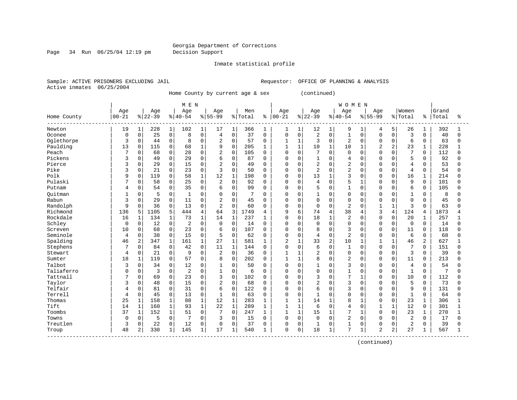Page 34 Run 06/25/04 12:19 pm Decision Support

Inmate statistical profile

Active inmates 06/25/2004

Sample: ACTIVE PRISONERS EXCLUDING JAIL **Requestor:** OFFICE OF PLANNING & ANALYSIS

Home County by current age & sex (continued)

|             |             |              |          |              | M E N          |              |                |                     |         |              |                |              |                |              | <b>WOMEN</b>   |              |                |                |                         |              |       |          |
|-------------|-------------|--------------|----------|--------------|----------------|--------------|----------------|---------------------|---------|--------------|----------------|--------------|----------------|--------------|----------------|--------------|----------------|----------------|-------------------------|--------------|-------|----------|
|             | Age         |              | Age      |              | Age            |              | Age            |                     | Men     |              | Age            |              | Age            |              | Age            |              | Age            |                | Women                   |              | Grand |          |
| Home County | $00 - 21$   |              | $ 22-39$ |              | $8 40-54$      |              | $8 55-99$      |                     | % Total | ႜ            | $ 00 - 21$     |              | $ 22-39 $      |              | $ 40-54$       |              | $8155 - 99$    |                | % Total                 | န္           | Total | ిక       |
| Newton      | 19          | $\mathbf{1}$ | 228      | $\mathbf{1}$ | 102            | $\mathbf{1}$ | 17             | $\mathbf{1}$        | 366     | 1            | 1              | 1            | 12             | 1            | 9              | 1            | 4              | 5              | 26                      | 1            | 392   |          |
| Oconee      | 0           | $\mathbf 0$  | 25       | 0            | 8              | 0            | $\overline{4}$ | $\mathsf 0$         | 37      | $\mathbf 0$  | 0              | $\mathbf 0$  | 2              | $\mathbf 0$  | $\mathbf{1}$   | $\mathbf 0$  | 0              | $\mathbf 0$    | 3                       | $\Omega$     | 40    | $\Omega$ |
| Oglethorpe  | 3           | $\mathbf 0$  | 44       | 0            | 8              | 0            | 2              | $\mathbf 0$         | 57      | 0            | $\mathbf 1$    | $1\,$        | 3              | $\mathbf 0$  | $\overline{2}$ | $\mathbf 0$  | 0              | $\Omega$       | 6                       | 0            | 63    | $\Omega$ |
| Paulding    | 13          | $\Omega$     | 115      | $\mathbf 0$  | 68             | $\mathbf{1}$ | 9              | $\Omega$            | 205     | $\mathbf{1}$ | $\mathbf{1}$   | $\mathbf{1}$ | 10             | $\mathbf{1}$ | 10             | $\mathbf{1}$ | $\overline{a}$ | $\overline{2}$ | 23                      | $\mathbf{1}$ | 228   |          |
| Peach       | 7           | 0            | 68       | $\mathbf 0$  | 28             | 0            | $\overline{a}$ | $\mathbf 0$         | 105     | 0            | 0              | $\mathbf 0$  | 7              | $\mathbf 0$  | 0              | $\Omega$     | 0              | $\Omega$       | 7                       | $\Omega$     | 112   | $\Omega$ |
| Pickens     | 3           | 0            | 49       | 0            | 29             | $\Omega$     | 6              | $\mathbf 0$         | 87      | 0            | 0              | $\mathbf 0$  |                | $\mathbf 0$  | $\overline{4}$ | $\Omega$     | 0              | $\Omega$       | 5                       | 0            | 92    |          |
| Pierce      | 3           | 0            | 29       | 0            | 15             | 0            | 2              | $\mathbf{0}$        | 49      | $\Omega$     | $\Omega$       | $\mathbf 0$  | 2              | $\mathbf 0$  | 2              | $\Omega$     | O              | $\Omega$       | $\overline{4}$          | 0            | 53    |          |
| Pike        | ζ           | $\Omega$     | 21       | $\mathbf 0$  | 23             | $\Omega$     | 3              | $\Omega$            | 50      | $\Omega$     | $\Omega$       | $\Omega$     | $\overline{2}$ | $\Omega$     | $\overline{2}$ | $\Omega$     | O              | $\Omega$       | $\overline{4}$          | $\Omega$     | 54    |          |
| Polk        | 9           | 0            | 119      | 0            | 58             | $\mathbf 1$  | 12             | $\mathbf{1}$        | 198     | $\Omega$     | $\Omega$       | $\Omega$     | 13             | $\mathbf{1}$ | 3              | $\Omega$     | 0              | $\Omega$       | 16                      | $\mathbf{1}$ | 214   |          |
| Pulaski     |             | 0            | 58       | $\mathbf 0$  | 25             | $\mathsf{O}$ | 2              | $\mathbf 0$         | 92      | 0            | 0              | $\mathbf 0$  | 4              | $\mathbf 0$  | 5              | $\mathbf{1}$ | 0              | $\Omega$       | 9                       | 0            | 101   |          |
| Putnam      | 4           | 0            | 54       | 0            | 35             | 0            | 6              | 0                   | 99      | $\Omega$     | $\Omega$       | $\mathbf 0$  | 5              | $\mathbf 0$  | $\mathbf{1}$   | $\Omega$     | 0              | $\mathbf 0$    | 6                       | 0            | 105   |          |
| Ouitman     |             | $\Omega$     | 5        | 0            | $\mathbf{1}$   | $\Omega$     | $\Omega$       | 0                   | 7       | $\Omega$     | 0              | $\mathbf 0$  |                | $\mathbf 0$  | 0              | 0            | 0              | $\Omega$       | $\mathbf{1}$            | $\Omega$     | 8     |          |
| Rabun       | 3           | 0            | 29       | $\mathbf 0$  | 11             | 0            | 2              | $\mathbf 0$         | 45      | 0            | 0              | $\mathbf 0$  | $\mathbf 0$    | $\mathbf 0$  | $\Omega$       | $\mathbf 0$  | $\mathbf 0$    | $\Omega$       | $\mathbf 0$             | $\Omega$     | 45    |          |
| Randolph    | 9           | 0            | 36       | 0            | 13             | 0            | 2              | $\mathbf 0$         | 60      | $\mathbf 0$  | $\Omega$       | $\mathbf 0$  | $\mathbf 0$    | $\mathbf 0$  | $\overline{a}$ | $\Omega$     | $\mathbf{1}$   | -1             | 3                       | $\Omega$     | 63    |          |
| Richmond    | 136         | 5            | 1105     | 5            | 444            | 4            | 64             | 3                   | 1749    | 4            | 9              | 6            | 74             | 4            | 38             | 4            | 3              | 4              | 124                     | 4            | 1873  |          |
| Rockdale    | 16          | 1            | 134      | $\mathbf{1}$ | 73             | $\mathbf{1}$ | 14             | $1\,$               | 237     | 1            | $\Omega$       | $\Omega$     | 18             | $\mathbf{1}$ | 2              | $\Omega$     | O              | $\Omega$       | 20                      | 1            | 257   |          |
| Schley      | $\mathbf 0$ | $\Omega$     | 12       | $\mathbf 0$  | $\overline{2}$ | $\Omega$     | $\Omega$       | $\Omega$            | 14      | $\Omega$     | $\Omega$       | $\Omega$     | $\Omega$       | $\Omega$     | $\Omega$       | $\Omega$     | 0              | $\Omega$       | $\Omega$                | $\Omega$     | 14    | U        |
| Screven     | 10          | 0            | 68       | $\mathbf 0$  | 23             | 0            | 6              | $\mathbf 0$         | 107     | 0            | 0              | $\mathbf 0$  | 8              | $\mathbf 0$  | 3              | $\Omega$     | 0              | $\mathbf 0$    | 11                      | 0            | 118   |          |
| Seminole    | 4           | 0            | 38       | $\mathbf 0$  | 15             | $\mathsf{O}$ | 5              | $\mathsf{O}\xspace$ | 62      | $\Omega$     | 0              | $\mathsf 0$  | 4              | $\mathbf 0$  | 2              | $\Omega$     | 0              | $\mathbf 0$    | 6                       | 0            | 68    |          |
| Spalding    | 46          | 2            | 347      | $\mathbf{1}$ | 161            | 1            | 27             | $1\,$               | 581     | $\mathbf{1}$ | $\overline{2}$ | $\mathbf{1}$ | 33             | 2            | 10             | $\mathbf{1}$ | $\mathbf{1}$   | $\mathbf{1}$   | 46                      | 2            | 627   |          |
| Stephens    |             | 0            | 84       | 0            | 42             | 0            | 11             | $\mathbf{1}$        | 144     | 0            | $\Omega$       | $\mathbf 0$  | 6              | $\mathbf 0$  | 1              | $\Omega$     | 0              | $\Omega$       | 7                       | 0            | 151   | $\Omega$ |
| Stewart     | 4           | 0            | 21       | 0            | 9              | $\Omega$     | 2              | 0                   | 36      | 0            |                | $\mathbf{1}$ | 2              | $\mathbf 0$  | 0              | 0            | 0              | $\Omega$       | 3                       | $\Omega$     | 39    |          |
| Sumter      | 18          | 1            | 119      | 0            | 57             | 0            | 8              | $\mathbf 0$         | 202     | 0            | 1              | $\mathbf{1}$ | 8              | $\mathbf 0$  | 2              | $\Omega$     | 0              | $\Omega$       | 11                      | 0            | 213   |          |
| Talbot      | 3           | 0            | 34       | 0            | 12             | $\Omega$     | $\mathbf{1}$   | $\mathbf 0$         | 50      | $\Omega$     | $\Omega$       | $\mathbf 0$  | 1              | $\Omega$     | 3              | $\Omega$     | 0              | $\Omega$       | 4                       | $\Omega$     | 54    |          |
| Taliaferro  | $\Omega$    | $\Omega$     | 3        | $\Omega$     | $\overline{2}$ | $\Omega$     | $\mathbf{1}$   | $\Omega$            | 6       | $\Omega$     | $\Omega$       | $\Omega$     | 0              | $\Omega$     | $\mathbf{1}$   | $\Omega$     | 0              | $\Omega$       | $\mathbf{1}$            | $\Omega$     | 7     |          |
| Tattnall    |             | 0            | 69       | $\mathbf 0$  | 23             | $\Omega$     | 3              | $\mathbf 0$         | 102     | 0            | 0              | $\mathbf 0$  | 3              | $\mathbf 0$  | 7              | $\mathbf{1}$ | 0              | $\mathbf 0$    | 10                      | 0            | 112   |          |
| Taylor      | 3           | 0            | 48       | 0            | 15             | $\mathsf{O}$ | 2              | $\mathsf 0$         | 68      | $\Omega$     | 0              | $\mathbf 0$  | 2              | $\mathbf 0$  | 3              | $\mathbf 0$  | 0              | $\Omega$       | 5                       | 0            | 73    |          |
| Telfair     | 4           | 0            | 81       | 0            | 31             | 0            | 6              | 0                   | 122     | 0            | $\Omega$       | $\mathbf 0$  | 6              | $\Omega$     | 3              | $\Omega$     | O              | $\Omega$       | 9                       | $\Omega$     | 131   |          |
| Terrell     | 4           | 0            | 45       | 0            | 13             | $\Omega$     | 1              | $\mathbf 0$         | 63      | $\Omega$     | 0              | 0            | 1              | $\Omega$     | $\Omega$       | $\Omega$     | U              | $\Omega$       | $\mathbf{1}$            | $\Omega$     | 64    | U        |
| Thomas      | 25          | $\mathbf{1}$ | 158      | $\mathbf 1$  | 88             | 1            | 12             | $1\,$               | 283     | 1            | $\mathbf{1}$   | 1            | 14             | $\mathbf{1}$ | 8              |              | 0              | $\Omega$       | 23                      | 1            | 306   |          |
| Tift        | 14          | 1            | 160      | $\mathbf{1}$ | 93             | $\mathbf 1$  | 22             | $1\,$               | 289     | 1            | $\mathbf{1}$   | $\mathbf{1}$ | 6              | $\mathbf 0$  | 4              | $\Omega$     | 1              | $\mathbf{1}$   | 12                      | 0            | 301   |          |
| Toombs      | 37          | $\mathbf{1}$ | 152      | $\mathbf{1}$ | 51             | $\Omega$     | 7              | $\mathbf 0$         | 247     | 1            | $\mathbf{1}$   | $\mathbf{1}$ | 15             | $\mathbf{1}$ | 7              | $\mathbf{1}$ | O              | $\Omega$       | 23                      | $\mathbf{1}$ | 270   |          |
| Towns       | $\Omega$    | 0            | 5        | 0            |                | 0            | 3              | 0                   | 15      | $\mathbf 0$  | $\mathbf 0$    | $\mathbf 0$  | $\Omega$       | $\mathbf 0$  | 2              | $\Omega$     | 0              | $\Omega$       | 2                       | $\Omega$     | 17    | $\cap$   |
| Treutlen    | 3           | 0            | 22       | 0            | 12             | 0            | $\mathbf 0$    | $\mathbf 0$         | 37      | $\Omega$     | 0              | $\mathbf 0$  |                | $\mathbf 0$  | 1              | $\mathbf 0$  | 0              | $\Omega$       | $\overline{\mathbf{c}}$ | 0            | 39    |          |
| Troup       | 48          | 2            | 330      | 1            | 145            | $\mathbf{1}$ | 17             | $\mathbf{1}$        | 540     | 1            | $\Omega$       | $\mathbf 0$  | 18             | $\mathbf{1}$ | 7              | $\mathbf{1}$ | $\overline{a}$ | 2              | 27                      | $\mathbf{1}$ | 567   |          |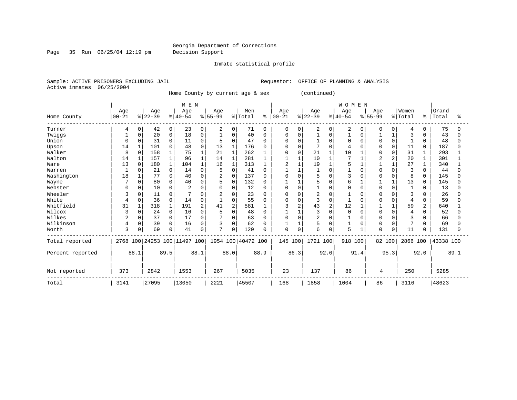Page 35 Run 06/25/04 12:19 pm Decision Support

Inmate statistical profile

Active inmates 06/25/2004

Sample: ACTIVE PRISONERS EXCLUDING JAIL **Requestor:** OFFICE OF PLANNING & ANALYSIS

Home County by current age & sex (continued)

|                  |                  |          |                  |                | M E N                        |          |                  |                |                    |              |                  |          |                 |          | WOMEN           |          |                  |              |                  |               |                |      |
|------------------|------------------|----------|------------------|----------------|------------------------------|----------|------------------|----------------|--------------------|--------------|------------------|----------|-----------------|----------|-----------------|----------|------------------|--------------|------------------|---------------|----------------|------|
| Home County      | Age<br>$00 - 21$ |          | Age<br>$ 22-39 $ |                | Age<br>$8 40-54$             |          | Age<br>$8 55-99$ |                | Men<br>% Total     | ႜ            | Age<br>$00 - 21$ |          | Age<br>$ 22-39$ |          | Age<br>$ 40-54$ |          | Age<br>$8 55-99$ |              | Women<br>% Total | $\frac{8}{6}$ | Grand<br>Total | ፠    |
| Turner           | 4                | 0        | 42               | $\overline{0}$ | 23                           | 0        | 2                | 0              | 71                 | $\Omega$     | 0                | 0        | 2               | 0        | 2               | $\Omega$ | 0                | $\Omega$     | 4                | $\Omega$      | 75             |      |
| Twiggs           |                  | O        | 20               | 0              | 18                           | 0        |                  | $\mathbf 0$    | 40                 | O            | U                | O        |                 | 0        |                 | O        |                  |              | 3                |               | 43             |      |
| Union            | $\Omega$         |          | 31               | 0              | 11                           | $\Omega$ | 5                | $\Omega$       | 47                 | O            | U                | O        |                 | U        | $\Omega$        |          | $\Omega$         | $\Omega$     |                  | $\Omega$      | 48             |      |
| Upson            | 14               |          | 101              | 0              | 48                           | $\Omega$ | 13               |                | 176                |              | 0                | $\Omega$ | 7               | 0        |                 |          |                  | 0            | 11               | 0             | 187            |      |
| Walker           | 8                | $\Omega$ | 158              | 1              | 75                           |          | 21               | $\mathbf{1}$   | 262                |              | U                | $\Omega$ | 21              |          | 10              |          | $\Omega$         | $\Omega$     | 31               |               | 293            |      |
| Walton           | 14               |          | 157              | 1              | 96                           |          | 14               |                | 281                |              |                  |          | 10              |          |                 |          |                  |              | 20               |               | 301            |      |
| Ware             | 13               | $\Omega$ | 180              | 1              | 104                          |          | 16               |                | 313                |              | 2                |          | 19              |          |                 |          |                  |              | 27               |               | 340            |      |
| Warren           |                  |          | 21               | 0              | 14                           | $\Omega$ | 5                | $\Omega$       | 41                 |              |                  |          |                 |          |                 |          |                  |              | 3                |               | 44             |      |
| Washington       | 18               |          | 77               | 0              | 40                           | 0        | 2                | 0              | 137                | <sup>0</sup> | 0                | n        | 5               |          | 3               |          |                  | <sup>0</sup> | 8                | 0             | 145            |      |
| Wayne            |                  | $\Omega$ | 80               | 0              | 40                           | $\Omega$ |                  | $\mathbf 0$    | 132                |              |                  |          | 5               | $\Omega$ | 6               |          |                  | $\mathbf{1}$ | 13               | $\Omega$      | 145            |      |
| Webster          | U                | 0        | 10               | 0              | 2                            | $\Omega$ |                  | 0              | 12                 |              | U                | O        |                 | $\Omega$ | <sup>0</sup>    |          | <sup>0</sup>     | $\Omega$     |                  | $\Omega$      | 13             |      |
| Wheeler          |                  | 0        | 11               | 0              |                              | $\Omega$ | 2                | $\Omega$       | 23                 |              | U                | O        | 2               |          |                 |          | n                |              | 3                |               | 26             |      |
| White            | 4                | 0        | 36               | 0              | 14                           | $\Omega$ |                  | $\mathbf 0$    | 55                 |              | 0                | $\Omega$ | 3               | $\Omega$ |                 |          |                  | $\cap$       | 4                | $\Omega$      | 59             |      |
| Whitfield        | 31               |          | 318              | $\mathbf{1}$   | 191                          |          | 41               | $\overline{c}$ | 581                |              | 3                | 2        | 43              | 2        | 12              |          |                  |              | 59               | 2             | 640            |      |
| Wilcox           |                  | $\Omega$ | 24               | 0              | 16                           | $\Omega$ |                  | $\mathbf 0$    | 48                 |              |                  |          | 3               |          | $\Omega$        |          |                  |              |                  | <sup>0</sup>  | 52             |      |
| Wilkes           |                  | 0        | 37               | $\Omega$       | 17                           | $\Omega$ |                  | $\Omega$       | 63                 |              |                  | O        | $\overline{2}$  |          |                 |          |                  |              | 3                |               | 66             |      |
| Wilkinson        | 4                | 0        | 39               | 0              | 16                           | 0        | 3                | $\mathbf 0$    | 62                 |              |                  |          | 5               | U        |                 |          | <sup>0</sup>     | O            | 7                | <sup>0</sup>  | 69             |      |
| Worth            | 3                | 0        | 69               | 0              | 41                           | 0        | $\overline{ }$   | 0              | 120                |              | 0                | $\Omega$ | 6               | $\Omega$ | 5               |          | $\Omega$         | 0            | 11               | 0             | 131            |      |
| Total reported   |                  |          |                  |                | 2768 100 24253 100 11497 100 |          |                  |                | 1954 100 40472 100 |              | 145 100          |          | 1721 100        |          | 918             | 100      | 82 100           |              | 2866 100         |               | 43338 100      |      |
| Percent reported | 88.1             |          |                  | 89.5           |                              | 88.1     |                  | 88.0           |                    | 88.9         |                  | 86.3     | 92.6            |          | 91.4            |          |                  | 95.3         |                  | 92.0          |                | 89.1 |
| Not reported     | 373              |          | 2842             |                | 1553                         |          | 267              |                | 5035               |              | 23               |          | 137             |          | 86              |          | 4                |              | 250              |               | 5285           |      |
| Total            | 3141             |          | 27095            |                | 13050                        |          | 2221             |                | 45507              |              | 168              |          | 1858            |          | 1004            |          | 86               |              | 3116             |               | 48623          |      |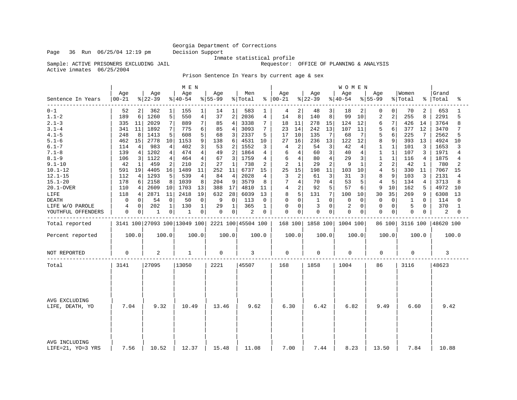Sample: ACTIVE PRISONERS EXCLUDING JAIL

Inmate statistical profile<br>Requestor: OFFICE OF PLANNING & ANALYSIS

Active inmates 06/25/2004

Prison Sentence In Years by current age & sex

| Age<br>Age<br>Age<br>Women<br>Age<br>Age<br>Age<br>Men<br>Age<br>Age<br>$00 - 21$<br>$ 22-39$<br>$ 40-54 $<br>$ 55-99$<br>% Total<br>$8   00 - 21$<br>$ 22-39$<br>$ 40-54 $<br>$8 55-99$<br>% Total<br>%   Total<br>Sentence In Years<br>$0 - 1$<br>52<br>$\overline{2}$<br>362<br>155<br>583<br>2<br>3<br>18<br>70<br>2<br>$1\vert$<br>1<br>14<br>$1\vert$<br>48<br>0<br>$\Omega$<br>4<br>$\overline{a}$<br>$1.1 - 2$<br>5<br>6<br>1260<br>$\,4$<br>37<br>8<br>8<br>99<br>10<br>$\overline{2}$<br>$\sqrt{2}$<br>8<br>189<br>550<br>2036<br>4<br>14<br>140<br>255<br>$2.1 - 3$<br>7<br>$\overline{4}$<br>6<br>11<br>2029<br>7<br>7<br>278<br>15<br>124<br>7<br>335<br>889<br>85<br>3338<br>18<br>11<br>12<br>426<br>14<br>$3.1 - 4$<br>11<br>1892<br>7<br>6<br>85<br>$\overline{4}$<br>3093<br>242<br>13<br>5<br>6<br>775<br>7<br>23<br>14<br>107<br>11<br>377<br>12<br>341<br>$4.1 - 5$<br>5<br>5<br>8<br>1413<br>5<br>608<br>68<br>3<br>2337<br>5<br>10<br>135<br>7<br>6<br>225<br>248<br>17<br>7<br>68<br>7<br>$5.1 - 6$<br>8<br>15<br>2778<br>10<br>9<br>236<br>13<br>12<br>462<br>1153<br>138<br>6<br>4531<br>10<br>27<br>16<br>122<br>9<br>393<br>13<br>$6.1 - 7$<br>114<br>983<br>4<br>402<br>3<br>53<br>2<br>1552<br>2<br>3<br>$\mathbf{1}$<br>3<br>4<br>3<br>54<br>42<br>4<br>1<br>101<br>4<br>3<br>$7.1 - 8$<br>1202<br>4<br>474<br>4<br>49<br>$\overline{2}$<br>1864<br>139<br>4<br>6<br>4<br>60<br>40<br>4<br>1<br>1<br>107<br>3<br>4<br>$8.1 - 9$<br>1122<br>$\overline{4}$<br>464<br>67<br>1759<br>6<br>80<br>4<br>29<br>106<br>3<br>4<br>3<br>4<br>4<br>3<br>$\mathbf{1}$<br>$\mathbf{1}$<br>116<br>4<br>$\overline{2}$<br>2<br>$\overline{a}$<br>$9.1 - 10$<br>$\mathbf{1}$<br>459<br>210<br>2<br>27<br>$\mathbf{1}$<br>738<br>2<br>$\mathbf{1}$<br>29<br>2<br>9<br>42<br>2<br>1<br>42<br>1<br>15<br>11<br>$\overline{4}$<br>5<br>$10.1 - 12$<br>19<br>4405<br>16<br>1489<br>11<br>252<br>11<br>15<br>25<br>198<br>10<br>591<br>6737<br>103<br>330<br>11<br>$12.1 - 15$<br>1293<br>5<br>539<br>$\overline{4}$<br>2028<br>8<br>112<br>4<br>4<br>84<br>3<br>2<br>61<br>3<br>31<br>3<br>103<br>3<br>4<br>9<br>$15.1 - 20$<br>178<br>8<br>1039<br>3579<br>7<br>53<br>$\overline{4}$<br>5<br>6<br>2158<br>8<br>204<br>8<br>4<br>70<br>4<br>5<br>134<br>4<br>5 <br>2609<br>10<br>1703<br>388<br>17<br>4<br>2<br>92<br>57<br>9<br>10<br>162<br>20.1-OVER<br>110<br>4<br>13<br>4810<br>6<br>5<br>11<br>2871<br>19<br>5<br>7 <sup>1</sup><br>100<br>LIFE<br>4<br>11<br>2418<br>632<br>28<br>6039<br>8<br>131<br>30<br>35<br>269<br>9<br>118<br>13<br>10<br>54<br>0<br>$\mathbf 0$<br><b>DEATH</b><br>0<br>0<br>50<br>$\mathbf 0$<br>9<br>$\Omega$<br>113<br>$\mathbf 0$<br>0<br>1<br>$\Omega$<br>$\Omega$<br>$\Omega$<br>$\Omega$<br>$\Omega$<br><sup>0</sup><br>1<br>0<br>202<br>$\mathbf{1}$<br>3<br>$\overline{c}$<br>$\mathbf 0$<br>130<br>$\mathbf{1}$<br>$\mathbf{1}$<br>365<br>$\mathbf 0$<br>0<br>$\mathbf 0$<br>$\mathbf 0$<br>5<br>LIFE W/O PAROLE<br>4<br>29<br>1<br>0<br>0<br>0<br>0<br>$\mathbf 0$<br>$\mathbf 0$<br>$\mathbf 0$<br>$\mathbf 0$<br>YOUTHFUL OFFENDERS<br>0<br>0<br>1<br>1<br>0<br>0<br>2<br>0<br>0<br>0<br>0<br>0<br>0<br>0<br>3141 100 27093 100 13049 100<br>2221 100 45504 100<br>168 100 1858 100<br>Total reported<br>1004 100<br>86 100<br>3116 100<br>100.0<br>100.0<br>100.0<br>Percent reported<br>100.0<br>100.0<br>100.0<br>100.0<br>100.0<br>100.0<br>100.0<br>3<br>$\mathbf 0$<br>2<br>0<br>$\mathbf 0$<br>0<br>$\mathbf 0$<br>0<br>NOT REPORTED<br>1<br>0<br>27095<br>3141<br>13050<br>2221<br>45507<br>168<br>1858<br>1004<br>86<br>3116<br>Total<br>AVG EXCLUDING<br>7.04<br>9.32<br>6.42<br>6.82<br>9.49<br>10.49<br>13.46<br>9.62<br>6.30<br>6.60<br>LIFE, DEATH, YO |  | M E N |  |  | WOMEN |  |                       |
|----------------------------------------------------------------------------------------------------------------------------------------------------------------------------------------------------------------------------------------------------------------------------------------------------------------------------------------------------------------------------------------------------------------------------------------------------------------------------------------------------------------------------------------------------------------------------------------------------------------------------------------------------------------------------------------------------------------------------------------------------------------------------------------------------------------------------------------------------------------------------------------------------------------------------------------------------------------------------------------------------------------------------------------------------------------------------------------------------------------------------------------------------------------------------------------------------------------------------------------------------------------------------------------------------------------------------------------------------------------------------------------------------------------------------------------------------------------------------------------------------------------------------------------------------------------------------------------------------------------------------------------------------------------------------------------------------------------------------------------------------------------------------------------------------------------------------------------------------------------------------------------------------------------------------------------------------------------------------------------------------------------------------------------------------------------------------------------------------------------------------------------------------------------------------------------------------------------------------------------------------------------------------------------------------------------------------------------------------------------------------------------------------------------------------------------------------------------------------------------------------------------------------------------------------------------------------------------------------------------------------------------------------------------------------------------------------------------------------------------------------------------------------------------------------------------------------------------------------------------------------------------------------------------------------------------------------------------------------------------------------------------------------------------------------------------------------------------------------------------------------------------------------------------------------------------------------------------------------------------------------------------------------------------------------------------------------------------------------------------------------------------------------------------------------------------------------------------------------------------------------------------------------------------------------------------------------------------------------------------------------------------------------------------------------------------------------------------------------|--|-------|--|--|-------|--|-----------------------|
|                                                                                                                                                                                                                                                                                                                                                                                                                                                                                                                                                                                                                                                                                                                                                                                                                                                                                                                                                                                                                                                                                                                                                                                                                                                                                                                                                                                                                                                                                                                                                                                                                                                                                                                                                                                                                                                                                                                                                                                                                                                                                                                                                                                                                                                                                                                                                                                                                                                                                                                                                                                                                                                                                                                                                                                                                                                                                                                                                                                                                                                                                                                                                                                                                                                                                                                                                                                                                                                                                                                                                                                                                                                                                                                            |  |       |  |  |       |  | Grand<br>ిక           |
|                                                                                                                                                                                                                                                                                                                                                                                                                                                                                                                                                                                                                                                                                                                                                                                                                                                                                                                                                                                                                                                                                                                                                                                                                                                                                                                                                                                                                                                                                                                                                                                                                                                                                                                                                                                                                                                                                                                                                                                                                                                                                                                                                                                                                                                                                                                                                                                                                                                                                                                                                                                                                                                                                                                                                                                                                                                                                                                                                                                                                                                                                                                                                                                                                                                                                                                                                                                                                                                                                                                                                                                                                                                                                                                            |  |       |  |  |       |  | 653<br>$\mathbf{1}$   |
|                                                                                                                                                                                                                                                                                                                                                                                                                                                                                                                                                                                                                                                                                                                                                                                                                                                                                                                                                                                                                                                                                                                                                                                                                                                                                                                                                                                                                                                                                                                                                                                                                                                                                                                                                                                                                                                                                                                                                                                                                                                                                                                                                                                                                                                                                                                                                                                                                                                                                                                                                                                                                                                                                                                                                                                                                                                                                                                                                                                                                                                                                                                                                                                                                                                                                                                                                                                                                                                                                                                                                                                                                                                                                                                            |  |       |  |  |       |  | 2291<br>5             |
|                                                                                                                                                                                                                                                                                                                                                                                                                                                                                                                                                                                                                                                                                                                                                                                                                                                                                                                                                                                                                                                                                                                                                                                                                                                                                                                                                                                                                                                                                                                                                                                                                                                                                                                                                                                                                                                                                                                                                                                                                                                                                                                                                                                                                                                                                                                                                                                                                                                                                                                                                                                                                                                                                                                                                                                                                                                                                                                                                                                                                                                                                                                                                                                                                                                                                                                                                                                                                                                                                                                                                                                                                                                                                                                            |  |       |  |  |       |  | 3764<br>8             |
|                                                                                                                                                                                                                                                                                                                                                                                                                                                                                                                                                                                                                                                                                                                                                                                                                                                                                                                                                                                                                                                                                                                                                                                                                                                                                                                                                                                                                                                                                                                                                                                                                                                                                                                                                                                                                                                                                                                                                                                                                                                                                                                                                                                                                                                                                                                                                                                                                                                                                                                                                                                                                                                                                                                                                                                                                                                                                                                                                                                                                                                                                                                                                                                                                                                                                                                                                                                                                                                                                                                                                                                                                                                                                                                            |  |       |  |  |       |  | 3470<br>7             |
|                                                                                                                                                                                                                                                                                                                                                                                                                                                                                                                                                                                                                                                                                                                                                                                                                                                                                                                                                                                                                                                                                                                                                                                                                                                                                                                                                                                                                                                                                                                                                                                                                                                                                                                                                                                                                                                                                                                                                                                                                                                                                                                                                                                                                                                                                                                                                                                                                                                                                                                                                                                                                                                                                                                                                                                                                                                                                                                                                                                                                                                                                                                                                                                                                                                                                                                                                                                                                                                                                                                                                                                                                                                                                                                            |  |       |  |  |       |  | 2562<br>5             |
|                                                                                                                                                                                                                                                                                                                                                                                                                                                                                                                                                                                                                                                                                                                                                                                                                                                                                                                                                                                                                                                                                                                                                                                                                                                                                                                                                                                                                                                                                                                                                                                                                                                                                                                                                                                                                                                                                                                                                                                                                                                                                                                                                                                                                                                                                                                                                                                                                                                                                                                                                                                                                                                                                                                                                                                                                                                                                                                                                                                                                                                                                                                                                                                                                                                                                                                                                                                                                                                                                                                                                                                                                                                                                                                            |  |       |  |  |       |  | 4924<br>10            |
|                                                                                                                                                                                                                                                                                                                                                                                                                                                                                                                                                                                                                                                                                                                                                                                                                                                                                                                                                                                                                                                                                                                                                                                                                                                                                                                                                                                                                                                                                                                                                                                                                                                                                                                                                                                                                                                                                                                                                                                                                                                                                                                                                                                                                                                                                                                                                                                                                                                                                                                                                                                                                                                                                                                                                                                                                                                                                                                                                                                                                                                                                                                                                                                                                                                                                                                                                                                                                                                                                                                                                                                                                                                                                                                            |  |       |  |  |       |  | 1653<br>3             |
|                                                                                                                                                                                                                                                                                                                                                                                                                                                                                                                                                                                                                                                                                                                                                                                                                                                                                                                                                                                                                                                                                                                                                                                                                                                                                                                                                                                                                                                                                                                                                                                                                                                                                                                                                                                                                                                                                                                                                                                                                                                                                                                                                                                                                                                                                                                                                                                                                                                                                                                                                                                                                                                                                                                                                                                                                                                                                                                                                                                                                                                                                                                                                                                                                                                                                                                                                                                                                                                                                                                                                                                                                                                                                                                            |  |       |  |  |       |  | 1971<br>4             |
|                                                                                                                                                                                                                                                                                                                                                                                                                                                                                                                                                                                                                                                                                                                                                                                                                                                                                                                                                                                                                                                                                                                                                                                                                                                                                                                                                                                                                                                                                                                                                                                                                                                                                                                                                                                                                                                                                                                                                                                                                                                                                                                                                                                                                                                                                                                                                                                                                                                                                                                                                                                                                                                                                                                                                                                                                                                                                                                                                                                                                                                                                                                                                                                                                                                                                                                                                                                                                                                                                                                                                                                                                                                                                                                            |  |       |  |  |       |  | 1875<br>4             |
|                                                                                                                                                                                                                                                                                                                                                                                                                                                                                                                                                                                                                                                                                                                                                                                                                                                                                                                                                                                                                                                                                                                                                                                                                                                                                                                                                                                                                                                                                                                                                                                                                                                                                                                                                                                                                                                                                                                                                                                                                                                                                                                                                                                                                                                                                                                                                                                                                                                                                                                                                                                                                                                                                                                                                                                                                                                                                                                                                                                                                                                                                                                                                                                                                                                                                                                                                                                                                                                                                                                                                                                                                                                                                                                            |  |       |  |  |       |  | 780<br>$\overline{2}$ |
|                                                                                                                                                                                                                                                                                                                                                                                                                                                                                                                                                                                                                                                                                                                                                                                                                                                                                                                                                                                                                                                                                                                                                                                                                                                                                                                                                                                                                                                                                                                                                                                                                                                                                                                                                                                                                                                                                                                                                                                                                                                                                                                                                                                                                                                                                                                                                                                                                                                                                                                                                                                                                                                                                                                                                                                                                                                                                                                                                                                                                                                                                                                                                                                                                                                                                                                                                                                                                                                                                                                                                                                                                                                                                                                            |  |       |  |  |       |  | 7067<br>15            |
|                                                                                                                                                                                                                                                                                                                                                                                                                                                                                                                                                                                                                                                                                                                                                                                                                                                                                                                                                                                                                                                                                                                                                                                                                                                                                                                                                                                                                                                                                                                                                                                                                                                                                                                                                                                                                                                                                                                                                                                                                                                                                                                                                                                                                                                                                                                                                                                                                                                                                                                                                                                                                                                                                                                                                                                                                                                                                                                                                                                                                                                                                                                                                                                                                                                                                                                                                                                                                                                                                                                                                                                                                                                                                                                            |  |       |  |  |       |  | 2131<br>4             |
|                                                                                                                                                                                                                                                                                                                                                                                                                                                                                                                                                                                                                                                                                                                                                                                                                                                                                                                                                                                                                                                                                                                                                                                                                                                                                                                                                                                                                                                                                                                                                                                                                                                                                                                                                                                                                                                                                                                                                                                                                                                                                                                                                                                                                                                                                                                                                                                                                                                                                                                                                                                                                                                                                                                                                                                                                                                                                                                                                                                                                                                                                                                                                                                                                                                                                                                                                                                                                                                                                                                                                                                                                                                                                                                            |  |       |  |  |       |  | 3713<br>8             |
|                                                                                                                                                                                                                                                                                                                                                                                                                                                                                                                                                                                                                                                                                                                                                                                                                                                                                                                                                                                                                                                                                                                                                                                                                                                                                                                                                                                                                                                                                                                                                                                                                                                                                                                                                                                                                                                                                                                                                                                                                                                                                                                                                                                                                                                                                                                                                                                                                                                                                                                                                                                                                                                                                                                                                                                                                                                                                                                                                                                                                                                                                                                                                                                                                                                                                                                                                                                                                                                                                                                                                                                                                                                                                                                            |  |       |  |  |       |  | 4972<br>10            |
|                                                                                                                                                                                                                                                                                                                                                                                                                                                                                                                                                                                                                                                                                                                                                                                                                                                                                                                                                                                                                                                                                                                                                                                                                                                                                                                                                                                                                                                                                                                                                                                                                                                                                                                                                                                                                                                                                                                                                                                                                                                                                                                                                                                                                                                                                                                                                                                                                                                                                                                                                                                                                                                                                                                                                                                                                                                                                                                                                                                                                                                                                                                                                                                                                                                                                                                                                                                                                                                                                                                                                                                                                                                                                                                            |  |       |  |  |       |  | 6308<br>13            |
|                                                                                                                                                                                                                                                                                                                                                                                                                                                                                                                                                                                                                                                                                                                                                                                                                                                                                                                                                                                                                                                                                                                                                                                                                                                                                                                                                                                                                                                                                                                                                                                                                                                                                                                                                                                                                                                                                                                                                                                                                                                                                                                                                                                                                                                                                                                                                                                                                                                                                                                                                                                                                                                                                                                                                                                                                                                                                                                                                                                                                                                                                                                                                                                                                                                                                                                                                                                                                                                                                                                                                                                                                                                                                                                            |  |       |  |  |       |  | 114<br>$\Omega$       |
|                                                                                                                                                                                                                                                                                                                                                                                                                                                                                                                                                                                                                                                                                                                                                                                                                                                                                                                                                                                                                                                                                                                                                                                                                                                                                                                                                                                                                                                                                                                                                                                                                                                                                                                                                                                                                                                                                                                                                                                                                                                                                                                                                                                                                                                                                                                                                                                                                                                                                                                                                                                                                                                                                                                                                                                                                                                                                                                                                                                                                                                                                                                                                                                                                                                                                                                                                                                                                                                                                                                                                                                                                                                                                                                            |  |       |  |  |       |  | 370<br>1              |
|                                                                                                                                                                                                                                                                                                                                                                                                                                                                                                                                                                                                                                                                                                                                                                                                                                                                                                                                                                                                                                                                                                                                                                                                                                                                                                                                                                                                                                                                                                                                                                                                                                                                                                                                                                                                                                                                                                                                                                                                                                                                                                                                                                                                                                                                                                                                                                                                                                                                                                                                                                                                                                                                                                                                                                                                                                                                                                                                                                                                                                                                                                                                                                                                                                                                                                                                                                                                                                                                                                                                                                                                                                                                                                                            |  |       |  |  |       |  | 2<br>$\Omega$         |
|                                                                                                                                                                                                                                                                                                                                                                                                                                                                                                                                                                                                                                                                                                                                                                                                                                                                                                                                                                                                                                                                                                                                                                                                                                                                                                                                                                                                                                                                                                                                                                                                                                                                                                                                                                                                                                                                                                                                                                                                                                                                                                                                                                                                                                                                                                                                                                                                                                                                                                                                                                                                                                                                                                                                                                                                                                                                                                                                                                                                                                                                                                                                                                                                                                                                                                                                                                                                                                                                                                                                                                                                                                                                                                                            |  |       |  |  |       |  | 48620 100             |
|                                                                                                                                                                                                                                                                                                                                                                                                                                                                                                                                                                                                                                                                                                                                                                                                                                                                                                                                                                                                                                                                                                                                                                                                                                                                                                                                                                                                                                                                                                                                                                                                                                                                                                                                                                                                                                                                                                                                                                                                                                                                                                                                                                                                                                                                                                                                                                                                                                                                                                                                                                                                                                                                                                                                                                                                                                                                                                                                                                                                                                                                                                                                                                                                                                                                                                                                                                                                                                                                                                                                                                                                                                                                                                                            |  |       |  |  |       |  | 100.0                 |
|                                                                                                                                                                                                                                                                                                                                                                                                                                                                                                                                                                                                                                                                                                                                                                                                                                                                                                                                                                                                                                                                                                                                                                                                                                                                                                                                                                                                                                                                                                                                                                                                                                                                                                                                                                                                                                                                                                                                                                                                                                                                                                                                                                                                                                                                                                                                                                                                                                                                                                                                                                                                                                                                                                                                                                                                                                                                                                                                                                                                                                                                                                                                                                                                                                                                                                                                                                                                                                                                                                                                                                                                                                                                                                                            |  |       |  |  |       |  | 3                     |
|                                                                                                                                                                                                                                                                                                                                                                                                                                                                                                                                                                                                                                                                                                                                                                                                                                                                                                                                                                                                                                                                                                                                                                                                                                                                                                                                                                                                                                                                                                                                                                                                                                                                                                                                                                                                                                                                                                                                                                                                                                                                                                                                                                                                                                                                                                                                                                                                                                                                                                                                                                                                                                                                                                                                                                                                                                                                                                                                                                                                                                                                                                                                                                                                                                                                                                                                                                                                                                                                                                                                                                                                                                                                                                                            |  |       |  |  |       |  | 48623                 |
|                                                                                                                                                                                                                                                                                                                                                                                                                                                                                                                                                                                                                                                                                                                                                                                                                                                                                                                                                                                                                                                                                                                                                                                                                                                                                                                                                                                                                                                                                                                                                                                                                                                                                                                                                                                                                                                                                                                                                                                                                                                                                                                                                                                                                                                                                                                                                                                                                                                                                                                                                                                                                                                                                                                                                                                                                                                                                                                                                                                                                                                                                                                                                                                                                                                                                                                                                                                                                                                                                                                                                                                                                                                                                                                            |  |       |  |  |       |  | 9.42                  |
| AVG INCLUDING<br>LIFE=21, YO=3 YRS<br>7.56<br>10.52<br>12.37<br>15.48<br>11.08<br>7.00<br>8.23<br>13.50<br>7.84<br>7.44                                                                                                                                                                                                                                                                                                                                                                                                                                                                                                                                                                                                                                                                                                                                                                                                                                                                                                                                                                                                                                                                                                                                                                                                                                                                                                                                                                                                                                                                                                                                                                                                                                                                                                                                                                                                                                                                                                                                                                                                                                                                                                                                                                                                                                                                                                                                                                                                                                                                                                                                                                                                                                                                                                                                                                                                                                                                                                                                                                                                                                                                                                                                                                                                                                                                                                                                                                                                                                                                                                                                                                                                    |  |       |  |  |       |  | 10.88                 |

Page 36 Run 06/25/04 12:19 pm Decision Support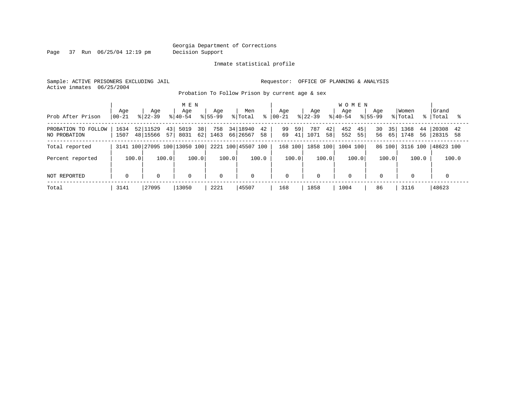Page 37 Run 06/25/04 12:19 pm Decision Support

#### Inmate statistical profile

Sample: ACTIVE PRISONERS EXCLUDING JAIL **Requestor:** OFFICE OF PLANNING & ANALYSIS Active inmates 06/25/2004

Probation To Follow Prison by current age & sex

| Prob After Prison                   | Age<br>$ 00-21$ | Age<br>$8122 - 39$               | MEN<br>Age<br>$8140 - 54$       | Age<br>$8155 - 99$ | Men<br>% Total                   | Aqe<br>$8   00 - 21$ | Age<br>$8 22-39$         | <b>WOMEN</b><br>Aqe<br>$8140 - 54$<br>$8155 - 99$ | Aqe                  | Women<br>% Total<br>$\approx$ 1 | Grand<br>Total             |
|-------------------------------------|-----------------|----------------------------------|---------------------------------|--------------------|----------------------------------|----------------------|--------------------------|---------------------------------------------------|----------------------|---------------------------------|----------------------------|
| PROBATION TO FOLLOW<br>NO PROBATION | 1634<br>1507    | 52 11529<br>43<br>48 15566<br>57 | 38 <sup>1</sup><br>5019<br>8031 | 758<br>62 1463     | 34 18940<br>42<br>66 26567<br>58 | 99<br>59<br>41<br>69 | 787<br>42 <br>1071<br>58 | 452<br>45<br>552<br>55                            | 30<br>35<br>56<br>65 | 1368<br>44<br>1748<br>56        | 20308<br>42<br>58<br>28315 |
| Total reported                      |                 |                                  | 3141 100 27095 100 13050 100    |                    | 2221 100 45507 100               | 168 100              | 1858 100                 | 1004 100                                          | 86 100               | 3116 100                        | 48623 100                  |
| Percent reported                    | 100.0           | 100.0                            | 100.0                           | 100.0              | 100.0                            | 100.0                | 100.0                    | 100.0                                             | 100.0                | 100.0                           | 100.0                      |
| NOT REPORTED                        | $\mathbf 0$     | $\mathbf 0$                      | $\mathbf 0$                     | $\Omega$           | $\mathbf 0$                      | $\mathbf 0$          | $\mathbf 0$              | $\mathbf 0$                                       | $\mathbf 0$          | $\mathbf 0$                     |                            |
| Total                               | 3141            | 27095                            | 13050                           | 2221               | 45507                            | 168                  | 1858                     | 1004                                              | 86                   | 3116                            | 48623                      |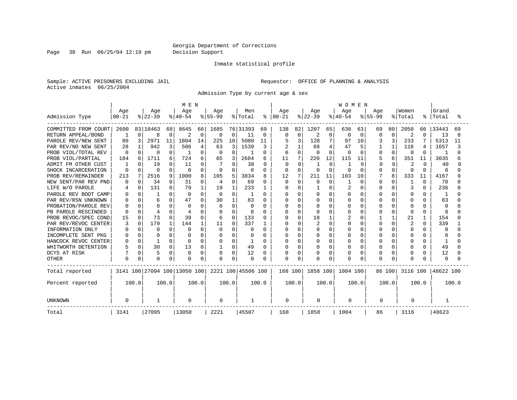Page 38 Run 06/25/04 12:19 pm Decision Support

#### Inmate statistical profile

Sample: ACTIVE PRISONERS EXCLUDING JAIL **Requestor:** OFFICE OF PLANNING & ANALYSIS Active inmates 06/25/2004

Admission Type by current age & sex

|                      |           |          |              |          | M E N                        |             |             |          |                    |               |              |          |              |                | <b>WOMEN</b> |          |           |              |          |          |           |       |
|----------------------|-----------|----------|--------------|----------|------------------------------|-------------|-------------|----------|--------------------|---------------|--------------|----------|--------------|----------------|--------------|----------|-----------|--------------|----------|----------|-----------|-------|
|                      | Age       |          | Age          |          | Age                          |             | Age         |          | Men                |               | Aqe          |          | Age          |                | Aqe          |          | Aqe       |              | Women    |          | Grand     |       |
| Admission Type       | $00 - 21$ |          | $ 22-39$     |          | $ 40-54$                     |             | $ 55-99$    |          | % Total            | $\frac{8}{6}$ | $00 - 21$    |          | $ 22-39 $    |                | $ 40-54$     |          | $8 55-99$ |              | % Total  | ႜ        | Total     | °≈    |
| COMMITTED FROM COURT | 2600      |          | 83 18463     | 68       | 8645                         | 66          | 1685        |          | 76 31393           | 69            | 138          | 82       | 1207         | 65             | 636          | 63       | 69        | 80           | 2050     | 66       | 33443     | 69    |
| RETURN APPEAL/BOND   |           | $\Omega$ | 8            | O        | 2                            | $\mathbf 0$ | 0           | 0        | 11                 | 0             | <sup>0</sup> | 0        | 2            | 0              | <sup>0</sup> | $\Omega$ | $\Omega$  | $\Omega$     | 2        | $\Omega$ | 13        | U     |
| PAROLE REV/NEW SENT  | 80        | 3        | 2971         | 11       | 1804                         | 14          | 225         | 10       | 5080               | 11            |              | 3        | 128          | 7              | 97           | 10       |           | 3            | 233      |          | 5313      | 11    |
| PAR REV/NO NEW SENT  | 28        | 1        | 942          |          | 506                          | 4           | 63          | 3        | 1539               | 3             |              | 1        | 68           | $\overline{4}$ | 47           | 5        |           | $\mathbf{1}$ | 118      | 4        | 1657      |       |
| PROB VIOL/TOTAL REV  | 0         |          | $\Omega$     |          |                              | $\Omega$    | 0           | $\Omega$ |                    | 0             |              | $\Omega$ |              | $\Omega$       | $\Omega$     | $\Omega$ | 0         | $\Omega$     | $\Omega$ | 0        |           |       |
| PROB VIOL/PARTIAL    | 184       | 6        | 1711         | 6        | 724                          | 6           | 65          | 3        | 2684               | 6             | 11           | 7        | 220          | 12             | 115          | 11       |           | 6            | 351      | 11       | 3035      |       |
| ADMIT FM OTHER CUST  |           | U        | 19           |          | 11                           | U           |             | O        | 38                 | 0             | 0            | $\Omega$ |              | $\Omega$       |              | $\Omega$ | ∩         | $\Omega$     | 2        | n        | 40        |       |
| SHOCK INCARCERATION  | $\Omega$  | 0        | $\Omega$     | U        | $\Omega$                     | $\Omega$    | 0           | $\Omega$ | U                  | 0             | $\Omega$     | $\Omega$ | <sup>0</sup> | $\cap$         | O            | $\Omega$ | O         | $\cap$       | 0        | $\Omega$ | $\Omega$  |       |
| PROB REV/REMAINDER   | 213       | 7        | 2516         | 9        | 1000                         | 8           | 105         | 5        | 3834               | 8             | 12           | 7        | 211          | 11             | 103          | 10       |           | 8            | 333      | 11       | 4167      |       |
| NEW SENT/PAR REV PND | 0         | $\Omega$ | 34           | $\Omega$ | 31                           | 0           | 4           | $\Omega$ | 69                 | 0             | $\Omega$     | $\Omega$ | $\Omega$     | $\Omega$       |              | $\Omega$ | 0         | $\Omega$     | 1        | $\Omega$ | 70        |       |
| LIFE W/O PAROLE      |           | $\Omega$ | 131          | O        | 79                           | 1           | 19          |          | 233                |               |              | $\Omega$ |              | $\Omega$       | 2            | $\Omega$ |           | $\Omega$     | 3        | $\Omega$ | 236       |       |
| PAROLE REV BOOT CAMP |           | 0        |              | ∩        | $\Omega$                     | $\Omega$    | 0           | O        | J                  | 0             |              | $\Omega$ |              | $\cap$         | 0            | $\Omega$ |           | $\cap$       | 0        | U        | -1        |       |
| PAR REV/RSN UNKNOWN  |           | n.       | 6            | U        | 47                           | $\cap$      | 30          | 1        | 83                 | 0             |              | $\Omega$ | O            | <sup>n</sup>   | O            | $\Omega$ |           | U            | O        | U        | 83        |       |
| PROBATION/PAROLE REV |           |          | $\Omega$     |          | $\Omega$                     |             | $\Omega$    | $\cap$   | O                  | 0             |              | $\Omega$ |              | <sup>n</sup>   | O            | $\Omega$ |           | O            | O        |          | $\Omega$  |       |
| PB PAROLE RESCINDED  | U         | U        |              |          |                              |             | n           | O        | 8                  | O             |              | $\Omega$ |              | U              | U            | 0        |           | O            | $\Omega$ | O        | 8         |       |
| PROB REVOC/SPEC COND | 15        | 0        | 73           |          | 39                           | $\Omega$    | 6           | $\Omega$ | 133                | 0             |              | $\Omega$ | 18           | 1              |              | 0        |           |              | 21       | 1        | 154       |       |
| PAR REV/REVOC CENTER |           | $\Omega$ | 179          |          | 144                          |             | 11          | Ω        | 337                |               |              | $\Omega$ |              | $\Omega$       |              | $\Omega$ |           | $\Omega$     | 2        | $\Omega$ | 339       |       |
| INFORMATION ONLY     |           | O        | $\Omega$     | n        | O                            |             | 0           | O        | O                  | 0             |              | $\Omega$ |              | $\Omega$       |              | $\Omega$ |           | O            | O        | O        | 0         |       |
| INCOMPLETE SENT PKG  |           | 0        | <sup>0</sup> | U        |                              |             | 0           | O        | O                  | 0             |              | $\Omega$ |              | $\Omega$       | N            | $\Omega$ |           | O            | O        | O        | O         |       |
| HANCOCK REVOC CENTER |           | 0        |              | U        | 0                            | $\Omega$    | 0           | O        | 1                  | 0             |              | O        |              | $\Omega$       |              | $\Omega$ |           | U            | O        | U        | -1        |       |
| WHITWORTH DETENTION  |           | $\Omega$ | 30           | 0        | 13                           | 0           |             | 0        | 49                 | 0             |              | O        | 0            | $\Omega$       |              | 0        |           | O            | 0        | O        | 49        |       |
| DCYS AT RISK         |           | 0        | 5            | $\Omega$ | $\Omega$                     | $\Omega$    | $\Omega$    | 0        | 12                 | 0             |              | $\Omega$ | 0            | $\Omega$       | Λ            | 0        |           | $\Omega$     | 0        | 0        | 12        |       |
| <b>OTHER</b>         | 0         | 0        | $\Omega$     | 0        | $\Omega$                     | $\Omega$    | 0           | $\Omega$ | 0                  | O             | $\Omega$     | $\Omega$ |              | $\mathbf 0$    | O            | $\Omega$ |           | $\Omega$     | $\Omega$ |          | $\Omega$  |       |
| Total reported       |           |          |              |          | 3141 100 27094 100 13050 100 |             |             |          | 2221 100 45506 100 |               | 168 100      |          | 1858 100     |                | 1004 100     |          |           | 86 100       | 3116 100 |          | 48622 100 |       |
| Percent reported     |           | 100.0    |              | 100.0    |                              | 100.0       |             | 100.0    |                    | 100.0         |              | 100.0    |              | 100.0          |              | 100.0    |           | 100.0        |          | 100.0    |           | 100.0 |
| <b>UNKNOWN</b>       | $\Omega$  |          | 1            |          | 0                            |             | $\mathbf 0$ |          |                    |               | 0            |          | 0            |                | 0            |          | 0         |              | 0        |          |           |       |
| Total                | 3141      |          | 27095        |          | 13050                        |             | 2221        |          | 45507              |               | 168          |          | 1858         |                | 1004         |          | 86        |              | 3116     |          | 48623     |       |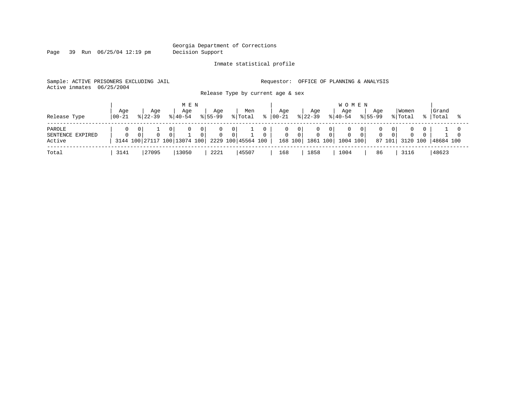Page 39 Run 06/25/04 12:19 pm Decision Support

#### Inmate statistical profile

Sample: ACTIVE PRISONERS EXCLUDING JAIL **Requestor:** OFFICE OF PLANNING & ANALYSIS Active inmates 06/25/2004

Release Type by current age & sex

| Release Type                         | Age<br>  00-21 | Aqe<br>$8122 - 39$ |          | M E N<br>Aqe<br>$8140 - 54$                  |                                  | Aqe<br>$ 55-99 $               |                       | Men<br>% Total     | ႜၟ | Aqe<br>$ 00-21 $ |                                    | Age<br>$ 22-39 $         |                       | <b>WOMEN</b><br>Aqe<br>$ 40-54 $ |                | Aqe<br>$8155 - 99$ |                       | Women<br>% Total     |          | Grand<br>%   Total |  |
|--------------------------------------|----------------|--------------------|----------|----------------------------------------------|----------------------------------|--------------------------------|-----------------------|--------------------|----|------------------|------------------------------------|--------------------------|-----------------------|----------------------------------|----------------|--------------------|-----------------------|----------------------|----------|--------------------|--|
| PAROLE<br>SENTENCE EXPIRED<br>Active | $\Omega$       | $\Omega$           | $\Omega$ | $\mathbf{0}$<br>3144 100 27117 100 13074 100 | 0 <sup>1</sup><br>$\overline{0}$ | $\mathbf{0}$<br>$\overline{0}$ | 0 I<br>0 <sup>1</sup> | 2229 100 45564 100 |    | U<br>0           | - 0  <br>$\overline{0}$<br>168 100 | 0<br>$\circ$<br>1861 100 | 0 I<br>0 <sup>1</sup> | $\Omega$<br>1004 100             | 0 <sup>1</sup> | $\Omega$<br>87 101 | 0 I<br>0 <sup>1</sup> | $\Omega$<br>3120 100 | $\Omega$ | 48684 100          |  |
| Total                                | 3141           | 27095              |          | 13050                                        |                                  | 2221                           |                       | 45507              |    | 168              |                                    | 1858                     |                       | 1004                             |                | 86                 |                       | 3116                 |          | 48623              |  |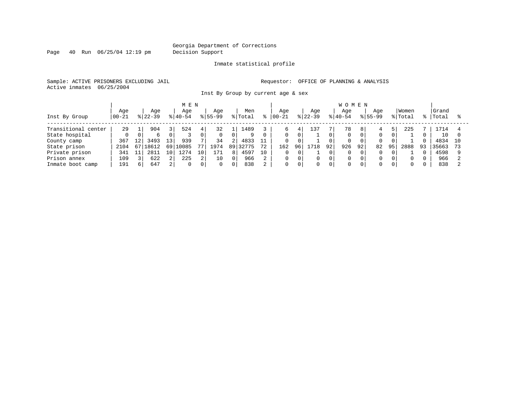Page 40 Run 06/25/04 12:19 pm Decision Support

#### Inmate statistical profile

Sample: ACTIVE PRISONERS EXCLUDING JAIL **Requestor:** OFFICE OF PLANNING & ANALYSIS Active inmates 06/25/2004

Inst By Group by current age & sex

|                     |          |    |           |                | M E N     |                                         |             |          |         |    |           |          |            |          | W O      | M E N |             |    |          |    |       |    |
|---------------------|----------|----|-----------|----------------|-----------|-----------------------------------------|-------------|----------|---------|----|-----------|----------|------------|----------|----------|-------|-------------|----|----------|----|-------|----|
|                     | Age      |    | Aqe       |                | Aqe       |                                         | Age         |          | Men     |    | Age       |          | Age        |          | Age      |       | Aqe         |    | Women    |    | Grand |    |
| Inst By Group       | $ 00-21$ |    | $8 22-39$ |                | $8 40-54$ |                                         | $8155 - 99$ |          | % Total |    | $00 - 21$ |          | $ 22-39 $  |          | $ 40-54$ |       | $8155 - 99$ |    | % Total  | %  | Total |    |
| Transitional center | 29       |    | 904       | 3              | 524       | $4^{\circ}$                             | 32          |          | 1489    |    |           | 4        | $\perp$ 37 |          | 78       |       |             | 5. | 225      |    | 1714  |    |
| State hospital      |          |    | 6         | 0              |           |                                         | 0           |          | 9       |    |           | $\Omega$ |            |          |          |       | 0           | 0  |          |    | 10    |    |
| County camp         | 367      | 12 | 3493      | 131            | 939       | $\mathbf{\mathbf{\mathsf{\mathsf{m}}}}$ | 34          | 2        | 4833    |    |           |          |            |          |          |       |             |    |          |    | 4834  | 10 |
| State prison        | 2104     | 67 | 18612     | 69             | 10085     | 77                                      | 1974        | 89       | 32775   | 72 | 162       | 96       | 718        | 92       | 926      | 92    | 82          | 95 | 2888     | 93 | 35663 |    |
| Private prison      | 341      |    | 2811      | 10'            | 1274      | 10                                      | 171         |          | 4597    | 10 |           |          |            | $\Omega$ |          | 0     | $\Omega$    | 0  |          |    | 4598  |    |
| Prison annex        | 109      |    | 622       | $\overline{2}$ | 225       | 2                                       | 10          | $\Omega$ | 966     | 2  |           |          | $\Omega$   |          | $\Omega$ |       | 0           | 0  | $\Omega$ |    | 966   |    |
| Inmate boot camp    | 191      | 6  | 647       | ا 2            | $\Omega$  | 0                                       | $\Omega$    | $\Omega$ | 838     | 2  | 0         | 0 I      | $\Omega$   |          |          |       | $\Omega$    | 0  | $\Omega$ |    | 838   |    |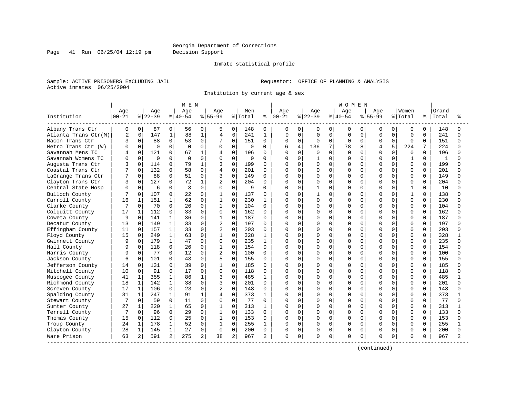#### Georgia Department of Corrections Page 41 Run 06/25/04 12:19 pm Decision Support

#### Inmate statistical profile

Sample: ACTIVE PRISONERS EXCLUDING JAIL **Requestor:** OFFICE OF PLANNING & ANALYSIS Active inmates 06/25/2004

Institution by current age & sex

|                      |                |              |           |              | M E N     |              |                |                |         |              |           |                |           |                | <b>WOMEN</b> |             |           |              |              |          |       |   |
|----------------------|----------------|--------------|-----------|--------------|-----------|--------------|----------------|----------------|---------|--------------|-----------|----------------|-----------|----------------|--------------|-------------|-----------|--------------|--------------|----------|-------|---|
|                      | Age            |              | Age       |              | Age       |              | Aqe            |                | Men     |              | Age       |                | Age       |                | Age          |             | Aqe       |              | Women        |          | Grand |   |
| Institution          | $00 - 21$      |              | $8 22-39$ |              | $8 40-54$ |              | $8155 - 99$    |                | % Total | %            | $00 - 21$ |                | $8 22-39$ |                | $ 40-54$     |             | $8 55-99$ |              | % Total      | ి        | Total |   |
| Albany Trans Ctr     | 0              | 0            | 87        | $\Omega$     | 56        | 0            | 5              | $\Omega$       | 148     | 0            | 0         | 0              | 0         | $\mathbf{0}$   | 0            | 0           | 0         | 0            | 0            | $\Omega$ | 148   |   |
| Atlanta Trans Ctr(M) | $\overline{2}$ | $\mathbf 0$  | 147       | $\mathbf{1}$ | 88        | $\mathbf{1}$ | 4              | 0              | 241     | $\mathbf{1}$ | $\Omega$  | $\mathbf 0$    | $\Omega$  | $\mathbf 0$    | $\Omega$     | $\mathbf 0$ | 0         | $\Omega$     | $\Omega$     | 0        | 241   |   |
| Macon Trans Ctr      | 3              | $\Omega$     | 88        | $\Omega$     | 53        | $\mathbf 0$  | 7              | $\Omega$       | 151     | $\Omega$     | 0         | $\mathbf 0$    | $\Omega$  | $\Omega$       | $\Omega$     | $\Omega$    | $\Omega$  | $\Omega$     | $\Omega$     | $\Omega$ | 151   | ∩ |
| Metro Trans Ctr (W)  | $\Omega$       | $\Omega$     | $\Omega$  | $\Omega$     | $\Omega$  | $\Omega$     | $\Omega$       | $\Omega$       | 0       | 0            |           | $\overline{4}$ | 136       | 7 <sup>1</sup> | 78           | 8           | 4         | 5            | 224          |          | 224   |   |
| Savannah Mens TC     |                | 0            | 121       | $\Omega$     | 67        | $\mathbf{1}$ | 4              | 0              | 196     | U            | ∩         | $\Omega$       | $\cap$    | $\Omega$       | $\Omega$     | $\cap$      | U         | $\cap$       | $\Omega$     | $\Omega$ | 196   |   |
| Savannah Womens TC   | n              | $\Omega$     | $\Omega$  | $\Omega$     | $\Omega$  | $\Omega$     | $\Omega$       | $\Omega$       | 0       | 0            |           | $\Omega$       |           | $\Omega$       | $\Omega$     | $\cap$      | O         | $\Omega$     | 1            | $\Omega$ | 1     |   |
| Augusta Trans Ctr    | 3              | 0            | 114       | $\Omega$     | 79        | $\mathbf{1}$ | 3              | $\Omega$       | 199     | $\Omega$     |           | $\Omega$       | $\Omega$  | $\Omega$       | O            | $\Omega$    | U         | $\Omega$     | $\Omega$     | $\Omega$ | 199   |   |
| Coastal Trans Ctr    |                | $\Omega$     | 132       | $\Omega$     | 58        | $\Omega$     | 4              | $\Omega$       | 201     | U            |           | $\Omega$       | U         | $\Omega$       | O            | $\Omega$    | U         | $\Omega$     | $\Omega$     | $\Omega$ | 201   |   |
| LaGrange Trans Ctr   |                | $\Omega$     | 88        | $\Omega$     | 51        | $\Omega$     | 3              | 0              | 149     | $\Omega$     |           | 0              | O         | $\Omega$       | <sup>0</sup> | $\Omega$    | O         | U            | 0            | $\Omega$ | 149   |   |
| Clayton Trans Ctr    | 3              | 0            | 127       | $\Omega$     | 72        | 1            | $\overline{2}$ | $\Omega$       | 204     | U            |           | $\Omega$       | O         | $\Omega$       | $\Omega$     | $\Omega$    | U         | $\cap$       | $\Omega$     | $\Omega$ | 204   |   |
| Central State Hosp   | $\Omega$       | $\Omega$     | 6         | $\Omega$     | 3         | $\Omega$     | $\Omega$       | $\Omega$       | 9       | U            |           | $\Omega$       | 1         | $\Omega$       | <sup>0</sup> | $\Omega$    | U         | $\cap$       | $\mathbf{1}$ | $\Omega$ | 10    |   |
| Bulloch County       |                | $\Omega$     | 107       | $\Omega$     | 22        | $\Omega$     | -1             | $\Omega$       | 137     | U            |           | $\Omega$       | 1         | $\Omega$       | $\Omega$     | $\Omega$    | O         | $\Omega$     | 1            | $\Omega$ | 138   |   |
| Carroll County       | 16             | 1            | 151       |              | 62        | $\Omega$     | $\mathbf{1}$   | $\Omega$       | 230     | 1            | O         | $\Omega$       | $\Omega$  | $\Omega$       | $\Omega$     | $\Omega$    | O         | $\Omega$     | $\Omega$     | $\Omega$ | 230   |   |
| Clarke County        |                | $\Omega$     | 70        | $\Omega$     | 26        | $\Omega$     | $\mathbf{1}$   | 0              | 104     | $\Omega$     |           | $\mathbf 0$    | O         | $\Omega$       | <sup>0</sup> | $\Omega$    | U         | $\Omega$     | $\Omega$     | $\Omega$ | 104   |   |
| Colquitt County      | 17             | $\mathbf{1}$ | 112       | $\Omega$     | 33        | $\Omega$     | 0              | $\Omega$       | 162     | $\Omega$     | U         | $\Omega$       | O         | $\Omega$       | $\Omega$     | $\Omega$    | O         | $\cap$       | $\Omega$     | $\Omega$ | 162   |   |
| Coweta County        | 9              | $\Omega$     | 141       |              | 36        | $\Omega$     | -1             | $\Omega$       | 187     | U            | U         | $\Omega$       |           | $\Omega$       | O            | $\Omega$    | U         |              | $\Omega$     | $\Omega$ | 187   |   |
| Decatur County       | 13             | $\Omega$     | 149       | 1            | 33        | 0            | $\overline{2}$ | $\Omega$       | 197     | U            | U         | $\Omega$       | U         | $\Omega$       | $\cap$       | $\cap$      | ∩         | ∩            | $\Omega$     | $\Omega$ | 197   |   |
| Effingham County     | 11             | $\Omega$     | 157       | 1            | 33        | $\Omega$     | $\overline{2}$ | $\Omega$       | 203     | 0            | U         | $\Omega$       | O         | $\Omega$       | $\Omega$     | $\Omega$    | U         | $\Omega$     | 0            | $\Omega$ | 203   |   |
| Floyd County         | 15             | 0            | 249       | 1            | 63        | 0            | $\mathbf{1}$   | 0              | 328     | 1            |           | $\mathbf{0}$   |           | $\mathbf 0$    | O            | $\Omega$    | O         | $\Omega$     | $\Omega$     | 0        | 328   |   |
| Gwinnett County      | 9              | $\Omega$     | 179       | 1            | 47        | $\Omega$     | $\Omega$       | 0              | 235     | 1            |           | $\Omega$       | U         | $\Omega$       | O            | $\Omega$    | U         | $\cap$       | $\Omega$     | $\Omega$ | 235   |   |
| Hall County          |                | $\Omega$     | 118       | $\Omega$     | 26        | 0            | 1              | O              | 154     | $\Omega$     | በ         | 0              | O         | $\Omega$       | O            | $\Omega$    | O         | O            | 0            | $\Omega$ | 154   |   |
| Harris County        | 9              | $\Omega$     | 77        | $\Omega$     | 12        | 0            | $\overline{2}$ | $\cap$         | 100     | 0            | n         | $\Omega$       | U         | $\Omega$       | $\Omega$     | $\cap$      | U         | U            | $\Omega$     | $\Omega$ | 100   |   |
| Jackson County       | 6              | $\Omega$     | 101       | $\Omega$     | 43        | $\Omega$     | 5              | $\Omega$       | 155     | 0            | U         | $\Omega$       | O         | $\Omega$       | $\Omega$     | $\Omega$    | U         | $\Omega$     | $\Omega$     | $\Omega$ | 155   |   |
| Jefferson County     | 14             | $\Omega$     | 131       | $\Omega$     | 39        | $\Omega$     | $\mathbf{1}$   | $\Omega$       | 185     | U            |           | $\Omega$       | O         | $\Omega$       | $\Omega$     | $\Omega$    | O         | $\Omega$     | <sup>0</sup> | $\Omega$ | 185   |   |
| Mitchell County      | 10             | $\mathbf 0$  | 91        | $\Omega$     | 17        | $\mathbf 0$  | $\Omega$       | $\Omega$       | 118     | $\Omega$     |           | $\mathbf 0$    | O         | $\overline{0}$ | O            | $\mathbf 0$ | U         | $\Omega$     | $\Omega$     | $\Omega$ | 118   |   |
| Muscogee County      | 41             | 1            | 355       | $\mathbf{1}$ | 86        | 1            | 3              | $\Omega$       | 485     | 1            | በ         | $\Omega$       | U         | $\Omega$       | O            | $\Omega$    | U         | $\cap$       | $\Omega$     | $\Omega$ | 485   |   |
| Richmond County      | 18             | $\mathbf{1}$ | 142       | 1            | 38        | 0            | 3              | $\Omega$       | 201     | 0            | O         | $\Omega$       | O         | $\Omega$       | O            | $\Omega$    | U         | U            | 0            | $\Omega$ | 201   |   |
| Screven County       | 17             | $\mathbf 1$  | 106       | $\Omega$     | 23        | $\Omega$     | 2              | $\Omega$       | 148     | U            |           | $\Omega$       | U         | $\Omega$       | U            | $\cap$      | U         |              | $\Omega$     | $\Omega$ | 148   |   |
| Spalding County      | 31             | 1            | 247       | 1            | 91        | $\mathbf{1}$ | 4              | $\Omega$       | 373     | $\mathbf{1}$ | U         | $\Omega$       | U         | $\Omega$       | $\Omega$     | $\cap$      | U         | $\Omega$     | $\Omega$     | $\Omega$ | 373   |   |
| Stewart County       |                | $\Omega$     | 59        | $\Omega$     | 11        | $\Omega$     | $\Omega$       | 0              | 77      | $\Omega$     |           | $\Omega$       | O         | $\Omega$       | $\Omega$     | $\Omega$    | U         | $\Omega$     | $\Omega$     | $\Omega$ | 77    |   |
| Sumter County        | 27             | 1            | 220       |              | 65        | $\Omega$     | $\mathbf{1}$   | 0              | 313     | 1            |           | 0              | O         | $\mathbf 0$    | O            | $\Omega$    | U         | $\Omega$     | $\Omega$     | 0        | 313   |   |
| Terrell County       | 7              | $\Omega$     | 96        | $\Omega$     | 29        | $\Omega$     | $\mathbf{1}$   | 0              | 133     | $\Omega$     | U         | $\Omega$       | O         | $\Omega$       | $\Omega$     | $\Omega$    | U         | <sup>0</sup> | $\Omega$     | $\Omega$ | 133   | ∩ |
| Thomas County        | 15             | $\Omega$     | 112       | $\Omega$     | 25        | $\Omega$     | $\mathbf{1}$   | $\Omega$       | 153     | $\Omega$     | $\Omega$  | $\Omega$       | O         | $\Omega$       | $\Omega$     | $\Omega$    | U         | O            | $\Omega$     | $\Omega$ | 153   |   |
| Troup County         | 24             | $\mathbf 1$  | 178       | 1            | 52        | $\Omega$     | $\mathbf{1}$   | $\Omega$       | 255     | 1            | O         | $\Omega$       | U         | $\Omega$       | $\Omega$     | $\Omega$    | O         | $\Omega$     | $\Omega$     | $\Omega$ | 255   |   |
| Clayton County       | 28             | $\mathbf{1}$ | 145       | 1            | 27        | $\Omega$     | $\mathbf 0$    | 0              | 200     | 0            | $\Omega$  | $\mathbf 0$    | 0         | $\circ$        | $\Omega$     | $\mathbf 0$ | 0         | $\Omega$     | 0            | $\Omega$ | 200   |   |
| Ware Prison          | 63             | 2            | 591       | 2            | 275       | 2            | 38             | $\overline{a}$ | 967     | 2            | 0         | 0              | O         | 0              | $\Omega$     | $\mathbf 0$ | O         | 0            | 0            | 0        | 967   |   |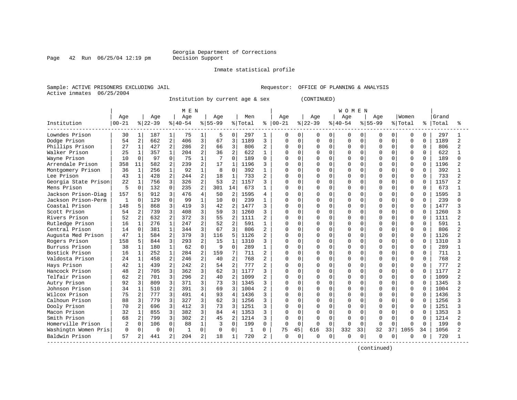### Georgia Department of Corrections<br>Decision Support

Page  $42$  Run  $06/25/04$  12:19 pm

#### Inmate statistical profile

Sample: ACTIVE PRISONERS EXCLUDING JAIL Requestor: OFFICE OF PLANNING & ANALYSIS Active inmates 06/25/2004

Institution by current age & sex (CONTINUED)

|                      |            |                |             |                | M E N     |                |           |                |         |                |          |          |          |          | <b>WOMEN</b> |          |              |              |             |          |           |                          |
|----------------------|------------|----------------|-------------|----------------|-----------|----------------|-----------|----------------|---------|----------------|----------|----------|----------|----------|--------------|----------|--------------|--------------|-------------|----------|-----------|--------------------------|
|                      | Age        |                | Age         |                | Age       |                | Age       |                | Men     |                | Age      |          | Age      |          | Age          |          | Age          |              | Women       |          | Grand     |                          |
| Institution          | $ 00 - 21$ |                | $8 22-39$   |                | $8 40-54$ |                | $8 55-99$ |                | % Total | ႜ              | $ 00-21$ |          | $ 22-39$ |          | $8140 - 54$  |          | $8155 - 99$  |              | % Total     |          | %   Total | °≈                       |
| Lowndes Prison       | 30         | 1              | 187         | $\mathbf{1}$   | 75        | 1              |           | 0              | 297     |                | 0        | 0        | 0        | 0        | 0            | 0        | <sup>0</sup> | 0            | $\Omega$    | $\Omega$ | 297       |                          |
| Dodge Prison         | 54         | 2              | 662         | 2              | 406       | 3              | 67        | 3              | 1189    | 3              | U        | $\Omega$ | $\Omega$ | $\Omega$ | $\Omega$     | $\Omega$ | $\Omega$     | 0            | $\Omega$    | $\Omega$ | 1189      | $\overline{\mathcal{L}}$ |
| Phillips Prison      | 27         | 1              | 427         | 2              | 286       | $\overline{c}$ | 66        | $\overline{3}$ | 806     | 2              | U        | $\Omega$ | O        | $\Omega$ | $\Omega$     | $\Omega$ | $\Omega$     | $\Omega$     | $\Omega$    | $\Omega$ | 806       | $\mathfrak{D}$           |
| Walker Prison        | 25         | 1              | 357         | $\mathbf{1}$   | 204       | $\overline{a}$ | 36        | $\overline{a}$ | 622     | $\mathbf{1}$   | U        | $\Omega$ | $\Omega$ | $\Omega$ | $\Omega$     | $\Omega$ | $\Omega$     | $\Omega$     | $\Omega$    | $\Omega$ | 622       |                          |
| Wayne Prison         | 10         | $\Omega$       | 97          | $\Omega$       | 75        | $\mathbf{1}$   |           | $\Omega$       | 189     | $\Omega$       |          | $\cap$   | $\Omega$ | $\Omega$ | $\Omega$     | 0        |              | <sup>0</sup> | $\mathbf 0$ | $\Omega$ | 189       | U                        |
| Arrendale Prison     | 358        | 11             | 582         | 2              | 239       | 2              | 17        | $\mathbf{1}$   | 1196    | 3              | U        | $\Omega$ | $\Omega$ | $\Omega$ | $\Omega$     | 0        | $\cap$       | $\Omega$     | $\Omega$    | $\Omega$ | 1196      | $\mathfrak{D}$           |
| Montgomery Prison    | 36         | $\mathbf{1}$   | 256         | $\mathbf{1}$   | 92        | $\mathbf{1}$   | 8         | $\Omega$       | 392     |                | U        | $\Omega$ | 0        | U        | $\Omega$     | O        |              | $\cap$       | $\Omega$    | $\Omega$ | 392       |                          |
| Lee Prison           | 43         | $\mathbf 1$    | 428         | $\overline{2}$ | 244       | $\overline{2}$ | 18        | 1              | 733     | 2              | ∩        | $\cap$   | O        | U        | $\Omega$     | U        | ∩            | U            | $\Omega$    | $\Omega$ | 733       |                          |
| Georgia State Prison | 22         | $\mathbf{1}$   | 756         | 3              | 326       | 2              | 53        | $\mathfrak{D}$ | 1157    | 3              | U        | $\Omega$ | $\Omega$ | U.       | $\Omega$     | $\Omega$ | $\Omega$     | U            | $\Omega$    | $\Omega$ | 1157      | $\mathfrak{D}$           |
| Mens Prison          | 5          | $\Omega$       | 132         | $\Omega$       | 235       | 2              | 301       | 14             | 673     |                | U        | $\Omega$ | $\Omega$ | $\Omega$ | $\Omega$     | $\Omega$ | $\Omega$     | $\Omega$     | $\Omega$    | $\Omega$ | 673       |                          |
| Jackson Prison-Diag  | 157        | 5              | 912         | 3              | 476       | $\overline{4}$ | 50        | $\overline{2}$ | 1595    | 4              | U        | $\Omega$ | O        | $\cap$   | $\Omega$     | $\Omega$ |              | $\Omega$     | $\Omega$    | $\Omega$ | 1595      |                          |
| Jackson Prison-Perm  | 1          | $\Omega$       | 129         | $\Omega$       | 99        | $\mathbf{1}$   | 10        | $\Omega$       | 239     | $\mathbf{1}$   | U        | $\Omega$ | $\Omega$ | $\Omega$ | $\Omega$     | $\Omega$ | $\Omega$     | $\Omega$     | $\Omega$    | $\Omega$ | 239       |                          |
| Coastal Prison       | 148        | 5              | 868         | 3              | 419       | 3              | 42        | $\overline{2}$ | 1477    | 3              | U        | $\Omega$ | $\Omega$ | $\Omega$ | $\Omega$     | 0        | $\cap$       | $\Omega$     | $\Omega$    | $\Omega$ | 1477      |                          |
| Scott Prison         | 54         | $\overline{2}$ | 739         | 3              | 408       | 3              | 59        | 3              | 1260    | 3              | U        | $\Omega$ | O        | 0        | $\Omega$     | 0        | $\Omega$     | U            | $\Omega$    | $\Omega$ | 1260      |                          |
| Rivers Prison        | 52         | 2              | 632         | $\overline{2}$ | 372       | 3              | 55        | $\overline{2}$ | 1111    | 2              | O        | $\Omega$ | $\Omega$ | U        | $\Omega$     | 0        | $\Omega$     | U            | $\Omega$    | $\Omega$ | 1111      |                          |
| Rutledge Prison      | 16         | 1              | 276         | $\mathbf{1}$   | 247       | $\overline{a}$ | 52        | $\overline{a}$ | 591     |                | U        | $\Omega$ | O        | U        | $\Omega$     | $\Omega$ | $\cap$       | $\cap$       | $\Omega$    | $\Omega$ | 591       |                          |
| Central Prison       | 14         | $\Omega$       | 381         | $\mathbf{1}$   | 344       | 3              | 67        | $\mathbf{3}$   | 806     |                | U        | $\Omega$ | U        | $\Omega$ | $\Omega$     | U        | $\cap$       | ∩            | $\Omega$    | $\Omega$ | 806       |                          |
| Augusta Med Prison   | 47         | $\mathbf{1}$   | 584         | $\overline{a}$ | 379       | 3              | 116       | 5              | 1126    | $\overline{a}$ | U        | $\Omega$ | $\Omega$ | $\cap$   | $\Omega$     | $\Omega$ | $\cap$       | $\Omega$     | $\Omega$    | $\Omega$ | 1126      |                          |
| Rogers Prison        | 158        | 5              | 844         | 3              | 293       | 2              | 15        | $\mathbf{1}$   | 1310    | 3              | O        | $\Omega$ | $\Omega$ | $\Omega$ | $\Omega$     | $\Omega$ |              | $\Omega$     | $\Omega$    | $\Omega$ | 1310      |                          |
| Burruss Prison       | 38         | $\mathbf{1}$   | 180         | $\mathbf{1}$   | 62        | $\mathbf 0$    | 9         | $\Omega$       | 289     | $\mathbf{1}$   | U        | $\Omega$ | 0        | $\Omega$ | $\Omega$     | $\Omega$ | $\Omega$     | $\Omega$     | $\Omega$    | $\Omega$ | 289       |                          |
| Bostick Prison       | 16         | $\mathbf{1}$   | 252         | $\mathbf{1}$   | 284       | $\overline{2}$ | 159       | 7              | 711     | 2              | U        | $\Omega$ | $\Omega$ | $\Omega$ | $\Omega$     | 0        | $\Omega$     | $\Omega$     | $\Omega$    | $\Omega$ | 711       | $\mathbf{1}$             |
| Valdosta Prison      | 24         | $\mathbf 1$    | 458         | $\overline{2}$ | 246       | 2              | 40        | $\overline{2}$ | 768     | 2              | U        | $\Omega$ | $\Omega$ | 0        | $\Omega$     | 0        | $\cap$       | $\Omega$     | $\Omega$    | $\Omega$ | 768       | $\overline{\mathcal{L}}$ |
| Hays Prison          | 42         | $\mathbf 1$    | 439         | $\overline{a}$ | 242       | 2              | 54        | $\overline{a}$ | 777     | 2              | U        | $\Omega$ | 0        | 0        | $\Omega$     | 0        |              | $\Omega$     | $\Omega$    | $\Omega$ | 777       |                          |
| Hancock Prison       | 48         | 2              | 705         | 3              | 362       | 3              | 62        | 3              | 1177    | ζ              | O        | $\Omega$ | $\Omega$ | U        | $\Omega$     | $\Omega$ | $\Omega$     | <sup>0</sup> | $\Omega$    | $\Omega$ | 1177      |                          |
| Telfair Prison       | 62         | 2              | 701         | 3              | 296       | 2              | 40        | $\overline{2}$ | 1099    |                | U        | $\Omega$ | O        | U        | $\Omega$     | U        | $\Omega$     | U            | $\Omega$    | $\Omega$ | 1099      | 2                        |
| Autry Prison         | 92         | 3              | 809         | 3              | 371       | 3              | 73        | 3              | 1345    | 3              | U        | $\Omega$ | O        | $\cap$   | $\Omega$     | 0        | n            | 0            | $\Omega$    | $\Omega$ | 1345      |                          |
| Johnson Prison       | 34         | $\mathbf{1}$   | 510         | 2              | 391       | 3              | 69        | 3              | 1004    |                | U        | $\Omega$ | $\Omega$ | $\Omega$ | $\Omega$     | 0        | $\Omega$     | $\Omega$     | $\Omega$    | $\Omega$ | 1004      |                          |
| Wilcox Prison        | 75         | 2              | 777         | 3              | 491       | $\overline{4}$ | 93        | 4              | 1436    |                | U        | $\Omega$ | O        | $\Omega$ | $\Omega$     | 0        |              | <sup>0</sup> | $\mathbf 0$ | $\Omega$ | 1436      |                          |
| Calhoun Prison       | 88         | 3              | 779         | 3              | 327       | 3              | 62        | 3              | 1256    | 3              | U        | $\Omega$ | O        | $\Omega$ | $\Omega$     | 0        | $\Omega$     | U            | $\Omega$    | $\Omega$ | 1256      |                          |
| Dooly Prison         | 70         | 2              | 696         | 3              | 412       | 3              | 73        | 3              | 1251    | 3              | U        | $\Omega$ | 0        | 0        | $\Omega$     | 0        |              | 0            | $\Omega$    | $\Omega$ | 1251      |                          |
| Macon Prison         | 32         | 1              | 855         | 3              | 382       | 3              | 84        | 4              | 1353    |                | O        | $\Omega$ | $\Omega$ | U        | $\Omega$     | U        | $\Omega$     | U            | $\Omega$    |          | 1353      |                          |
| Smith Prison         | 68         | 2              | 799         | 3              | 302       | 2              | 45        | $\overline{2}$ | 1214    |                | U        | $\Gamma$ | O        | U        | $\Omega$     | $\Omega$ | $\Omega$     | ∩            | $\Omega$    | $\Omega$ | 1214      |                          |
| Homerville Prison    |            | $\Omega$       | 106         | 0              | 88        | $\mathbf{1}$   | 3         | $\Omega$       | 199     | $\Omega$       | $\Omega$ | $\Omega$ | $\Omega$ | $\Omega$ | $\Omega$     | $\Omega$ | $\Omega$     | $\Omega$     | $\Omega$    | $\Omega$ | 199       |                          |
| Washingtn Women Pris | 0          | $\mathbf 0$    | $\mathbf 0$ | 0              | 1         | 0              | 0         | 0              | 1       | 0              | 75       | 45       | 616      | 33       | 332          | 33       | 32           | 37           | 1055        | 34       | 1056      |                          |
| Baldwin Prison       | 57         | 2              | 441         | $\overline{2}$ | 204       | 2              | 18        | 1              | 720     | 2              | 0        | 0        | O        | 0        | $\mathbf 0$  | 0        | $\Omega$     | 0            | ∩           | 0        | 720       |                          |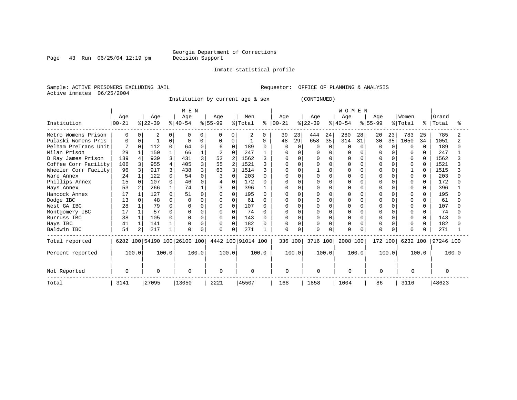### Georgia Department of Corrections<br>Decision Support

Page 43 Run  $06/25/04$  12:19 pm

Inmate statistical profile

Sample: ACTIVE PRISONERS EXCLUDING JAIL Requestor: OFFICE OF PLANNING & ANALYSIS Active inmates 06/25/2004

Institution by current age & sex (CONTINUED)

|                      |          |          |           |          | MEN                          |          |           |                |                    |              |           |          |           |          | <b>WOMEN</b> |        |           |          |              |              |           |       |
|----------------------|----------|----------|-----------|----------|------------------------------|----------|-----------|----------------|--------------------|--------------|-----------|----------|-----------|----------|--------------|--------|-----------|----------|--------------|--------------|-----------|-------|
|                      | Age      |          | Age       |          | Age                          |          | Age       |                | Men                |              | Age       |          | Age       |          | Age          |        | Age       |          | Women        |              | Grand     |       |
| Institution          | $ 00-21$ |          | $ 22-39 $ |          | $ 40-54 $                    |          | $8 55-99$ |                | % Total            | ႜ            | $ 00-21 $ |          | $ 22-39 $ |          | $ 40-54$     |        | $8 55-99$ |          | % Total      | °            | Total     | °     |
| Metro Womens Prison  | 0        |          | 2         |          | n                            | 0        | $\Omega$  |                | 2                  | 0            | 39        | 23       | 444       | 24       | 280          | 28     | 20        | 23       | 783          | 25           | 785       |       |
| Pulaski Womens Pris  | $\Omega$ |          |           | O        | ∩                            |          | $\Omega$  | 0              |                    | 0            | 48        | 29       | 658       | 35       | 314          | 31     | 30        | 35       | 1050         | 34           | 1051      |       |
| Pelham PreTrans Unit |          | $\Omega$ | 112       | $\Omega$ | 64                           | 0        | 6         | $\Omega$       | 189                | <sup>0</sup> | O         | $\Omega$ | N         | $\Omega$ | $\Omega$     | $\cap$ | U         | $\Omega$ | $\Omega$     | $\Omega$     | 189       |       |
| Milan Prison         | 29       |          | 150       |          | 66                           |          | 2         | O              | 247                |              |           |          |           |          |              |        |           |          |              | <sup>0</sup> | 247       |       |
| D Ray James Prison   | 139      |          | 939       |          | 431                          |          | 53        |                | 1562               |              |           |          |           | U        |              |        |           |          |              |              | 1562      |       |
| Coffee Corr Facility | 106      |          | 955       |          | 405                          | 3        | 55        | $\overline{a}$ | 1521               |              |           |          |           |          |              |        |           |          | <sup>0</sup> | U            | 1521      |       |
| Wheeler Corr Facilty | 96       |          | 917       |          | 438                          |          | 63        |                | 1514               |              |           | U        |           | O        | O            |        |           |          |              |              | 1515      |       |
| Ware Annex           | 24       |          | 122       |          | 54                           |          |           | O              | 203                |              | U         | $\cap$   |           | $\Omega$ | U            |        |           | U        | $\Omega$     | 0            | 203       |       |
| Phillips Annex       | 15       |          | 107       | U        | 46                           |          |           | 0              | 172                |              |           |          |           |          |              |        |           |          | <sup>0</sup> | 0            | 172       |       |
| Hays Annex           | 53       |          | 266       | 1        | 74                           |          |           | 0              | 396                |              | U         | n        |           | $\Omega$ | U            |        | U         | U        | n            | 0            | 396       |       |
| Hancock Annex        | 17       |          | 127       | U        | 51                           |          |           | 0              | 195                |              |           | n        |           | U        |              |        |           |          |              |              | 195       |       |
| Dodge IBC            | 13       |          | 48        | U        |                              |          |           | O              | 61                 | ∩            | O         |          |           | $\Omega$ |              |        |           |          |              | <sup>0</sup> | 61        |       |
| West GA IBC          | 28       |          | 79        | U        |                              |          |           | 0              | 107                |              |           |          |           | U        |              |        |           |          |              |              | 107       |       |
| Montgomery IBC       | 17       |          | 57        | O        | O                            | $\Omega$ | $\Omega$  | $\Omega$       | 74                 |              | U         |          |           | $\Omega$ | U            |        |           |          | $\Omega$     |              | 74        |       |
| Burruss IBC          | 38       |          | 105       | U        |                              | $\Omega$ | $\Omega$  | $\Omega$       | 143                | <sup>0</sup> | 0         | $\Omega$ |           | $\Omega$ | O            |        |           |          | $\Omega$     | <sup>0</sup> | 143       |       |
| Hays IBC             | 41       |          | 141       |          | O                            | $\Omega$ | $\Omega$  | $\Omega$       | 182                |              | 0         | $\Omega$ | O         | $\Omega$ | O            |        |           |          | <sup>0</sup> | 0            | 182       |       |
| Baldwin IBC          | 54       | 2        | 217       | 1        | O                            | 0        | $\Omega$  | 0              | 271                |              | O         |          |           | $\Omega$ | O            |        |           |          | $\Omega$     | <sup>n</sup> | 271       |       |
| Total reported       |          |          |           |          | 6282 100 54190 100 26100 100 |          |           |                | 4442 100 91014 100 |              | 336 100   |          | 3716 100  |          | 2008 100     |        | 172 100   |          | 6232 100     |              | 97246 100 |       |
| Percent reported     | 100.0    |          |           | 100.0    | 100.0                        |          |           | 100.0          |                    | 100.0        |           | 100.0    |           | 100.0    |              | 100.0  |           | 100.0    |              | 100.0        |           | 100.0 |
| Not Reported         | $\Omega$ |          | $\Omega$  |          | $\Omega$                     |          | $\Omega$  |                | $\Omega$           |              | $\Omega$  |          | $\Omega$  |          | $\Omega$     |        | $\Omega$  |          | $\Omega$     |              | $\Omega$  |       |
| Total                | 3141     |          | 27095     |          | 13050                        |          | 2221      |                | 45507              |              | 168       |          | 1858      |          | 1004         |        | 86        |          | 3116         |              | 48623     |       |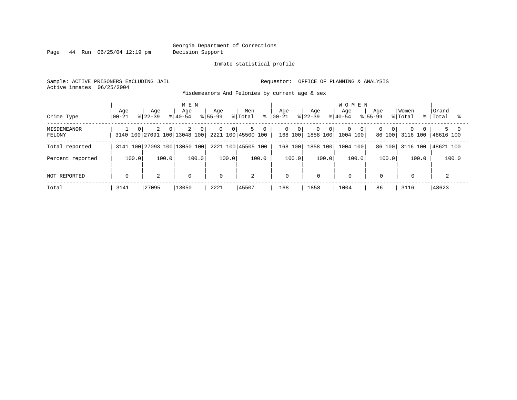Page 44 Run 06/25/04 12:19 pm Decision Support

#### Inmate statistical profile

Sample: ACTIVE PRISONERS EXCLUDING JAIL **Requestor:** OFFICE OF PLANNING & ANALYSIS Active inmates 06/25/2004

Misdemeanors And Felonies by current age & sex

| Crime Type                   | Aqe<br>  00-21 | Aqe<br>$8122 - 39$ | M E N<br>Aqe<br>$8140 - 54$                                            | Aqe<br>$8155 - 99$               | Men<br>% Total<br>⊱ | Age<br>$ 00-21$       | Age<br>$8 22-39$                  | <b>WOMEN</b><br>Aqe<br>$8140 - 54$ | Aqe<br>$8155 - 99$        | Women<br>% Total                 | Grand<br>%   Total |
|------------------------------|----------------|--------------------|------------------------------------------------------------------------|----------------------------------|---------------------|-----------------------|-----------------------------------|------------------------------------|---------------------------|----------------------------------|--------------------|
| <b>MISDEMEANOR</b><br>FELONY | $\Omega$       | 2<br>$\Omega$      | 2<br>$\overline{0}$<br>3140 100 27091 100 13048 100 2221 100 45500 100 | $\overline{0}$<br>0 <sup>1</sup> | 5<br>$\mathbf{0}$   | 0<br>- 0 I<br>168 100 | $\mathbf{0}$<br>- 0 I<br>1858 100 | $\Omega$<br>- O I<br>1004 100      | $\Omega$<br>0 I<br>86 100 | $\Omega$<br>$\Omega$<br>3116 100 | 5 0<br> 48616 100  |
| Total reported               |                |                    | 3141 100 27093 100 13050 100                                           |                                  | 2221 100 45505 100  | 168 100               | 1858 100                          | 1004 100                           | 86 100                    | 3116 100                         | 48621 100          |
| Percent reported             | 100.0          | 100.0              | 100.0                                                                  | 100.0                            | 100.0               | 100.0                 | 100.0                             | 100.0                              | 100.0                     | 100.0                            | 100.0              |
| NOT REPORTED                 | $\Omega$       | 2                  | $\mathbf 0$                                                            | $\mathbf 0$                      | 2                   | 0                     | 0                                 | $\mathbf 0$                        | $\mathbf 0$               | 0                                |                    |
| Total                        | 3141           | 27095              | 13050                                                                  | 2221                             | 45507               | 168                   | 1858                              | 1004                               | 86                        | 3116                             | 48623              |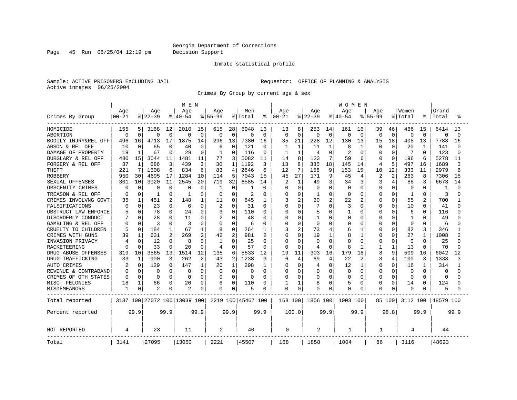Page 45 Run 06/25/04 12:19 pm Decision Support

#### Inmate statistical profile

Sample: ACTIVE PRISONERS EXCLUDING JAIL **Requestor:** OFFICE OF PLANNING & ANALYSIS Active inmates 06/25/2004

Crimes By Group by current age & sex

|                      |              |              |                |                | M E N                        |              |             |              |                    |              |           |                |                |                | WOMEN     |                |             |          |          |                |           |          |
|----------------------|--------------|--------------|----------------|----------------|------------------------------|--------------|-------------|--------------|--------------------|--------------|-----------|----------------|----------------|----------------|-----------|----------------|-------------|----------|----------|----------------|-----------|----------|
|                      | Age          |              | Age            |                | Age                          |              | Age         |              | Men                |              | Age       |                | Age            |                | Age       |                | Age         |          | Women    |                | Grand     |          |
| Crimes By Group      | $00 - 21$    |              | $ 22-39$       |                | $8140 - 54$                  |              | $8 55-99$   |              | % Total            | ⊱            | $00 - 21$ |                | $ 22-39$       |                | $8 40-54$ |                | $8155 - 99$ |          | % Total  |                | Total     |          |
| HOMICIDE             | 155          | 5.           | 3168           | 12             | 2010                         | 15           | 615         | 28           | 5948               | 13           | 13        | 8              | 253            | 14             | 161       | 16             | 39          | 46       | 466      | 15             | 6414      | 13       |
| <b>ABORTION</b>      | $\Omega$     | $\Omega$     | $\Omega$       | $\Omega$       | 0                            | $\mathbf 0$  | $\mathbf 0$ | $\Omega$     | $\Omega$           | $\mathbf 0$  | $\Omega$  | $\Omega$       | $\mathbf 0$    | $\mathbf 0$    | 0         | $\mathbf 0$    | 0           | $\Omega$ | $\Omega$ | $\Omega$       | $\Omega$  | $\Omega$ |
| BODILY INJRY&REL OFF | 496          | 16           | 4713           | 17             | 1875                         | 14           | 296         | 13           | 7380               | 16           | 35        | 21             | 228            | 12             | 130       | 13             | 15          | 18       | 408      | 13             | 7788      | 16       |
| ARSON & REL OFF      | 10           | O            | 65             | $\Omega$       | 40                           | 0            | 6           | $\Omega$     | 121                | $\Omega$     | 1         | 1              | 11             | $\mathbf{1}$   | 8         | 1              | O           | ∩        | 20       | -1             | 141       |          |
| DAMAGE OF PROPERTY   | 19           |              | 67             | <sup>0</sup>   | 29                           | $\Omega$     | -1          | O            | 116                | $\Omega$     | 1         | 1              | 4              | $\Omega$       |           | $\Omega$       | U           | ∩        | 7        | <sup>0</sup>   | 123       |          |
| BURGLARY & REL OFF   | 480          | 15           | 3044           | 11             | 1481                         | 11           | 77          | 3            | 5082               | 11           | 14        | 8              | 123            | 7              | 59        | 6              | 0           | $\Omega$ | 196      | 6              | 5278      | 11       |
| FORGERY & REL OFF    | 37           | $\mathbf{1}$ | 686            | 3              | 439                          | 3            | 30          | 1            | 1192               | 3            | 13        | 8              | 335            | 18             | 145       | 14             | 4           | 5        | 497      | 16             | 1689      | 3        |
| <b>THEFT</b>         | 221          | 7            | 1508           | 6              | 834                          | 6            | 83          | 4            | 2646               | 6            | 12        | 7              | 158            | 9              | 153       | 15             | 10          | 12       | 333      | 11             | 2979      |          |
| <b>ROBBERY</b>       | 950          | 30           | 4695           | 17             | 1284                         | 10           | 114         | 5            | 7043               | 15           | 45        | 27             | 171            | 9              | 45        | $\overline{4}$ | 2           | 2        | 263      | 8              | 7306      | 15       |
| SEXUAL OFFENSES      | 301          | 10           | 3020           | 11             | 2545                         | 20           | 719         | 32           | 6585               | 14           |           | $\mathbf{1}$   | 49             | 3              | 34        | 3              | 3           | 4        | 88       | 3              | 6673      | 14       |
| OBSCENITY CRIMES     | <sup>0</sup> | $\Omega$     | ∩              | $\Omega$       | C                            | $\Omega$     | -1          | 0            | 1                  | 0            | U         | $\Omega$       | <sup>0</sup>   | $\Omega$       | $\Omega$  | $\Omega$       | 0           | $\Omega$ | $\Omega$ | 0              | -1        |          |
| TREASON & REL OFF    | n            | 0            | -1             | <sup>0</sup>   |                              | $\Omega$     | 0           | U            | 2                  | 0            | U         | $\Omega$       |                | $\Omega$       | $\Omega$  | $\Omega$       | U           | $\Omega$ | 1        | 0              | 3         |          |
| CRIMES INVOLVNG GOVT | 35           |              | 451            | 2              | 148                          | 1            | 11          | 0            | 645                | 1            | 3         | $\overline{2}$ | 30             | 2              | 22        | 2              | U           | 0        | 55       | $\overline{c}$ | 700       |          |
| FALSIFICATIONS       | $\Omega$     | $\Omega$     | 23             | $\Omega$       | 6                            | $\Omega$     | 2           | O            | 31                 | $\Omega$     |           | $\Omega$       |                | $\Omega$       | 3         | $\Omega$       | U           | $\Omega$ | 10       | $\Omega$       | 41        |          |
| OBSTRUCT LAW ENFORCE |              | $\Omega$     | 78             | $\Omega$       | 24                           | 0            | 3           | 0            | 110                | 0            | U         | $\Omega$       |                | $\Omega$       |           | 0              | 0           | $\Omega$ | 6        | O              | 116       |          |
| DISORDERLY CONDUCT   |              |              | 28             |                | 11                           | O            | 2           | O            | 48                 | O            |           | $\Omega$       |                | $\cap$         | O         | 0              |             | O        | 1        | U              | 49        |          |
| GAMBLING & REL OFF   |              | O            | 3              | $\cap$         | 3                            | O            | $\Omega$    | O            | 6                  | 0            |           | $\Omega$       | $\Omega$       | $\cap$         | O         | $\Omega$       | 0           | $\Omega$ | $\Omega$ | 0              | 6         |          |
| CRUELTY TO CHILDREN  | 5            | $\Omega$     | 184            |                | 67                           | $\mathbf{1}$ | 8           | 0            | 264                | 1            | 3         | $\overline{2}$ | 73             | $\overline{4}$ | 6         | 1              | 0           | $\Omega$ | 82       | 3              | 346       |          |
| CRIMES WITH GUNS     | 39           |              | 631            | $\overline{a}$ | 269                          | 2            | 42          | 2            | 981                | 2            |           | $\Omega$       | 19             | $\mathbf{1}$   | Я         | $\mathbf{1}$   | Ω           | $\Omega$ | 27       | $\mathbf{1}$   | 1008      |          |
| INVASION PRIVACY     |              | O            | 12             | $\Omega$       | 8                            | $\Omega$     | -1          | $\Omega$     | 25                 | $\Omega$     | O         | $\Omega$       | <sup>0</sup>   | $\Omega$       | Λ         | $\Omega$       | U           | $\Omega$ | 0        | $\Omega$       | 25        |          |
| RACKETEERING         |              | O            | 33             |                | 20                           | $\Omega$     | 4           | 0            | 57                 | 0            |           | $\Omega$       | 4              | $\Omega$       | 8         | -1             |             |          | 13       | $\Omega$       | 70        |          |
| DRUG ABUSE OFFENSES  | 319          | 10           | 3565           | 13             | 1514                         | 12           | 135         | 6            | 5533               | 12           | 19        | 11             | 303            | 16             | 179       | 18             | 8           | 9        | 509      | 16             | 6042      | 12       |
| DRUG TRAFFICKING     | 33           | 1            | 900            | 3              | 262                          | 2            | 43          | 2            | 1238               | 3            | 6         | 4              | 69             | 4              | 22        | 2              | 3           | 4        | 100      | 3              | 1338      |          |
| <b>AUTO CRIMES</b>   | 2            | $\Omega$     | 129            | $\cap$         | 147                          | 1            | 20          | $\mathbf{1}$ | 298                | $\mathbf{1}$ | O         | $\Omega$       | 4              | $\Omega$       | 12        | 1              | 0           | $\Omega$ | 16       | -1             | 314       |          |
| REVENUE & CONTRABAND |              | $\Omega$     | $\Omega$       | $\Omega$       | 0                            | $\Omega$     | $\Omega$    | $\Omega$     | 0                  | $\Omega$     |           | $\Omega$       | $\Omega$       | $\Omega$       | $\Omega$  | $\mathbf 0$    | 0           | $\Omega$ | $\Omega$ | $\Omega$       | $\Omega$  |          |
| CRIMES OF OTH STATES | $\Omega$     | $\Omega$     | $\Omega$       | O              | $\Omega$                     | $\Omega$     | O           | $\Omega$     | $\Omega$           | 0            | U         | $\Omega$       | $\Omega$       | $\Omega$       | O         | $\Omega$       | U           | $\Omega$ | $\Omega$ | $\Omega$       | $\Omega$  |          |
| MISC. FELONIES       | 18           |              | 66             | 0              | 20                           | $\Omega$     | 6           | O            | 110                | O            |           | $\mathbf{1}$   | 8              | $\Omega$       | 5         | 0              | U           | $\Omega$ | 14       | O              | 124       |          |
| MISDEMEANORS         |              | 0            | $\overline{2}$ |                | 2                            | 0            | 0           | 0            | 5                  | 0            | O         | 0              |                | 0              | O         | 0              | 0           | 0        | 0        |                | 5         |          |
| Total reported       |              |              |                |                | 3137 100 27072 100 13039 100 |              |             |              | 2219 100 45467 100 |              | 168 100   |                | 1856 100       |                | 1003 100  |                |             | 85 100   | 3112 100 |                | 48579 100 |          |
| Percent reported     |              | 99.9         |                | 99.9           |                              | 99.9         |             | 99.9         |                    | 99.9         |           | 100.0          |                | 99.9           |           | 99.9           |             | 98.8     |          | 99.9           |           | 99.9     |
| <b>NOT REPORTED</b>  | 4            |              | 23             |                | 11                           |              | 2           |              | 40                 |              | 0         |                | $\overline{2}$ |                | 1         |                | 1           |          | 4        |                | 44        |          |
| Total                | 3141         |              | 27095          |                | 13050                        |              | 2221        |              | 45507              |              | 168       |                | 1858           |                | 1004      |                | 86          |          | 3116     |                | 48623     |          |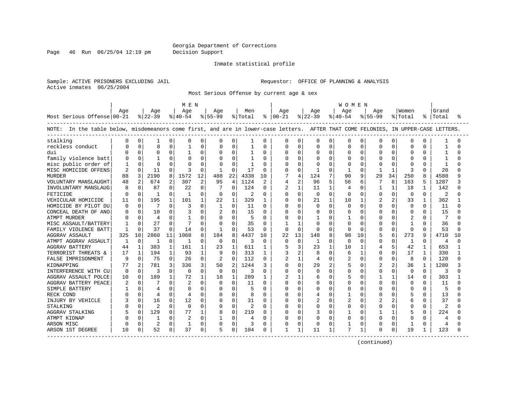Page 46 Run 06/25/04 12:19 pm Decision Support

#### Inmate statistical profile

Sample: ACTIVE PRISONERS EXCLUDING JAIL **Requestor:** OFFICE OF PLANNING & ANALYSIS Active inmates 06/25/2004

Most Serious Offense by current age & sex

|                                                                                                                                   |                |              |                |              | M E N    |              |              |              |         |              |                |              |              |              | W O M E N      |              |                |                |          |              |              |              |
|-----------------------------------------------------------------------------------------------------------------------------------|----------------|--------------|----------------|--------------|----------|--------------|--------------|--------------|---------|--------------|----------------|--------------|--------------|--------------|----------------|--------------|----------------|----------------|----------|--------------|--------------|--------------|
|                                                                                                                                   | Age            |              | Age            |              | Age      |              | Age          |              | Men     |              | Age            |              | Age          |              | Aqe            |              | Aqe            |                | Women    |              | Grand        |              |
| Most Serious Offense 00-21                                                                                                        |                |              | $ 22-39$       |              | $ 40-54$ |              | $ 55-99$     |              | % Total |              | $8   00 - 21$  |              | $8 22-39$    |              | $8 40-54$      |              | $8155 - 99$    |                | % Total  |              | %   Total    | °            |
| NOTE: In the table below, misdemeanors come first, and are in lower-case letters. AFTER THAT COME FELONIES, IN UPPER-CASE LETTERS |                |              |                |              |          |              |              |              |         |              |                |              |              |              |                |              |                |                |          |              |              |              |
| stalking                                                                                                                          |                | 0            | -1             | 0            | O        | 0            |              | $\Omega$     | 1       | $\Omega$     | 0              | 0            | 0            | 0            | $\Omega$       | O            | $\Omega$       | $\Omega$       | 0        | O            |              |              |
| reckless conduct                                                                                                                  |                | 0            | $\Omega$       | U            |          | $\Omega$     | $\cap$       | $\Omega$     | 1       | $\Omega$     | O              | O            | $\Omega$     | 0            | $\cap$         | $\cap$       | $\Omega$       | $\cap$         | $\Omega$ | U            | 1            | ∩            |
| dui                                                                                                                               |                | $\cap$       | $\Omega$       | 0            | -1       | 0            | <sup>0</sup> | $\mathbf 0$  | -1      | $\Omega$     | U              | $\Omega$     | <sup>0</sup> | 0            | $\Omega$       | $\Omega$     | $\Omega$       | $\Omega$       | $\Omega$ | $\Omega$     | 1            |              |
| family violence batt                                                                                                              |                | $\Omega$     | $\mathbf{1}$   | U            |          | $\Omega$     |              | $\Omega$     | 1       | $\Omega$     | O              | $\Omega$     | $\Omega$     | 0            | $\Omega$       | $\Omega$     | $\Omega$       | $\Omega$       | $\Omega$ | O            | 1            |              |
| misc public order of                                                                                                              |                | $\Omega$     | $\Omega$       | $\Omega$     |          | $\mathbf 0$  |              | $\Omega$     |         | $\Omega$     | O              | $\Omega$     | ∩            | U            | $\Omega$       | $\Omega$     | n              | $\Omega$       | $\Omega$ | U            | $\mathbf{1}$ |              |
| MISC HOMICIDE OFFENS                                                                                                              | $\overline{2}$ | $\Omega$     | 11             | 0            | 3        | $\Omega$     | -1           | $\Omega$     | 17      | $\Omega$     | U              | $\Omega$     | -1           | $\Omega$     | $\mathbf{1}$   | <sup>0</sup> | -1             | 1              | 3        | $\Omega$     | 20           | ∩            |
| <b>MURDER</b>                                                                                                                     | 88             | 3            | 2190           | 8            | 1572     | 12           | 488          | 22           | 4338    | 10           | 7              | 4            | 124          |              | 90             | 9            | 29             | 34             | 250      | 8            | 4588         | q            |
| VOLUNTARY MANSLAUGHT                                                                                                              | 48             | 2            | 674            | 2            | 307      | 2            | 95           | 4            | 1124    |              | 4              | 2            | 96           | 5            | 56             | 6            |                | 8              | 163      | 5            | 1287         | 3            |
| INVOLUNTARY MANSLAUG                                                                                                              | 8              | $\Omega$     | 87             | 0            | 22       | 0            | 7            | $\Omega$     | 124     | $\Omega$     | 2              | 1            | 11           | $\mathbf{1}$ | 4              | O            | -1             | 1              | 18       | 1            | 142          | U            |
| FETICIDE                                                                                                                          | $\bigcap$      | $\Omega$     | -1             | O            | -1       | $\Omega$     | $\Omega$     | $\Omega$     | 2       | $\Omega$     | U              | $\Omega$     | $\Omega$     | $\Omega$     | $\Omega$       | $\Omega$     | $\Omega$       | $\Omega$       | $\Omega$ | $\Omega$     | 2            | ∩            |
| VEHICULAR HOMICIDE                                                                                                                | 11             | $\Omega$     | 195            | 1            | 101      | $\mathbf{1}$ | 22           | $\mathbf{1}$ | 329     | 1            | 0              | $\Omega$     | 21           | $\mathbf{1}$ | 10             | 1            | $\overline{c}$ | $\overline{a}$ | 33       | $\mathbf{1}$ | 362          |              |
| HOMICIDE BY PILOT DU                                                                                                              | $\Omega$       | $\Omega$     |                | 0            | 3        | $\Omega$     | 1            | $\Omega$     | 11      | $\Omega$     | 0              | $\Omega$     | $\Omega$     | $\Omega$     | $\Omega$       | $\Omega$     | $\Omega$       | $\Omega$       | $\Omega$ | $\Omega$     | 11           | U            |
| CONCEAL DEATH OF ANO                                                                                                              | C              | $\Omega$     | 10             | O            |          | $\Omega$     | 2            | $\Omega$     | 15      | $\Omega$     | U              | $\Omega$     | <sup>0</sup> | 0            | $\Omega$       | U            | $\cap$         | $\Omega$       | $\Omega$ | $\Omega$     | 15           |              |
| <b>ATMPT MURDER</b>                                                                                                               |                | $\Omega$     | 4              | $\Omega$     | -1       | 0            | $\Omega$     | $\Omega$     | 5       | $\Omega$     | U              | $\Omega$     | 1            | 0            |                | O            |                | $\Omega$       | 2        | $\Omega$     | 7            |              |
| MISC ASSAULT/BATTERY                                                                                                              |                | $\Omega$     | 27             | O            |          | O            | 0            | $\Omega$     | 35      | $\Omega$     |                |              | U            |              | $\Omega$       |              |                |                |          |              | 36           |              |
| FAMILY VIOLENCE BATT                                                                                                              |                | $\Omega$     | 37             | $\Omega$     | 14       | $\Omega$     |              | $\Omega$     | 53      | $\Omega$     | $\Omega$       | $\Omega$     | $\Omega$     | U            | $\Omega$       | $\Omega$     | $\Omega$       | $\Omega$       | $\Omega$ | $\Omega$     | 53           | ∩            |
| AGGRAV ASSAULT                                                                                                                    | 325            | 10           | 2860           | 11           | 1068     | 8            | 184          | 8            | 4437    | 10           | 22             | 13           | 148          | 8            | 98             | 10           | 5              | 6              | 273      | 9            | 4710         | 10           |
| ATMPT AGGRAV ASSAULT                                                                                                              | 1              | $\mathbf 0$  |                | $\Omega$     | 1        | $\Omega$     | 0            | $\mathbf 0$  | 3       | $\Omega$     | 0              | $\mathbf 0$  | 1            | $\Omega$     | $\Omega$       | $\Omega$     | $\Omega$       | $\Omega$       | 1        | $\Omega$     | 4            | U            |
| <b>AGGRAV BATTERY</b>                                                                                                             | 44             | $\mathbf{1}$ | 383            | 1            | 161      | 1            | 23           | $\mathbf{1}$ | 611     | $\mathbf{1}$ | 5              | 3            | 23           | $\mathbf{1}$ | 10             | $\mathbf{1}$ | 4              | 5              | 42       | $\mathbf{1}$ | 653          | $\mathbf{1}$ |
| TERRORIST THREATS &                                                                                                               | 17             | $\mathbf{1}$ | 194            | $\mathbf{1}$ | 93       | $\mathbf{1}$ | 9            | $\Omega$     | 313     | 1            | 3              | 2            | 8            | $\Omega$     | 6              | $\mathbf{1}$ | $\cap$         | $\Omega$       | 17       | $\mathbf{1}$ | 330          | $\mathbf{1}$ |
| FALSE IMPRISONMENT                                                                                                                | q              | $\Omega$     | 75             | $\Omega$     | 26       | 0            | 2            | $\Omega$     | 112     | $\Omega$     | 2              | 1            | 4            | 0            | $\overline{2}$ | $\Omega$     | $\Omega$       | $\Omega$       | 8        | $\Omega$     | 120          | U            |
| KIDNAPPING                                                                                                                        | 77             | 2            | 781            | 3            | 336      | 3            | 50           | 2            | 1244    | 3            | O              | $\Omega$     | 29           | 2            | 5              | <sup>0</sup> |                |                | 36       |              | 1280         |              |
| INTERFERENCE WITH CU                                                                                                              | 0              | 0            | 3              | 0            | $\Omega$ | 0            | 0            | $\mathbf 0$  | 3       | $\Omega$     | U              | 0            | 0            | 0            | $\Omega$       | O            |                | $\Omega$       | $\Omega$ | 0            | 3            | U            |
| AGGRAV ASSAULT POLCE                                                                                                              | 10             | $\Omega$     | 189            | $\mathbf{1}$ | 72       | $\mathbf{1}$ | 18           | $\mathbf{1}$ | 289     | 1            | $\overline{c}$ | $\mathbf{1}$ | 6            | 0            | 5              | $\cap$       |                |                | 14       | $\Omega$     | 303          | 1            |
| AGGRAV BATTERY PEACE                                                                                                              | 2              | $\Omega$     |                | 0            |          | $\Omega$     | $\Omega$     | $\Omega$     | 11      | $\Omega$     | 0              | $\Omega$     | <sup>0</sup> | 0            | $\Omega$       | $\cap$       | $\Omega$       | $\Omega$       | $\Omega$ | $\Omega$     | 11           | U            |
| SIMPLE BATTERY                                                                                                                    |                | $\Omega$     | 4              | 0            | $\Omega$ | $\Omega$     | $\Omega$     | $\mathbf 0$  | 5       | $\Omega$     | U              | $\Omega$     | O            | 0            | $\Omega$       | $\Omega$     |                | $\Omega$       | $\Omega$ | 0            | 5            |              |
| RECK COND                                                                                                                         |                | $\Omega$     | 4              | 0            | 4        | $\Omega$     | $\Omega$     | $\Omega$     | 8       | $\Omega$     | U              | $\Omega$     | 4            | 0            | 1              | $\Omega$     |                | $\cap$         | 5        | $\Omega$     | 13           |              |
| INJURY BY VEHICLE                                                                                                                 |                | $\Omega$     | 16             | 0            | 12       | 0            | $\Omega$     | 0            | 31      | $\Omega$     | U              | $\Omega$     | 2            | 0            | $\overline{c}$ | O            |                | 2              | 6        | 0            | 37           | U            |
| STALKING                                                                                                                          |                | $\Omega$     | $\overline{2}$ | $\Omega$     | $\Omega$ | $\Omega$     | $\Omega$     | $\Omega$     | 2       | <sup>0</sup> | U              | $\Omega$     | $\Omega$     | 0            | $\Omega$       | O            |                |                | $\Omega$ | $\Omega$     | 2            |              |
| AGGRAV STALKING                                                                                                                   |                | $\Omega$     | 129            | $\Omega$     | 77       | 1            | 8            | $\Omega$     | 219     | $\Omega$     | 0              | $\Omega$     |              | U            |                | $\Omega$     |                |                | 5        | $\Omega$     | 224          | ∩            |
| ATMPT KIDNAP                                                                                                                      |                | $\Omega$     | -1             | 0            | 2        | $\Omega$     |              | $\Omega$     |         | <sup>0</sup> | U              | $\Omega$     | <sup>0</sup> | $\Omega$     | $\Omega$       | $\Omega$     | $\Omega$       | $\Omega$       | $\Omega$ | 0            | 4            |              |
| ARSON MISC                                                                                                                        |                | $\Omega$     | 2              | 0            | 1        | $\Omega$     | $\Omega$     | $\Omega$     | 3       | $\Omega$     | 0              | $\Omega$     | $\Omega$     | 0            |                | 0            | 0              | $\Omega$       | 1        | 0            | 4            |              |
| ARSON 1ST DEGREE                                                                                                                  | 10             | 0            | 52             | 0            | 37       | 0            |              | 0            | 104     |              | 1              |              | 11           | 1            | 7              |              | $\Omega$       | 0              | 19       |              | 123          | U            |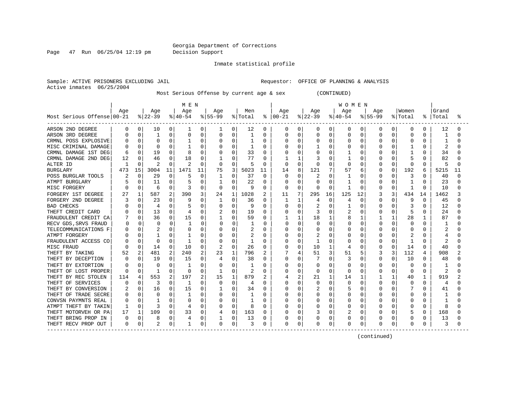Page 47 Run 06/25/04 12:19 pm Decision Support

Inmate statistical profile

Active inmates 06/25/2004

Sample: ACTIVE PRISONERS EXCLUDING JAIL **Requestor:** OFFICE OF PLANNING & ANALYSIS

Most Serious Offense by current age & sex (CONTINUED)

|                                          |          |              |           |          | M E N    |          |                |          |                |          |               |              |              |              | W O M E N |          |             |              |         |              |                |    |
|------------------------------------------|----------|--------------|-----------|----------|----------|----------|----------------|----------|----------------|----------|---------------|--------------|--------------|--------------|-----------|----------|-------------|--------------|---------|--------------|----------------|----|
|                                          | Age      |              | Age       |          | Age      |          | Age            |          | Men            |          | Age           |              | Age          |              | Age       |          | Age         |              | Women   |              | Grand          |    |
| Most Serious Offense 00-21               |          |              | $ 22-39 $ |          | $ 40-54$ |          | $ 55-99$       |          | % Total        |          | $8   00 - 21$ |              | $ 22-39 $    |              | $ 40-54 $ |          | $8155 - 99$ |              | % Total | ి            | Total          |    |
| ARSON 2ND DEGREE                         | $\Omega$ | 0            | 10        | 0        | 1        | 0        | 1              | 0        | 12             | 0        | 0             | 0            | 0            | 0            | 0         | 0        | 0           | 0            | 0       | 0            | 12             |    |
| ARSON 3RD DEGREE                         |          | 0            |           | $\Omega$ | 0        | 0        | 0              | 0        |                | 0        |               | $\Omega$     | 0            | $\Omega$     | 0         | 0        | 0           | 0            | 0       | 0            |                |    |
| CRMNL POSS EXPLOSIVE                     |          | 0            | $\Omega$  | $\Omega$ |          | 0        | $\Omega$       | $\Omega$ |                | O        |               | $\Omega$     |              | $\Omega$     | U         | $\Omega$ | N           | $\Omega$     | 0       | $\Omega$     | 1              |    |
| MISC CRIMINAL DAMAGE                     |          | $\Omega$     | ∩         | $\Omega$ |          | O        | $\Omega$       | $\Omega$ | 1              | 0        |               | $\Omega$     |              | U            | O         | $\Omega$ | N           | $\Omega$     |         | <sup>0</sup> | 2              |    |
| CRMNL DAMAGE 1ST DEG                     | 6        | $\Omega$     | 19        | $\Omega$ | 8        | 0        | 0              | $\Omega$ | 33             | 0        |               | $\Omega$     |              | ∩            |           | $\Omega$ | Ω           | O            | 1       | 0            | 34             |    |
| CRMNL DAMAGE 2ND DEG                     | 12       | $\Omega$     | 46        | $\Omega$ | 18       | 0        |                | U        | 77             | $\Omega$ |               | $\mathbf{1}$ |              |              |           | 0        |             | $\Omega$     | 5       | <sup>0</sup> | 82             |    |
| ALTER ID                                 |          | $\Omega$     | 2         | $\Omega$ |          | $\Omega$ | 0              | $\Omega$ | 5              | O        |               | $\mathbf 0$  |              | $\Omega$     | O         | 0        | Ω           | 0            | 0       | $\Omega$     | 5              |    |
| <b>BURGLARY</b>                          | 473      | 15           | 3004      | 11       | 1471     | 11       | 75             | 3        | 5023           | 11       | 14            | 8            | 121          |              | 57        | 6        | 0           | $\mathbf 0$  | 192     | 6            | 5215           | 11 |
| POSS BURGLAR TOOLS                       |          | $\Omega$     | 29        | $\Omega$ | 5        | 0        | 1              | 0        | 37             | $\Omega$ | $\cap$        | $\Omega$     | 2            | $\cap$       |           | 0        | 0           | $\Omega$     | 3       | $\Omega$     | 40             | ∩  |
| ATMPT BURGLARY                           |          | 0            | 11        | 0        |          | 0        | 1              | 0        | 22             | 0        |               | $\Omega$     | 0            | $\Omega$     |           | $\Omega$ | 0           | $\Omega$     | 1       | 0            | 23             |    |
| MISC FORGERY                             |          | 0            | 6         | 0        | 3        | 0        | 0              | $\Omega$ | 9              | 0        | $\Omega$      | $\mathbf 0$  | O            | $\Omega$     |           | 0        | 0           | $\mathbf 0$  | 1       | 0            | 10             |    |
| FORGERY 1ST DEGREE                       | 27       | 1            | 587       | 2        | 390      | 3        | 24             | 1        | 1028           | 2        | 11            | 7            | 295          | 16           | 125       | 12       | 3           | 3            | 434     | 14           | 1462           |    |
| FORGERY 2ND DEGREE                       |          | $\Omega$     | 23        | 0        | 9        | 0        | 1              | $\Omega$ | 36             | 0        |               |              | 4            | $\Omega$     | 4         | 0        | 0           | $\Omega$     | 9       | 0            | 45             |    |
| <b>BAD CHECKS</b>                        |          | 0            | 4         | 0        |          | O        | 0              | $\Omega$ | 9              | O        |               | <sup>0</sup> | 4            | ∩            |           | 0        | 0           | $\Omega$     | 3       | $\Omega$     | 12             |    |
| THEFT CREDIT CARD                        |          | 0            | 13        | $\Omega$ |          | 0        | 2              | $\Omega$ | 19             | 0        |               | $\Omega$     |              | $\Omega$     |           | 0        |             | 0            | 5       | 0            | 24             |    |
| FRAUDULENT CREDIT CA                     |          | U            | 36        | 0        | 15       | 0        | -1             | $\Omega$ | 59             | O        |               | 1            | 18           | 1            | 8         | 1        |             |              | 28      | -1           | 87             |    |
| RECV GDS, SRVS FRAUD                     |          | O            | $\Omega$  | 0        |          | U        | <sup>0</sup>   | O        |                | O        | O             | $\Omega$     | Ω            | $\Omega$     | O         | $\Omega$ |             | <sup>0</sup> | O       |              |                |    |
| TELECOMMUNICATIONS F                     |          | 0            |           | 0        |          | O        | O              | $\Omega$ |                | U        |               | $\Omega$     | U            | <sup>n</sup> | O         | 0        | Ω           | $\cap$       | U       | U            |                |    |
| ATMPT FORGERY                            |          | U            |           | $\Omega$ |          | 0        | $\Omega$       | $\Omega$ |                | U        |               | $\Omega$     |              | U            | Π         | $\Omega$ | N           | $\Omega$     | 2       | <sup>0</sup> |                |    |
| FRAUDULENT ACCESS CO                     |          | $\Omega$     | $\Omega$  | 0        |          | 0        | 0              | $\Omega$ |                | 0        |               | $\mathbf 0$  |              | O            |           | 0        | 0           | $\Omega$     | 1       | 0            | 2              |    |
| MISC FRAUD                               |          | 0            | 14        | 0        | 10       | 0        | $\overline{2}$ | 0        | 26             | 0        |               | 0            | 10           | 1            |           | 0        | 0           | 0            | 14      | $\Omega$     | 40             |    |
| THEFT BY TAKING                          | 52       | 2            | 481       | 2        | 240      | 2        | 23             | 1        | 796            | 2        |               | 4            | 51           | 3            | 51        | 5        | 3           | 3            | 112     | 4            | 908            |    |
| THEFT BY DECEPTION                       |          | 0            | 19        | $\Omega$ | 15       | 0        | 4              | $\Omega$ | 38             | 0        | Λ             | $\Omega$     |              | $\Omega$     | 3         | 0        | U           | $\Omega$     | 10      | $\Omega$     | 48             |    |
| THEFT BY EXTORTION                       |          | $\Omega$     | ∩         | $\Omega$ |          | O        | $\Omega$       | O        |                | O        |               | $\Omega$     | <sup>0</sup> | U            | O         | $\Omega$ | Ω           | $\Omega$     | 0       | O            |                |    |
| THEFT OF LOST PROPER                     | n        | $\Omega$     | -1        | $\Omega$ | $\Omega$ | 0        | 1              | $\Omega$ | $\overline{2}$ | 0        |               | 0            | <sup>0</sup> | $\Omega$     | U         | 0        | 0           | 0            | O       | $\Omega$     | $\overline{c}$ |    |
| THEFT BY REC STOLEN                      | 114      | 4            | 553       | 2        | 197      | 2        | 15             | 1        | 879            | 2        |               | 2            | 21           | 1            | 14        | 1        |             | 1            | 40      | -1           | 919            |    |
| THEFT OF SERVICES                        | O        | 0            | 3         | $\Omega$ | -1       | 0        | $\Omega$       | $\Omega$ | 4              | 0        |               | $\Omega$     | 0            | U            | 0         | 0        | 0           | $\Omega$     | 0       | 0            | 4              |    |
| THEFT BY CONVERSION                      |          | 0            | 16        | 0        | 15       | 0        |                | 0        | 34             | 0        |               | $\Omega$     | Ζ            | $\cap$       |           | 0        |             | 0            |         | 0            | 41             |    |
| THEFT OF TRADE SECRE                     |          | 0            | $\Omega$  | 0        |          | O        | 0              | O        |                | U        |               | $\Omega$     |              | $\Omega$     | U         | 0        |             | $\Omega$     | U       | O            |                |    |
| CONVSN PAYMNTS REAL                      |          | U            |           | $\Omega$ | O        | O        | 0              | $\Omega$ |                | O        |               | $\Omega$     | <sup>0</sup> | ∩            | U         | $\Omega$ | N           | $\Omega$     | 0       | $\Omega$     | 1              |    |
| ATMPT THEFT BY TAKIN                     |          | $\Omega$     | 3         | O        | 4        | 0        | O              | $\Omega$ | 8              | U        |               | $\Omega$     |              | $\cap$       | U         | 0        | N           | $\Omega$     | U       | $\Omega$     | 8              |    |
| THEFT MOTORVEH OR PA                     | 17       | $\mathbf{1}$ | 109       | 0        | 33       | 0        |                | 0        | 163            | 0        |               | $\Omega$     |              | $\Omega$     | 2         | 0        | U           | $\Omega$     | 5       | 0            | 168            |    |
| THEFT BRING PROP IN                      | 0        | $\Omega$     | 8         | $\Omega$ |          | 0        |                | 0        | 13             | 0        |               | 0            | 0            | $\Omega$     | 0         | 0        | Ω           | 0            | 0       | 0            | 13             |    |
| THEFT RECV PROP OUT<br>----------------- | 0        | 0            | 2         | 0        | 1        | 0        | $\Omega$       | 0        | 3              | 0        |               | 0            |              | 0            | 0         | 0        | Ω           | 0            | 0       | 0            | 3              |    |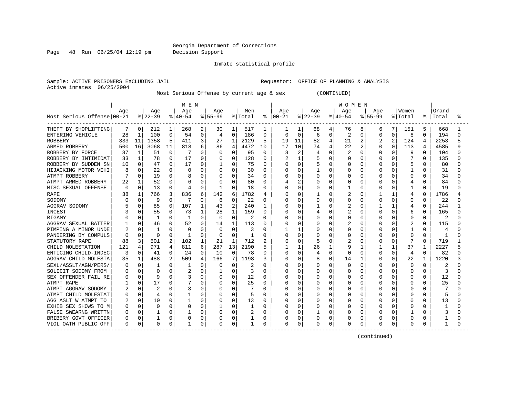Page 48 Run 06/25/04 12:19 pm Decision Support

Inmate statistical profile

Active inmates 06/25/2004

Sample: ACTIVE PRISONERS EXCLUDING JAIL **Requestor:** OFFICE OF PLANNING & ANALYSIS

Most Serious Offense by current age & sex (CONTINUED)

|                            |          |              |              |    | M E N        |          |           |              |         |              |            |              |           |              | <b>WOMEN</b>   |          |             |              |                |          |       |  |
|----------------------------|----------|--------------|--------------|----|--------------|----------|-----------|--------------|---------|--------------|------------|--------------|-----------|--------------|----------------|----------|-------------|--------------|----------------|----------|-------|--|
|                            | Age      |              | Age          |    | Age          |          | Age       |              | Men     |              | Age        |              | Age       |              | Age            |          | Age         |              | Women          |          | Grand |  |
| Most Serious Offense 00-21 |          |              | $ 22-39$     |    | $ 40-54$     |          | $8 55-99$ |              | % Total | ႜ            | $ 00 - 21$ |              | $ 22-39 $ |              | $ 40-54$       |          | $8155 - 99$ |              | % Total        | ి        | Total |  |
| THEFT BY SHOPLIFTING       |          | 0            | 212          | 1  | 268          | 2        | 30        | 1            | 517     | 1            | 1          | 1            | 68        | 4            | 76             | 8        | 6           | 7            | 151            | 5        | 668   |  |
| ENTERING VEHICLE           | 28       | $\mathbf{1}$ | 100          | 0  | 54           | 0        | 4         | $\mathbf{0}$ | 186     | 0            | 0          | 0            | 6         | 0            | $\overline{2}$ | 0        | 0           | $\Omega$     | 8              | 0        | 194   |  |
| <b>ROBBERY</b>             | 333      | 11           | 1358         | 5  | 411          | 3        | 27        | $\mathbf{1}$ | 2129    | 5            | 19         | 11           | 82        | 4            | 21             | 2        | 2           | 2            | 124            | 4        | 2253  |  |
| ARMED ROBBERY              | 500      | 16           | 3068         | 11 | 818          | 6        | 86        | 4            | 4472    | 10           | 17         | 10           | 74        | 4            | 22             | 2        | O           | $\Omega$     | 113            | 4        | 4585  |  |
| ROBBERY BY FORCE           | 37       | 1            | 51           | 0  |              | U        | 0         | $\Omega$     | 95      | $\Omega$     |            | 2            | 4         | $\Omega$     | $\overline{c}$ | $\Omega$ | 0           | <sup>0</sup> | 9              | 0        | 104   |  |
| ROBBERY BY INTIMIDAT       | 33       | 1            | 78           | 0  | 17           | U        | 0         | 0            | 128     | $\Omega$     | 2          | 1            | 5         | $\Omega$     | 0              | 0        |             | $\Omega$     |                | 0        | 135   |  |
| ROBBERY BY SUDDEN SN       | 10       | $\Omega$     | 47           | 0  | 17           | 0        |           | 0            | 75      | 0            | Ω          | 0            | 5         | $\Omega$     | U              | 0        | 0           | O            | 5              | O        | 80    |  |
| HIJACKING MOTOR VEHI       |          | 0            | 22           | 0  | $\Omega$     | 0        | $\Omega$  | $\mathbf 0$  | 30      | $\Omega$     |            | $\mathbf 0$  |           | $\Omega$     | 0              | 0        | 0           | 0            | $\mathbf{1}$   | 0        | 31    |  |
| ATMPT ROBBERY              |          | $\Omega$     | 19           | 0  |              | 0        | 0         | 0            | 34      | $\Omega$     |            | 0            | 0         | $\Omega$     | U              | 0        |             | O            | 0              | $\Omega$ | 34    |  |
| ATMPT ARMED ROBBERY        | 22       | 1            | 52           | 0  | 6            | 0        | 0         | $\Omega$     | 80      | 0            |            | 2            | 0         | $\Omega$     | 0              | 0        | 0           | O            | 4              | 0        | 84    |  |
| MISC SEXUAL OFFENSE        | $\Omega$ | 0            | 13           | 0  | 4            | 0        |           | 0            | 18      | 0            | Ω          | 0            | 0         | 0            |                | 0        | 0           | 0            | 1              | 0        | 19    |  |
| <b>RAPE</b>                | 38       | 1            | 766          | 3  | 836          | 6        | 142       | 6            | 1782    | 4            | O          | $\Omega$     |           | $\Omega$     | 2              | 0        |             | -1           | 4              | 0        | 1786  |  |
| SODOMY                     |          | 0            | 9            | 0  | 7            | 0        | 6         | 0            | 22      | 0            | Ω          | 0            | 0         | $\mathbf 0$  | 0              | 0        | 0           | O            | 0              | 0        | 22    |  |
| AGGRAV SODOMY              |          | 0            | 85           | 0  | 107          | 1        | 43        | 2            | 240     | 1            | C          | 0            |           | $\Omega$     | 2              | 0        |             |              | 4              | O        | 244   |  |
| <b>INCEST</b>              |          | 0            | 55           | 0  | 73           | 1        | 28        | $\mathbf{1}$ | 159     | 0            | O          | 0            |           | $\Omega$     | 2              | 0        |             | C            | 6              | 0        | 165   |  |
| <b>BIGAMY</b>              |          | $\Omega$     | $\mathbf{1}$ | 0  | $\mathbf{1}$ | $\Omega$ | $\Omega$  | $\Omega$     |         | $\Omega$     | Λ          | $\Omega$     | 0         | $\Omega$     | 0              | $\Omega$ | O           | O            | $\Omega$       | $\Omega$ |       |  |
| AGGRAV SEXUAL BATTER       |          | O            | 46           | O  | 52           | 0        | 14        | $\mathbf{1}$ | 113     | <sup>0</sup> | O          | $\Omega$     | Ω         | $\Omega$     | $\overline{c}$ | O        |             | U            | $\overline{2}$ | 0        | 115   |  |
| PIMPING A MINOR UNDE       |          | $\Omega$     | -1           | 0  | $\Omega$     | $\Omega$ | 0         | $\Omega$     |         | O            |            | $\mathbf{1}$ | Ω         | $\Omega$     | U              | O        | O           | U            | 1              | 0        |       |  |
| PANDERING BY COMPULS       | n        | 0            | $\Omega$     | 0  | 1            | $\Omega$ | $\Omega$  | O            | 1       | O            | Λ          | $\Omega$     | Ω         | $\Omega$     |                | $\Omega$ | O           | O            | $\Omega$       | 0        | -1    |  |
| STATUTORY RAPE             | 88       | 3            | 501          | 2  | 102          | 1        | 21        | $\mathbf{1}$ | 712     | 2            | Ω          | 0            | 5         | $\Omega$     | 2              | 0        | 0           | $\Omega$     | 7              | 0        | 719   |  |
| CHILD MOLESTATION          | 121      | 4            | 971          | 4  | 811          | 6        | 287       | 13           | 2190    | 5            |            | 1            | 26        | $\mathbf{1}$ | 9              | 1        |             | 1            | 37             | -1       | 2227  |  |
| ENTICING CHILD-INDEC       | 3        | $\Omega$     | 41           | 0  | 24           | 0        | 10        | $\Omega$     | 78      | $\Omega$     | U          | 0            | 4         | $\Omega$     | 0              | $\Omega$ | O           | $\Omega$     | 4              | 0        | 82    |  |
| AGGRAV CHILD MOLESTA       | 35       | 1            | 488          | 2  | 509          | 4        | 166       |              | 1198    | 3            | U          | 0            | 8         | $\Omega$     | 14             | 1        | 0           | 0            | 22             | -1       | 1220  |  |
| SEXL/ASSLT/AGN/PERS/       |          | $\Omega$     |              | 0  | 1            | U        | 0         | 0            |         | $\Omega$     | Ω          | 0            | 0         | $\Omega$     | O              | 0        | O           | O            | 0              | 0        |       |  |
| SOLICIT SODOMY FROM        |          | $\Omega$     | U            | 0  |              | 0        |           | 0            | 3       | $\Omega$     | Λ          | 0            | 0         | $\Omega$     | U              | 0        | 0           | O            | 0              | 0        | 3     |  |
| SEX OFFENDER FAIL RE       |          | 0            | 9            | 0  |              | 0        | 0         | 0            | 12      | 0            | Ω          | 0            | Ω         | $\Omega$     | U              | 0        | U           | O            | 0              | 0        | 12    |  |
| ATMPT RAPE                 |          | 0            | 17           | 0  |              | 0        | 0         | 0            | 25      | $\Omega$     | Ω          | 0            | 0         | $\Omega$     | 0              | 0        | 0           | O            | 0              | 0        | 25    |  |
| ATMPT AGGRAV SODOMY        |          | N            | 2            | 0  | 3            | 0        | 0         | 0            |         | $\Omega$     |            | 0            |           | 0            | O              | 0        | 0           |              | 0              | U        |       |  |
| ATMPT CHILD MOLESTAT       |          | O            | 4            | 0  |              | 0        | 0         | 0            |         | 0            |            | 0            | Ω         | $\Omega$     | U              | 0        | 0           |              | 0              | U        | 5     |  |
| AGG ASLT W ATMPT TO        |          | 0            | 10           | 0  | 1            | U        | 0         | 0            | 13      | $\Omega$     | Λ          | $\Omega$     | 0         | $\Omega$     | U              | 0        | O           | O            | <sup>0</sup>   | O        | 13    |  |
| EXHIB SEX SHOWS TO M       |          | $\Omega$     | $\Omega$     | 0  | O            | $\Omega$ |           | 0            |         | O            |            | 0            | Ω         | $\Omega$     | U              | $\Omega$ | O           | O            | O              | U        |       |  |
| FALSE SWEARNG WRITTN       |          | $\Omega$     |              | 0  |              | 0        | O         | $\mathbf 0$  | 2       | $\Omega$     |            | $\Omega$     |           | $\Omega$     | U              | 0        | O           | O            |                | O        |       |  |
| BRIBERY GOVT OFFICER       |          | $\Omega$     |              | 0  |              | 0        |           | 0            |         | $\Omega$     |            | 0            | Ω         | $\mathbf 0$  |                | $\Omega$ |             | 0            | $\Omega$       |          |       |  |
| VIOL OATH PUBLIC OFF       | 0        | 0            | 0            | 0  | $\mathbf{1}$ | 0        |           | 0            |         | 0            | 0          | 0            | Ω         | 0            | 0              | 0        | 0           | $\Omega$     | $\Omega$       |          |       |  |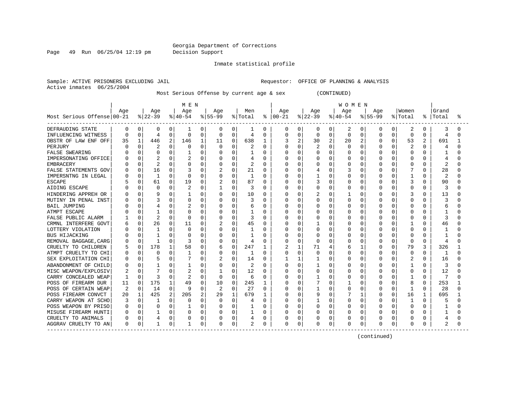Page 49 Run 06/25/04 12:19 pm Decision Support

Inmate statistical profile

Active inmates 06/25/2004

Sample: ACTIVE PRISONERS EXCLUDING JAIL **Requestor:** OFFICE OF PLANNING & ANALYSIS

Most Serious Offense by current age & sex (CONTINUED)

|                                            |          |              |              |             | M E N    |   |          |          |         |          |               |             |           |             | WOMEN    |          |              |   |                |                |       |    |
|--------------------------------------------|----------|--------------|--------------|-------------|----------|---|----------|----------|---------|----------|---------------|-------------|-----------|-------------|----------|----------|--------------|---|----------------|----------------|-------|----|
|                                            | Age      |              | Age          |             | Age      |   | Age      |          | Men     |          | Age           |             | Age       |             | Age      |          | Aqe          |   | Women          |                | Grand |    |
| Most Serious Offense 00-21                 |          |              | $ 22-39 $    |             | $ 40-54$ |   | $ 55-99$ |          | % Total |          | $8   00 - 21$ |             | $ 22-39 $ |             | $ 40-54$ |          | $8155 - 99$  |   | % Total        | ႜ              | Total | °≈ |
| DEFRAUDING STATE                           | 0        | 0            | 0            | 0           | 1        | 0 | 0        | 0        | 1       | 0        | 0             | 0           | 0         | 0           | 2        | 0        | 0            | 0 | 2              | 0              | 3     |    |
| INFLUENCING WITNESS                        | $\Omega$ | $\Omega$     | 4            | 0           | O        | 0 | 0        | $\Omega$ | 4       | 0        | 0             | 0           | 0         | $\mathbf 0$ | $\Omega$ | $\Omega$ | $\Omega$     | O | $\Omega$       | $\Omega$       | 4     |    |
| OBSTR OF LAW ENF OFF                       | 35       | 1            | 446          | 2           | 146      | 1 | 11       | 0        | 638     | 1        |               | 2           | 30        | 2           | 20       | 2        | $\Omega$     | 0 | 53             | $\overline{2}$ | 691   |    |
| PERJURY                                    |          | U            |              | 0           | O        | O | $\Omega$ | $\Omega$ |         | $\Omega$ | ი             | $\Omega$    | 2         | $\Omega$    | O        | O        | O            | U |                | U              | 4     |    |
| <b>FALSE SWEARING</b>                      |          | <sup>n</sup> | ∩            | $\Omega$    |          | 0 | O        | $\Omega$ |         | $\Omega$ |               | $\Omega$    | O         | $\Omega$    | U        | $\Omega$ | O            | U | $\Omega$       | U              |       |    |
| IMPERSONATING OFFICE                       |          | <sup>n</sup> | 2            | 0           |          | 0 | 0        | $\Omega$ |         | $\Omega$ |               | $\Omega$    | Ω         | $\Omega$    | U        | $\Omega$ | O            | U | $\Omega$       | U              |       |    |
| <b>EMBRACERY</b>                           |          | $\Omega$     | 2            | $\Omega$    |          | 0 | 0        | $\Omega$ | 2       | $\Omega$ |               | $\Omega$    | Ω         | $\Omega$    | U        | $\Omega$ | 0            | O | $\Omega$       | $\Omega$       | 2     |    |
| FALSE STATEMENTS GOV                       |          | 0            | 16           | 0           |          | 0 | 2        | 0        | 21      | 0        |               | 0           |           | 0           | 3        | $\Omega$ | 0            | O |                | O              | 28    |    |
| IMPERSNTNG IN LEGAL                        |          | $\Omega$     | $\mathbf{1}$ | 0           | O        | 0 | 0        | 0        |         | O        |               | $\Omega$    |           | $\Omega$    | 0        | O        | $\Omega$     | O | $\mathbf{1}$   | O              | 2     |    |
| <b>ESCAPE</b>                              |          | $\Omega$     | 61           | $\mathbf 0$ | 19       | 0 | 2        | 0        | 87      | $\Omega$ |               | $\Omega$    | 3         | $\Omega$    | 0        | 0        | 0            | O | 3              | $\Omega$       | 90    |    |
| AIDING ESCAPE                              |          | 0            | ∩            | 0           | 2        | 0 | 1        | 0        | 3       | $\Omega$ | U             | $\Omega$    | Ω         | $\Omega$    | U        | 0        | O            | O | $\Omega$       | $\Omega$       | 3     |    |
| HINDERING APPREH OR                        |          | $\Omega$     | 9            | 0           |          | 0 | 0        | 0        | 10      | $\Omega$ |               | $\Omega$    | 2         | $\Omega$    |          | O        | U            | 0 | 3              | $\Omega$       | 13    |    |
| MUTINY IN PENAL INST                       |          | 0            | 3            | 0           | O        | 0 | 0        | 0        |         | $\Omega$ | Ω             | $\Omega$    | 0         | $\Omega$    | U        | $\Omega$ | 0            | O | $\Omega$       | 0              |       |    |
| <b>BAIL JUMPING</b>                        |          |              | 4            | 0           |          | 0 | 0        | 0        | 6       | 0        | ი             | $\Omega$    | 0         | $\Omega$    | U        | $\Omega$ | 0            | O | $\Omega$       | O              | 6     |    |
| ATMPT ESCAPE                               |          |              |              | 0           |          | 0 | 0        | U        |         | O        |               | $\Omega$    |           | $\Omega$    | U        | 0        | O            |   | $\Omega$       |                |       |    |
| FALSE PUBLIC ALARM                         |          |              |              | 0           | 0        | 0 | 0        | 0        | 3       | 0        |               | $\Omega$    | Ω         | 0           | 0        | 0        | 0            |   | $\Omega$       | O              |       |    |
| CRMNL INTERFERE GOVT                       |          | 0            | 26           | 0           | 11       | 0 |          | O        | 45      | $\Omega$ | N             | $\Omega$    |           | $\Omega$    | U        | O        | U            |   |                | O              | 46    |    |
| LOTTERY VIOLATION                          |          | 0            | -1           | 0           | O        | O | O        | U        | 1       | O        |               | $\cap$      | Ω         | $\Omega$    |          | O        | O            | U | $\Omega$       | U              |       |    |
| <b>BUS HIJACKING</b>                       |          | <sup>n</sup> |              | 0           |          | O | 0        | $\Omega$ |         | O        |               | $\Omega$    | Ω         | $\Omega$    |          | $\Omega$ | O            | U | $\Omega$       | U              |       |    |
| REMOVAL BAGGAGE, CARG                      |          | $\Omega$     |              | 0           | 3        | 0 | 0        | U        | 4       | $\Omega$ |               | $\Omega$    | 0         | $\Omega$    |          | $\Omega$ | 0            | 0 | $\Omega$       | $\Omega$       | 4     |    |
| CRUELTY TO CHILDREN                        |          | 0            | 178          | 1           | 58       | 0 | 6        | 0        | 247     | 1        | 2             | 1           | 71        | 4           |          | 1        | 0            | O | 79             | 3              | 326   |    |
| ATMPT CRUELTY TO CHI                       |          | 0            | $\Omega$     | 0           |          | 0 | 0        | 0        |         | O        |               | $\mathbf 0$ | Ω         | $\Omega$    |          | $\Omega$ | 0            | O | $\Omega$       | $\Omega$       |       |    |
| SEX EXPLOITATION CHI                       |          | $\Omega$     | 5            | 0           |          | 0 | 2        | 0        | 14      | 0        |               | 1           |           | $\Omega$    | U        | $\Omega$ | <sup>0</sup> | 0 | $\overline{2}$ | $\cap$         | 16    |    |
| ABANDONMENT OF CHILD                       |          | $\Omega$     |              | 0           |          | 0 | 0        | $\Omega$ | 2       | $\Omega$ |               | $\Omega$    |           | $\Omega$    | O        | 0        | $\Omega$     | O | $\mathbf{1}$   | $\Omega$       | 3     |    |
| MISC WEAPON/EXPLOSIV                       |          | $\Omega$     |              | 0           |          | 0 | 1        | U        | 12      | $\Omega$ |               | $\Omega$    | Ω         | $\Omega$    | U        | $\Omega$ | O            | O | $\Omega$       | $\Omega$       | 12    |    |
| CARRY CONCEALED WEAP                       |          | $\Omega$     | 3            | $\Omega$    | 2        | 0 | $\Omega$ | 0        | 6       | $\Omega$ |               | $\Omega$    |           | $\Omega$    | O        | 0        | 0            | O | 1              | $\Omega$       | 7     |    |
| POSS OF FIREARM DUR                        | 11       | $\Omega$     | 175          | 1           | 49       | 0 | 10       | 0        | 245     | 1        | Ω             | 0           |           | $\Omega$    |          | 0        | $\Omega$     | O | 8              | 0              | 253   |    |
| POSS OF CERTAIN WEAP                       | 2        | $\Omega$     | 14           | 0           | 9        | 0 | 2        | 0        | 27      | 0        |               | 0           |           | $\Omega$    | U        | 0        |              |   |                | $\Omega$       | 28    |    |
| POSS FIREARM CONVCT                        | 20       | 1            | 425          | 2           | 205      | 2 | 29       | 1        | 679     | 1        | Ω             | 0           | 9         | 0           |          | 1        | 0            | O | 16             |                | 695   |    |
| CARRY WEAPON AT SCHO                       |          | O            |              | O           | O        | O | $\Omega$ | $\Omega$ | 4       | O        |               | $\Omega$    |           | $\Omega$    | 0        | n        | O            |   | 1              | O              |       |    |
| POSS WEAPON BY PRISO                       |          | $\Omega$     | $\Omega$     | $\Omega$    |          | 0 | 0        | $\Omega$ |         | 0        |               | $\Omega$    | 0         | $\Omega$    | O        | $\Omega$ | O            | O | $\Omega$       | O              |       |    |
| MISUSE FIREARM HUNTI                       |          | 0            |              | 0           | O        | 0 | 0        | 0        |         | 0        |               | $\Omega$    | Ω         | $\Omega$    | 0        | $\Omega$ | $\Omega$     | 0 | $\Omega$       | $\Omega$       |       |    |
| CRUELTY TO ANIMALS                         |          | $\Omega$     | 4            | 0           |          | 0 | 0        | 0        |         | 0        |               | 0           | Ω         | $\mathbf 0$ |          | 0        | 0            | O | 0              |                |       |    |
| AGGRAV CRUELTY TO AN<br>------------------ | 0        | $\Omega$     | $\mathbf{1}$ | 0           |          | 0 | 0        | 0        | 2       | 0        | $\Omega$      | 0           | Ω         | 0           | 0        | 0        | $\Omega$     | 0 | $\Omega$       | 0              | 2     |    |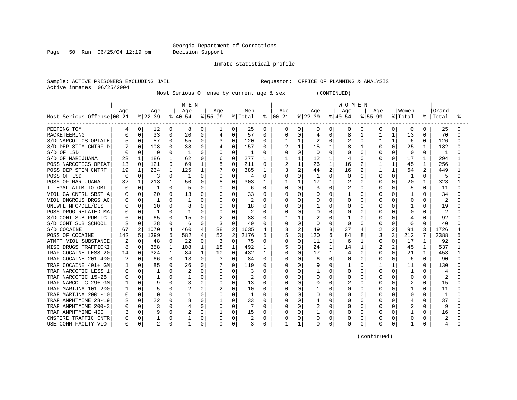Page 50 Run 06/25/04 12:19 pm Decision Support

Inmate statistical profile

Sample: ACTIVE PRISONERS EXCLUDING JAIL **Requestor:** OFFICE OF PLANNING & ANALYSIS Active inmates 06/25/2004

Most Serious Offense by current age & sex (CONTINUED)

|                            | MEN |             |           |              |           |              |                |                |         |              | <b>WOMEN</b>  |                |              |              |              |              |                |              |                |              |       |   |
|----------------------------|-----|-------------|-----------|--------------|-----------|--------------|----------------|----------------|---------|--------------|---------------|----------------|--------------|--------------|--------------|--------------|----------------|--------------|----------------|--------------|-------|---|
|                            | Age |             | Age       |              | Age       |              | Aqe            |                | Men     |              | Aqe           |                | Aqe          |              | Age          |              | Aqe            |              | Women          |              | Grand |   |
| Most Serious Offense 00-21 |     |             | $ 22-39 $ |              | $ 40-54 $ |              | $ 55-99$       |                | % Total |              | $8   00 - 21$ |                | $ 22-39 $    |              | $ 40-54$     |              | $8155 - 99$    |              | % Total        | ႜ            | Total | ° |
| PEEPING TOM                | 4   | 0           | 12        | 0            | 8         | 0            |                | 0              | 25      | 0            | 0             | 0              | 0            | 0            | 0            | 0            | 0              | 0            | 0              | 0            | 25    |   |
| RACKETEERING               | O   | 0           | 33        | 0            | 20        | 0            | 4              | $\Omega$       | 57      | 0            | U             | 0              | 4            | 0            | 8            |              |                | 1            | 13             | $\Omega$     | 70    |   |
| S/D NARCOTICS OPIATE       |     | 0           | 57        | 0            | 55        | 0            |                | $\mathbf 0$    | 120     | 0            |               | 1              | 2            | 0            |              | 0            |                | 1            | 6              | 0            | 126   |   |
| S/D DEP STIM CNTRF D       |     | $\Omega$    | 108       | $\Omega$     | 38        | $\Omega$     |                | $\Omega$       | 157     | $\Omega$     |               | 1              | 15           |              | 8            | $\mathbf{1}$ | <sup>0</sup>   | $\Omega$     | 25             | $\mathbf{1}$ | 182   |   |
| S/D OF LSD                 |     | $\Omega$    | $\Omega$  | 0            |           | O            | $\Omega$       | $\Omega$       | -1      | 0            | 0             | $\Omega$       | <sup>0</sup> | 0            | O            | $\Omega$     | O              | 0            | $\Omega$       | $\Omega$     | -1    |   |
| S/D OF MARIJUANA           | 23  | 1           | 186       | 1            | 62        | $\Omega$     | 6              | 0              | 277     | 1            |               | 1              | 12           | $\mathbf{1}$ | 4            | $\Omega$     | O              | 0            | 17             | 1.           | 294   |   |
| POSS NARCOTICS OPIAT       | 13  | $\Omega$    | 121       | $\Omega$     | 69        | $\mathbf{1}$ | 8              | $\Omega$       | 211     | 0            | 2             | $\mathbf{1}$   | 26           | $\mathbf{1}$ | 16           | 2            |                | $\mathbf{1}$ | 45             | 1            | 256   |   |
| POSS DEP STIM CNTRF        | 19  | 1           | 234       | 1            | 125       | 1            |                | 0              | 385     | 1            | 3             | 2              | 44           | 2            | 16           | 2            |                | 1            | 64             |              | 449   |   |
| POSS OF LSD                | C   | $\Omega$    | 3         | 0            | 1         | $\Omega$     |                | 0              | 4       | $\Omega$     | ი             | 0              | $\mathbf{1}$ | O            | 0            | $\Omega$     | $\Omega$       | $\Omega$     | 1              | $\Omega$     | 5     |   |
| POSS OF MARIJUANA          | 32  | $\mathbf 1$ | 213       | 1            | 50        | 0            | 8              | $\mathbf 0$    | 303     | 1            |               | $\mathbf{1}$   | 17           | $\mathbf{1}$ | 2            | $\Omega$     | 0              | 0            | 20             | 1            | 323   |   |
| ILLEGAL ATTM TO OBT        |     | 0           | -1        | 0            | 5         | 0            | $\Omega$       | 0              | 6       | 0            | U             | 0              | 3            | $\Omega$     | 2            | 0            | O              | 0            | 5              | $\Omega$     | 11    |   |
| VIOL GA CNTRL SBST A       |     | $\Omega$    | 20        | 0            | 13        | $\Omega$     |                | 0              | 33      | $\Omega$     | O             | $\Omega$       | 0            | $\Omega$     | 1            | O            | U              | 0            |                | U            | 34    |   |
| VIOL DNGROUS DRGS AC       | O   | $\Omega$    | -1        | 0            | -1        | 0            |                | $\Omega$       | 2       | 0            | O             | $\Omega$       | 0            | 0            | 0            | 0            | O              | 0            | $\Omega$       | $\Omega$     | 2     |   |
| UNLWFL MFG/DEL/DIST        |     | $\Omega$    | 10        | 0            | 8         | 0            | 0              | 0              | 18      | 0            | U             | 0              |              | 0            | 0            | 0            | O              | 0            |                | O            | 19    |   |
| POSS DRUG RELATED MA       |     | 0           | 1         | O            |           | O            |                | $\Omega$       | 2       | 0            | Ω             | 0              | 0            | 0            | O            | O            |                |              | $\Omega$       |              | 2     |   |
| S/D CONT SUB PUBLIC        |     |             | 65        | 0            | 15        | 0            | $\overline{c}$ | $\Omega$       | 88      | O            |               | 1              |              | O            |              |              | 0              |              | 4              |              | 92    |   |
| S/D CONT SUB SCHOOL        |     |             | 28        | O            | 6         | O            | 3              | $\Omega$       | 40      | <sup>0</sup> | U             | $\Omega$       | O            | O            | <sup>0</sup> | O            | O              | O            | $\Omega$       | O            | 40    |   |
| S/D COCAINE                | 67  | 2           | 1070      | 4            | 460       | 4            | 38             | $\overline{2}$ | 1635    |              | 3             | $\mathfrak{D}$ | 49           | 3            | 37           | 4            | $\overline{2}$ | 2            | 91             | κ            | 1726  |   |
| POSS OF COCAINE            | 142 | 5           | 1399      | 5            | 582       | 4            | 53             | $\overline{2}$ | 2176    |              | 5             | 3              | 120          | 6            | 84           | 8            | 3              | 3            | 212            |              | 2388  |   |
| ATMPT VIOL SUBSTANCE       |     | 0           | 48        | 0            | 22        | $\Omega$     | 3              | $\Omega$       | 75      | 0            | 0             | $\mathbf 0$    | 11           | 1            | 6            | -1           | 0              | 0            | 17             | 1            | 92    |   |
| MISC DRUGS TRAFFICKI       | 8   | 0           | 358       | $\mathbf{1}$ | 108       | 1            | 18             | 1              | 492     | 1            | 5             | 3              | 24           | $\mathbf{1}$ | 14           | 1            |                | 2            | 45             | 1            | 537   |   |
| TRAF COCAINE LESS 20       | 14  | 0           | 324       | 1            | 84        | $\mathbf{1}$ | 10             | $\mathbf 0$    | 432     | 1            |               | 0              | 17           | $\mathbf{1}$ | 4            | $\Omega$     | 0              | 0            | 21             | $\mathbf{1}$ | 453   |   |
| TRAF COCAINE 201-400       |     | 0           | 66        | 0            | 13        | 0            | 3              | $\mathbf 0$    | 84      | $\Omega$     | O             | 0              | 6            | $\Omega$     | O            | $\Omega$     | 0              | 0            | 6              | $\Omega$     | 90    |   |
| TRAF COCAINE 401+ GM       |     | $\Omega$    | 85        | $\Omega$     | 26        | $\Omega$     |                | $\Omega$       | 119     | $\Omega$     | Ω             | $\Omega$       | 9            | $\Omega$     | 1            | $\Omega$     |                | 1            | 11             | $\Omega$     | 130   |   |
| TRAF NARCOTIC LESS 1       |     | $\Omega$    | 1         | 0            |           | $\Omega$     | 0              | $\Omega$       | 3       | $\Omega$     | U             | 0              |              | $\Omega$     | O            | $\Omega$     | $\Omega$       | 0            | 1              | $\cap$       | 4     |   |
| TRAF NARCOTIC 15-28        |     | 0           | -1        | 0            |           | 0            | 0              | 0              | 2       | 0            | O             | $\Omega$       | 0            | 0            | 0            | 0            | 0              | 0            | 0              | $\Omega$     | 2     |   |
| TRAF NARCOTIC 29+ GM       |     | $\Omega$    | 9         | 0            |           | 0            | 0              | 0              | 13      | $\Omega$     | U             | $\mathbf 0$    | 0            | 0            |              | 0            | <sup>0</sup>   | 0            | 2              | $\Omega$     | 15    |   |
| TRAF MARIJNA 101-200       |     | O           | 5         | 0            |           | O            | 2              | 0              | 10      | 0            | Ω             | 0              |              | O            | U            | O            |                |              |                | O            | 11    |   |
| TRAF MARIJNA 2001-10       |     | 0           | $\Omega$  | 0            |           | 0            |                | $\mathbf 0$    |         | 0            | Ω             | 0              |              | O            | 0            | 0            | 0              |              | 0              | O            |       |   |
| TRAF AMPHTMINE 28-19       |     | 0           | 22        | O            | 8         | O            |                | 0              | 33      | <sup>0</sup> | U             | $\Omega$       | 4            | O            | U            | O            | O              | O            | 4              | O            | 37    |   |
| TRAF AMPHTMINE 200-3       |     | $\Omega$    | 3         | 0            |           | $\Omega$     | 0              | $\Omega$       |         | 0            | U             | $\Omega$       | 2            | O            | O            | O            | O              | 0            | $\overline{c}$ | O            | 9     |   |
| TRAF AMPHTMINE 400+        |     | $\Omega$    | 9         | 0            |           | $\Omega$     |                | 0              | 15      | O            | Ω             | 0              |              | $\cap$       | U            | $\Omega$     | <sup>0</sup>   | $\Omega$     |                | $\Omega$     | 16    |   |
| CNSPIRE TRAFFIC CNTR       | 0   | 0           |           | 0            |           | 0            | 0              | 0              | 2       | 0            |               | $\mathbf 0$    | 0            | 0            | 0            | 0            | 0              | 0            | 0              | 0            | 2     |   |
| USE COMM FACLTY VIO        | 0   | 0           | 2         | 0            | 1         | 0            | 0              | 0              | 3       | 0            |               | 1              | 0            | 0            | 0            | 0            | $\Omega$       | 0            |                | 0            | 4     |   |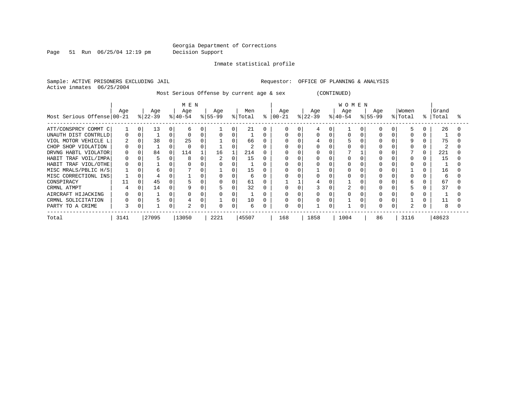Page 51 Run 06/25/04 12:19 pm Decision Support

Inmate statistical profile

Sample: ACTIVE PRISONERS EXCLUDING JAIL **Requestor:** OFFICE OF PLANNING & ANALYSIS Active inmates 06/25/2004

Most Serious Offense by current age & sex (CONTINUED)

|                            | M E N |  |           |          |           |  |           |          |         |   |          | <b>WOMEN</b> |           |  |           |  |           |  |         |   |       |  |  |
|----------------------------|-------|--|-----------|----------|-----------|--|-----------|----------|---------|---|----------|--------------|-----------|--|-----------|--|-----------|--|---------|---|-------|--|--|
|                            | Age   |  | Age       |          | Age       |  | Age       |          | Men     |   | Age      |              | Age       |  | Age       |  | Age       |  | Women   |   | Grand |  |  |
| Most Serious Offense 00-21 |       |  | $ 22-39 $ |          | $ 40-54 $ |  | $8 55-99$ |          | % Total | ႜ | $ 00-21$ |              | $ 22-39 $ |  | $ 40-54 $ |  | $ 55-99 $ |  | % Total | ႜ | Total |  |  |
| ATT/CONSPRCY COMMT C       |       |  | 13        | 0        |           |  |           |          | 21      |   |          |              |           |  |           |  |           |  |         |   | 26    |  |  |
| UNAUTH DIST CONTRLLD       | Ω     |  |           | 0        |           |  |           |          |         |   |          |              |           |  |           |  |           |  |         |   |       |  |  |
| VIOL MOTOR VEHICLE L       | 2     |  | 38        | $\Omega$ | 25        |  |           |          | 66      |   |          |              | 4         |  |           |  |           |  | 9       |   | 75    |  |  |
| CHOP SHOP VIOLATION        | 0     |  |           |          |           |  |           |          |         |   |          |              |           |  |           |  |           |  |         |   |       |  |  |
| DRVNG HABTL VIOLATOR       | 0     |  | 84        | 0        | 114       |  | 16        |          | 214     |   |          |              |           |  |           |  |           |  |         |   | 221   |  |  |
| HABIT TRAF VOIL/IMPA       | 0     |  |           |          | 8         |  |           | 0        | 15      |   |          |              |           |  |           |  |           |  |         |   | 15    |  |  |
| HABIT TRAF VIOL/OTHE       | 0     |  |           |          |           |  |           |          |         |   |          |              |           |  |           |  |           |  |         |   |       |  |  |
| MISC MRALS/PBLIC H/S       |       |  | h         |          |           |  |           |          | 15      |   |          |              |           |  |           |  |           |  |         |   | 16    |  |  |
| MISC CORRECTIONL INS       |       |  |           |          |           |  |           |          | 6       |   |          |              |           |  |           |  |           |  |         |   | 6     |  |  |
| CONSPIRACY                 |       |  | 45        |          |           |  |           | $\Omega$ | 61      |   |          |              |           |  |           |  |           |  | 6       |   | 67    |  |  |
| CRMNL ATMPT                |       |  | 14        | 0        |           |  |           | 0        | 32      |   |          |              |           |  |           |  |           |  |         |   | 37    |  |  |
| AIRCRAFT HIJACKING         | 0     |  |           | 0        |           |  |           | 0        |         |   |          |              |           |  |           |  |           |  |         |   |       |  |  |
| CRMNL SOLICITATION         |       |  |           |          |           |  |           | 0        | 10      |   |          |              |           |  |           |  |           |  |         |   |       |  |  |
| PARTY TO A CRIME           |       |  |           |          |           |  |           |          | 6       |   |          |              |           |  |           |  |           |  |         |   | 8     |  |  |
| Total                      | 3141  |  | 27095     |          | 13050     |  | 2221      |          | 45507   |   | 168      |              | 1858      |  | 1004      |  | 86        |  | 3116    |   | 48623 |  |  |